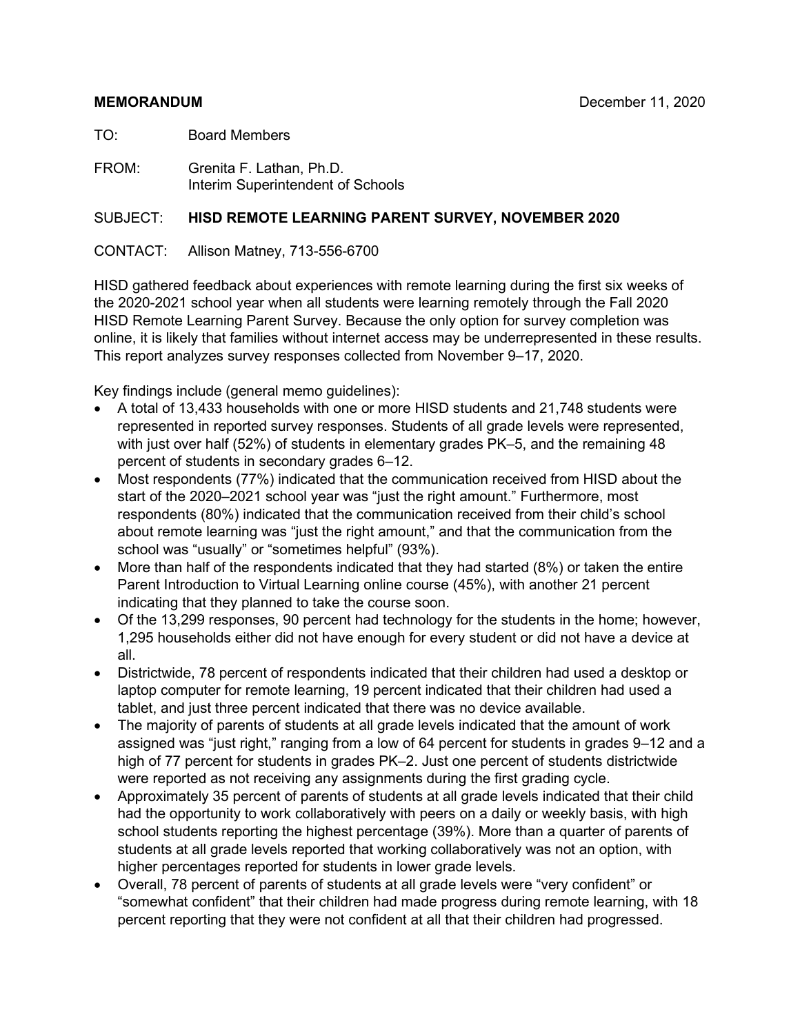#### **MEMORANDUM** December 11, 2020

TO: Board Members

FROM: Grenita F. Lathan, Ph.D. Interim Superintendent of Schools

#### SUBJECT: **HISD REMOTE LEARNING PARENT SURVEY, NOVEMBER 2020**

#### CONTACT: Allison Matney, 713-556-6700

HISD gathered feedback about experiences with remote learning during the first six weeks of the 2020-2021 school year when all students were learning remotely through the Fall 2020 HISD Remote Learning Parent Survey. Because the only option for survey completion was online, it is likely that families without internet access may be underrepresented in these results. This report analyzes survey responses collected from November 9–17, 2020.

Key findings include (general memo guidelines):

- A total of 13,433 households with one or more HISD students and 21,748 students were represented in reported survey responses. Students of all grade levels were represented, with just over half (52%) of students in elementary grades PK–5, and the remaining 48 percent of students in secondary grades 6–12.
- Most respondents (77%) indicated that the communication received from HISD about the start of the 2020–2021 school year was "just the right amount." Furthermore, most respondents (80%) indicated that the communication received from their child's school about remote learning was "just the right amount," and that the communication from the school was "usually" or "sometimes helpful" (93%).
- More than half of the respondents indicated that they had started (8%) or taken the entire Parent Introduction to Virtual Learning online course (45%), with another 21 percent indicating that they planned to take the course soon.
- Of the 13,299 responses, 90 percent had technology for the students in the home; however, 1,295 households either did not have enough for every student or did not have a device at all.
- Districtwide, 78 percent of respondents indicated that their children had used a desktop or laptop computer for remote learning, 19 percent indicated that their children had used a tablet, and just three percent indicated that there was no device available.
- The majority of parents of students at all grade levels indicated that the amount of work assigned was "just right," ranging from a low of 64 percent for students in grades 9–12 and a high of 77 percent for students in grades PK–2. Just one percent of students districtwide were reported as not receiving any assignments during the first grading cycle.
- Approximately 35 percent of parents of students at all grade levels indicated that their child had the opportunity to work collaboratively with peers on a daily or weekly basis, with high school students reporting the highest percentage (39%). More than a quarter of parents of students at all grade levels reported that working collaboratively was not an option, with higher percentages reported for students in lower grade levels.
- Overall, 78 percent of parents of students at all grade levels were "very confident" or "somewhat confident" that their children had made progress during remote learning, with 18 percent reporting that they were not confident at all that their children had progressed.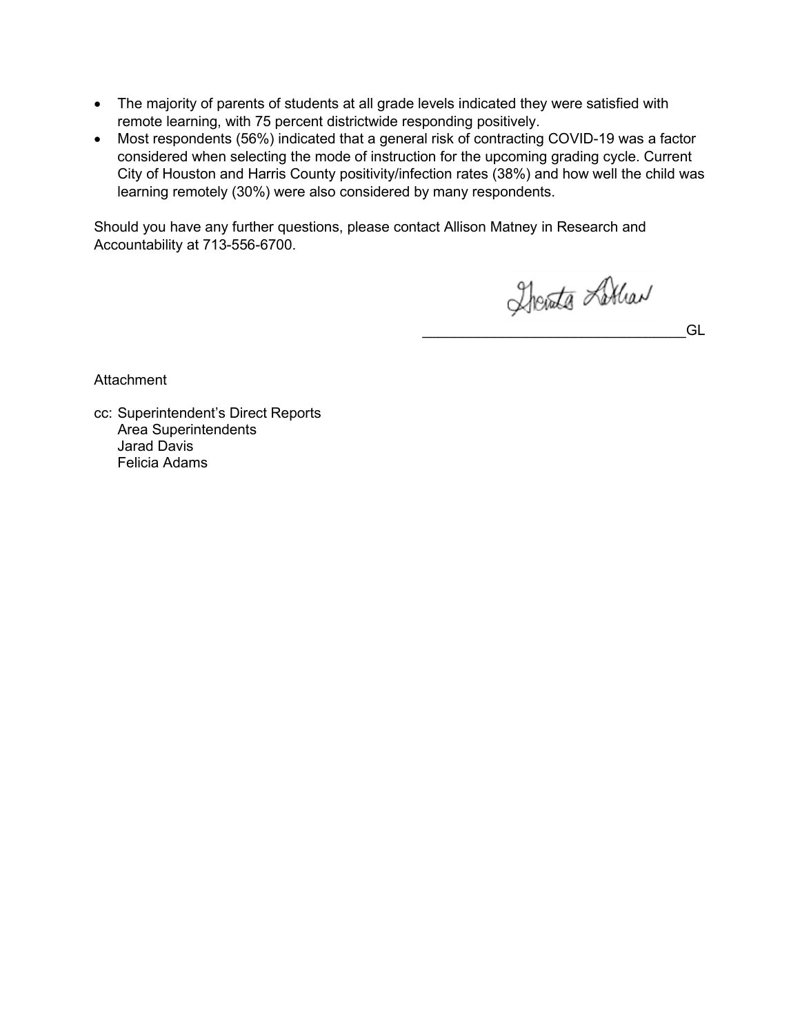- The majority of parents of students at all grade levels indicated they were satisfied with remote learning, with 75 percent districtwide responding positively.
- Most respondents (56%) indicated that a general risk of contracting COVID-19 was a factor considered when selecting the mode of instruction for the upcoming grading cycle. Current City of Houston and Harris County positivity/infection rates (38%) and how well the child was learning remotely (30%) were also considered by many respondents.

Should you have any further questions, please contact Allison Matney in Research and Accountability at 713-556-6700.

Therate Lithar

\_\_\_\_\_\_\_\_\_\_\_\_\_\_\_\_\_\_\_\_\_\_\_\_\_\_\_\_\_\_\_\_\_GL

**Attachment** 

cc: Superintendent's Direct Reports Area Superintendents Jarad Davis Felicia Adams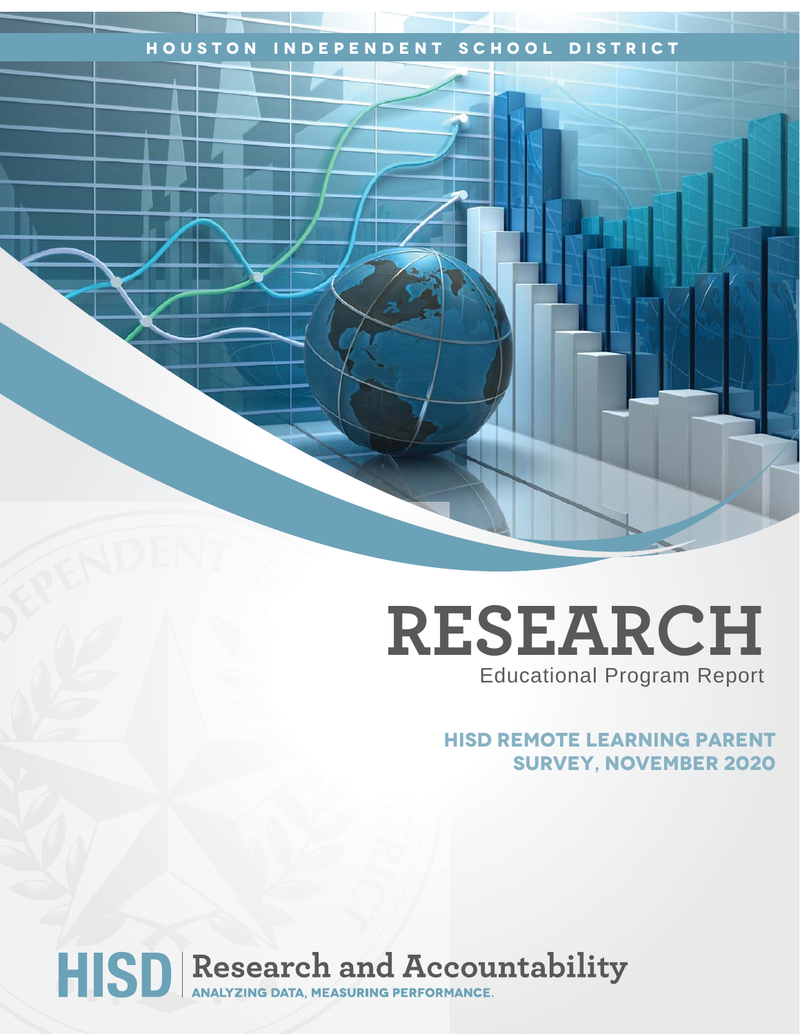# **Houston Independent School District**

# **RESEARCH** Educational Program Report

# **HISD Remote Learning Parent Survey, November 2020**

# HISD Research and Accountability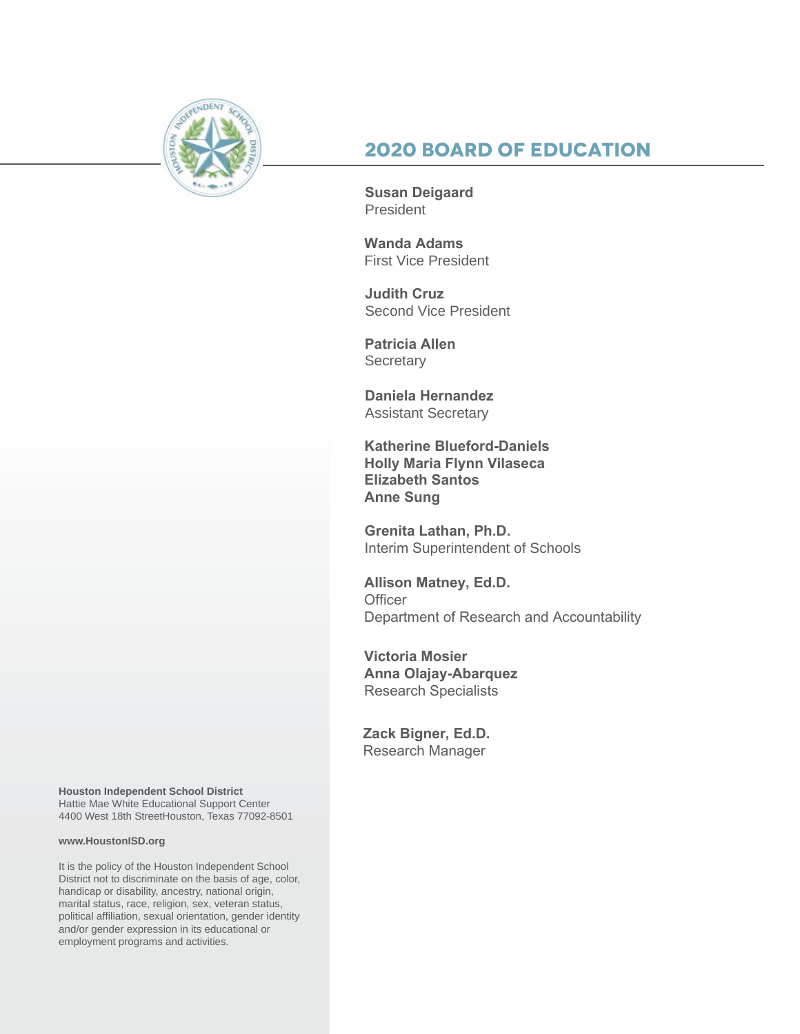

# **2020 Board of Education**

**Susan Deigaard** President

**Wanda Adams** First Vice President

**Judith Cruz**  Second Vice President

**Patricia Allen Secretary** 

**Daniela Hernandez** Assistant Secretary

**Katherine Blueford-Daniels Holly Maria Flynn Vilaseca Elizabeth Santos Anne Sung**

**Grenita Lathan, Ph.D.**  Interim Superintendent of Schools

**Allison Matney, Ed.D. Officer** Department of Research and Accountability

**Victoria Mosier Anna Olajay-Abarquez** Research Specialists

**Zack Bigner, Ed.D.** Research Manager

**Houston Independent School District** Hattie Mae White Educational Support Center 4400 West 18th StreetHouston, Texas 77092-8501

#### **www.HoustonISD.org**

It is the policy of the Houston Independent School District not to discriminate on the basis of age, color, handicap or disability, ancestry, national origin, marital status, race, religion, sex, veteran status, political affiliation, sexual orientation, gender identity and/or gender expression in its educational or employment programs and activities.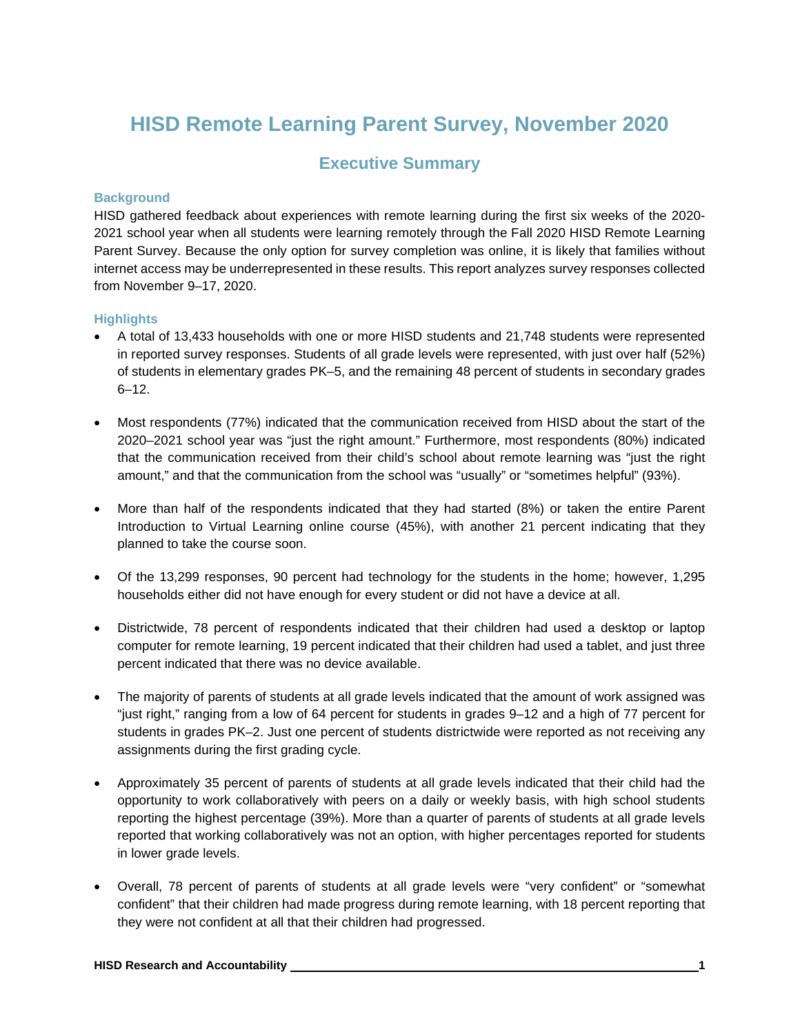# **HISD Remote Learning Parent Survey, November 2020**

### **Executive Summary**

#### **Background**

HISD gathered feedback about experiences with remote learning during the first six weeks of the 2020- 2021 school year when all students were learning remotely through the Fall 2020 HISD Remote Learning Parent Survey. Because the only option for survey completion was online, it is likely that families without internet access may be underrepresented in these results. This report analyzes survey responses collected from November 9–17, 2020.

#### **Highlights**

- A total of 13,433 households with one or more HISD students and 21,748 students were represented in reported survey responses. Students of all grade levels were represented, with just over half (52%) of students in elementary grades PK–5, and the remaining 48 percent of students in secondary grades  $6 - 12.$
- Most respondents (77%) indicated that the communication received from HISD about the start of the 2020–2021 school year was "just the right amount." Furthermore, most respondents (80%) indicated that the communication received from their child's school about remote learning was "just the right amount," and that the communication from the school was "usually" or "sometimes helpful" (93%).
- More than half of the respondents indicated that they had started (8%) or taken the entire Parent Introduction to Virtual Learning online course (45%), with another 21 percent indicating that they planned to take the course soon.
- Of the 13,299 responses, 90 percent had technology for the students in the home; however, 1,295 households either did not have enough for every student or did not have a device at all.
- Districtwide, 78 percent of respondents indicated that their children had used a desktop or laptop computer for remote learning, 19 percent indicated that their children had used a tablet, and just three percent indicated that there was no device available.
- The majority of parents of students at all grade levels indicated that the amount of work assigned was "just right," ranging from a low of 64 percent for students in grades 9–12 and a high of 77 percent for students in grades PK–2. Just one percent of students districtwide were reported as not receiving any assignments during the first grading cycle.
- Approximately 35 percent of parents of students at all grade levels indicated that their child had the opportunity to work collaboratively with peers on a daily or weekly basis, with high school students reporting the highest percentage (39%). More than a quarter of parents of students at all grade levels reported that working collaboratively was not an option, with higher percentages reported for students in lower grade levels.
- Overall, 78 percent of parents of students at all grade levels were "very confident" or "somewhat confident" that their children had made progress during remote learning, with 18 percent reporting that they were not confident at all that their children had progressed.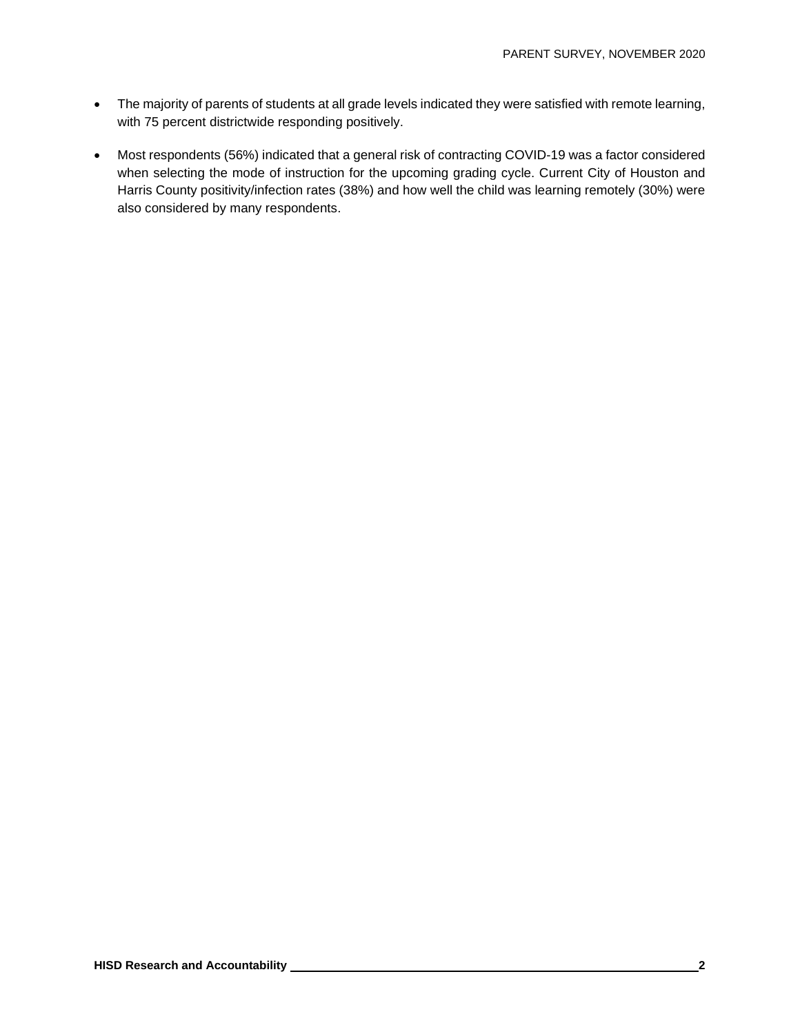- The majority of parents of students at all grade levels indicated they were satisfied with remote learning, with 75 percent districtwide responding positively.
- Most respondents (56%) indicated that a general risk of contracting COVID-19 was a factor considered when selecting the mode of instruction for the upcoming grading cycle. Current City of Houston and Harris County positivity/infection rates (38%) and how well the child was learning remotely (30%) were also considered by many respondents.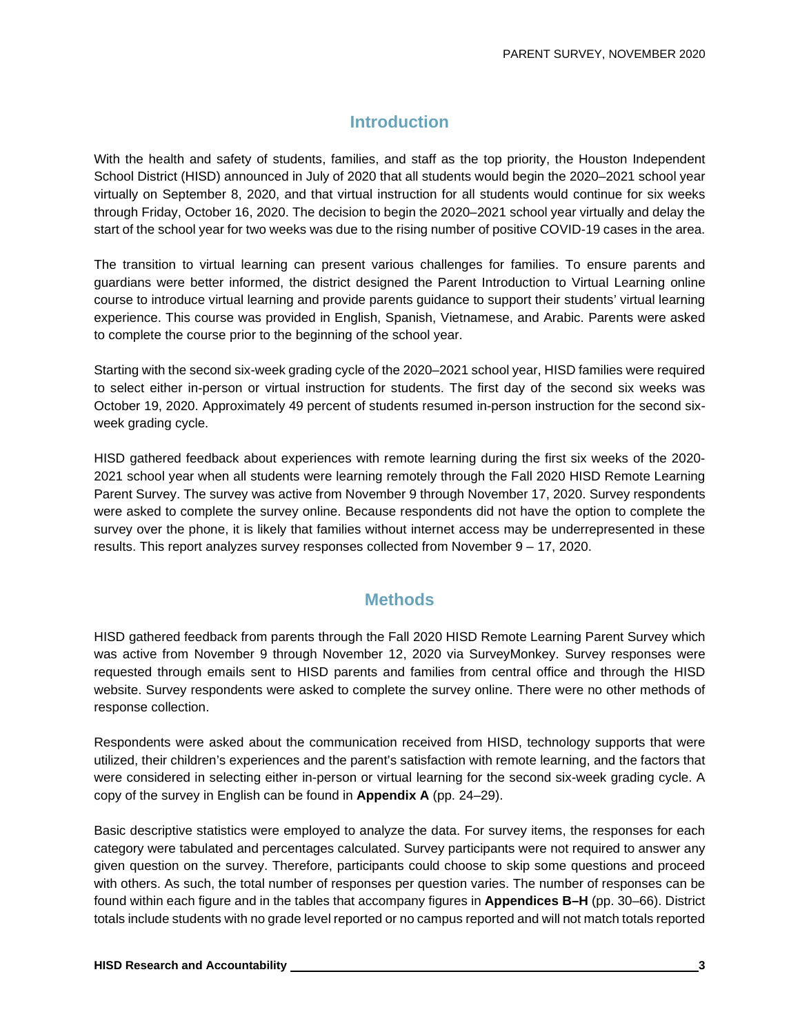### **Introduction**

With the health and safety of students, families, and staff as the top priority, the Houston Independent School District (HISD) announced in July of 2020 that all students would begin the 2020–2021 school year virtually on September 8, 2020, and that virtual instruction for all students would continue for six weeks through Friday, October 16, 2020. The decision to begin the 2020–2021 school year virtually and delay the start of the school year for two weeks was due to the rising number of positive COVID-19 cases in the area.

The transition to virtual learning can present various challenges for families. To ensure parents and guardians were better informed, the district designed the Parent Introduction to Virtual Learning online course to introduce virtual learning and provide parents guidance to support their students' virtual learning experience. This course was provided in English, Spanish, Vietnamese, and Arabic. Parents were asked to complete the course prior to the beginning of the school year.

Starting with the second six-week grading cycle of the 2020–2021 school year, HISD families were required to select either in-person or virtual instruction for students. The first day of the second six weeks was October 19, 2020. Approximately 49 percent of students resumed in-person instruction for the second sixweek grading cycle.

HISD gathered feedback about experiences with remote learning during the first six weeks of the 2020- 2021 school year when all students were learning remotely through the Fall 2020 HISD Remote Learning Parent Survey. The survey was active from November 9 through November 17, 2020. Survey respondents were asked to complete the survey online. Because respondents did not have the option to complete the survey over the phone, it is likely that families without internet access may be underrepresented in these results. This report analyzes survey responses collected from November 9 – 17, 2020.

#### **Methods**

HISD gathered feedback from parents through the Fall 2020 HISD Remote Learning Parent Survey which was active from November 9 through November 12, 2020 via SurveyMonkey. Survey responses were requested through emails sent to HISD parents and families from central office and through the HISD website. Survey respondents were asked to complete the survey online. There were no other methods of response collection.

Respondents were asked about the communication received from HISD, technology supports that were utilized, their children's experiences and the parent's satisfaction with remote learning, and the factors that were considered in selecting either in-person or virtual learning for the second six-week grading cycle. A copy of the survey in English can be found in **Appendix A** (pp. 24–29).

Basic descriptive statistics were employed to analyze the data. For survey items, the responses for each category were tabulated and percentages calculated. Survey participants were not required to answer any given question on the survey. Therefore, participants could choose to skip some questions and proceed with others. As such, the total number of responses per question varies. The number of responses can be found within each figure and in the tables that accompany figures in **Appendices B–H** (pp. 30–66). District totals include students with no grade level reported or no campus reported and will not match totals reported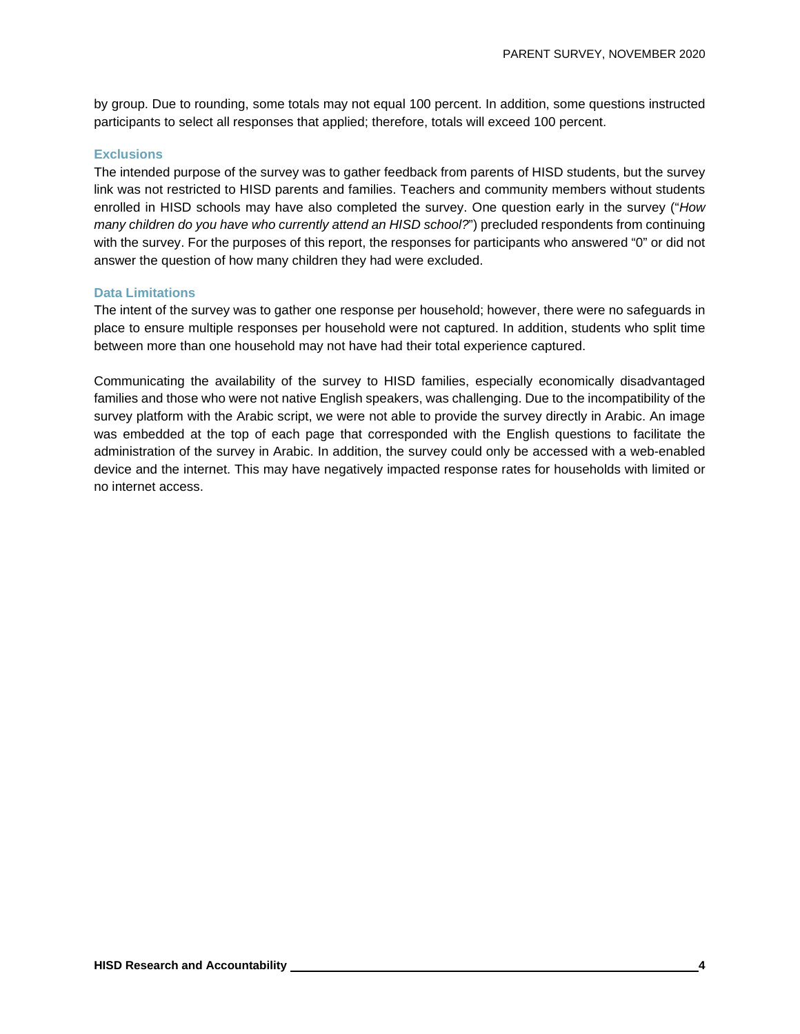by group. Due to rounding, some totals may not equal 100 percent. In addition, some questions instructed participants to select all responses that applied; therefore, totals will exceed 100 percent.

#### **Exclusions**

The intended purpose of the survey was to gather feedback from parents of HISD students, but the survey link was not restricted to HISD parents and families. Teachers and community members without students enrolled in HISD schools may have also completed the survey. One question early in the survey ("*How many children do you have who currently attend an HISD school?*") precluded respondents from continuing with the survey. For the purposes of this report, the responses for participants who answered "0" or did not answer the question of how many children they had were excluded.

#### **Data Limitations**

The intent of the survey was to gather one response per household; however, there were no safeguards in place to ensure multiple responses per household were not captured. In addition, students who split time between more than one household may not have had their total experience captured.

Communicating the availability of the survey to HISD families, especially economically disadvantaged families and those who were not native English speakers, was challenging. Due to the incompatibility of the survey platform with the Arabic script, we were not able to provide the survey directly in Arabic. An image was embedded at the top of each page that corresponded with the English questions to facilitate the administration of the survey in Arabic. In addition, the survey could only be accessed with a web-enabled device and the internet. This may have negatively impacted response rates for households with limited or no internet access.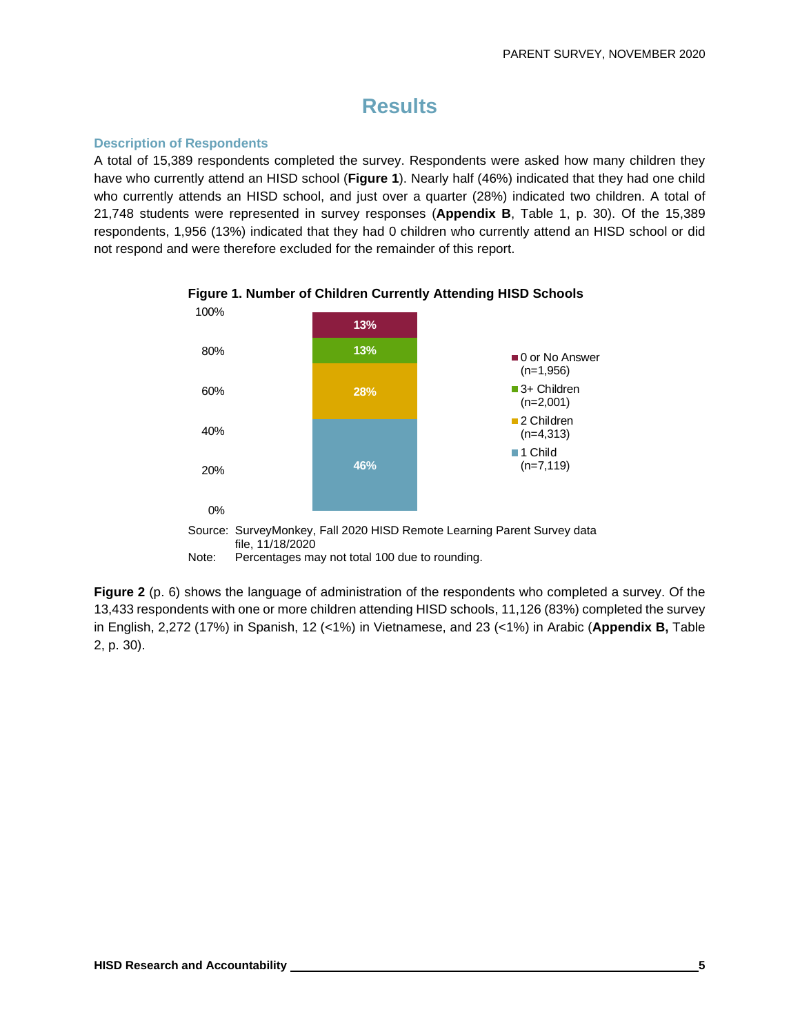# **Results**

#### **Description of Respondents**

A total of 15,389 respondents completed the survey. Respondents were asked how many children they have who currently attend an HISD school (**Figure 1**). Nearly half (46%) indicated that they had one child who currently attends an HISD school, and just over a quarter (28%) indicated two children. A total of 21,748 students were represented in survey responses (**Appendix B**, Table 1, p. 30). Of the 15,389 respondents, 1,956 (13%) indicated that they had 0 children who currently attend an HISD school or did not respond and were therefore excluded for the remainder of this report.





Source: SurveyMonkey, Fall 2020 HISD Remote Learning Parent Survey data file, 11/18/2020

Note: Percentages may not total 100 due to rounding.

**Figure 2** (p. 6) shows the language of administration of the respondents who completed a survey. Of the 13,433 respondents with one or more children attending HISD schools, 11,126 (83%) completed the survey in English, 2,272 (17%) in Spanish, 12 (<1%) in Vietnamese, and 23 (<1%) in Arabic (**Appendix B,** Table 2, p. 30).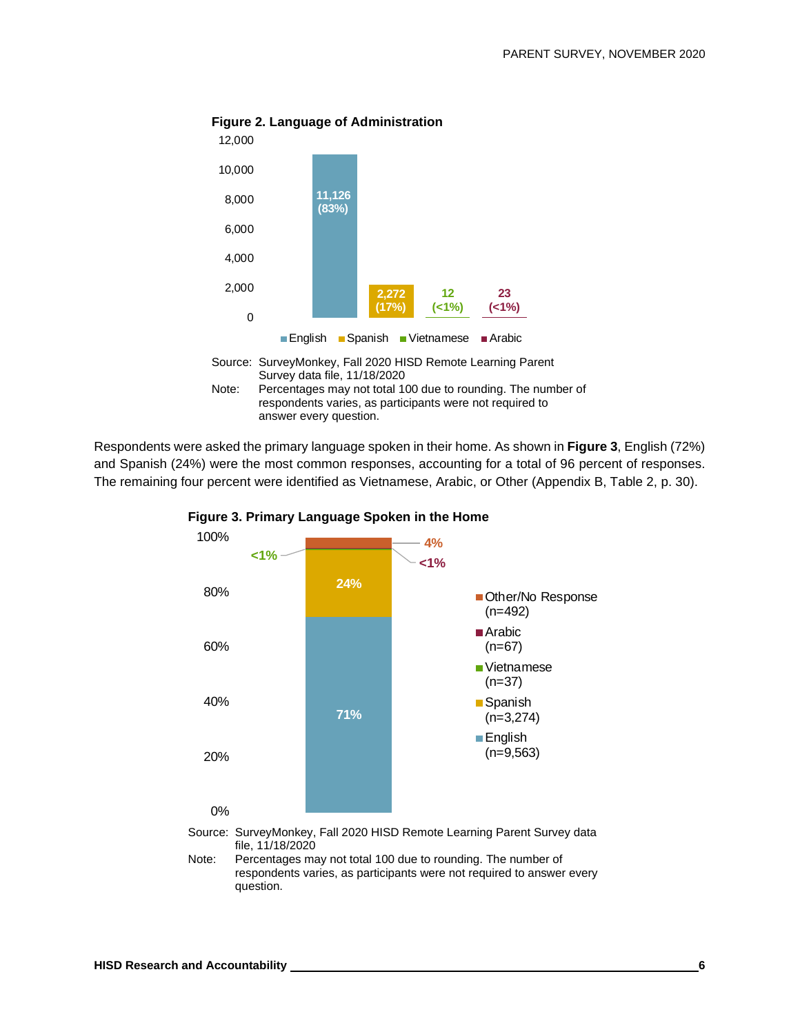

#### **Figure 2. Language of Administration**



Respondents were asked the primary language spoken in their home. As shown in **Figure 3**, English (72%) and Spanish (24%) were the most common responses, accounting for a total of 96 percent of responses. The remaining four percent were identified as Vietnamese, Arabic, or Other (Appendix B, Table 2, p. 30).





Source: SurveyMonkey, Fall 2020 HISD Remote Learning Parent Survey data file, 11/18/2020

Note: Percentages may not total 100 due to rounding. The number of respondents varies, as participants were not required to answer every question.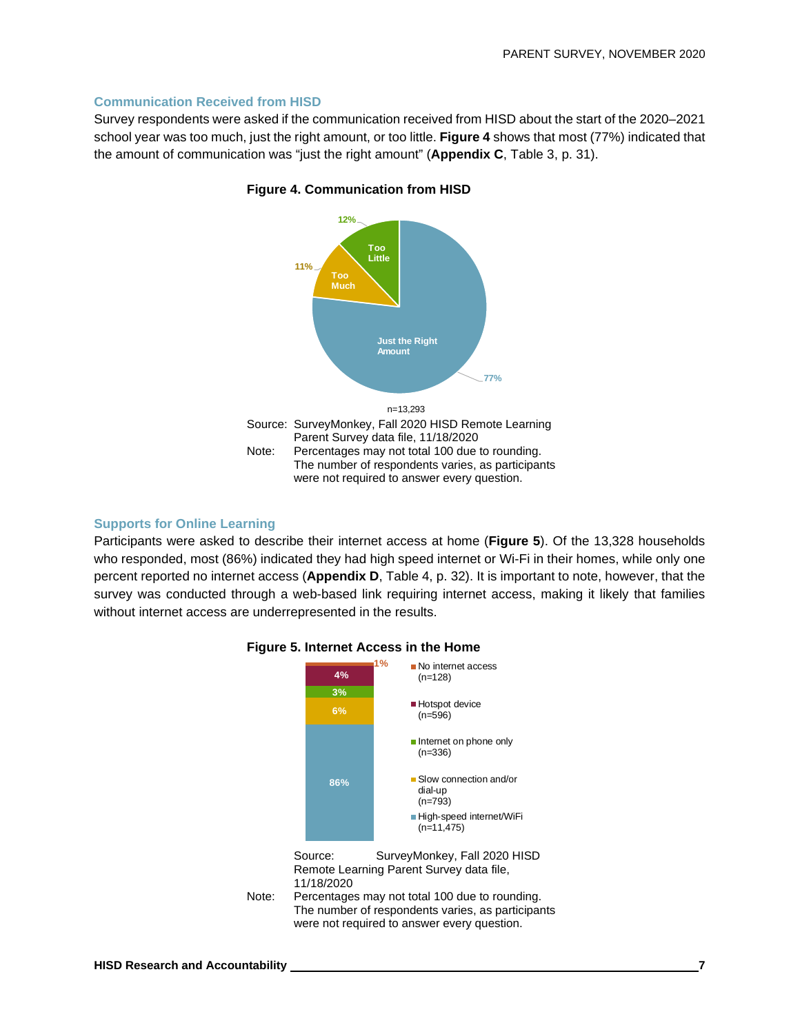#### **Communication Received from HISD**

Survey respondents were asked if the communication received from HISD about the start of the 2020–2021 school year was too much, just the right amount, or too little. **Figure 4** shows that most (77%) indicated that the amount of communication was "just the right amount" (**Appendix C**, Table 3, p. 31).



#### **Figure 4. Communication from HISD**

#### **Supports for Online Learning**

Participants were asked to describe their internet access at home (**Figure 5**). Of the 13,328 households who responded, most (86%) indicated they had high speed internet or Wi-Fi in their homes, while only one percent reported no internet access (**Appendix D**, Table 4, p. 32). It is important to note, however, that the survey was conducted through a web-based link requiring internet access, making it likely that families without internet access are underrepresented in the results.



#### **Figure 5. Internet Access in the Home**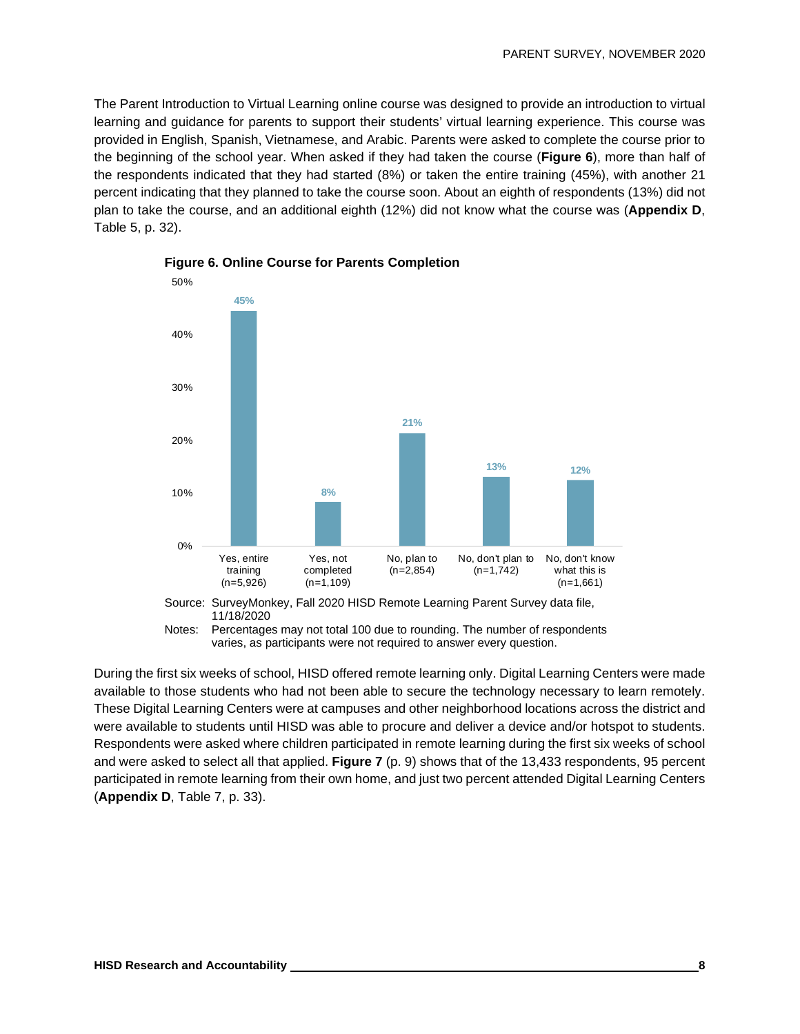The Parent Introduction to Virtual Learning online course was designed to provide an introduction to virtual learning and guidance for parents to support their students' virtual learning experience. This course was provided in English, Spanish, Vietnamese, and Arabic. Parents were asked to complete the course prior to the beginning of the school year. When asked if they had taken the course (**Figure 6**), more than half of the respondents indicated that they had started (8%) or taken the entire training (45%), with another 21 percent indicating that they planned to take the course soon. About an eighth of respondents (13%) did not plan to take the course, and an additional eighth (12%) did not know what the course was (**Appendix D**, Table 5, p. 32).



**Figure 6. Online Course for Parents Completion**

varies, as participants were not required to answer every question.

During the first six weeks of school, HISD offered remote learning only. Digital Learning Centers were made available to those students who had not been able to secure the technology necessary to learn remotely. These Digital Learning Centers were at campuses and other neighborhood locations across the district and were available to students until HISD was able to procure and deliver a device and/or hotspot to students. Respondents were asked where children participated in remote learning during the first six weeks of school and were asked to select all that applied. **Figure 7** (p. 9) shows that of the 13,433 respondents, 95 percent participated in remote learning from their own home, and just two percent attended Digital Learning Centers (**Appendix D**, Table 7, p. 33).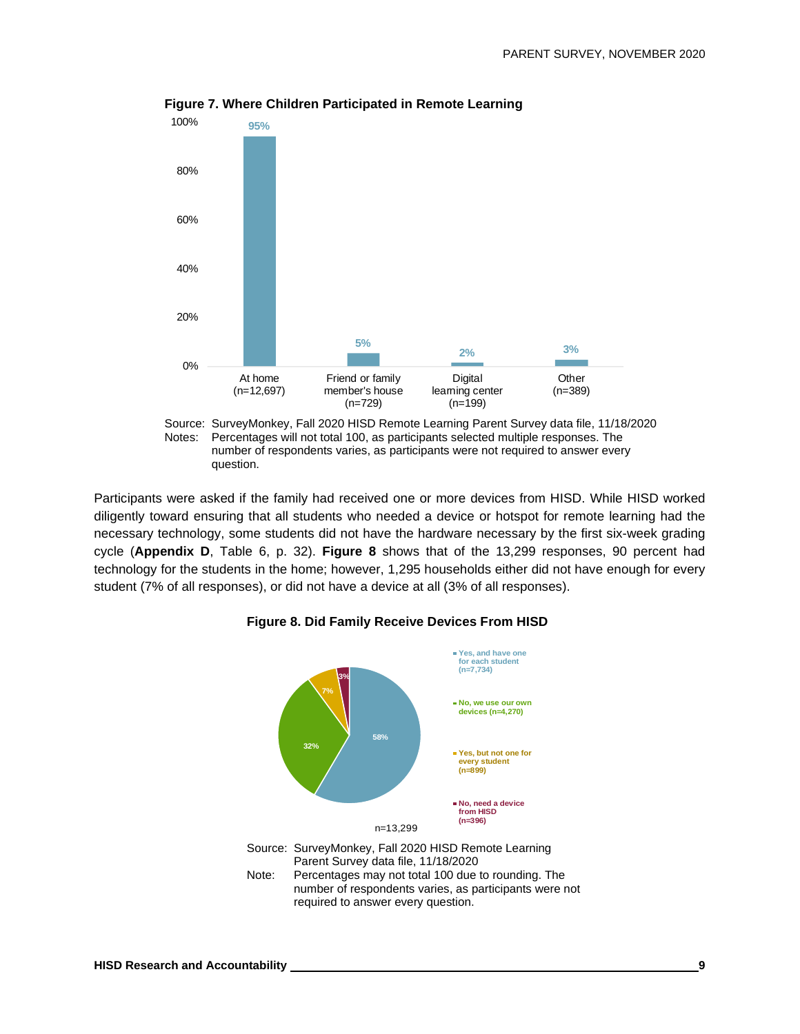

**Figure 7. Where Children Participated in Remote Learning**

Participants were asked if the family had received one or more devices from HISD. While HISD worked diligently toward ensuring that all students who needed a device or hotspot for remote learning had the necessary technology, some students did not have the hardware necessary by the first six-week grading cycle (**Appendix D**, Table 6, p. 32). **Figure 8** shows that of the 13,299 responses, 90 percent had technology for the students in the home; however, 1,295 households either did not have enough for every student (7% of all responses), or did not have a device at all (3% of all responses).



#### **Figure 8. Did Family Receive Devices From HISD**

question.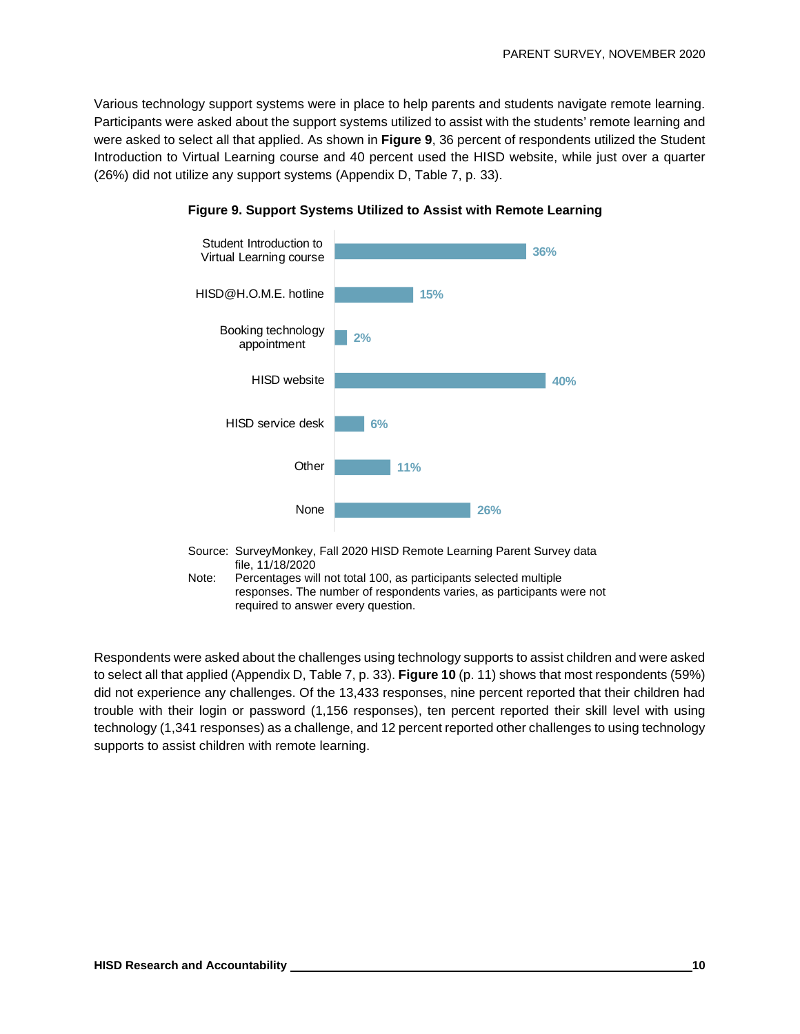Various technology support systems were in place to help parents and students navigate remote learning. Participants were asked about the support systems utilized to assist with the students' remote learning and were asked to select all that applied. As shown in **Figure 9**, 36 percent of respondents utilized the Student Introduction to Virtual Learning course and 40 percent used the HISD website, while just over a quarter (26%) did not utilize any support systems (Appendix D, Table 7, p. 33).





Note: Percentages will not total 100, as participants selected multiple responses. The number of respondents varies, as participants were not required to answer every question.

Respondents were asked about the challenges using technology supports to assist children and were asked to select all that applied (Appendix D, Table 7, p. 33). **Figure 10** (p. 11) shows that most respondents (59%) did not experience any challenges. Of the 13,433 responses, nine percent reported that their children had trouble with their login or password (1,156 responses), ten percent reported their skill level with using technology (1,341 responses) as a challenge, and 12 percent reported other challenges to using technology supports to assist children with remote learning.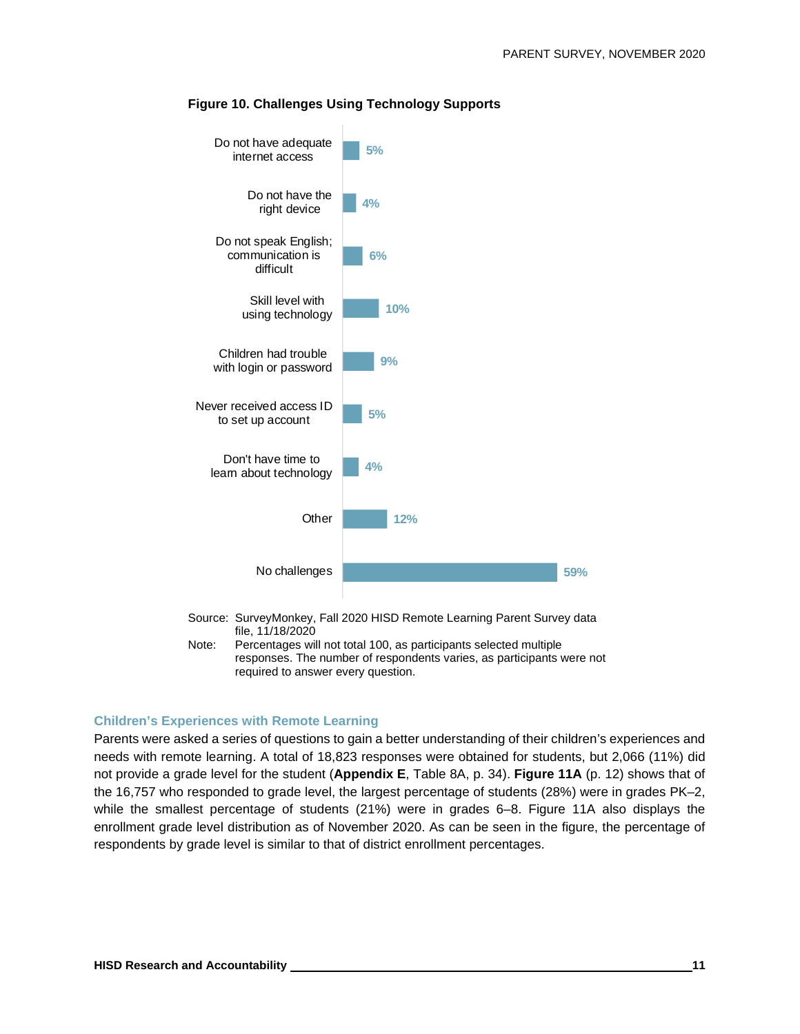

#### **Figure 10. Challenges Using Technology Supports**

Note: Percentages will not total 100, as participants selected multiple responses. The number of respondents varies, as participants were not required to answer every question.

#### **Children's Experiences with Remote Learning**

Parents were asked a series of questions to gain a better understanding of their children's experiences and needs with remote learning. A total of 18,823 responses were obtained for students, but 2,066 (11%) did not provide a grade level for the student (**Appendix E**, Table 8A, p. 34). **Figure 11A** (p. 12) shows that of the 16,757 who responded to grade level, the largest percentage of students (28%) were in grades PK–2, while the smallest percentage of students (21%) were in grades 6–8. Figure 11A also displays the enrollment grade level distribution as of November 2020. As can be seen in the figure, the percentage of respondents by grade level is similar to that of district enrollment percentages.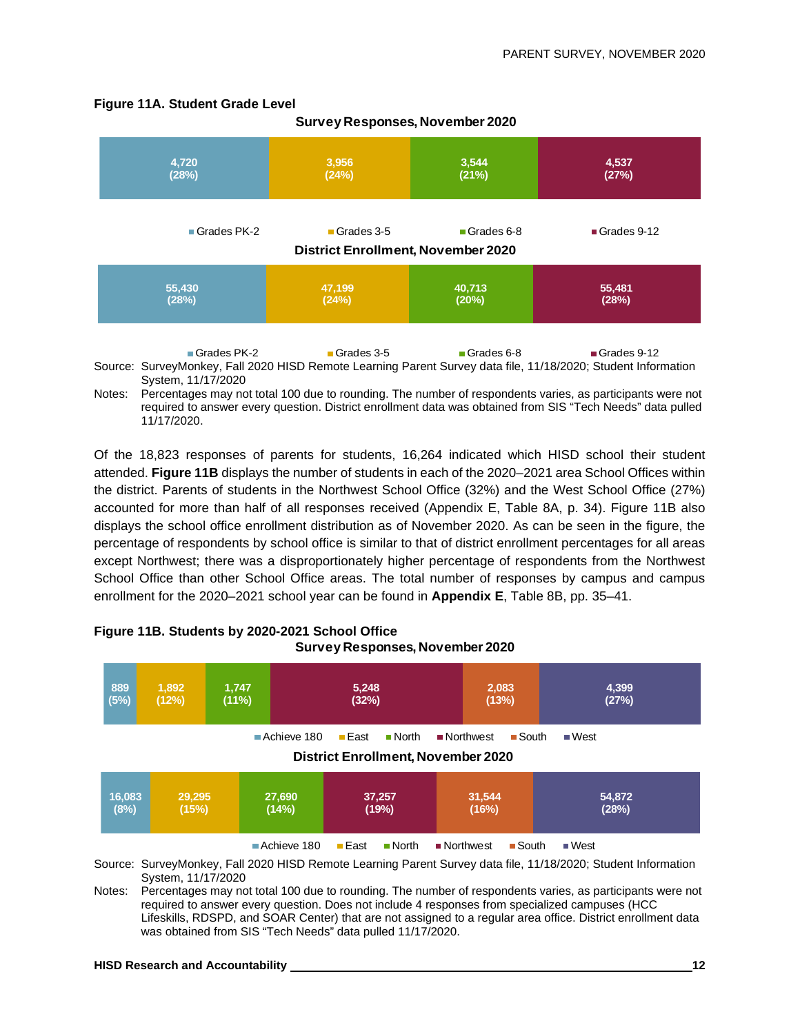#### **Figure 11A. Student Grade Level**



**Survey Responses, November 2020**

Notes: Percentages may not total 100 due to rounding. The number of respondents varies, as participants were not required to answer every question. District enrollment data was obtained from SIS "Tech Needs" data pulled 11/17/2020.

Of the 18,823 responses of parents for students, 16,264 indicated which HISD school their student attended. **Figure 11B** displays the number of students in each of the 2020–2021 area School Offices within the district. Parents of students in the Northwest School Office (32%) and the West School Office (27%) accounted for more than half of all responses received (Appendix E, Table 8A, p. 34). Figure 11B also displays the school office enrollment distribution as of November 2020. As can be seen in the figure, the percentage of respondents by school office is similar to that of district enrollment percentages for all areas except Northwest; there was a disproportionately higher percentage of respondents from the Northwest School Office than other School Office areas. The total number of responses by campus and campus enrollment for the 2020–2021 school year can be found in **Appendix E**, Table 8B, pp. 35–41.



#### **Figure 11B. Students by 2020-2021 School Office Survey Responses, November 2020**

Source: SurveyMonkey, Fall 2020 HISD Remote Learning Parent Survey data file, 11/18/2020; Student Information System, 11/17/2020

Notes: Percentages may not total 100 due to rounding. The number of respondents varies, as participants were not required to answer every question. Does not include 4 responses from specialized campuses (HCC Lifeskills, RDSPD, and SOAR Center) that are not assigned to a regular area office. District enrollment data was obtained from SIS "Tech Needs" data pulled 11/17/2020.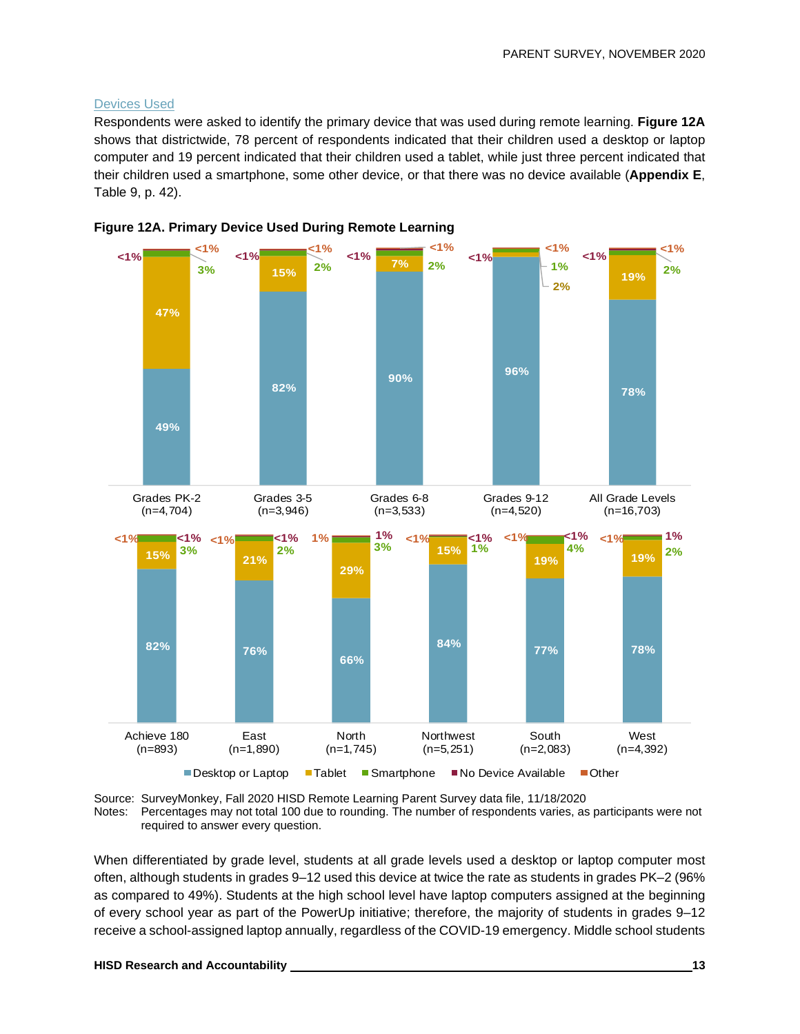#### Devices Used

Respondents were asked to identify the primary device that was used during remote learning. **Figure 12A**  shows that districtwide, 78 percent of respondents indicated that their children used a desktop or laptop computer and 19 percent indicated that their children used a tablet, while just three percent indicated that their children used a smartphone, some other device, or that there was no device available (**Appendix E**, Table 9, p. 42).







When differentiated by grade level, students at all grade levels used a desktop or laptop computer most often, although students in grades 9–12 used this device at twice the rate as students in grades PK–2 (96% as compared to 49%). Students at the high school level have laptop computers assigned at the beginning of every school year as part of the PowerUp initiative; therefore, the majority of students in grades 9–12 receive a school-assigned laptop annually, regardless of the COVID-19 emergency. Middle school students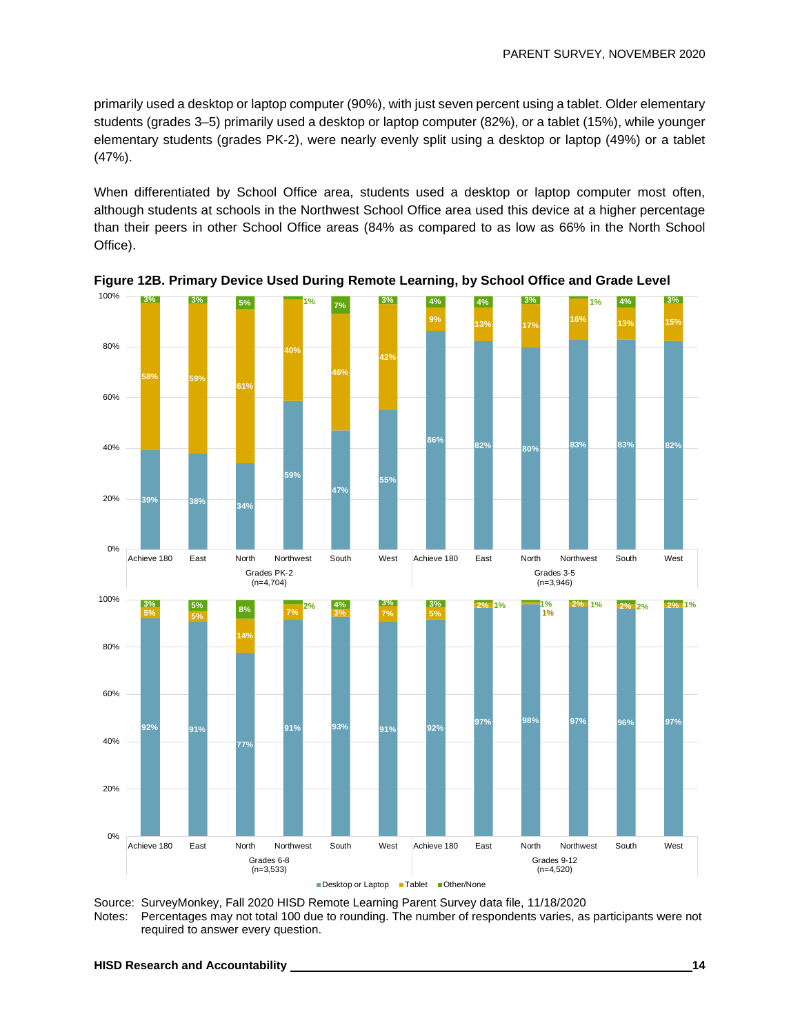primarily used a desktop or laptop computer (90%), with just seven percent using a tablet. Older elementary students (grades 3–5) primarily used a desktop or laptop computer (82%), or a tablet (15%), while younger elementary students (grades PK-2), were nearly evenly split using a desktop or laptop (49%) or a tablet (47%).

When differentiated by School Office area, students used a desktop or laptop computer most often, although students at schools in the Northwest School Office area used this device at a higher percentage than their peers in other School Office areas (84% as compared to as low as 66% in the North School Office).



**Figure 12B. Primary Device Used During Remote Learning, by School Office and Grade Level**

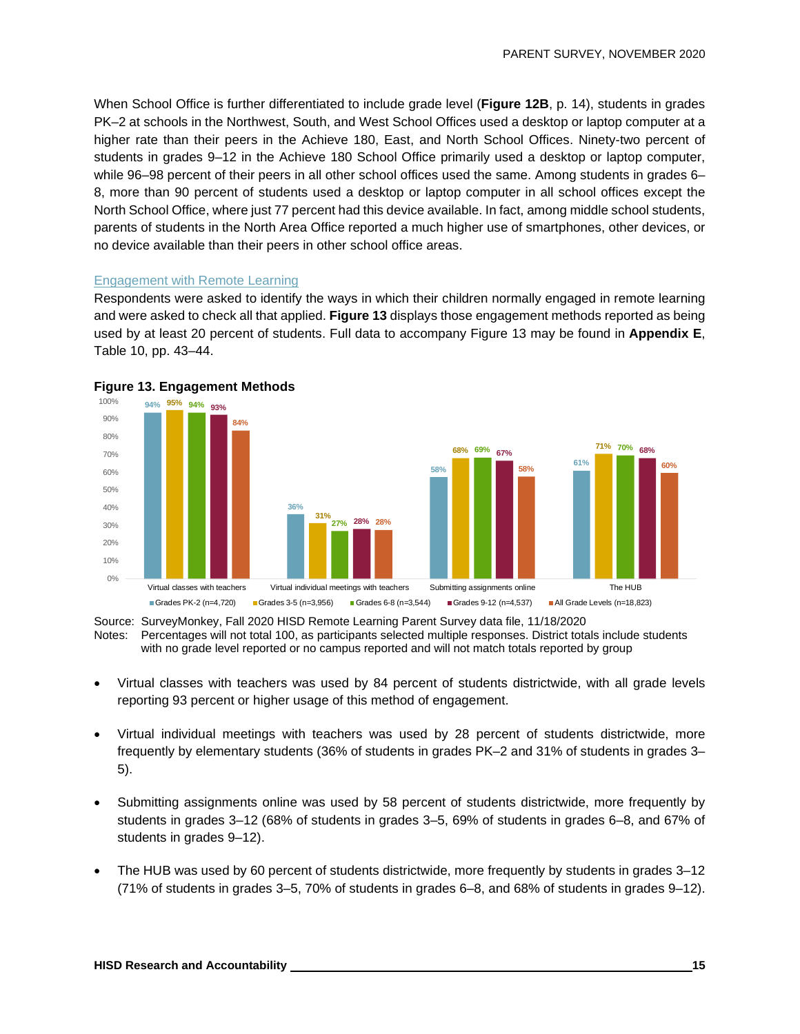When School Office is further differentiated to include grade level (**Figure 12B**, p. 14), students in grades PK–2 at schools in the Northwest, South, and West School Offices used a desktop or laptop computer at a higher rate than their peers in the Achieve 180, East, and North School Offices. Ninety-two percent of students in grades 9–12 in the Achieve 180 School Office primarily used a desktop or laptop computer, while 96–98 percent of their peers in all other school offices used the same. Among students in grades 6– 8, more than 90 percent of students used a desktop or laptop computer in all school offices except the North School Office, where just 77 percent had this device available. In fact, among middle school students, parents of students in the North Area Office reported a much higher use of smartphones, other devices, or no device available than their peers in other school office areas.

#### Engagement with Remote Learning

Respondents were asked to identify the ways in which their children normally engaged in remote learning and were asked to check all that applied. **Figure 13** displays those engagement methods reported as being used by at least 20 percent of students. Full data to accompany Figure 13 may be found in **Appendix E**, Table 10, pp. 43–44.





Source: SurveyMonkey, Fall 2020 HISD Remote Learning Parent Survey data file, 11/18/2020 Notes: Percentages will not total 100, as participants selected multiple responses. District totals include students with no grade level reported or no campus reported and will not match totals reported by group

- Virtual classes with teachers was used by 84 percent of students districtwide, with all grade levels reporting 93 percent or higher usage of this method of engagement.
- Virtual individual meetings with teachers was used by 28 percent of students districtwide, more frequently by elementary students (36% of students in grades PK–2 and 31% of students in grades 3– 5).
- Submitting assignments online was used by 58 percent of students districtwide, more frequently by students in grades 3–12 (68% of students in grades 3–5, 69% of students in grades 6–8, and 67% of students in grades 9–12).
- The HUB was used by 60 percent of students districtwide, more frequently by students in grades 3–12 (71% of students in grades 3–5, 70% of students in grades 6–8, and 68% of students in grades 9–12).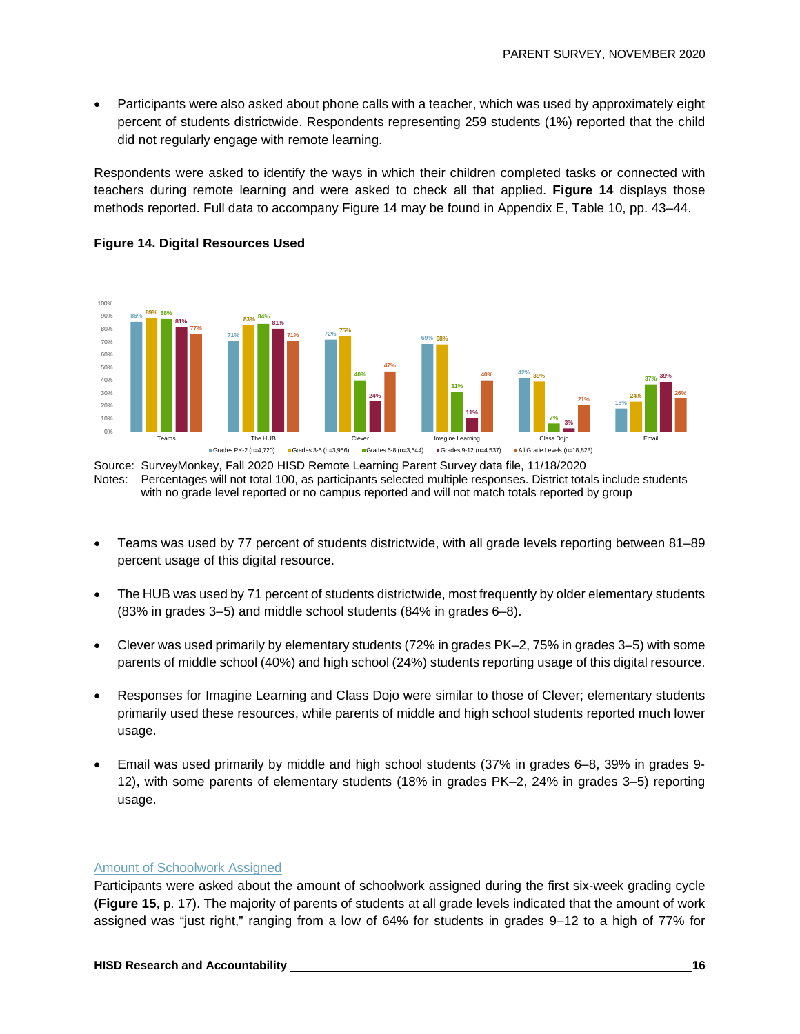• Participants were also asked about phone calls with a teacher, which was used by approximately eight percent of students districtwide. Respondents representing 259 students (1%) reported that the child did not regularly engage with remote learning.

Respondents were asked to identify the ways in which their children completed tasks or connected with teachers during remote learning and were asked to check all that applied. **Figure 14** displays those methods reported. Full data to accompany Figure 14 may be found in Appendix E, Table 10, pp. 43–44.



#### **Figure 14. Digital Resources Used**

Source: SurveyMonkey, Fall 2020 HISD Remote Learning Parent Survey data file, 11/18/2020 Notes: Percentages will not total 100, as participants selected multiple responses. District totals include students with no grade level reported or no campus reported and will not match totals reported by group

- Teams was used by 77 percent of students districtwide, with all grade levels reporting between 81–89 percent usage of this digital resource.
- The HUB was used by 71 percent of students districtwide, most frequently by older elementary students (83% in grades 3–5) and middle school students (84% in grades 6–8).
- Clever was used primarily by elementary students (72% in grades PK–2, 75% in grades 3–5) with some parents of middle school (40%) and high school (24%) students reporting usage of this digital resource.
- Responses for Imagine Learning and Class Dojo were similar to those of Clever; elementary students primarily used these resources, while parents of middle and high school students reported much lower usage.
- Email was used primarily by middle and high school students (37% in grades 6–8, 39% in grades 9- 12), with some parents of elementary students (18% in grades PK–2, 24% in grades 3–5) reporting usage.

#### Amount of Schoolwork Assigned

Participants were asked about the amount of schoolwork assigned during the first six-week grading cycle (**Figure 15**, p. 17). The majority of parents of students at all grade levels indicated that the amount of work assigned was "just right," ranging from a low of 64% for students in grades 9–12 to a high of 77% for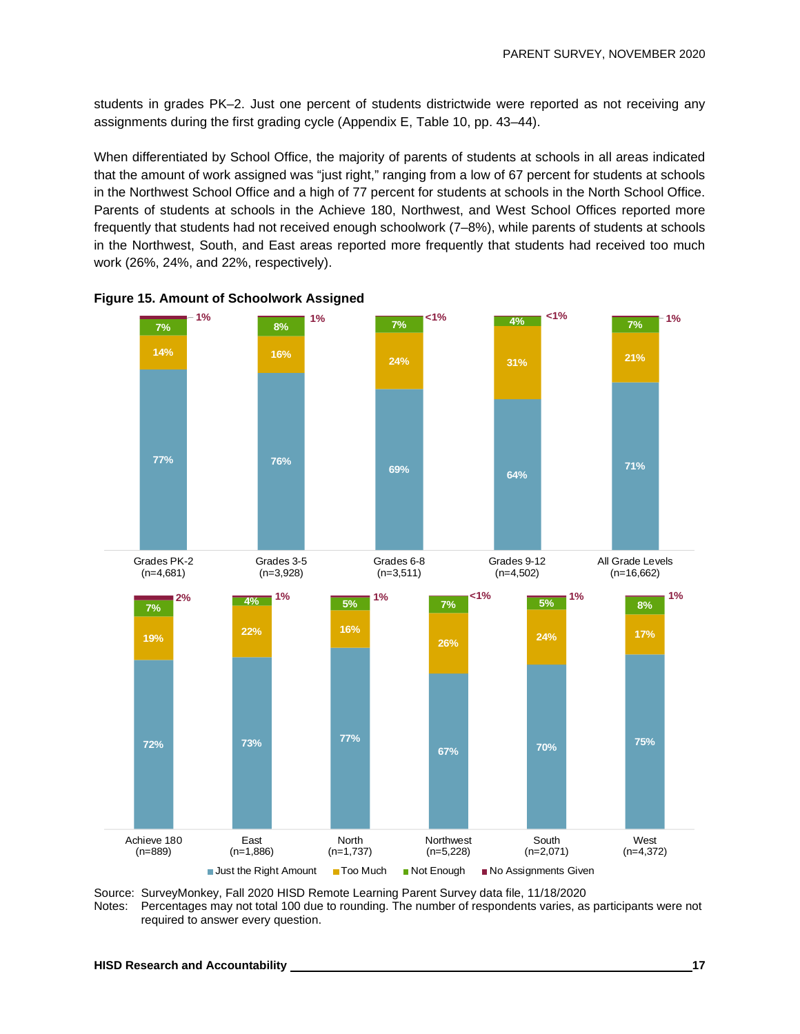students in grades PK–2. Just one percent of students districtwide were reported as not receiving any assignments during the first grading cycle (Appendix E, Table 10, pp. 43–44).

When differentiated by School Office, the majority of parents of students at schools in all areas indicated that the amount of work assigned was "just right," ranging from a low of 67 percent for students at schools in the Northwest School Office and a high of 77 percent for students at schools in the North School Office. Parents of students at schools in the Achieve 180, Northwest, and West School Offices reported more frequently that students had not received enough schoolwork (7–8%), while parents of students at schools in the Northwest, South, and East areas reported more frequently that students had received too much work (26%, 24%, and 22%, respectively).





Source: SurveyMonkey, Fall 2020 HISD Remote Learning Parent Survey data file, 11/18/2020 Notes: Percentages may not total 100 due to rounding. The number of respondents varies, as participants were not required to answer every question.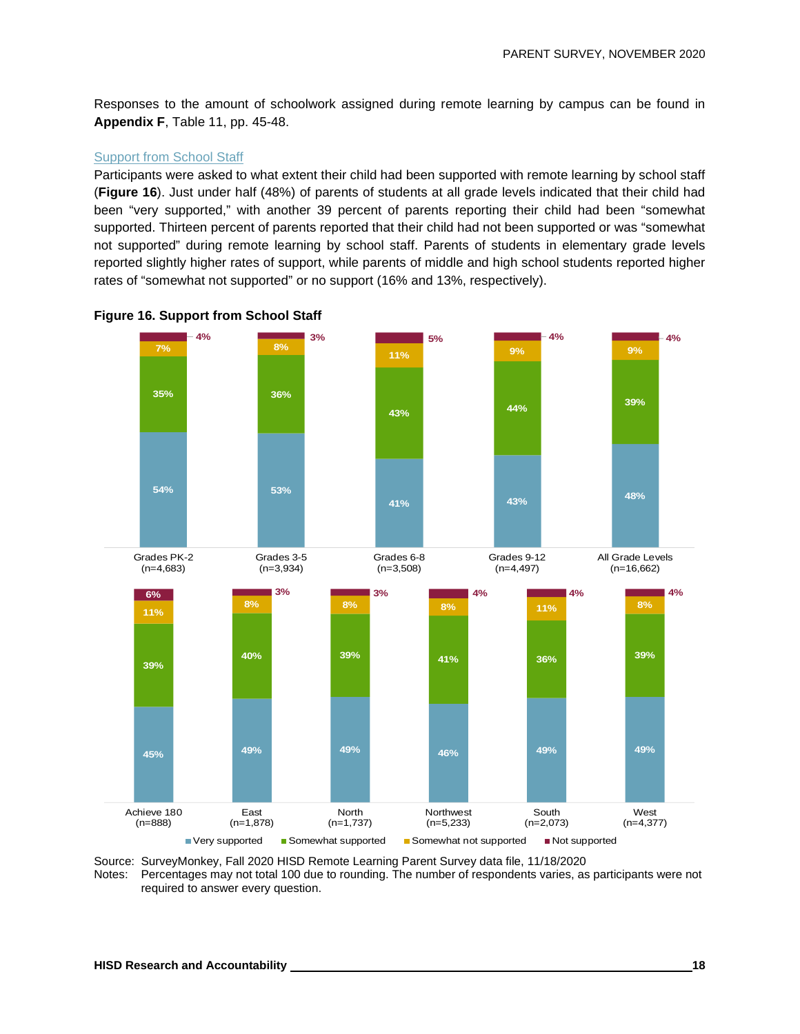Responses to the amount of schoolwork assigned during remote learning by campus can be found in **Appendix F**, Table 11, pp. 45-48.

#### Support from School Staff

Participants were asked to what extent their child had been supported with remote learning by school staff (**Figure 16**). Just under half (48%) of parents of students at all grade levels indicated that their child had been "very supported," with another 39 percent of parents reporting their child had been "somewhat supported. Thirteen percent of parents reported that their child had not been supported or was "somewhat not supported" during remote learning by school staff. Parents of students in elementary grade levels reported slightly higher rates of support, while parents of middle and high school students reported higher rates of "somewhat not supported" or no support (16% and 13%, respectively).





Source: SurveyMonkey, Fall 2020 HISD Remote Learning Parent Survey data file, 11/18/2020<br>Notes: Percentages may not total 100 due to rounding. The number of respondents varies. as

Percentages may not total 100 due to rounding. The number of respondents varies, as participants were not required to answer every question.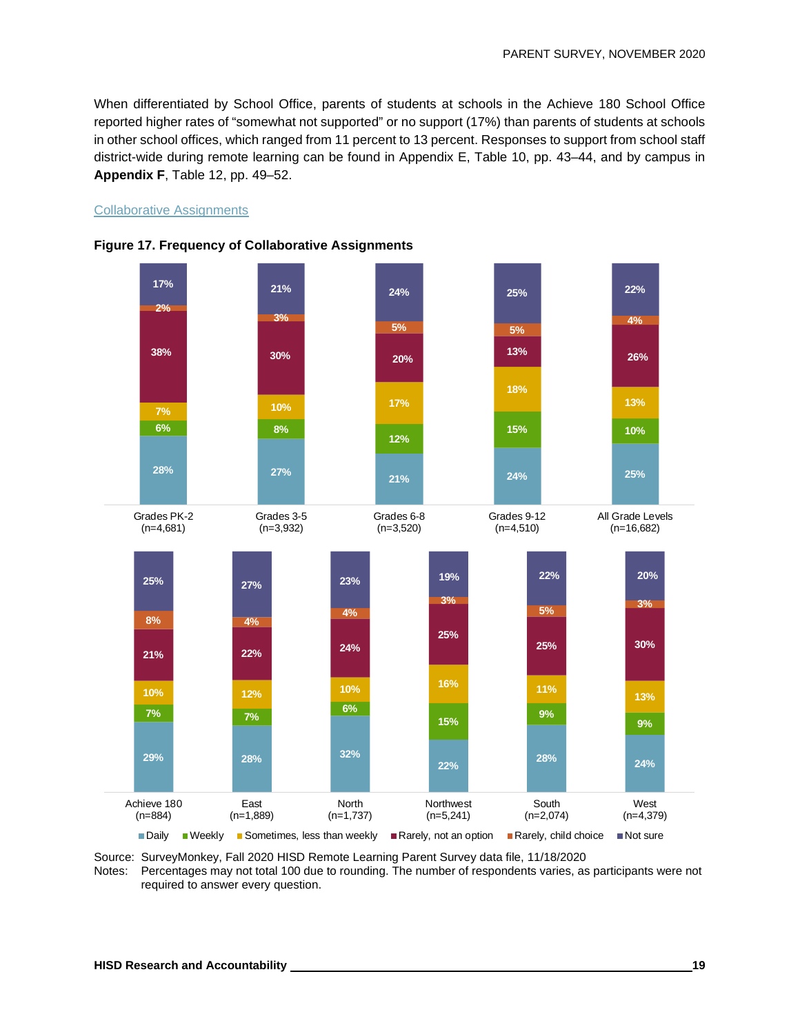When differentiated by School Office, parents of students at schools in the Achieve 180 School Office reported higher rates of "somewhat not supported" or no support (17%) than parents of students at schools in other school offices, which ranged from 11 percent to 13 percent. Responses to support from school staff district-wide during remote learning can be found in Appendix E, Table 10, pp. 43–44, and by campus in **Appendix F**, Table 12, pp. 49–52.

#### Collaborative Assignments





Source: SurveyMonkey, Fall 2020 HISD Remote Learning Parent Survey data file, 11/18/2020

Notes: Percentages may not total 100 due to rounding. The number of respondents varies, as participants were not required to answer every question.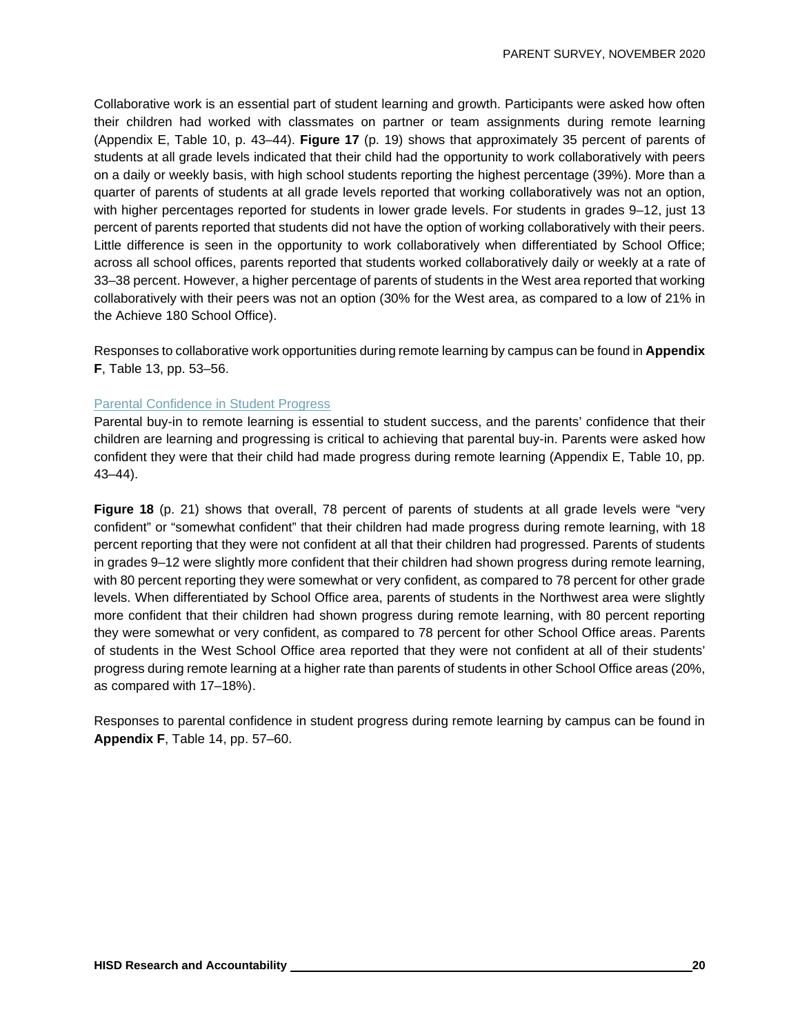Collaborative work is an essential part of student learning and growth. Participants were asked how often their children had worked with classmates on partner or team assignments during remote learning (Appendix E, Table 10, p. 43–44). **Figure 17** (p. 19) shows that approximately 35 percent of parents of students at all grade levels indicated that their child had the opportunity to work collaboratively with peers on a daily or weekly basis, with high school students reporting the highest percentage (39%). More than a quarter of parents of students at all grade levels reported that working collaboratively was not an option, with higher percentages reported for students in lower grade levels. For students in grades 9–12, just 13 percent of parents reported that students did not have the option of working collaboratively with their peers. Little difference is seen in the opportunity to work collaboratively when differentiated by School Office; across all school offices, parents reported that students worked collaboratively daily or weekly at a rate of 33–38 percent. However, a higher percentage of parents of students in the West area reported that working collaboratively with their peers was not an option (30% for the West area, as compared to a low of 21% in the Achieve 180 School Office).

Responses to collaborative work opportunities during remote learning by campus can be found in **Appendix F**, Table 13, pp. 53–56.

#### Parental Confidence in Student Progress

Parental buy-in to remote learning is essential to student success, and the parents' confidence that their children are learning and progressing is critical to achieving that parental buy-in. Parents were asked how confident they were that their child had made progress during remote learning (Appendix E, Table 10, pp. 43–44).

**Figure 18** (p. 21) shows that overall, 78 percent of parents of students at all grade levels were "very confident" or "somewhat confident" that their children had made progress during remote learning, with 18 percent reporting that they were not confident at all that their children had progressed. Parents of students in grades 9–12 were slightly more confident that their children had shown progress during remote learning, with 80 percent reporting they were somewhat or very confident, as compared to 78 percent for other grade levels. When differentiated by School Office area, parents of students in the Northwest area were slightly more confident that their children had shown progress during remote learning, with 80 percent reporting they were somewhat or very confident, as compared to 78 percent for other School Office areas. Parents of students in the West School Office area reported that they were not confident at all of their students' progress during remote learning at a higher rate than parents of students in other School Office areas (20%, as compared with 17–18%).

Responses to parental confidence in student progress during remote learning by campus can be found in **Appendix F**, Table 14, pp. 57–60.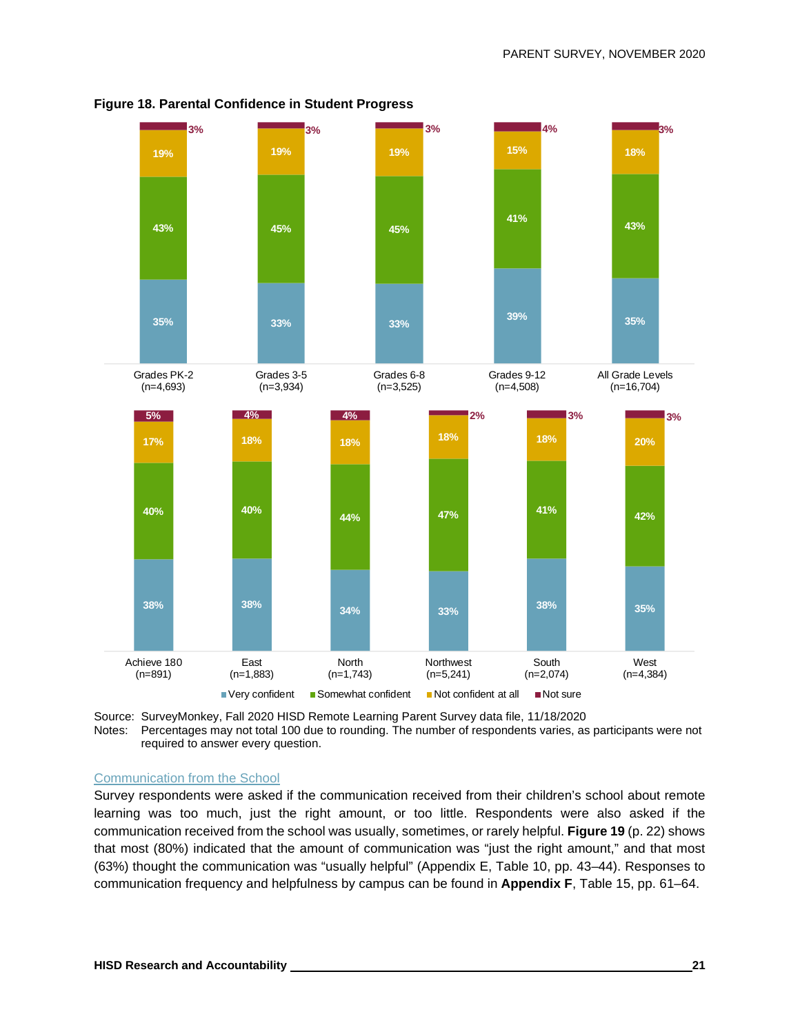

**Figure 18. Parental Confidence in Student Progress**

Source: SurveyMonkey, Fall 2020 HISD Remote Learning Parent Survey data file, 11/18/2020 Notes: Percentages may not total 100 due to rounding. The number of respondents varies, as participants were not required to answer every question.

#### Communication from the School

Survey respondents were asked if the communication received from their children's school about remote learning was too much, just the right amount, or too little. Respondents were also asked if the communication received from the school was usually, sometimes, or rarely helpful. **Figure 19** (p. 22) shows that most (80%) indicated that the amount of communication was "just the right amount," and that most (63%) thought the communication was "usually helpful" (Appendix E, Table 10, pp. 43–44). Responses to communication frequency and helpfulness by campus can be found in **Appendix F**, Table 15, pp. 61–64.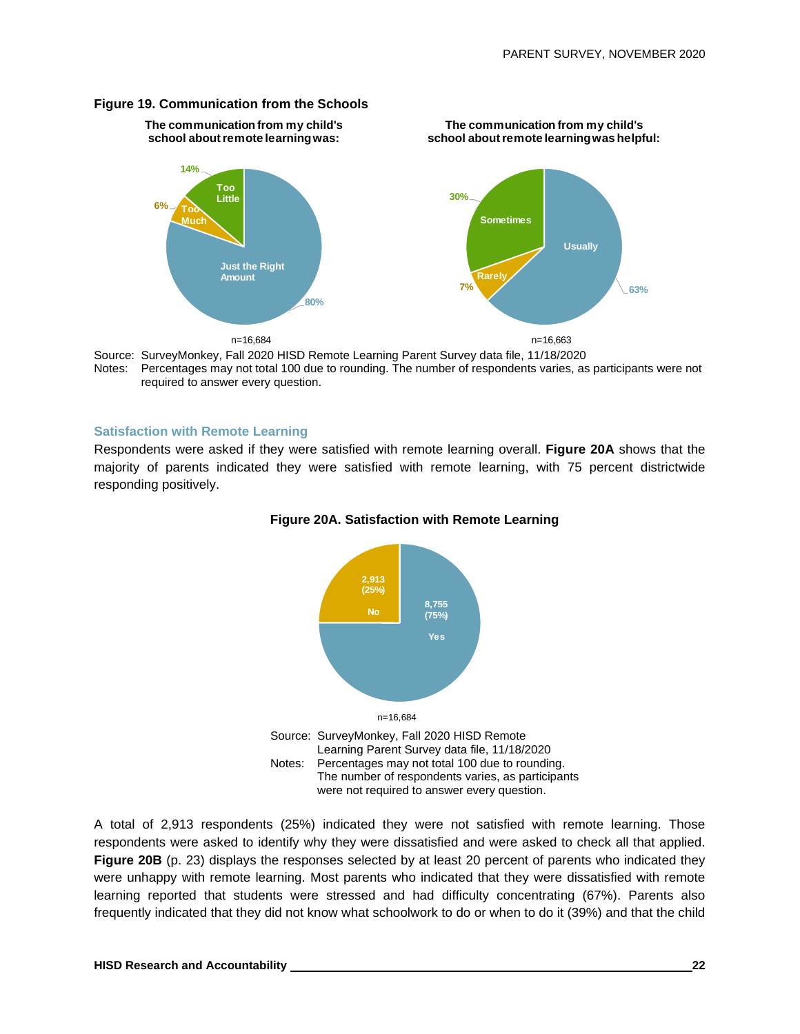**The communication from my child's school about remote learning was helpful:**

#### **Figure 19. Communication from the Schools**

**The communication from my child's school about remote learning was:**



Source: SurveyMonkey, Fall 2020 HISD Remote Learning Parent Survey data file, 11/18/2020 Notes: Percentages may not total 100 due to rounding. The number of respondents varies, as participants were not required to answer every question.

#### **Satisfaction with Remote Learning**

Respondents were asked if they were satisfied with remote learning overall. **Figure 20A** shows that the majority of parents indicated they were satisfied with remote learning, with 75 percent districtwide responding positively.





A total of 2,913 respondents (25%) indicated they were not satisfied with remote learning. Those respondents were asked to identify why they were dissatisfied and were asked to check all that applied. **Figure 20B** (p. 23) displays the responses selected by at least 20 percent of parents who indicated they were unhappy with remote learning. Most parents who indicated that they were dissatisfied with remote learning reported that students were stressed and had difficulty concentrating (67%). Parents also frequently indicated that they did not know what schoolwork to do or when to do it (39%) and that the child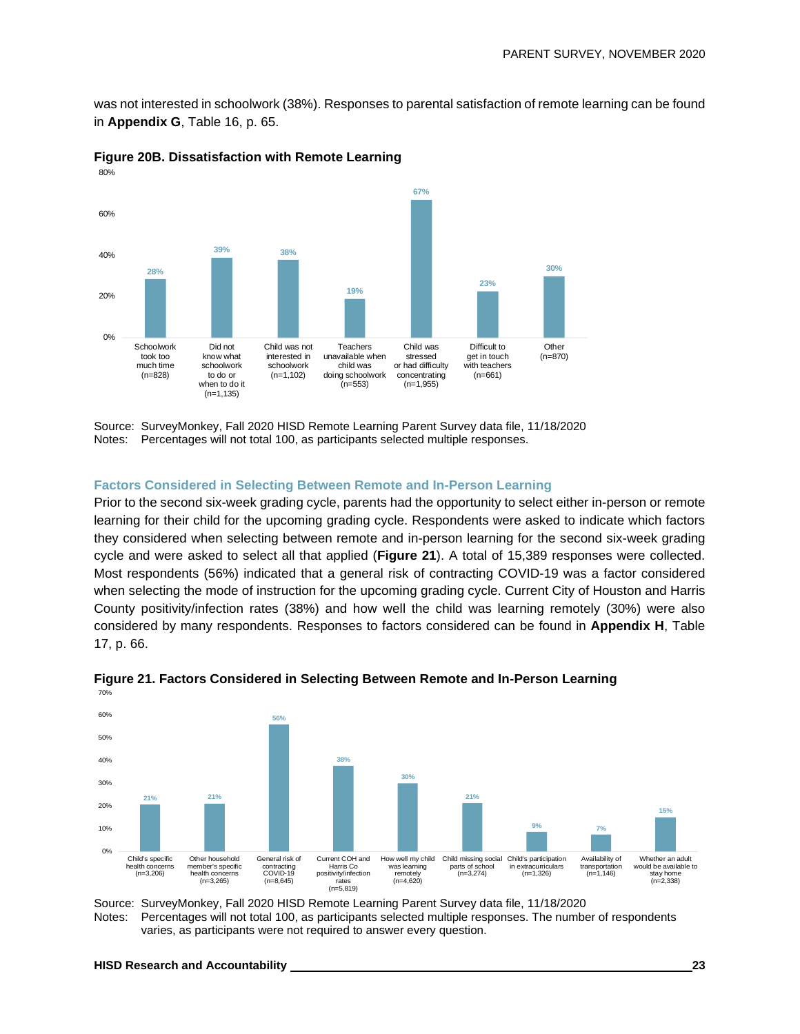was not interested in schoolwork (38%). Responses to parental satisfaction of remote learning can be found in **Appendix G**, Table 16, p. 65.



**Figure 20B. Dissatisfaction with Remote Learning**

Source: SurveyMonkey, Fall 2020 HISD Remote Learning Parent Survey data file, 11/18/2020 Notes: Percentages will not total 100, as participants selected multiple responses.

#### **Factors Considered in Selecting Between Remote and In-Person Learning**

Prior to the second six-week grading cycle, parents had the opportunity to select either in-person or remote learning for their child for the upcoming grading cycle. Respondents were asked to indicate which factors they considered when selecting between remote and in-person learning for the second six-week grading cycle and were asked to select all that applied (**Figure 21**). A total of 15,389 responses were collected. Most respondents (56%) indicated that a general risk of contracting COVID-19 was a factor considered when selecting the mode of instruction for the upcoming grading cycle. Current City of Houston and Harris County positivity/infection rates (38%) and how well the child was learning remotely (30%) were also considered by many respondents. Responses to factors considered can be found in **Appendix H**, Table 17, p. 66.



**Figure 21. Factors Considered in Selecting Between Remote and In-Person Learning**

Source: SurveyMonkey, Fall 2020 HISD Remote Learning Parent Survey data file, 11/18/2020 Notes: Percentages will not total 100, as participants selected multiple responses. The number of respondents varies, as participants were not required to answer every question.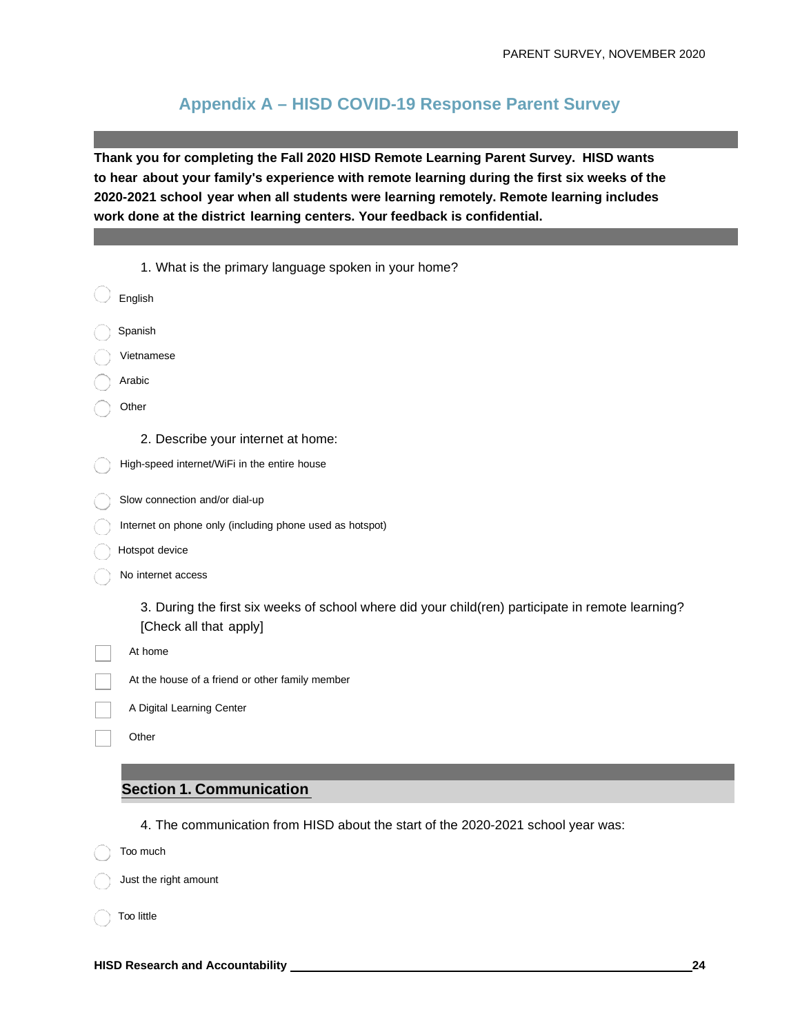## **Appendix A – HISD COVID-19 Response Parent Survey**

**Thank you for completing the Fall 2020 HISD Remote Learning Parent Survey. HISD wants to hear about your family's experience with remote learning during the first six weeks of the 2020-2021 school year when all students were learning remotely. Remote learning includes work done at the district learning centers. Your feedback is confidential.**

| 1. What is the primary language spoken in your home?                                              |
|---------------------------------------------------------------------------------------------------|
| English                                                                                           |
| Spanish                                                                                           |
| Vietnamese                                                                                        |
| Arabic                                                                                            |
| Other                                                                                             |
| 2. Describe your internet at home:                                                                |
| High-speed internet/WiFi in the entire house                                                      |
| Slow connection and/or dial-up                                                                    |
| Internet on phone only (including phone used as hotspot)                                          |
| Hotspot device                                                                                    |
| No internet access                                                                                |
| 3. During the first six weeks of school where did your child(ren) participate in remote learning? |
| [Check all that apply]                                                                            |
| At home                                                                                           |
| At the house of a friend or other family member                                                   |
| A Digital Learning Center                                                                         |
| Other                                                                                             |

#### **Section 1. Communication**

4. The communication from HISD about the start of the 2020-2021 school year was:

Too much

Just the right amount

Too little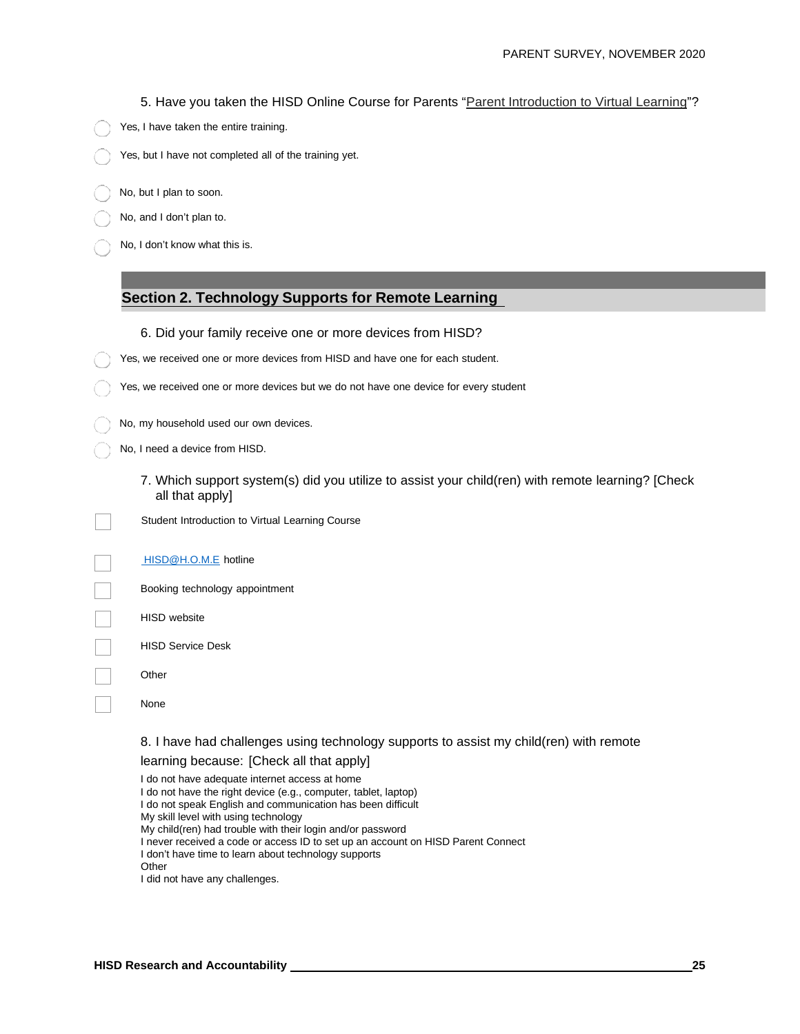5. Have you taken the HISD Online Course for Parents "Parent Introduction to [Virtual Learning"](https://www.houstonisd.org/Page/182808)?

- Yes, I have taken the entire training.
- Yes, but I have not completed all of the training yet.
- No, but I plan to soon.
- No, and I don't plan to.
- No, I don't know what this is.

#### **Section 2. Technology Supports for Remote Learning**

- 6. Did your family receive one or more devices from HISD?
- Yes, we received one or more devices from HISD and have one for each student.
- Yes, we received one or more devices but we do not have one device for every student
	- No, my household used our own devices.
	- No, I need a device from HISD.
		- 7. Which support system(s) did you utilize to assist your child(ren) with remote learning? [Check all that apply]
		- Student Introduction to Virtual Learning Course

[HISD@H.O.M.E](mailto:%20HISD@H.O.M.E) hotline

- Booking technology appointment
- HISD website
- HISD Service Desk
- **Other**
- None

#### 8. I have had challenges using technology supports to assist my child(ren) with remote

#### learning because: [Check all that apply]

I do not have adequate internet access at home I do not have the right device (e.g., computer, tablet, laptop) I do not speak English and communication has been difficult My skill level with using technology My child(ren) had trouble with their login and/or password I never received a code or access ID to set up an account on HISD Parent Connect I don't have time to learn about technology supports **Other** I did not have any challenges.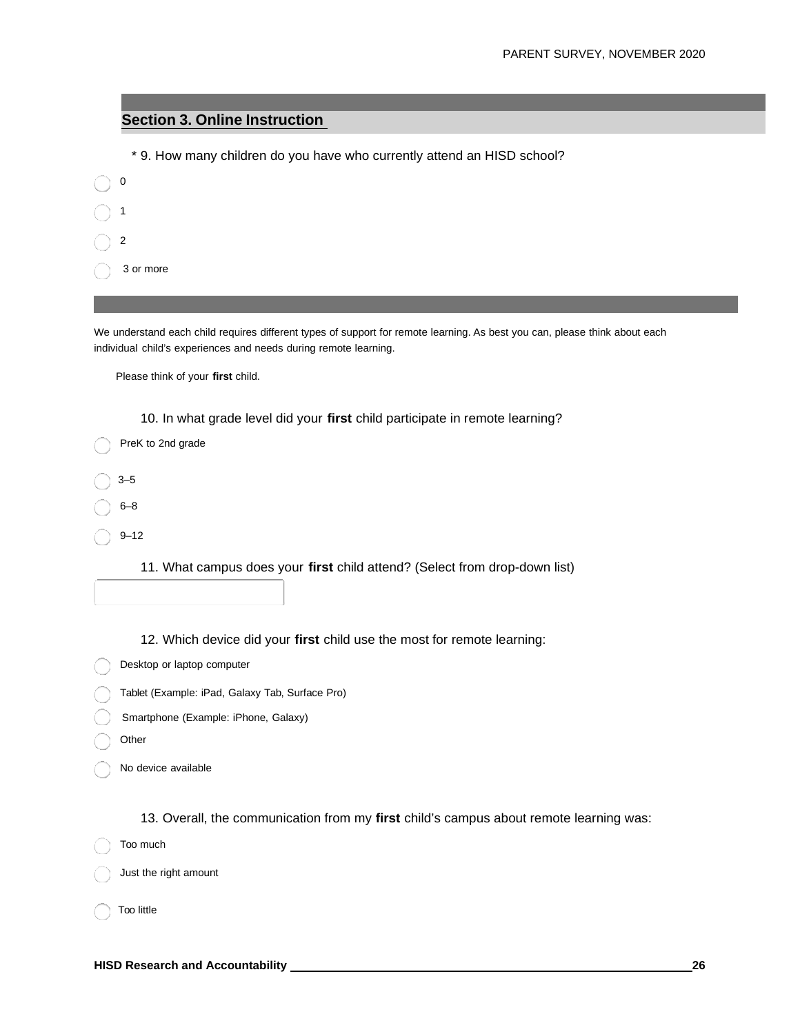#### **Section 3. Online Instruction**

|              | * 9. How many children do you have who currently attend an HISD school? |
|--------------|-------------------------------------------------------------------------|
| $\bigcirc$ 0 |                                                                         |
| $\bigcirc$ 1 |                                                                         |
| $\bigcirc$ 2 |                                                                         |
| 0            | 3 or more                                                               |
|              |                                                                         |

We understand each child requires different types of support for remote learning. As best you can, please think about each individual child's experiences and needs during remote learning.

Please think of your **first** child.

10. In what grade level did your **first** child participate in remote learning?

| PreK to 2nd grade |
|-------------------|
| $3 - 5$           |
| $6 - 8$           |
| $9 - 12$          |

11. What campus does your **first** child attend? (Select from drop-down list)

12. Which device did your **first** child use the most for remote learning:

Desktop or laptop computer

- Tablet (Example: iPad, Galaxy Tab, Surface Pro)
- Smartphone (Example: iPhone, Galaxy)
- **Other**
- No device available

13. Overall, the communication from my **first** child's campus about remote learning was:

Too much

Just the right amount

Too little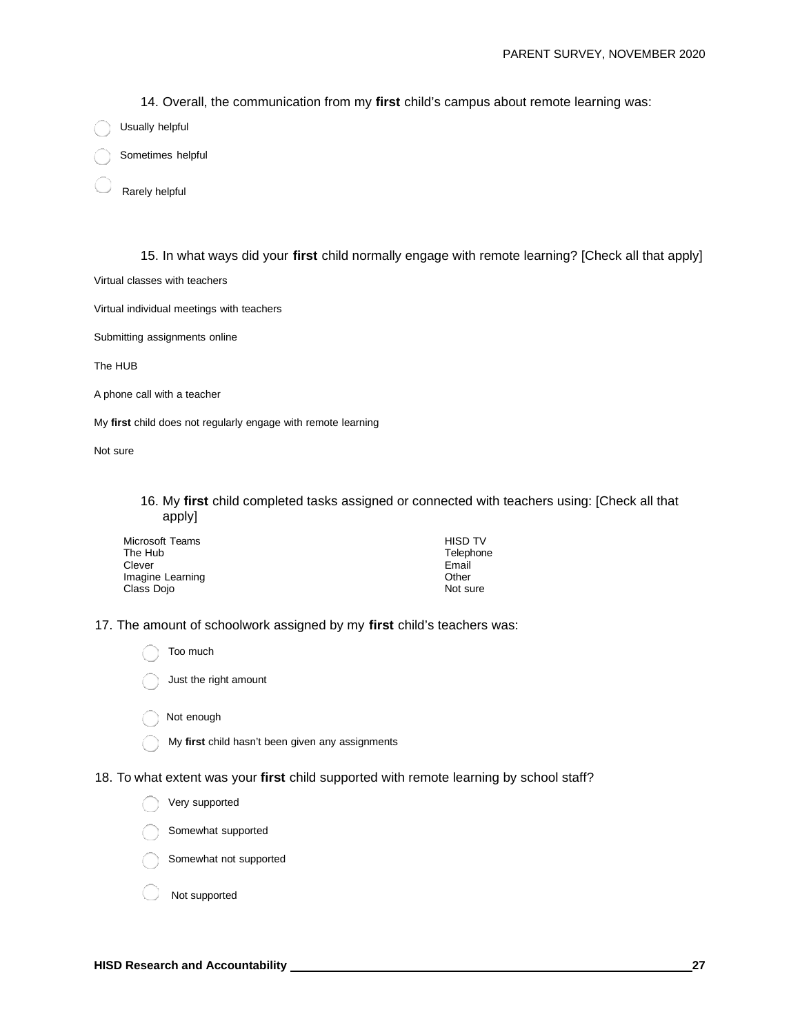14. Overall, the communication from my **first** child's campus about remote learning was:

Usually helpful

Sometimes helpful

Rarely helpful

15. In what ways did your **first** child normally engage with remote learning? [Check all that apply]

Virtual classes with teachers

Virtual individual meetings with teachers

Submitting assignments online

The HUB

A phone call with a teacher

My **first** child does not regularly engage with remote learning

Not sure

16. My **first** child completed tasks assigned or connected with teachers using: [Check all that apply]

| Microsoft Teams  | <b>HISD TV</b> |
|------------------|----------------|
| The Hub          | Telephone      |
| Clever           | Email          |
| Imagine Learning | Other          |
| Class Dojo       | Not sure       |

17. The amount of schoolwork assigned by my **first** child's teachers was:

 Too much Just the right amount

Not enough

My **first** child hasn't been given any assignments

18. To what extent was your **first** child supported with remote learning by school staff?

Very supported

Somewhat supported

Somewhat not supported

Not supported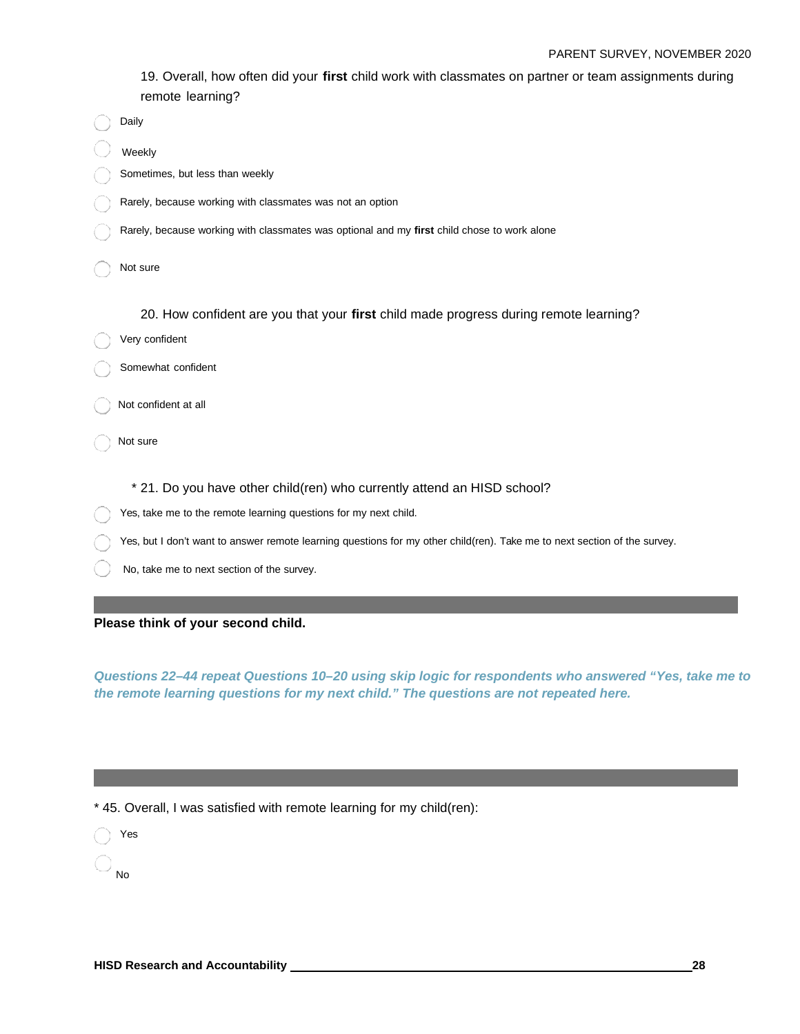#### PARENT SURVEY, NOVEMBER 2020

19. Overall, how often did your **first** child work with classmates on partner or team assignments during remote learning?

| Daily                                                                                                                     |
|---------------------------------------------------------------------------------------------------------------------------|
| Weekly                                                                                                                    |
| Sometimes, but less than weekly                                                                                           |
| Rarely, because working with classmates was not an option                                                                 |
| Rarely, because working with classmates was optional and my first child chose to work alone                               |
| Not sure                                                                                                                  |
| 20. How confident are you that your first child made progress during remote learning?                                     |
| Very confident                                                                                                            |
| Somewhat confident                                                                                                        |
| Not confident at all                                                                                                      |
| Not sure                                                                                                                  |
| * 21. Do you have other child(ren) who currently attend an HISD school?                                                   |
| Yes, take me to the remote learning questions for my next child.                                                          |
| Yes, but I don't want to answer remote learning questions for my other child(ren). Take me to next section of the survey. |
| No, take me to next section of the survey.                                                                                |

**Please think of your second child.**

*Questions 22–44 repeat Questions 10–20 using skip logic for respondents who answered "Yes, take me to the remote learning questions for my next child." The questions are not repeated here.*

\* 45. Overall, I was satisfied with remote learning for my child(ren):

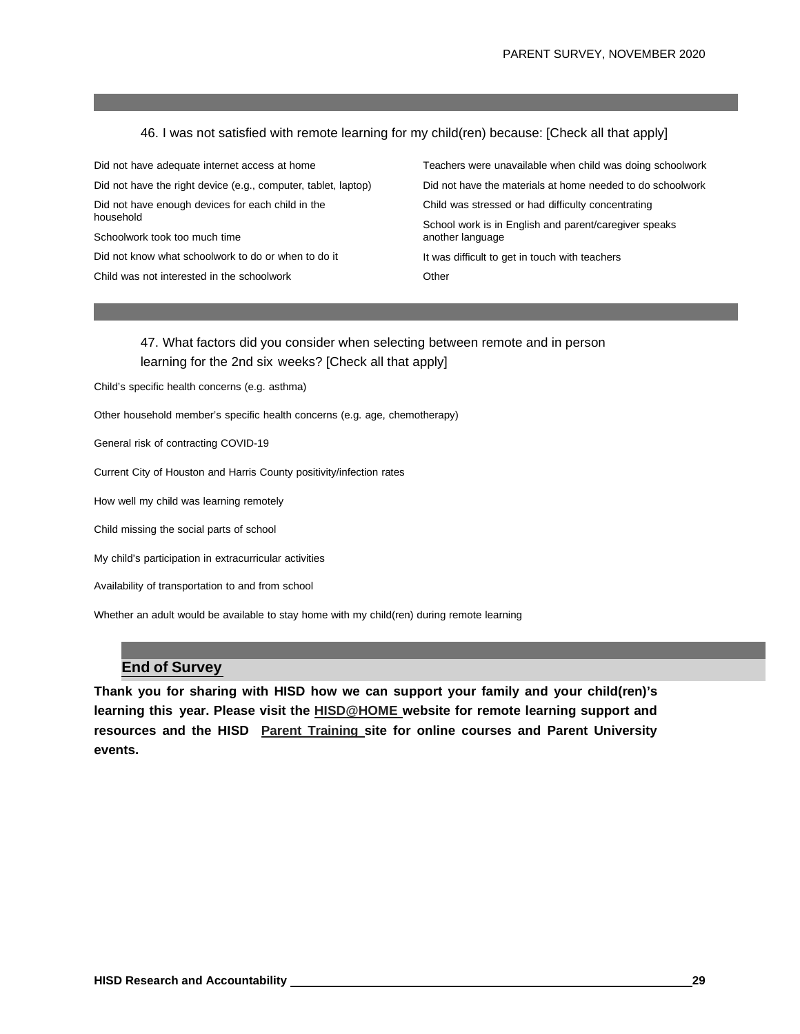#### 46. I was not satisfied with remote learning for my child(ren) because: [Check all that apply]

Did not have adequate internet access at home Did not have the right device (e.g., computer, tablet, laptop) Did not have enough devices for each child in the household Schoolwork took too much time Did not know what schoolwork to do or when to do it Child was not interested in the schoolwork

Teachers were unavailable when child was doing schoolwork Did not have the materials at home needed to do schoolwork Child was stressed or had difficulty concentrating School work is in English and parent/caregiver speaks another language It was difficult to get in touch with teachers **Other** 

47. What factors did you consider when selecting between remote and in person learning for the 2nd six weeks? [Check all that apply]

Child's specific health concerns (e.g. asthma)

Other household member's specific health concerns (e.g. age, chemotherapy)

General risk of contracting COVID-19

Current City of Houston and Harris County positivity/infection rates

How well my child was learning remotely

Child missing the social parts of school

My child's participation in extracurricular activities

Availability of transportation to and from school

Whether an adult would be available to stay home with my child(ren) during remote learning

#### **End of Survey**

**Thank you for sharing with HISD how we can support your family and your child(ren)'s learning this year. Please visit the [HISD@HOME](https://www.houstonisd.org/home) website for remote learning support and resources and the HISD [Parent Training](https://www.houstonisd.org/Page/182897) site for online courses and Parent University events.**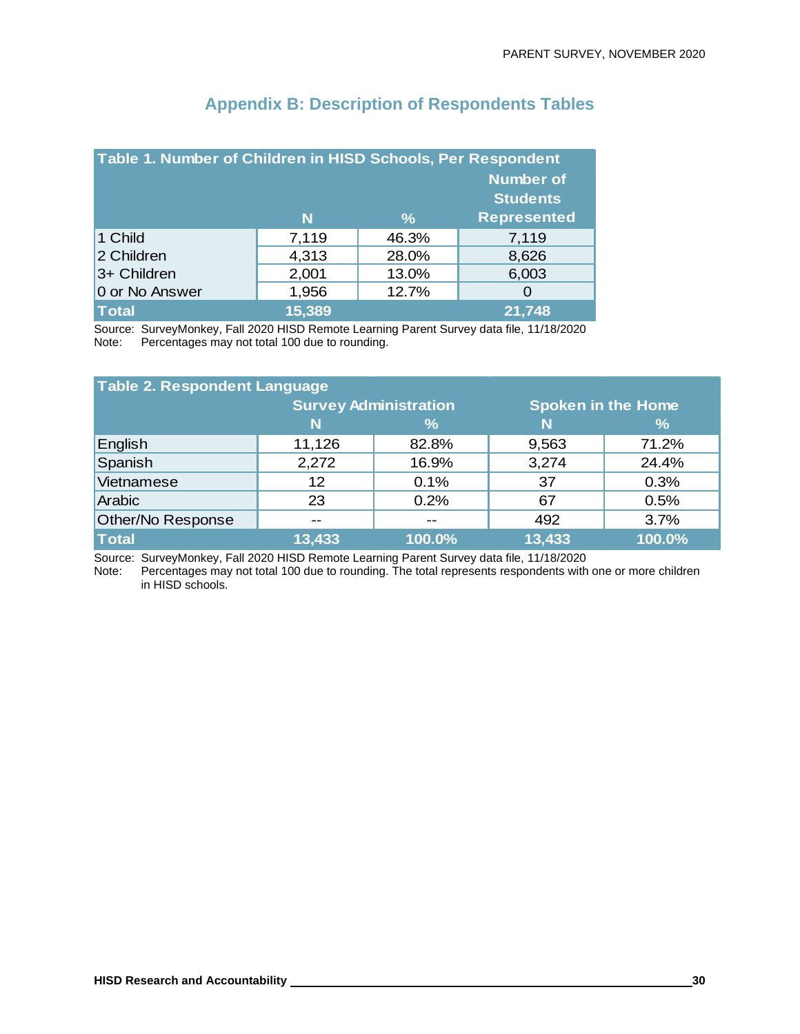| Table 1. Number of Children in HISD Schools, Per Respondent |                  |       |                    |  |
|-------------------------------------------------------------|------------------|-------|--------------------|--|
|                                                             | <b>Number of</b> |       |                    |  |
| <b>Students</b>                                             |                  |       |                    |  |
|                                                             | N                | $\%$  | <b>Represented</b> |  |
| 1 Child                                                     | 7,119            | 46.3% | 7,119              |  |
| 2 Children                                                  | 4,313            | 28.0% | 8,626              |  |
| 3+ Children                                                 | 2,001            | 13.0% | 6,003              |  |
| 0 or No Answer                                              | 1,956            | 12.7% | O                  |  |
| <b>Total</b>                                                | 15,389           |       | 21,748             |  |

# **Appendix B: Description of Respondents Tables**

Source: SurveyMonkey, Fall 2020 HISD Remote Learning Parent Survey data file, 11/18/2020 Note: Percentages may not total 100 due to rounding.

| <b>Table 2. Respondent Language</b> |                              |               |                           |               |  |
|-------------------------------------|------------------------------|---------------|---------------------------|---------------|--|
|                                     | <b>Survey Administration</b> |               | <b>Spoken in the Home</b> |               |  |
|                                     | N                            | $\frac{1}{2}$ | N                         | $\frac{9}{6}$ |  |
| English                             | 11,126                       | 82.8%         | 9,563                     | 71.2%         |  |
| Spanish                             | 2,272                        | 16.9%         | 3,274                     | 24.4%         |  |
| Vietnamese                          | 12                           | 0.1%          | 37                        | 0.3%          |  |
| Arabic                              | 23                           | 0.2%          | 67                        | 0.5%          |  |
| Other/No Response                   | $- -$                        | $- -$         | 492                       | 3.7%          |  |
| <b>Total</b>                        | 13,433                       | 100.0%        | 13,433                    | 100.0%        |  |

Source: SurveyMonkey, Fall 2020 HISD Remote Learning Parent Survey data file, 11/18/2020

Note: Percentages may not total 100 due to rounding. The total represents respondents with one or more children in HISD schools.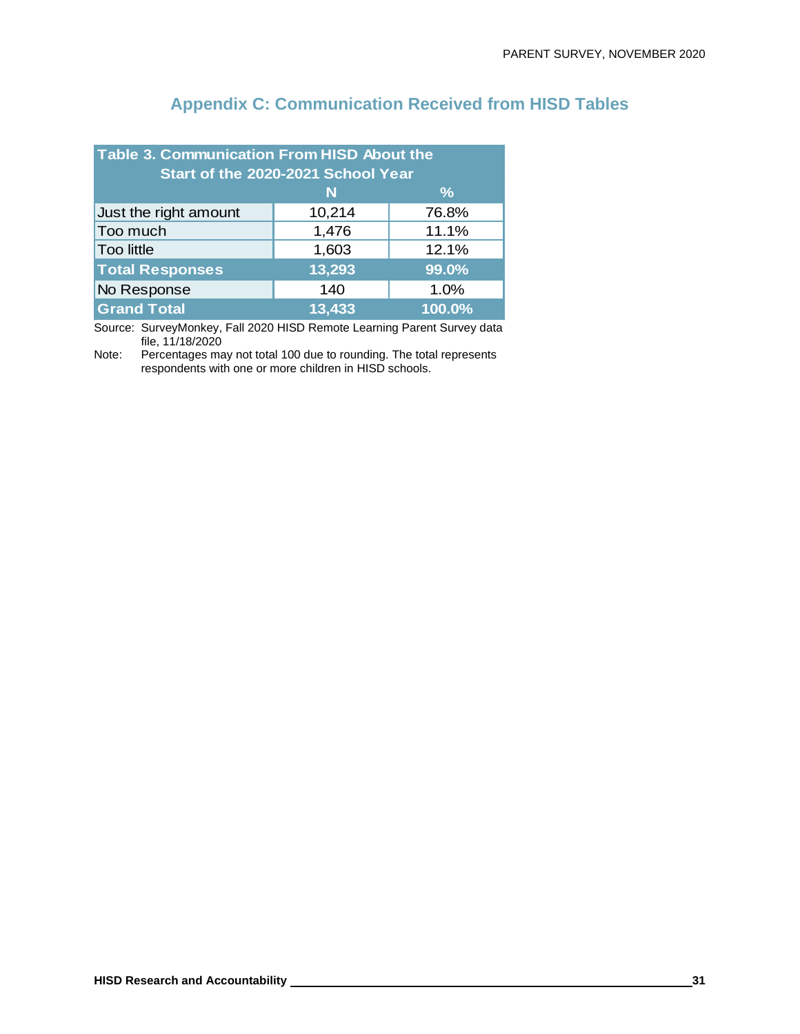| Table 3. Communication From HISD About the<br>Start of the 2020-2021 School Year |        |       |  |  |
|----------------------------------------------------------------------------------|--------|-------|--|--|
| $\frac{9}{6}$<br>N                                                               |        |       |  |  |
| Just the right amount                                                            | 10,214 | 76.8% |  |  |
| Too much                                                                         | 1,476  | 11.1% |  |  |
| <b>Too little</b>                                                                | 1,603  | 12.1% |  |  |
| 13,293<br><b>Total Responses</b><br>99.0%                                        |        |       |  |  |
| No Response                                                                      | 140    | 1.0%  |  |  |
| <b>Grand Total</b><br>100.0%<br>13,433                                           |        |       |  |  |

# **Appendix C: Communication Received from HISD Tables**

Source: SurveyMonkey, Fall 2020 HISD Remote Learning Parent Survey data file, 11/18/2020

Note: Percentages may not total 100 due to rounding. The total represents respondents with one or more children in HISD schools.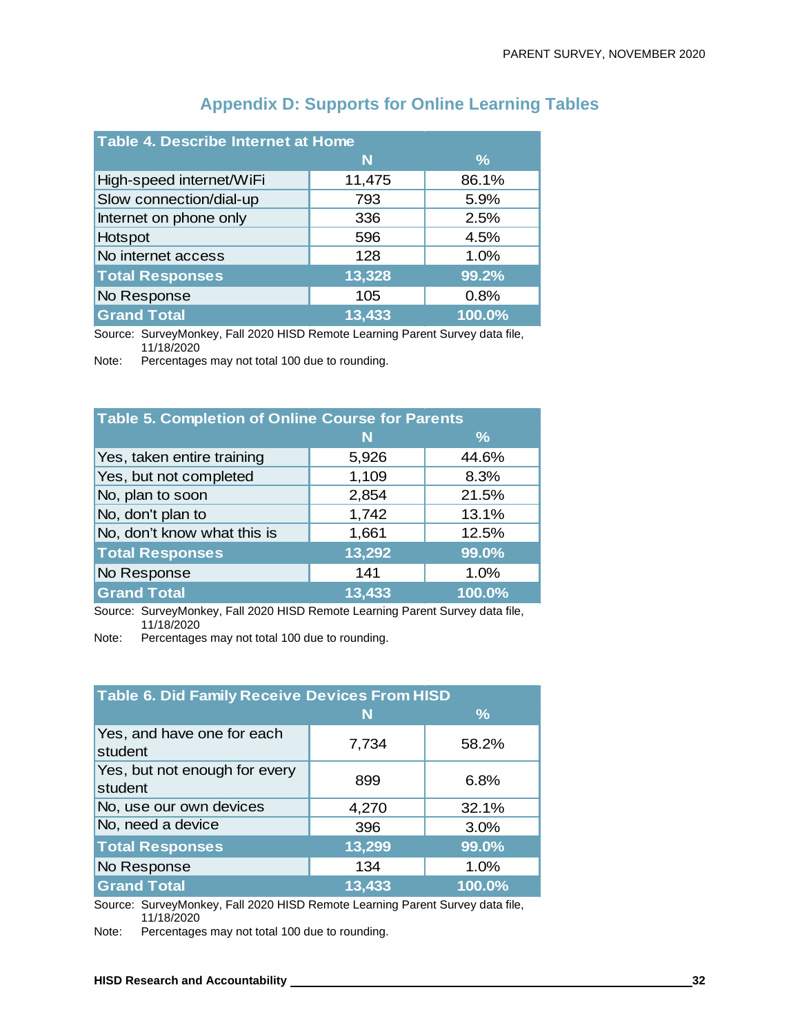| Table 4. Describe Internet at Home |        |               |  |  |
|------------------------------------|--------|---------------|--|--|
|                                    | N      | $\frac{9}{6}$ |  |  |
| High-speed internet/WiFi           | 11,475 | 86.1%         |  |  |
| Slow connection/dial-up            | 793    | 5.9%          |  |  |
| Internet on phone only             | 336    | 2.5%          |  |  |
| Hotspot                            | 596    | 4.5%          |  |  |
| No internet access                 | 128    | 1.0%          |  |  |
| <b>Total Responses</b>             | 13,328 | 99.2%         |  |  |
| No Response                        | 105    | 0.8%          |  |  |
| <b>Grand Total</b>                 | 13,433 | 100.0%        |  |  |

# **Appendix D: Supports for Online Learning Tables**

Source: SurveyMonkey, Fall 2020 HISD Remote Learning Parent Survey data file, 11/18/2020

Note: Percentages may not total 100 due to rounding.

| <b>Table 5. Completion of Online Course for Parents</b> |        |               |  |
|---------------------------------------------------------|--------|---------------|--|
|                                                         | N      | $\frac{9}{6}$ |  |
| Yes, taken entire training                              | 5,926  | 44.6%         |  |
| Yes, but not completed                                  | 1,109  | 8.3%          |  |
| No, plan to soon                                        | 2,854  | 21.5%         |  |
| No, don't plan to                                       | 1,742  | 13.1%         |  |
| No, don't know what this is                             | 1,661  | 12.5%         |  |
| <b>Total Responses</b>                                  | 13,292 | 99.0%         |  |
| No Response                                             | 141    | 1.0%          |  |
| <b>Grand Total</b>                                      | 13,433 | 100.0%        |  |

Source: SurveyMonkey, Fall 2020 HISD Remote Learning Parent Survey data file, 11/18/2020

Note: Percentages may not total 100 due to rounding.

| <b>Table 6. Did Family Receive Devices From HISD</b> |        |               |  |
|------------------------------------------------------|--------|---------------|--|
|                                                      | N      | $\frac{9}{6}$ |  |
| Yes, and have one for each<br>student                | 7,734  | 58.2%         |  |
| Yes, but not enough for every<br>student             | 899    | 6.8%          |  |
| No, use our own devices                              | 4,270  | 32.1%         |  |
| No, need a device                                    | 396    | 3.0%          |  |
| <b>Total Responses</b>                               | 13,299 | 99.0%         |  |
| No Response                                          | 134    | 1.0%          |  |
| <b>Grand Total</b>                                   | 13,433 | 100.0%        |  |

Source: SurveyMonkey, Fall 2020 HISD Remote Learning Parent Survey data file, 11/18/2020

Note: Percentages may not total 100 due to rounding.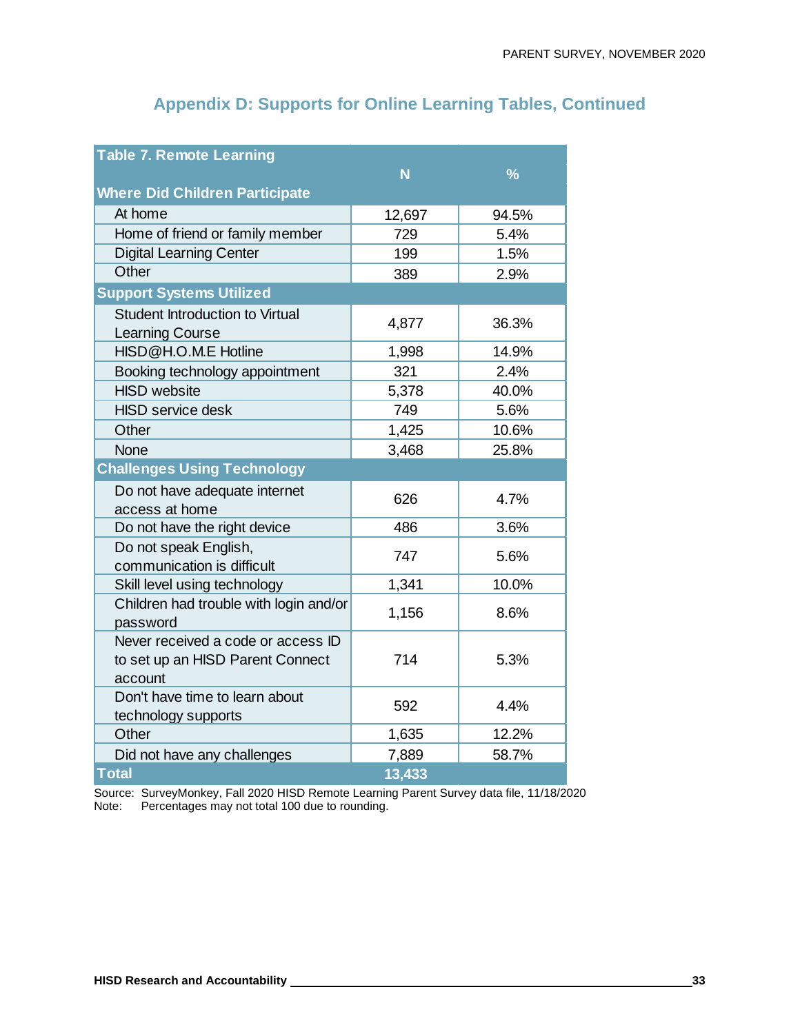# **Appendix D: Supports for Online Learning Tables, Continued**

| <b>Table 7. Remote Learning</b>                                                   |        |               |
|-----------------------------------------------------------------------------------|--------|---------------|
|                                                                                   | N      | $\frac{9}{6}$ |
| <b>Where Did Children Participate</b>                                             |        |               |
| At home                                                                           | 12,697 | 94.5%         |
| Home of friend or family member                                                   | 729    | 5.4%          |
| <b>Digital Learning Center</b>                                                    | 199    | 1.5%          |
| Other                                                                             | 389    | 2.9%          |
| <b>Support Systems Utilized</b>                                                   |        |               |
| Student Introduction to Virtual<br>Learning Course                                | 4,877  | 36.3%         |
| HISD@H.O.M.E Hotline                                                              | 1,998  | 14.9%         |
| Booking technology appointment                                                    | 321    | 2.4%          |
| <b>HISD</b> website                                                               | 5,378  | 40.0%         |
| <b>HISD</b> service desk                                                          | 749    | 5.6%          |
| Other                                                                             | 1,425  | 10.6%         |
| <b>None</b>                                                                       | 3,468  | 25.8%         |
| <b>Challenges Using Technology</b>                                                |        |               |
| Do not have adequate internet<br>access at home                                   | 626    | 4.7%          |
| Do not have the right device                                                      | 486    | 3.6%          |
| Do not speak English,<br>communication is difficult                               | 747    | 5.6%          |
| Skill level using technology                                                      | 1,341  | 10.0%         |
| Children had trouble with login and/or<br>password                                | 1,156  | 8.6%          |
| Never received a code or access ID<br>to set up an HISD Parent Connect<br>account | 714    | 5.3%          |
| Don't have time to learn about<br>technology supports                             | 592    | 4.4%          |
| Other                                                                             | 1,635  | 12.2%         |
| Did not have any challenges                                                       | 7,889  | 58.7%         |
| <b>Total</b>                                                                      | 13,433 |               |

Source: SurveyMonkey, Fall 2020 HISD Remote Learning Parent Survey data file, 11/18/2020 Note: Percentages may not total 100 due to rounding.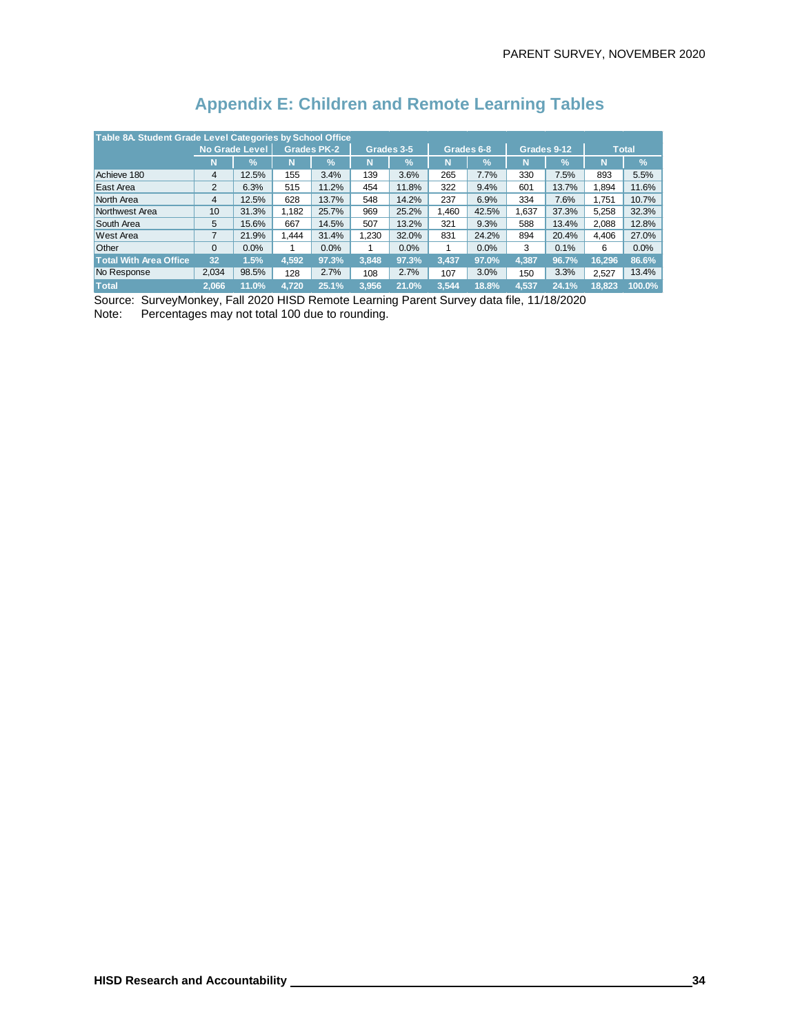| Table 8A. Student Grade Level Categories by School Office |                       |                 |       |                    |            |               |            |               |             |       |              |               |
|-----------------------------------------------------------|-----------------------|-----------------|-------|--------------------|------------|---------------|------------|---------------|-------------|-------|--------------|---------------|
|                                                           | <b>No Grade Level</b> |                 |       | <b>Grades PK-2</b> | Grades 3-5 |               | Grades 6-8 |               | Grades 9-12 |       | <b>Total</b> |               |
|                                                           | N                     | $\mathcal{V}_0$ | N     | $\frac{1}{2}$      | N          | $\frac{1}{2}$ | N          | $\frac{1}{2}$ | N           | %'    | N            | $\frac{0}{6}$ |
| Achieve 180                                               | 4                     | 12.5%           | 155   | 3.4%               | 139        | 3.6%          | 265        | 7.7%          | 330         | 7.5%  | 893          | 5.5%          |
| East Area                                                 | 2                     | 6.3%            | 515   | 11.2%              | 454        | 11.8%         | 322        | 9.4%          | 601         | 13.7% | 1.894        | 11.6%         |
| North Area                                                | 4                     | 12.5%           | 628   | 13.7%              | 548        | 14.2%         | 237        | 6.9%          | 334         | 7.6%  | 1.751        | 10.7%         |
| Northwest Area                                            | 10                    | 31.3%           | 1.182 | 25.7%              | 969        | 25.2%         | 1.460      | 42.5%         | 1.637       | 37.3% | 5.258        | 32.3%         |
| South Area                                                | 5                     | 15.6%           | 667   | 14.5%              | 507        | 13.2%         | 321        | 9.3%          | 588         | 13.4% | 2.088        | 12.8%         |
| <b>West Area</b>                                          | $\overline{7}$        | 21.9%           | 1.444 | 31.4%              | 1.230      | 32.0%         | 831        | 24.2%         | 894         | 20.4% | 4.406        | 27.0%         |
| <b>Other</b>                                              | $\Omega$              | 0.0%            |       | 0.0%               | 1          | 0.0%          | 1          | 0.0%          | 3           | 0.1%  | 6            | 0.0%          |
| <b>Total With Area Office</b>                             | 32                    | 1.5%            | 4.592 | 97.3%              | 3.848      | 97.3%         | 3.437      | 97.0%         | 4.387       | 96.7% | 16.296       | 86.6%         |
| No Response                                               | 2,034                 | 98.5%           | 128   | 2.7%               | 108        | 2.7%          | 107        | 3.0%          | 150         | 3.3%  | 2.527        | 13.4%         |
| <b>Total</b>                                              | 2.066                 | 11.0%           | 4.720 | 25.1%              | 3.956      | 21.0%         | 3.544      | 18.8%         | 4.537       | 24.1% | 18.823       | 100.0%        |

# **Appendix E: Children and Remote Learning Tables**

Source: SurveyMonkey, Fall 2020 HISD Remote Learning Parent Survey data file, 11/18/2020 Note: Percentages may not total 100 due to rounding.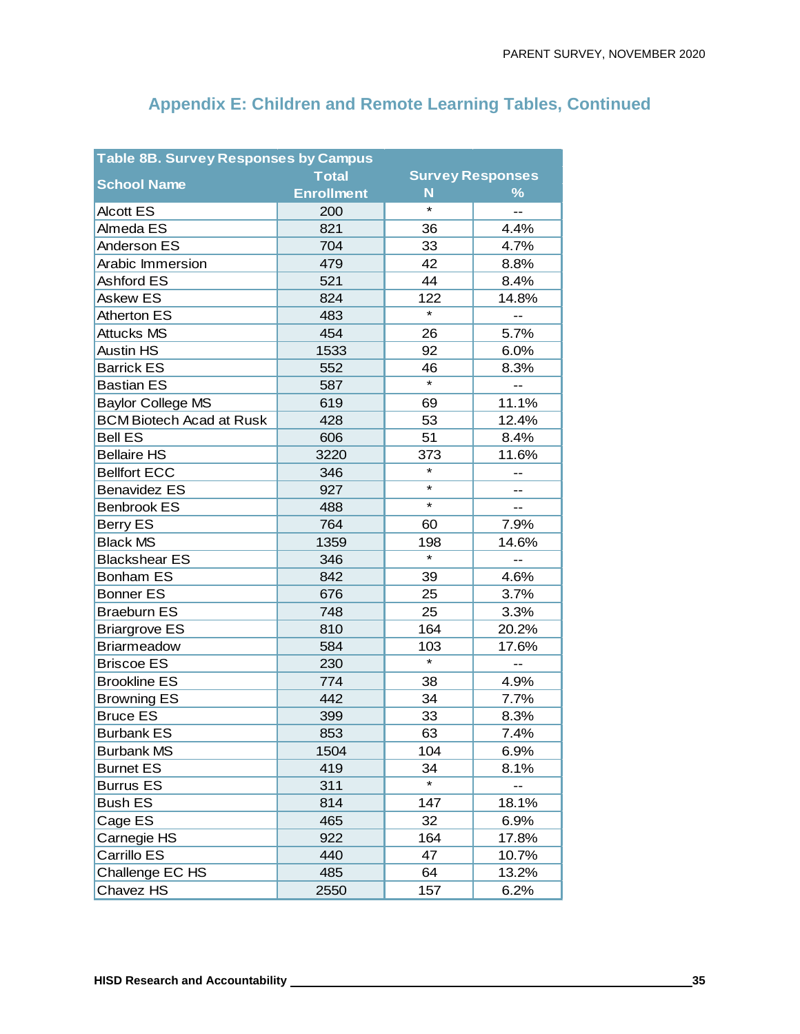| <b>Table 8B. Survey Responses by Campus</b> |                   |         |                          |  |  |  |  |  |  |  |
|---------------------------------------------|-------------------|---------|--------------------------|--|--|--|--|--|--|--|
| <b>School Name</b>                          | <b>Total</b>      |         | <b>Survey Responses</b>  |  |  |  |  |  |  |  |
|                                             | <b>Enrollment</b> | N       | $\frac{9}{6}$            |  |  |  |  |  |  |  |
| <b>Alcott ES</b>                            | 200               | $\star$ | $-$                      |  |  |  |  |  |  |  |
| Almeda ES                                   | 821               | 36      | 4.4%                     |  |  |  |  |  |  |  |
| Anderson ES                                 | 704               | 33      | 4.7%                     |  |  |  |  |  |  |  |
| <b>Arabic Immersion</b>                     | 479               | 42      | 8.8%                     |  |  |  |  |  |  |  |
| <b>Ashford ES</b>                           | 521               | 44      | 8.4%                     |  |  |  |  |  |  |  |
| <b>Askew ES</b>                             | 824               | 122     | 14.8%                    |  |  |  |  |  |  |  |
| Atherton ES                                 | 483               | $\star$ | --                       |  |  |  |  |  |  |  |
| <b>Attucks MS</b>                           | 454               | 26      | 5.7%                     |  |  |  |  |  |  |  |
| <b>Austin HS</b>                            | 1533              | 92      | 6.0%                     |  |  |  |  |  |  |  |
| <b>Barrick ES</b>                           | 552               | 46      | 8.3%                     |  |  |  |  |  |  |  |
| <b>Bastian ES</b>                           | 587               | $\star$ | $\overline{\phantom{a}}$ |  |  |  |  |  |  |  |
| <b>Baylor College MS</b>                    | 619               | 69      | 11.1%                    |  |  |  |  |  |  |  |
| <b>BCM Biotech Acad at Rusk</b>             | 428               | 53      | 12.4%                    |  |  |  |  |  |  |  |
| <b>Bell ES</b>                              | 606               | 51      | 8.4%                     |  |  |  |  |  |  |  |
| <b>Bellaire HS</b>                          | 3220              | 373     | 11.6%                    |  |  |  |  |  |  |  |
| <b>Bellfort ECC</b>                         | 346               | $\star$ | --                       |  |  |  |  |  |  |  |
| <b>Benavidez ES</b>                         | 927               | $\star$ | $-$                      |  |  |  |  |  |  |  |
| <b>Benbrook ES</b>                          | 488               | $\star$ | --                       |  |  |  |  |  |  |  |
| Berry ES                                    | 764               | 60      | 7.9%                     |  |  |  |  |  |  |  |
| <b>Black MS</b>                             | 1359              | 198     | 14.6%                    |  |  |  |  |  |  |  |
| <b>Blackshear ES</b>                        | 346               | $\star$ | $\overline{a}$           |  |  |  |  |  |  |  |
| <b>Bonham ES</b>                            | 842               | 39      | 4.6%                     |  |  |  |  |  |  |  |
| <b>Bonner ES</b>                            | 676               | 25      | 3.7%                     |  |  |  |  |  |  |  |
| <b>Braeburn ES</b>                          | 748               | 25      | 3.3%                     |  |  |  |  |  |  |  |
| <b>Briargrove ES</b>                        | 810               | 164     | 20.2%                    |  |  |  |  |  |  |  |
| <b>Briarmeadow</b>                          | 584               | 103     | 17.6%                    |  |  |  |  |  |  |  |
| <b>Briscoe ES</b>                           | 230               | $\star$ | --                       |  |  |  |  |  |  |  |
| <b>Brookline ES</b>                         | 774               | 38      | 4.9%                     |  |  |  |  |  |  |  |
| <b>Browning ES</b>                          | 442               | 34      | 7.7%                     |  |  |  |  |  |  |  |
| <b>Bruce ES</b>                             | 399               | 33      | 8.3%                     |  |  |  |  |  |  |  |
| <b>Burbank ES</b>                           | 853               | 63      | 7.4%                     |  |  |  |  |  |  |  |
| <b>Burbank MS</b>                           | 1504              | 104     | 6.9%                     |  |  |  |  |  |  |  |
| <b>Burnet ES</b>                            | 419               | 34      | 8.1%                     |  |  |  |  |  |  |  |
| <b>Burrus ES</b>                            | 311               | $\star$ |                          |  |  |  |  |  |  |  |
| <b>Bush ES</b>                              | 814               | 147     | 18.1%                    |  |  |  |  |  |  |  |
| Cage ES                                     | 465               | 32      | 6.9%                     |  |  |  |  |  |  |  |
| Carnegie HS                                 | 922               | 164     | 17.8%                    |  |  |  |  |  |  |  |
| Carrillo ES                                 | 440               | 47      | 10.7%                    |  |  |  |  |  |  |  |
| Challenge EC HS                             | 485               | 64      | 13.2%                    |  |  |  |  |  |  |  |
| Chavez HS                                   | 2550              | 157     | 6.2%                     |  |  |  |  |  |  |  |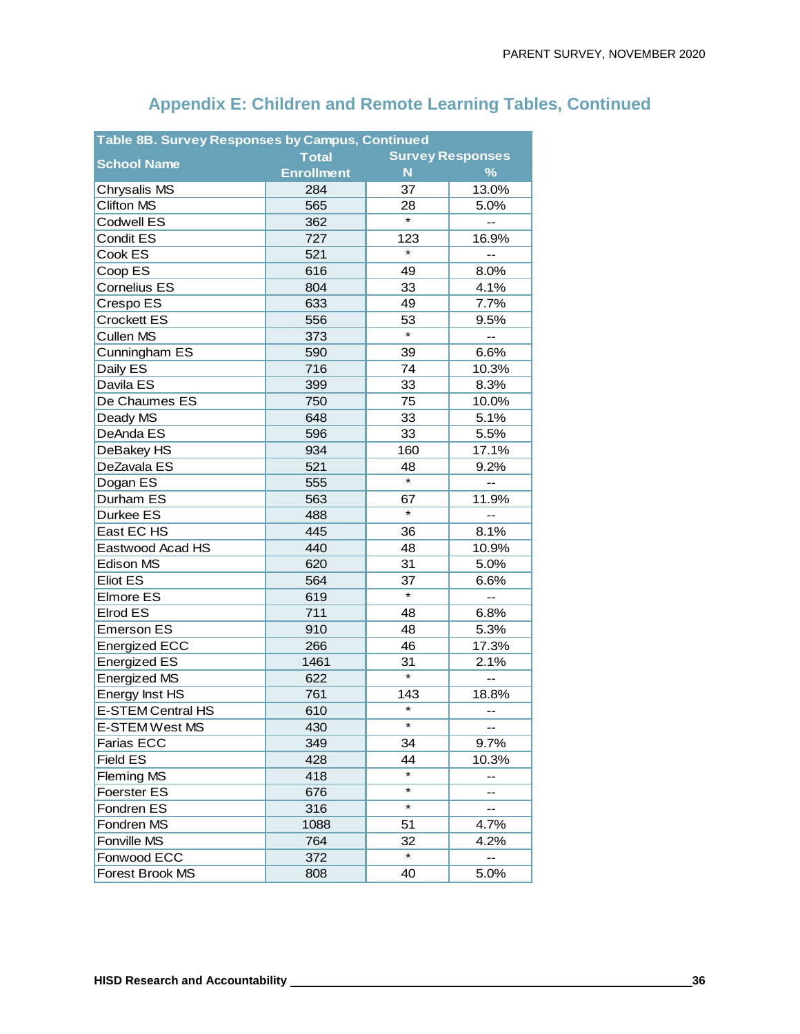| <b>Survey Responses</b><br><b>Total</b><br><b>School Name</b><br>$\frac{9}{6}$<br><b>Enrollment</b><br>N<br>13.0%<br>284<br>37<br>Chrysalis MS<br><b>Clifton MS</b><br>565<br>28<br>5.0%<br>$\star$<br>Codwell ES<br>362<br>$\overline{a}$<br><b>Condit ES</b><br>727<br>123<br>16.9%<br>$\star$<br>Cook ES<br>521<br>--<br>Coop ES<br>616<br>49<br>8.0%<br><b>Cornelius ES</b><br>804<br>33<br>4.1%<br>Crespo ES<br>633<br>49<br>7.7%<br><b>Crockett ES</b><br>556<br>53<br>9.5%<br>$\star$<br><b>Cullen MS</b><br>373<br>$\overline{\phantom{a}}$<br>Cunningham ES<br>590<br>39<br>6.6%<br>Daily ES<br>716<br>74<br>10.3%<br>Davila ES<br>399<br>33<br>8.3%<br>De Chaumes ES<br>750<br>10.0%<br>75<br>33<br>648<br>5.1%<br>Deady MS<br>DeAnda ES<br>5.5%<br>596<br>33<br>17.1%<br>DeBakey HS<br>934<br>160<br>DeZavala ES<br>521<br>9.2%<br>48<br>$\star$<br>Dogan ES<br>555<br>Durham ES<br>563<br>11.9%<br>67<br>$\star$<br>Durkee ES<br>488<br>East EC HS<br>36<br>8.1%<br>445<br>Eastwood Acad HS<br>440<br>48<br>10.9%<br>Edison MS<br>620<br>31<br>5.0%<br>Eliot ES<br>564<br>37<br>6.6%<br>$\star$<br>Elmore ES<br>619<br>$-$<br>Elrod ES<br>711<br>48<br>6.8%<br>910<br>48<br>5.3%<br><b>Emerson ES</b><br>17.3%<br><b>Energized ECC</b><br>266<br>46<br><b>Energized ES</b><br>1461<br>31<br>2.1%<br>$\overline{\ast}$<br>Energized MS<br>622<br>--<br>Energy Inst HS<br>761<br>143<br>18.8%<br>$\star$<br>E-STEM Central HS<br>610<br>$-$<br>*<br>E-STEM West MS<br>430<br>Farias ECC<br>349<br>34<br>9.7%<br><b>Field ES</b><br>428<br>44<br>10.3%<br><b>Fleming MS</b><br>418<br>--<br>$\star$<br>Foerster ES<br>676<br>--<br>$\star$<br>316<br>Fondren ES<br>51<br>Fondren MS<br>1088<br>4.7%<br>Fonville MS<br>764<br>32<br>4.2%<br>*<br>Fonwood ECC<br>372 | Table 8B. Survey Responses by Campus, Continued |     |    |      |  |  |  |  |  |  |
|-----------------------------------------------------------------------------------------------------------------------------------------------------------------------------------------------------------------------------------------------------------------------------------------------------------------------------------------------------------------------------------------------------------------------------------------------------------------------------------------------------------------------------------------------------------------------------------------------------------------------------------------------------------------------------------------------------------------------------------------------------------------------------------------------------------------------------------------------------------------------------------------------------------------------------------------------------------------------------------------------------------------------------------------------------------------------------------------------------------------------------------------------------------------------------------------------------------------------------------------------------------------------------------------------------------------------------------------------------------------------------------------------------------------------------------------------------------------------------------------------------------------------------------------------------------------------------------------------------------------------------------------------------------------------------------------------------------------------------------------------------------------------------|-------------------------------------------------|-----|----|------|--|--|--|--|--|--|
|                                                                                                                                                                                                                                                                                                                                                                                                                                                                                                                                                                                                                                                                                                                                                                                                                                                                                                                                                                                                                                                                                                                                                                                                                                                                                                                                                                                                                                                                                                                                                                                                                                                                                                                                                                             |                                                 |     |    |      |  |  |  |  |  |  |
|                                                                                                                                                                                                                                                                                                                                                                                                                                                                                                                                                                                                                                                                                                                                                                                                                                                                                                                                                                                                                                                                                                                                                                                                                                                                                                                                                                                                                                                                                                                                                                                                                                                                                                                                                                             |                                                 |     |    |      |  |  |  |  |  |  |
|                                                                                                                                                                                                                                                                                                                                                                                                                                                                                                                                                                                                                                                                                                                                                                                                                                                                                                                                                                                                                                                                                                                                                                                                                                                                                                                                                                                                                                                                                                                                                                                                                                                                                                                                                                             |                                                 |     |    |      |  |  |  |  |  |  |
|                                                                                                                                                                                                                                                                                                                                                                                                                                                                                                                                                                                                                                                                                                                                                                                                                                                                                                                                                                                                                                                                                                                                                                                                                                                                                                                                                                                                                                                                                                                                                                                                                                                                                                                                                                             |                                                 |     |    |      |  |  |  |  |  |  |
|                                                                                                                                                                                                                                                                                                                                                                                                                                                                                                                                                                                                                                                                                                                                                                                                                                                                                                                                                                                                                                                                                                                                                                                                                                                                                                                                                                                                                                                                                                                                                                                                                                                                                                                                                                             |                                                 |     |    |      |  |  |  |  |  |  |
|                                                                                                                                                                                                                                                                                                                                                                                                                                                                                                                                                                                                                                                                                                                                                                                                                                                                                                                                                                                                                                                                                                                                                                                                                                                                                                                                                                                                                                                                                                                                                                                                                                                                                                                                                                             |                                                 |     |    |      |  |  |  |  |  |  |
|                                                                                                                                                                                                                                                                                                                                                                                                                                                                                                                                                                                                                                                                                                                                                                                                                                                                                                                                                                                                                                                                                                                                                                                                                                                                                                                                                                                                                                                                                                                                                                                                                                                                                                                                                                             |                                                 |     |    |      |  |  |  |  |  |  |
|                                                                                                                                                                                                                                                                                                                                                                                                                                                                                                                                                                                                                                                                                                                                                                                                                                                                                                                                                                                                                                                                                                                                                                                                                                                                                                                                                                                                                                                                                                                                                                                                                                                                                                                                                                             |                                                 |     |    |      |  |  |  |  |  |  |
|                                                                                                                                                                                                                                                                                                                                                                                                                                                                                                                                                                                                                                                                                                                                                                                                                                                                                                                                                                                                                                                                                                                                                                                                                                                                                                                                                                                                                                                                                                                                                                                                                                                                                                                                                                             |                                                 |     |    |      |  |  |  |  |  |  |
|                                                                                                                                                                                                                                                                                                                                                                                                                                                                                                                                                                                                                                                                                                                                                                                                                                                                                                                                                                                                                                                                                                                                                                                                                                                                                                                                                                                                                                                                                                                                                                                                                                                                                                                                                                             |                                                 |     |    |      |  |  |  |  |  |  |
|                                                                                                                                                                                                                                                                                                                                                                                                                                                                                                                                                                                                                                                                                                                                                                                                                                                                                                                                                                                                                                                                                                                                                                                                                                                                                                                                                                                                                                                                                                                                                                                                                                                                                                                                                                             |                                                 |     |    |      |  |  |  |  |  |  |
|                                                                                                                                                                                                                                                                                                                                                                                                                                                                                                                                                                                                                                                                                                                                                                                                                                                                                                                                                                                                                                                                                                                                                                                                                                                                                                                                                                                                                                                                                                                                                                                                                                                                                                                                                                             |                                                 |     |    |      |  |  |  |  |  |  |
|                                                                                                                                                                                                                                                                                                                                                                                                                                                                                                                                                                                                                                                                                                                                                                                                                                                                                                                                                                                                                                                                                                                                                                                                                                                                                                                                                                                                                                                                                                                                                                                                                                                                                                                                                                             |                                                 |     |    |      |  |  |  |  |  |  |
|                                                                                                                                                                                                                                                                                                                                                                                                                                                                                                                                                                                                                                                                                                                                                                                                                                                                                                                                                                                                                                                                                                                                                                                                                                                                                                                                                                                                                                                                                                                                                                                                                                                                                                                                                                             |                                                 |     |    |      |  |  |  |  |  |  |
|                                                                                                                                                                                                                                                                                                                                                                                                                                                                                                                                                                                                                                                                                                                                                                                                                                                                                                                                                                                                                                                                                                                                                                                                                                                                                                                                                                                                                                                                                                                                                                                                                                                                                                                                                                             |                                                 |     |    |      |  |  |  |  |  |  |
|                                                                                                                                                                                                                                                                                                                                                                                                                                                                                                                                                                                                                                                                                                                                                                                                                                                                                                                                                                                                                                                                                                                                                                                                                                                                                                                                                                                                                                                                                                                                                                                                                                                                                                                                                                             |                                                 |     |    |      |  |  |  |  |  |  |
|                                                                                                                                                                                                                                                                                                                                                                                                                                                                                                                                                                                                                                                                                                                                                                                                                                                                                                                                                                                                                                                                                                                                                                                                                                                                                                                                                                                                                                                                                                                                                                                                                                                                                                                                                                             |                                                 |     |    |      |  |  |  |  |  |  |
|                                                                                                                                                                                                                                                                                                                                                                                                                                                                                                                                                                                                                                                                                                                                                                                                                                                                                                                                                                                                                                                                                                                                                                                                                                                                                                                                                                                                                                                                                                                                                                                                                                                                                                                                                                             |                                                 |     |    |      |  |  |  |  |  |  |
|                                                                                                                                                                                                                                                                                                                                                                                                                                                                                                                                                                                                                                                                                                                                                                                                                                                                                                                                                                                                                                                                                                                                                                                                                                                                                                                                                                                                                                                                                                                                                                                                                                                                                                                                                                             |                                                 |     |    |      |  |  |  |  |  |  |
|                                                                                                                                                                                                                                                                                                                                                                                                                                                                                                                                                                                                                                                                                                                                                                                                                                                                                                                                                                                                                                                                                                                                                                                                                                                                                                                                                                                                                                                                                                                                                                                                                                                                                                                                                                             |                                                 |     |    |      |  |  |  |  |  |  |
|                                                                                                                                                                                                                                                                                                                                                                                                                                                                                                                                                                                                                                                                                                                                                                                                                                                                                                                                                                                                                                                                                                                                                                                                                                                                                                                                                                                                                                                                                                                                                                                                                                                                                                                                                                             |                                                 |     |    |      |  |  |  |  |  |  |
|                                                                                                                                                                                                                                                                                                                                                                                                                                                                                                                                                                                                                                                                                                                                                                                                                                                                                                                                                                                                                                                                                                                                                                                                                                                                                                                                                                                                                                                                                                                                                                                                                                                                                                                                                                             |                                                 |     |    |      |  |  |  |  |  |  |
|                                                                                                                                                                                                                                                                                                                                                                                                                                                                                                                                                                                                                                                                                                                                                                                                                                                                                                                                                                                                                                                                                                                                                                                                                                                                                                                                                                                                                                                                                                                                                                                                                                                                                                                                                                             |                                                 |     |    |      |  |  |  |  |  |  |
|                                                                                                                                                                                                                                                                                                                                                                                                                                                                                                                                                                                                                                                                                                                                                                                                                                                                                                                                                                                                                                                                                                                                                                                                                                                                                                                                                                                                                                                                                                                                                                                                                                                                                                                                                                             |                                                 |     |    |      |  |  |  |  |  |  |
|                                                                                                                                                                                                                                                                                                                                                                                                                                                                                                                                                                                                                                                                                                                                                                                                                                                                                                                                                                                                                                                                                                                                                                                                                                                                                                                                                                                                                                                                                                                                                                                                                                                                                                                                                                             |                                                 |     |    |      |  |  |  |  |  |  |
|                                                                                                                                                                                                                                                                                                                                                                                                                                                                                                                                                                                                                                                                                                                                                                                                                                                                                                                                                                                                                                                                                                                                                                                                                                                                                                                                                                                                                                                                                                                                                                                                                                                                                                                                                                             |                                                 |     |    |      |  |  |  |  |  |  |
|                                                                                                                                                                                                                                                                                                                                                                                                                                                                                                                                                                                                                                                                                                                                                                                                                                                                                                                                                                                                                                                                                                                                                                                                                                                                                                                                                                                                                                                                                                                                                                                                                                                                                                                                                                             |                                                 |     |    |      |  |  |  |  |  |  |
|                                                                                                                                                                                                                                                                                                                                                                                                                                                                                                                                                                                                                                                                                                                                                                                                                                                                                                                                                                                                                                                                                                                                                                                                                                                                                                                                                                                                                                                                                                                                                                                                                                                                                                                                                                             |                                                 |     |    |      |  |  |  |  |  |  |
|                                                                                                                                                                                                                                                                                                                                                                                                                                                                                                                                                                                                                                                                                                                                                                                                                                                                                                                                                                                                                                                                                                                                                                                                                                                                                                                                                                                                                                                                                                                                                                                                                                                                                                                                                                             |                                                 |     |    |      |  |  |  |  |  |  |
|                                                                                                                                                                                                                                                                                                                                                                                                                                                                                                                                                                                                                                                                                                                                                                                                                                                                                                                                                                                                                                                                                                                                                                                                                                                                                                                                                                                                                                                                                                                                                                                                                                                                                                                                                                             |                                                 |     |    |      |  |  |  |  |  |  |
|                                                                                                                                                                                                                                                                                                                                                                                                                                                                                                                                                                                                                                                                                                                                                                                                                                                                                                                                                                                                                                                                                                                                                                                                                                                                                                                                                                                                                                                                                                                                                                                                                                                                                                                                                                             |                                                 |     |    |      |  |  |  |  |  |  |
|                                                                                                                                                                                                                                                                                                                                                                                                                                                                                                                                                                                                                                                                                                                                                                                                                                                                                                                                                                                                                                                                                                                                                                                                                                                                                                                                                                                                                                                                                                                                                                                                                                                                                                                                                                             |                                                 |     |    |      |  |  |  |  |  |  |
|                                                                                                                                                                                                                                                                                                                                                                                                                                                                                                                                                                                                                                                                                                                                                                                                                                                                                                                                                                                                                                                                                                                                                                                                                                                                                                                                                                                                                                                                                                                                                                                                                                                                                                                                                                             |                                                 |     |    |      |  |  |  |  |  |  |
|                                                                                                                                                                                                                                                                                                                                                                                                                                                                                                                                                                                                                                                                                                                                                                                                                                                                                                                                                                                                                                                                                                                                                                                                                                                                                                                                                                                                                                                                                                                                                                                                                                                                                                                                                                             |                                                 |     |    |      |  |  |  |  |  |  |
|                                                                                                                                                                                                                                                                                                                                                                                                                                                                                                                                                                                                                                                                                                                                                                                                                                                                                                                                                                                                                                                                                                                                                                                                                                                                                                                                                                                                                                                                                                                                                                                                                                                                                                                                                                             |                                                 |     |    |      |  |  |  |  |  |  |
|                                                                                                                                                                                                                                                                                                                                                                                                                                                                                                                                                                                                                                                                                                                                                                                                                                                                                                                                                                                                                                                                                                                                                                                                                                                                                                                                                                                                                                                                                                                                                                                                                                                                                                                                                                             |                                                 |     |    |      |  |  |  |  |  |  |
|                                                                                                                                                                                                                                                                                                                                                                                                                                                                                                                                                                                                                                                                                                                                                                                                                                                                                                                                                                                                                                                                                                                                                                                                                                                                                                                                                                                                                                                                                                                                                                                                                                                                                                                                                                             |                                                 |     |    |      |  |  |  |  |  |  |
|                                                                                                                                                                                                                                                                                                                                                                                                                                                                                                                                                                                                                                                                                                                                                                                                                                                                                                                                                                                                                                                                                                                                                                                                                                                                                                                                                                                                                                                                                                                                                                                                                                                                                                                                                                             |                                                 |     |    |      |  |  |  |  |  |  |
|                                                                                                                                                                                                                                                                                                                                                                                                                                                                                                                                                                                                                                                                                                                                                                                                                                                                                                                                                                                                                                                                                                                                                                                                                                                                                                                                                                                                                                                                                                                                                                                                                                                                                                                                                                             |                                                 |     |    |      |  |  |  |  |  |  |
|                                                                                                                                                                                                                                                                                                                                                                                                                                                                                                                                                                                                                                                                                                                                                                                                                                                                                                                                                                                                                                                                                                                                                                                                                                                                                                                                                                                                                                                                                                                                                                                                                                                                                                                                                                             |                                                 |     |    |      |  |  |  |  |  |  |
|                                                                                                                                                                                                                                                                                                                                                                                                                                                                                                                                                                                                                                                                                                                                                                                                                                                                                                                                                                                                                                                                                                                                                                                                                                                                                                                                                                                                                                                                                                                                                                                                                                                                                                                                                                             |                                                 |     |    |      |  |  |  |  |  |  |
|                                                                                                                                                                                                                                                                                                                                                                                                                                                                                                                                                                                                                                                                                                                                                                                                                                                                                                                                                                                                                                                                                                                                                                                                                                                                                                                                                                                                                                                                                                                                                                                                                                                                                                                                                                             |                                                 |     |    |      |  |  |  |  |  |  |
|                                                                                                                                                                                                                                                                                                                                                                                                                                                                                                                                                                                                                                                                                                                                                                                                                                                                                                                                                                                                                                                                                                                                                                                                                                                                                                                                                                                                                                                                                                                                                                                                                                                                                                                                                                             |                                                 |     |    |      |  |  |  |  |  |  |
|                                                                                                                                                                                                                                                                                                                                                                                                                                                                                                                                                                                                                                                                                                                                                                                                                                                                                                                                                                                                                                                                                                                                                                                                                                                                                                                                                                                                                                                                                                                                                                                                                                                                                                                                                                             |                                                 |     |    |      |  |  |  |  |  |  |
|                                                                                                                                                                                                                                                                                                                                                                                                                                                                                                                                                                                                                                                                                                                                                                                                                                                                                                                                                                                                                                                                                                                                                                                                                                                                                                                                                                                                                                                                                                                                                                                                                                                                                                                                                                             | Forest Brook MS                                 | 808 | 40 | 5.0% |  |  |  |  |  |  |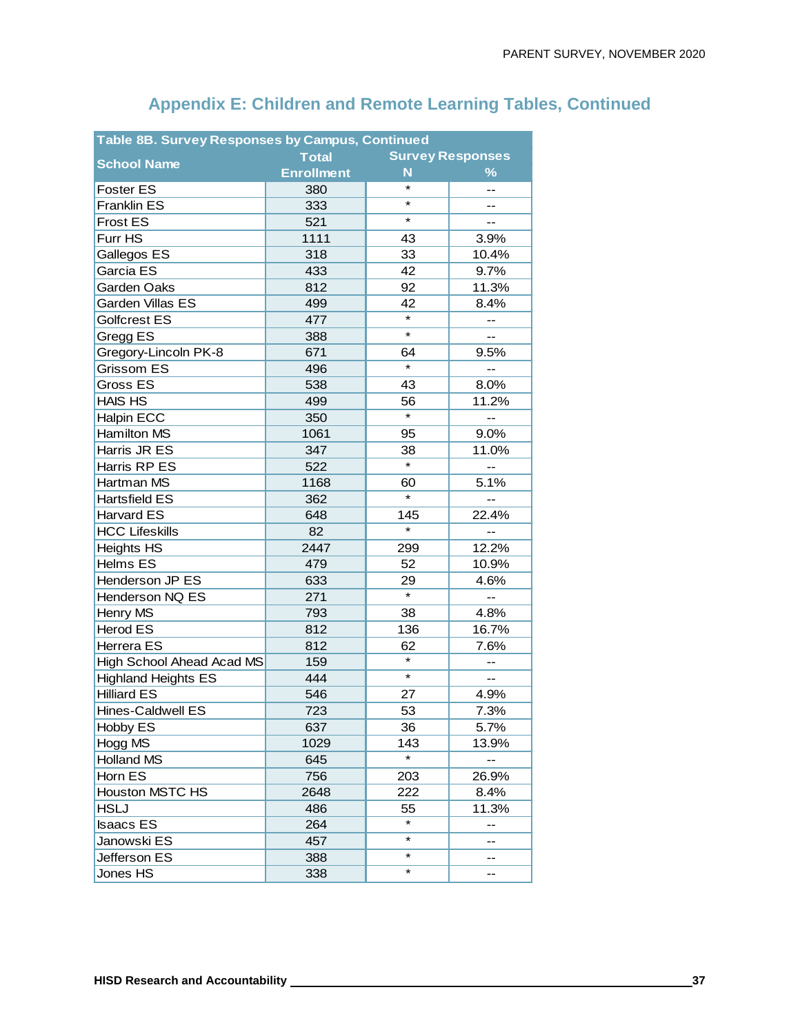| <b>Table 8B. Survey Responses by Campus, Continued</b> |                   |         |                          |  |  |  |  |  |  |
|--------------------------------------------------------|-------------------|---------|--------------------------|--|--|--|--|--|--|
|                                                        | <b>Total</b>      |         | <b>Survey Responses</b>  |  |  |  |  |  |  |
| <b>School Name</b>                                     | <b>Enrollment</b> | N       | $\%$                     |  |  |  |  |  |  |
| <b>Foster ES</b>                                       | 380               | *       | --                       |  |  |  |  |  |  |
| <b>Franklin ES</b>                                     | 333               | *       | $-$                      |  |  |  |  |  |  |
| <b>Frost ES</b>                                        | 521               | *       | --                       |  |  |  |  |  |  |
| Furr HS                                                | 1111              | 43      | 3.9%                     |  |  |  |  |  |  |
| Gallegos ES                                            | 318               | 33      | 10.4%                    |  |  |  |  |  |  |
| Garcia ES                                              | 433               | 42      | 9.7%                     |  |  |  |  |  |  |
| Garden Oaks                                            | 812               | 92      | 11.3%                    |  |  |  |  |  |  |
| Garden Villas ES                                       | 499               | 42      | 8.4%                     |  |  |  |  |  |  |
| Golfcrest ES                                           | 477               | $\star$ | --                       |  |  |  |  |  |  |
| Gregg ES                                               | 388               | $\star$ | --                       |  |  |  |  |  |  |
| Gregory-Lincoln PK-8                                   | 671               | 64      | 9.5%                     |  |  |  |  |  |  |
| Grissom ES                                             | 496               | $\star$ | --                       |  |  |  |  |  |  |
| Gross ES                                               | 538               | 43      | 8.0%                     |  |  |  |  |  |  |
| <b>HAIS HS</b>                                         | 499               | 56      | 11.2%                    |  |  |  |  |  |  |
| <b>Halpin ECC</b>                                      | 350               | $\star$ | --                       |  |  |  |  |  |  |
| Hamilton MS                                            | 1061              | 95      | 9.0%                     |  |  |  |  |  |  |
| Harris JR ES                                           | 347               | 38      | 11.0%                    |  |  |  |  |  |  |
| Harris RP ES                                           | 522               | $\star$ |                          |  |  |  |  |  |  |
| Hartman MS                                             | 1168              | 60      | 5.1%                     |  |  |  |  |  |  |
| <b>Hartsfield ES</b>                                   | 362               | $\star$ |                          |  |  |  |  |  |  |
| Harvard ES                                             | 648               | 145     | 22.4%                    |  |  |  |  |  |  |
| <b>HCC Lifeskills</b>                                  | 82                | $\star$ | $\overline{\phantom{a}}$ |  |  |  |  |  |  |
| <b>Heights HS</b>                                      | 2447              | 299     | 12.2%                    |  |  |  |  |  |  |
| Helms ES                                               | 479               | 52      | 10.9%                    |  |  |  |  |  |  |
| Henderson JP ES                                        | 633               | 29      | 4.6%                     |  |  |  |  |  |  |
| Henderson NQ ES                                        | 271               | $\star$ | $-$                      |  |  |  |  |  |  |
| Henry MS                                               | 793               | 38      | 4.8%                     |  |  |  |  |  |  |
| <b>Herod ES</b>                                        | 812               | 136     | 16.7%                    |  |  |  |  |  |  |
| Herrera ES                                             | 812               | 62      | 7.6%                     |  |  |  |  |  |  |
| High School Ahead Acad MS                              | 159               | $\star$ |                          |  |  |  |  |  |  |
| <b>Highland Heights ES</b>                             | 444               | $\star$ | $\qquad \qquad -$        |  |  |  |  |  |  |
| <b>Hilliard ES</b>                                     | 546               | 27      | 4.9%                     |  |  |  |  |  |  |
| Hines-Caldwell ES                                      | 723               | 53      | 7.3%                     |  |  |  |  |  |  |
| Hobby ES                                               | 637               | 36      | 5.7%                     |  |  |  |  |  |  |
| Hogg MS                                                | 1029              | 143     | 13.9%                    |  |  |  |  |  |  |
| <b>Holland MS</b>                                      | 645               | *       |                          |  |  |  |  |  |  |
| Horn ES                                                | 756               | 203     | 26.9%                    |  |  |  |  |  |  |
| <b>Houston MSTC HS</b>                                 | 2648              | 222     | 8.4%                     |  |  |  |  |  |  |
| <b>HSLJ</b>                                            | 486               | 55      | 11.3%                    |  |  |  |  |  |  |
| <b>Isaacs ES</b>                                       | 264               | $\star$ | --                       |  |  |  |  |  |  |
| Janowski ES                                            | 457               | *       | --                       |  |  |  |  |  |  |
| Jefferson ES                                           | 388               | ¥       |                          |  |  |  |  |  |  |
| Jones HS                                               | 338               | *       |                          |  |  |  |  |  |  |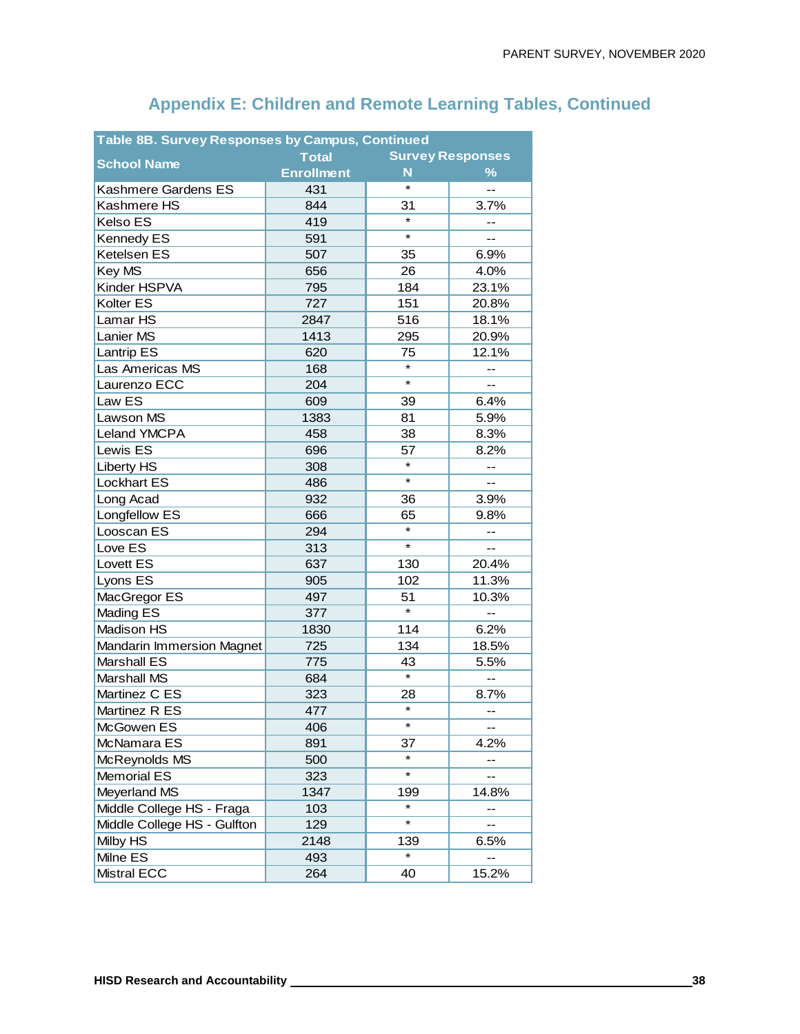| Table 8B. Survey Responses by Campus, Continued |                   |         |                          |  |  |  |  |  |  |
|-------------------------------------------------|-------------------|---------|--------------------------|--|--|--|--|--|--|
| <b>School Name</b>                              | <b>Total</b>      |         | <b>Survey Responses</b>  |  |  |  |  |  |  |
|                                                 | <b>Enrollment</b> | N       | $\frac{9}{6}$            |  |  |  |  |  |  |
| Kashmere Gardens ES                             | 431               | $\star$ | LL.                      |  |  |  |  |  |  |
| Kashmere HS                                     | 844               | 31      | 3.7%                     |  |  |  |  |  |  |
| Kelso ES                                        | 419               | $\star$ |                          |  |  |  |  |  |  |
| Kennedy ES                                      | 591               | *       | $-$                      |  |  |  |  |  |  |
| Ketelsen ES                                     | 507               | 35      | 6.9%                     |  |  |  |  |  |  |
| Key MS                                          | 656               | 26      | 4.0%                     |  |  |  |  |  |  |
| Kinder HSPVA                                    | 795               | 184     | 23.1%                    |  |  |  |  |  |  |
| Kolter ES                                       | 727               | 151     | 20.8%                    |  |  |  |  |  |  |
| Lamar HS                                        | 2847              | 516     | 18.1%                    |  |  |  |  |  |  |
| Lanier MS                                       | 1413              | 295     | 20.9%                    |  |  |  |  |  |  |
| Lantrip ES                                      | 620               | 75      | 12.1%                    |  |  |  |  |  |  |
| Las Americas MS                                 | 168               | $\star$ | $-$                      |  |  |  |  |  |  |
| Laurenzo ECC                                    | 204               | ¥       |                          |  |  |  |  |  |  |
| Law ES                                          | 609               | 39      | 6.4%                     |  |  |  |  |  |  |
| Lawson MS                                       | 1383              | 81      | 5.9%                     |  |  |  |  |  |  |
| Leland YMCPA                                    | 458               | 38      | 8.3%                     |  |  |  |  |  |  |
| Lewis ES                                        | 696               | 57      | 8.2%                     |  |  |  |  |  |  |
| <b>Liberty HS</b>                               | 308               | $\star$ | --                       |  |  |  |  |  |  |
| <b>Lockhart ES</b>                              | 486               | $\star$ | $\overline{a}$           |  |  |  |  |  |  |
| Long Acad                                       | 932               | 36      | 3.9%                     |  |  |  |  |  |  |
| Longfellow ES                                   | 666               | 65      | 9.8%                     |  |  |  |  |  |  |
| Looscan ES                                      | 294               | $\star$ | $\overline{\phantom{a}}$ |  |  |  |  |  |  |
| Love ES                                         | 313               | $\star$ | --                       |  |  |  |  |  |  |
| Lovett ES                                       | 637               | 130     | 20.4%                    |  |  |  |  |  |  |
| Lyons ES                                        | 905               | 102     | 11.3%                    |  |  |  |  |  |  |
| MacGregor ES                                    | 497               | 51      | 10.3%                    |  |  |  |  |  |  |
| Mading ES                                       | 377               | $\star$ | --                       |  |  |  |  |  |  |
| Madison HS                                      | 1830              | 114     | 6.2%                     |  |  |  |  |  |  |
| <b>Mandarin Immersion Magnet</b>                | 725               | 134     | 18.5%                    |  |  |  |  |  |  |
| Marshall ES                                     | 775               | 43      | 5.5%                     |  |  |  |  |  |  |
| Marshall MS                                     | 684               | $\star$ | --                       |  |  |  |  |  |  |
| Martinez C ES                                   | 323               | 28      | 8.7%                     |  |  |  |  |  |  |
| Martinez R ES                                   | 477               | $\star$ | --                       |  |  |  |  |  |  |
| McGowen ES                                      | 406               | *       |                          |  |  |  |  |  |  |
| McNamara ES                                     | 891               | 37      | 4.2%                     |  |  |  |  |  |  |
| McReynolds MS                                   | 500               | *       |                          |  |  |  |  |  |  |
| Memorial ES                                     | 323               | $\star$ | --                       |  |  |  |  |  |  |
| Meyerland MS                                    | 1347              | 199     | 14.8%                    |  |  |  |  |  |  |
| Middle College HS - Fraga                       | 103               | *       |                          |  |  |  |  |  |  |
| Middle College HS - Gulfton                     | 129               | ¥       | --                       |  |  |  |  |  |  |
| Milby HS                                        | 2148              | 139     | 6.5%                     |  |  |  |  |  |  |
| Milne ES                                        | 493               | $\star$ |                          |  |  |  |  |  |  |
| <b>Mistral ECC</b>                              | 264               | 40      | 15.2%                    |  |  |  |  |  |  |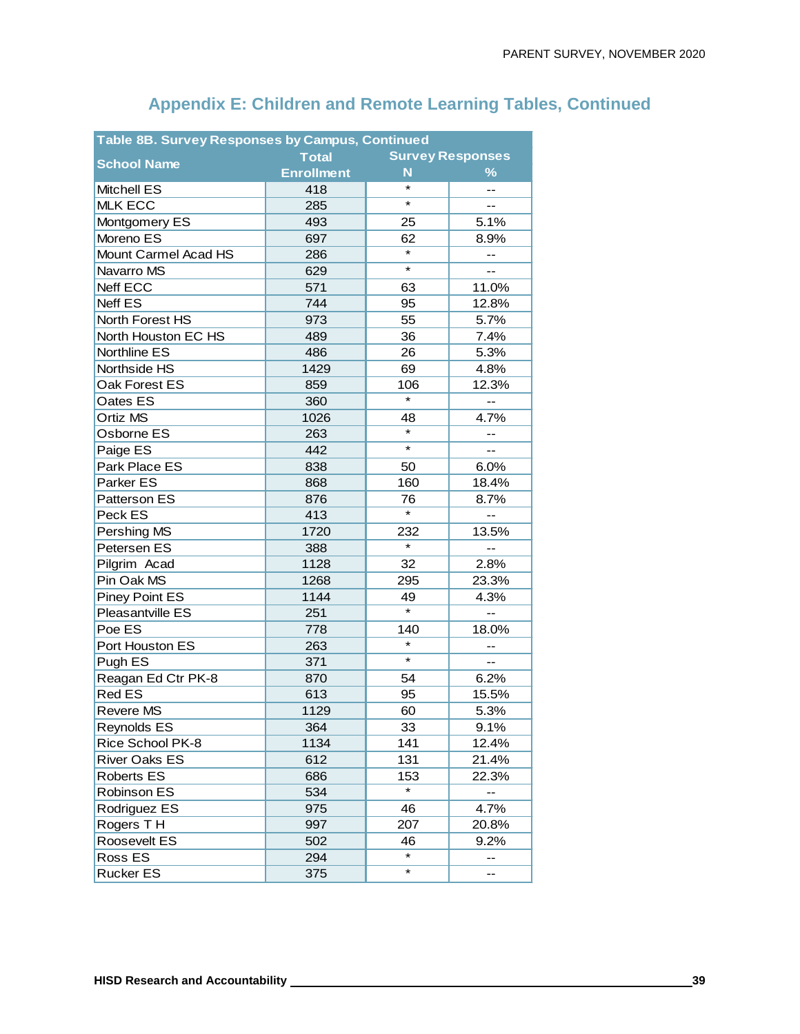| <b>Table 8B. Survey Responses by Campus, Continued</b> |                   |         |                          |  |  |  |  |  |  |
|--------------------------------------------------------|-------------------|---------|--------------------------|--|--|--|--|--|--|
|                                                        | <b>Total</b>      |         | <b>Survey Responses</b>  |  |  |  |  |  |  |
| <b>School Name</b>                                     | <b>Enrollment</b> | N       | $\%$                     |  |  |  |  |  |  |
| <b>Mitchell ES</b>                                     | 418               | $\star$ | --                       |  |  |  |  |  |  |
| <b>MLK ECC</b>                                         | 285               | *       | $-$                      |  |  |  |  |  |  |
| Montgomery ES                                          | 493               | 25      | 5.1%                     |  |  |  |  |  |  |
| Moreno ES                                              | 697               | 62      | 8.9%                     |  |  |  |  |  |  |
| Mount Carmel Acad HS                                   | 286               | $\star$ | --                       |  |  |  |  |  |  |
| Navarro MS                                             | 629               | ¥       |                          |  |  |  |  |  |  |
| Neff ECC                                               | 571               | 63      | 11.0%                    |  |  |  |  |  |  |
| Neff ES                                                | 744               | 95      | 12.8%                    |  |  |  |  |  |  |
| North Forest HS                                        | 973               | 55      | 5.7%                     |  |  |  |  |  |  |
| North Houston EC HS                                    | 489               | 36      | 7.4%                     |  |  |  |  |  |  |
| Northline ES                                           | 486               | 26      | 5.3%                     |  |  |  |  |  |  |
| Northside HS                                           | 1429              | 69      | 4.8%                     |  |  |  |  |  |  |
| Oak Forest ES                                          | 859               | 106     | 12.3%                    |  |  |  |  |  |  |
| Oates ES                                               | 360               | $\star$ | $-$                      |  |  |  |  |  |  |
| Ortiz MS                                               | 1026              | 48      | 4.7%                     |  |  |  |  |  |  |
| Osborne ES                                             | 263               | $\star$ |                          |  |  |  |  |  |  |
| Paige ES                                               | 442               | $\star$ | --                       |  |  |  |  |  |  |
| Park Place ES                                          | 838               | 50      | 6.0%                     |  |  |  |  |  |  |
| Parker ES                                              | 868               | 160     | 18.4%                    |  |  |  |  |  |  |
| Patterson ES                                           | 876               | 76      | 8.7%                     |  |  |  |  |  |  |
| Peck ES                                                | 413               | $\star$ |                          |  |  |  |  |  |  |
| Pershing MS                                            | 1720              | 232     | 13.5%                    |  |  |  |  |  |  |
| Petersen ES                                            | 388               | $\star$ | --                       |  |  |  |  |  |  |
| Pilgrim Acad                                           | 1128              | 32      | 2.8%                     |  |  |  |  |  |  |
| Pin Oak MS                                             | 1268              | 295     | 23.3%                    |  |  |  |  |  |  |
| Piney Point ES                                         | 1144              | 49      | 4.3%                     |  |  |  |  |  |  |
| Pleasantville ES                                       | 251               | $\star$ | $\overline{\phantom{a}}$ |  |  |  |  |  |  |
| Poe ES                                                 | 778               | 140     | 18.0%                    |  |  |  |  |  |  |
| Port Houston ES                                        | 263               | $\star$ |                          |  |  |  |  |  |  |
| Pugh ES                                                | 371               | $\star$ | $-$                      |  |  |  |  |  |  |
| Reagan Ed Ctr PK-8                                     | 870               | 54      | 6.2%                     |  |  |  |  |  |  |
| <b>Red ES</b>                                          | 613               | 95      | 15.5%                    |  |  |  |  |  |  |
| <b>Revere MS</b>                                       | 1129              | 60      | 5.3%                     |  |  |  |  |  |  |
| Reynolds ES                                            | 364               | 33      | 9.1%                     |  |  |  |  |  |  |
| Rice School PK-8                                       | 1134              | 141     | 12.4%                    |  |  |  |  |  |  |
| <b>River Oaks ES</b>                                   | 612               | 131     | 21.4%                    |  |  |  |  |  |  |
| <b>Roberts ES</b>                                      | 686               | 153     | 22.3%                    |  |  |  |  |  |  |
| Robinson ES                                            | 534               | $\star$ |                          |  |  |  |  |  |  |
| Rodriguez ES                                           | 975               | 46      | 4.7%                     |  |  |  |  |  |  |
| Rogers TH                                              | 997               | 207     | 20.8%                    |  |  |  |  |  |  |
| Roosevelt ES                                           | 502               | 46      | 9.2%                     |  |  |  |  |  |  |
| Ross ES                                                | 294               | ¥       | --                       |  |  |  |  |  |  |
| Rucker ES                                              | 375               | *       |                          |  |  |  |  |  |  |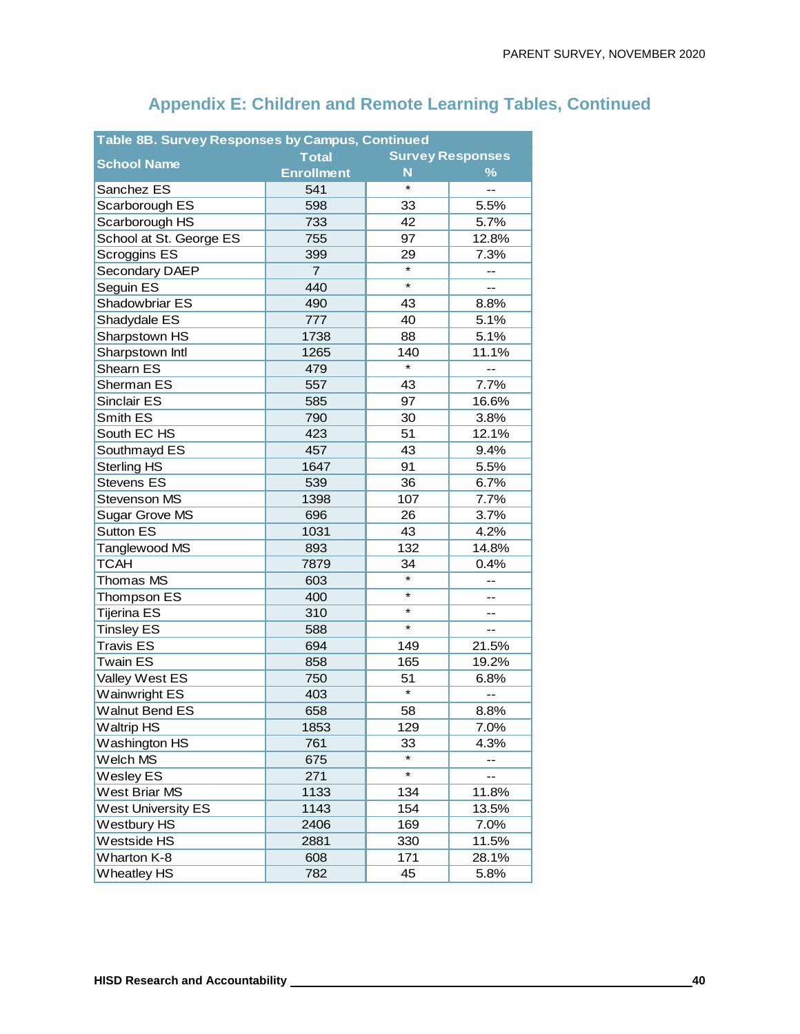| <b>Table 8B. Survey Responses by Campus, Continued</b> |                   |                   |                         |  |  |  |  |  |  |
|--------------------------------------------------------|-------------------|-------------------|-------------------------|--|--|--|--|--|--|
|                                                        | <b>Total</b>      |                   | <b>Survey Responses</b> |  |  |  |  |  |  |
| <b>School Name</b>                                     | <b>Enrollment</b> | N                 | $\%$                    |  |  |  |  |  |  |
| Sanchez ES                                             | 541               | $\star$           | --                      |  |  |  |  |  |  |
| Scarborough ES                                         | 598               | 33                | 5.5%                    |  |  |  |  |  |  |
| Scarborough HS                                         | 733               | 42                | 5.7%                    |  |  |  |  |  |  |
| School at St. George ES                                | 755               | 97                | 12.8%                   |  |  |  |  |  |  |
| Scroggins ES                                           | 399               | 29                | 7.3%                    |  |  |  |  |  |  |
| <b>Secondary DAEP</b>                                  | $\overline{7}$    | $\star$           | --                      |  |  |  |  |  |  |
| Seguin ES                                              | 440               | $\star$           |                         |  |  |  |  |  |  |
| Shadowbriar ES                                         | 490               | 43                | 8.8%                    |  |  |  |  |  |  |
| Shadydale ES                                           | 777               | 40                | 5.1%                    |  |  |  |  |  |  |
| Sharpstown HS                                          | 1738              | 88                | 5.1%                    |  |  |  |  |  |  |
| Sharpstown Intl                                        | 1265              | 140               | 11.1%                   |  |  |  |  |  |  |
| Shearn ES                                              | 479               | $\star$           |                         |  |  |  |  |  |  |
| Sherman ES                                             | 557               | 43                | 7.7%                    |  |  |  |  |  |  |
| <b>Sinclair ES</b>                                     | 585               | 97                | 16.6%                   |  |  |  |  |  |  |
| Smith ES                                               | 790               | 30                | 3.8%                    |  |  |  |  |  |  |
| South EC HS                                            | 423               | 51                | 12.1%                   |  |  |  |  |  |  |
| Southmayd ES                                           | 457               | 43                | 9.4%                    |  |  |  |  |  |  |
| <b>Sterling HS</b>                                     | 1647              | 91                | 5.5%                    |  |  |  |  |  |  |
| <b>Stevens ES</b>                                      | 539               | 36                | 6.7%                    |  |  |  |  |  |  |
| Stevenson MS                                           | 1398              | 107               | 7.7%                    |  |  |  |  |  |  |
| Sugar Grove MS                                         | 696               | 26                | 3.7%                    |  |  |  |  |  |  |
| <b>Sutton ES</b>                                       | 1031              | 43                | 4.2%                    |  |  |  |  |  |  |
| Tanglewood MS                                          | 893               | 132               | 14.8%                   |  |  |  |  |  |  |
| <b>TCAH</b>                                            | 7879              | 34                | 0.4%                    |  |  |  |  |  |  |
| Thomas MS                                              | 603               | $\star$           | --                      |  |  |  |  |  |  |
| Thompson ES                                            | 400               | $\star$           | --                      |  |  |  |  |  |  |
| Tijerina ES                                            | 310               | $\star$           | --                      |  |  |  |  |  |  |
| <b>Tinsley ES</b>                                      | 588               | $\star$           | --                      |  |  |  |  |  |  |
| <b>Travis ES</b>                                       | 694               | 149               | 21.5%                   |  |  |  |  |  |  |
| <b>Twain ES</b>                                        | 858               | 165               | 19.2%                   |  |  |  |  |  |  |
| Valley West ES                                         | 750               | 51                | 6.8%                    |  |  |  |  |  |  |
| <b>Wainwright ES</b>                                   | 403               | $\overline{\ast}$ |                         |  |  |  |  |  |  |
| <b>Walnut Bend ES</b>                                  | 658               | 58                | 8.8%                    |  |  |  |  |  |  |
| <b>Waltrip HS</b>                                      | 1853              | 129               | 7.0%                    |  |  |  |  |  |  |
| Washington HS                                          | 761               | 33                | 4.3%                    |  |  |  |  |  |  |
| Welch MS                                               | 675               |                   | --                      |  |  |  |  |  |  |
| Wesley ES                                              | 271               | $\star$           |                         |  |  |  |  |  |  |
| West Briar MS                                          | 1133              | 134               | 11.8%                   |  |  |  |  |  |  |
| <b>West University ES</b>                              | 1143              | 154               | 13.5%                   |  |  |  |  |  |  |
| Westbury HS                                            | 2406              | 169               | 7.0%                    |  |  |  |  |  |  |
| Westside HS                                            | 2881              | 330               | 11.5%                   |  |  |  |  |  |  |
| Wharton K-8                                            | 608               | 171               | 28.1%                   |  |  |  |  |  |  |
| <b>Wheatley HS</b>                                     | 782               | 45                | 5.8%                    |  |  |  |  |  |  |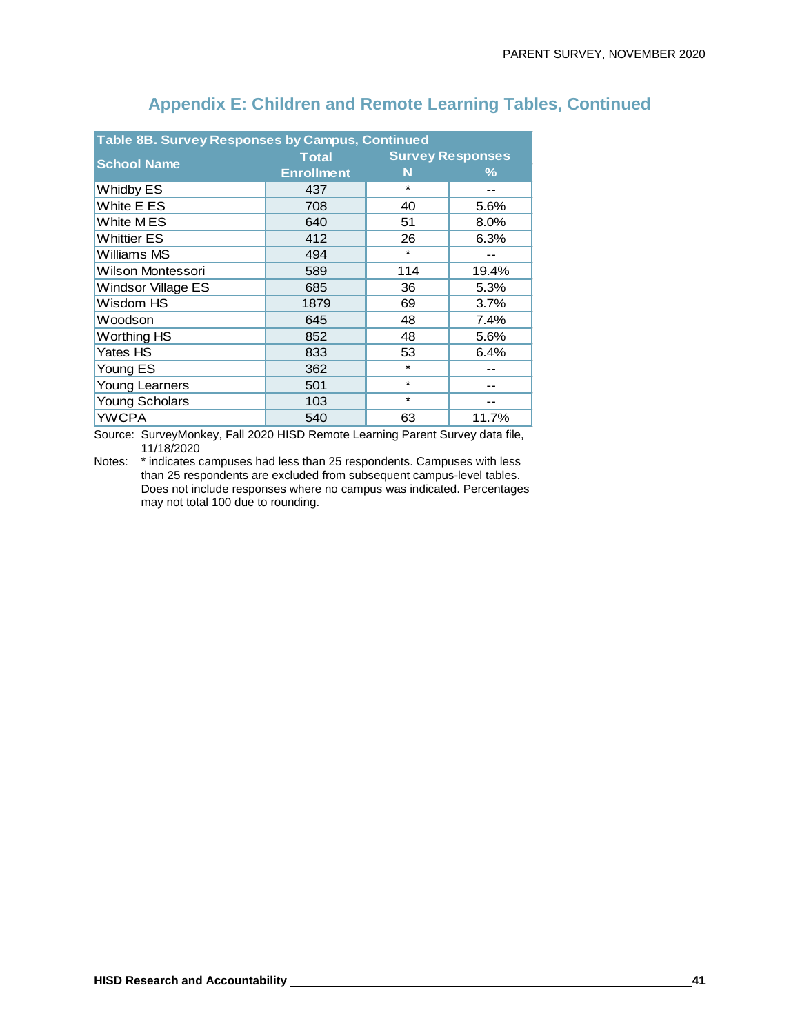| <b>Table 8B. Survey Responses by Campus, Continued</b> |                   |                         |         |  |  |  |  |  |  |
|--------------------------------------------------------|-------------------|-------------------------|---------|--|--|--|--|--|--|
| <b>School Name</b>                                     | <b>Total</b>      | <b>Survey Responses</b> |         |  |  |  |  |  |  |
|                                                        | <b>Enrollment</b> | N                       | ℅       |  |  |  |  |  |  |
| <b>Whidby ES</b>                                       | 437               | $\star$                 | --      |  |  |  |  |  |  |
| White E ES                                             | 708               | 40                      | 5.6%    |  |  |  |  |  |  |
| White MES                                              | 640               | 51                      | $8.0\%$ |  |  |  |  |  |  |
| Whittier ES                                            | 412               | 26                      | 6.3%    |  |  |  |  |  |  |
| Williams MS                                            | 494               | $\star$                 |         |  |  |  |  |  |  |
| Wilson Montessori                                      | 589               | 114                     | 19.4%   |  |  |  |  |  |  |
| Windsor Village ES                                     | 685               | 36                      | 5.3%    |  |  |  |  |  |  |
| Wisdom HS                                              | 1879              | 69                      | 3.7%    |  |  |  |  |  |  |
| Woodson                                                | 645               | 48                      | 7.4%    |  |  |  |  |  |  |
| <b>Worthing HS</b>                                     | 852               | 48                      | 5.6%    |  |  |  |  |  |  |
| Yates HS                                               | 833               | 53                      | 6.4%    |  |  |  |  |  |  |
| Young ES                                               | 362               | $\star$                 |         |  |  |  |  |  |  |
| <b>Young Learners</b>                                  | 501               | $\star$                 |         |  |  |  |  |  |  |
| <b>Young Scholars</b>                                  | 103               | $\star$                 | --      |  |  |  |  |  |  |
| <b>YWCPA</b>                                           | 540               | 63                      | 11.7%   |  |  |  |  |  |  |

Source: SurveyMonkey, Fall 2020 HISD Remote Learning Parent Survey data file, 11/18/2020

Notes: \* indicates campuses had less than 25 respondents. Campuses with less than 25 respondents are excluded from subsequent campus-level tables. Does not include responses where no campus was indicated. Percentages may not total 100 due to rounding.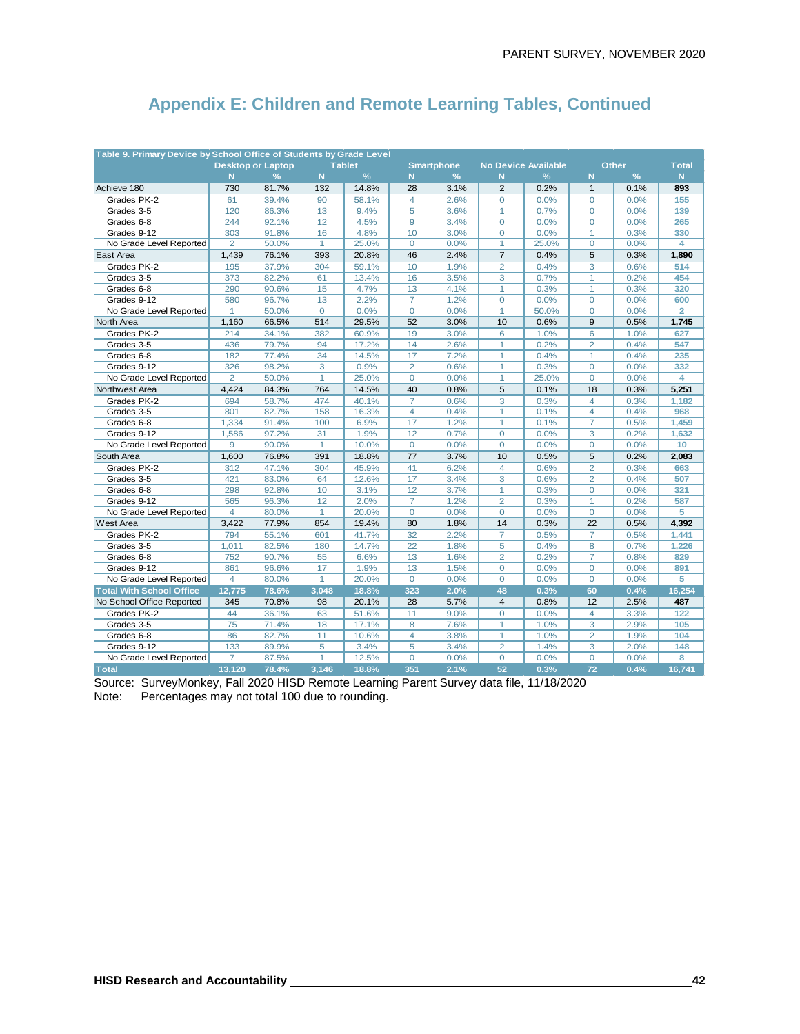| Table 9. Primary Device by School Office of Students by Grade Level |                |                          |                |               |                |                   |                |                            |                |               |                 |
|---------------------------------------------------------------------|----------------|--------------------------|----------------|---------------|----------------|-------------------|----------------|----------------------------|----------------|---------------|-----------------|
|                                                                     |                | <b>Desktop or Laptop</b> |                | <b>Tablet</b> |                | <b>Smartphone</b> |                | <b>No Device Available</b> |                | Other         | <b>Total</b>    |
|                                                                     | N              | %                        | N.             | $\frac{9}{6}$ | N              | $\frac{9}{6}$     | N              | %                          | N              | $\frac{9}{6}$ | N.              |
| Achieve 180                                                         | 730            | 81.7%                    | 132            | 14.8%         | 28             | 3.1%              | $\overline{2}$ | 0.2%                       | $\mathbf{1}$   | 0.1%          | 893             |
| Grades PK-2                                                         | 61             | 39.4%                    | 90             | 58.1%         | $\overline{4}$ | 2.6%              | 0              | 0.0%                       | $\overline{0}$ | 0.0%          | 155             |
| Grades 3-5                                                          | 120            | 86.3%                    | 13             | 9.4%          | 5              | 3.6%              | 1              | 0.7%                       | $\Omega$       | 0.0%          | 139             |
| Grades 6-8                                                          | 244            | 92.1%                    | 12             | 4.5%          | 9              | 3.4%              | $\overline{0}$ | 0.0%                       | 0              | 0.0%          | 265             |
| Grades 9-12                                                         | 303            | 91.8%                    | 16             | 4.8%          | 10             | 3.0%              | 0              | 0.0%                       | $\mathbf{1}$   | 0.3%          | 330             |
| No Grade Level Reported                                             | $\overline{2}$ | 50.0%                    | $\mathbf{1}$   | 25.0%         | $\mathbf{0}$   | 0.0%              | $\mathbf{1}$   | 25.0%                      | 0              | 0.0%          | 4               |
| East Area                                                           | 1,439          | 76.1%                    | 393            | 20.8%         | 46             | 2.4%              | $\overline{7}$ | 0.4%                       | 5              | 0.3%          | 1,890           |
| Grades PK-2                                                         | 195            | 37.9%                    | 304            | 59.1%         | 10             | 1.9%              | $\overline{2}$ | 0.4%                       | 3              | 0.6%          | 514             |
| Grades 3-5                                                          | 373            | 82.2%                    | 61             | 13.4%         | 16             | 3.5%              | 3              | 0.7%                       | $\mathbf{1}$   | 0.2%          | 454             |
| Grades 6-8                                                          | 290            | 90.6%                    | 15             | 4.7%          | 13             | 4.1%              | $\mathbf{1}$   | 0.3%                       | $\mathbf{1}$   | 0.3%          | 320             |
| Grades 9-12                                                         | 580            | 96.7%                    | 13             | 2.2%          | $\overline{7}$ | 1.2%              | 0              | 0.0%                       | $\overline{0}$ | 0.0%          | 600             |
| No Grade Level Reported                                             | $\mathbf{1}$   | 50.0%                    | $\mathbf 0$    | 0.0%          | $\Omega$       | 0.0%              | $\mathbf{1}$   | 50.0%                      | $\Omega$       | 0.0%          | $\overline{2}$  |
| North Area                                                          | 1,160          | 66.5%                    | 514            | 29.5%         | 52             | 3.0%              | 10             | 0.6%                       | 9              | 0.5%          | 1,745           |
| Grades PK-2                                                         | 214            | 34.1%                    | 382            | 60.9%         | 19             | 3.0%              | 6              | 1.0%                       | 6              | 1.0%          | 627             |
| Grades 3-5                                                          | 436            | 79.7%                    | 94             | 17.2%         | 14             | 2.6%              | $\mathbf{1}$   | 0.2%                       | $\overline{2}$ | 0.4%          | 547             |
| Grades 6-8                                                          | 182            | 77.4%                    | 34             | 14.5%         | 17             | 7.2%              | $\mathbf{1}$   | 0.4%                       | 1              | 0.4%          | 235             |
| Grades 9-12                                                         | 326            | 98.2%                    | 3              | 0.9%          | $\overline{2}$ | 0.6%              | $\mathbf{1}$   | 0.3%                       | $\Omega$       | 0.0%          | 332             |
| No Grade Level Reported                                             | $\overline{2}$ | 50.0%                    | 1              | 25.0%         | $\mathbf{O}$   | 0.0%              | 1              | 25.0%                      | $\overline{0}$ | 0.0%          | 4               |
| Northwest Area                                                      | 4.424          | 84.3%                    | 764            | 14.5%         | 40             | 0.8%              | 5              | 0.1%                       | 18             | 0.3%          | 5,251           |
| Grades PK-2                                                         | 694            | 58.7%                    | 474            | 40.1%         | $\overline{7}$ | 0.6%              | 3              | 0.3%                       | 4              | 0.3%          | 1.182           |
| Grades 3-5                                                          | 801            | 82.7%                    | 158            | 16.3%         | $\overline{4}$ | 0.4%              | $\mathbf{1}$   | 0.1%                       | $\overline{4}$ | 0.4%          | 968             |
| Grades 6-8                                                          | 1,334          | 91.4%                    | 100            | 6.9%          | 17             | 1.2%              | $\mathbf{1}$   | 0.1%                       | $\overline{7}$ | 0.5%          | 1,459           |
| Grades 9-12                                                         | 1,586          | 97.2%                    | 31             | 1.9%          | 12             | 0.7%              | $\overline{0}$ | 0.0%                       | 3              | 0.2%          | 1,632           |
| No Grade Level Reported                                             | 9              | 90.0%                    | $\mathbf{1}$   | 10.0%         | $\mathbf{0}$   | 0.0%              | 0              | 0.0%                       | 0              | 0.0%          | 10 <sup>1</sup> |
| South Area                                                          | 1,600          | 76.8%                    | 391            | 18.8%         | 77             | 3.7%              | 10             | 0.5%                       | 5              | 0.2%          | 2,083           |
| Grades PK-2                                                         | 312            | 47.1%                    | 304            | 45.9%         | 41             | 6.2%              | $\overline{4}$ | 0.6%                       | $\overline{2}$ | 0.3%          | 663             |
| Grades 3-5                                                          | 421            | 83.0%                    | 64             | 12.6%         | 17             | 3.4%              | 3              | 0.6%                       | $\overline{2}$ | 0.4%          | 507             |
| Grades 6-8                                                          | 298            | 92.8%                    | 10             | 3.1%          | 12             | 3.7%              | 1              | 0.3%                       | $\Omega$       | 0.0%          | 321             |
| Grades 9-12                                                         | 565            | 96.3%                    | 12             | 2.0%          | $\overline{7}$ | 1.2%              | $\overline{2}$ | 0.3%                       | 1              | 0.2%          | 587             |
| No Grade Level Reported                                             | 4              | 80.0%                    | 1              | 20.0%         | $\mathbf{O}$   | 0.0%              | $\overline{O}$ | 0.0%                       | $\overline{0}$ | 0.0%          | 5               |
| <b>West Area</b>                                                    | 3,422          | 77.9%                    | 854            | 19.4%         | 80             | 1.8%              | 14             | 0.3%                       | 22             | 0.5%          | 4,392           |
| Grades PK-2                                                         | 794            | 55.1%                    | 601            | 41.7%         | 32             | 2.2%              | $\overline{7}$ | 0.5%                       | $\overline{7}$ | 0.5%          | 1,441           |
| Grades 3-5                                                          | 1,011          | 82.5%                    | 180            | 14.7%         | 22             | 1.8%              | 5              | 0.4%                       | 8              | 0.7%          | 1,226           |
| Grades 6-8                                                          | 752            | 90.7%                    | 55             | 6.6%          | 13             | 1.6%              | $\overline{2}$ | 0.2%                       | $\overline{7}$ | 0.8%          | 829             |
| Grades 9-12                                                         | 861            | 96.6%                    | 17             | 1.9%          | 13             | 1.5%              | $\overline{O}$ | 0.0%                       | $\overline{0}$ | 0.0%          | 891             |
| No Grade Level Reported                                             | 4              | 80.0%                    | 1              | 20.0%         | $\mathbf{O}$   | 0.0%              | 0              | 0.0%                       | $\mathbf{O}$   | 0.0%          | 5               |
| <b>Total With School Office</b>                                     | 12,775         | 78.6%                    | 3,048          | 18.8%         | 323            | 2.0%              | 48             | 0.3%                       | 60             | 0.4%          | 16,254          |
| No School Office Reported                                           | 345            | 70.8%                    | 98             | 20.1%         | 28             | 5.7%              | $\overline{4}$ | 0.8%                       | 12             | 2.5%          | 487             |
| Grades PK-2                                                         | 44             | 36.1%                    | 63             | 51.6%         | 11             | 9.0%              | $\mathbf{O}$   | 0.0%                       | $\overline{4}$ | 3.3%          | 122             |
| Grades 3-5                                                          | 75             | 71.4%                    | 18             | 17.1%         | 8              | 7.6%              | $\mathbf{1}$   | 1.0%                       | 3              | 2.9%          | 105             |
| Grades 6-8                                                          | 86             | 82.7%                    | 11             | 10.6%         | $\overline{4}$ | 3.8%              | $\mathbf{1}$   | 1.0%                       | $\overline{2}$ | 1.9%          | 104             |
| Grades 9-12                                                         | 133            | 89.9%                    | $\overline{5}$ | 3.4%          | 5              | 3.4%              | $\overline{2}$ | 1.4%                       | 3              | 2.0%          | 148             |
| No Grade Level Reported                                             | $\overline{7}$ | 87.5%                    | 1              | 12.5%         | $\mathbf 0$    | 0.0%              | $\mathbf{O}$   | 0.0%                       | $\overline{0}$ | 0.0%          | 8               |
| <b>Total</b>                                                        | 13,120         | 78.4%                    | 3.146          | 18.8%         | 351            | 2.1%              | 52             | 0.3%                       | 72             | 0.4%          | 16,741          |

Source: SurveyMonkey, Fall 2020 HISD Remote Learning Parent Survey data file, 11/18/2020 Note: Percentages may not total 100 due to rounding.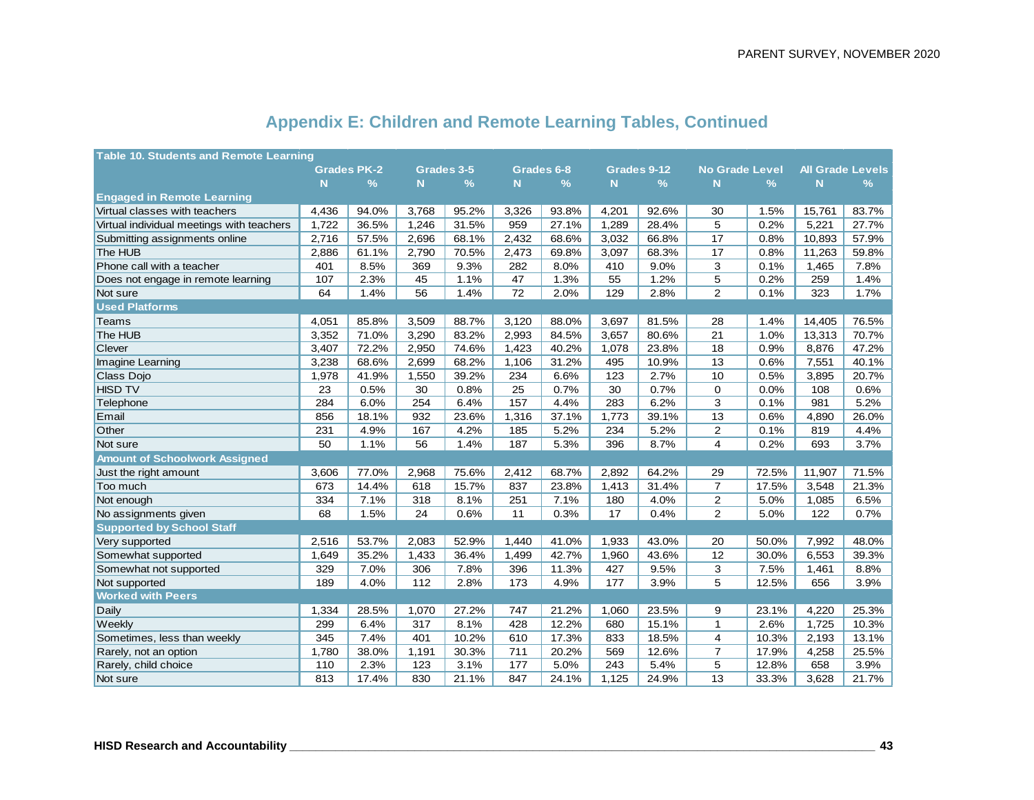| <b>Table 10. Students and Remote Learning</b> |       |                    |          |               |       |               |          |               |                       |               |                         |               |
|-----------------------------------------------|-------|--------------------|----------|---------------|-------|---------------|----------|---------------|-----------------------|---------------|-------------------------|---------------|
|                                               |       | <b>Grades PK-2</b> |          | Grades 3-5    |       | Grades 6-8    |          | Grades 9-12   | <b>No Grade Level</b> |               | <b>All Grade Levels</b> |               |
|                                               | N     | $\frac{9}{6}$      | <b>N</b> | $\frac{9}{6}$ | N.    | $\frac{9}{6}$ | <b>N</b> | $\frac{9}{6}$ | N                     | $\frac{9}{6}$ | N                       | $\frac{9}{6}$ |
| <b>Engaged in Remote Learning</b>             |       |                    |          |               |       |               |          |               |                       |               |                         |               |
| Virtual classes with teachers                 | 4,436 | 94.0%              | 3,768    | 95.2%         | 3,326 | 93.8%         | 4,201    | 92.6%         | 30                    | 1.5%          | 15,761                  | 83.7%         |
| Virtual individual meetings with teachers     | 1,722 | 36.5%              | 1,246    | 31.5%         | 959   | 27.1%         | 1,289    | 28.4%         | 5                     | 0.2%          | 5,221                   | 27.7%         |
| Submitting assignments online                 | 2,716 | 57.5%              | 2,696    | 68.1%         | 2,432 | 68.6%         | 3,032    | 66.8%         | 17                    | 0.8%          | 10,893                  | 57.9%         |
| The HUB                                       | 2,886 | 61.1%              | 2,790    | 70.5%         | 2,473 | 69.8%         | 3,097    | 68.3%         | 17                    | 0.8%          | 11,263                  | 59.8%         |
| Phone call with a teacher                     | 401   | 8.5%               | 369      | 9.3%          | 282   | 8.0%          | 410      | 9.0%          | 3                     | 0.1%          | 1,465                   | 7.8%          |
| Does not engage in remote learning            | 107   | 2.3%               | 45       | 1.1%          | 47    | 1.3%          | 55       | 1.2%          | 5                     | 0.2%          | 259                     | 1.4%          |
| Not sure                                      | 64    | 1.4%               | 56       | 1.4%          | 72    | 2.0%          | 129      | 2.8%          | $\overline{2}$        | 0.1%          | 323                     | 1.7%          |
| <b>Used Platforms</b>                         |       |                    |          |               |       |               |          |               |                       |               |                         |               |
| Teams                                         | 4,051 | 85.8%              | 3,509    | 88.7%         | 3,120 | 88.0%         | 3,697    | 81.5%         | 28                    | 1.4%          | 14,405                  | 76.5%         |
| The HUB                                       | 3,352 | 71.0%              | 3,290    | 83.2%         | 2,993 | 84.5%         | 3,657    | 80.6%         | 21                    | 1.0%          | 13,313                  | 70.7%         |
| Clever                                        | 3,407 | 72.2%              | 2,950    | 74.6%         | 1,423 | 40.2%         | 1,078    | 23.8%         | 18                    | 0.9%          | 8,876                   | 47.2%         |
| Imagine Learning                              | 3,238 | 68.6%              | 2,699    | 68.2%         | 1,106 | 31.2%         | 495      | 10.9%         | 13                    | 0.6%          | 7,551                   | 40.1%         |
| Class Dojo                                    | 1,978 | 41.9%              | 1,550    | 39.2%         | 234   | 6.6%          | 123      | 2.7%          | 10                    | 0.5%          | 3,895                   | 20.7%         |
| <b>HISD TV</b>                                | 23    | 0.5%               | 30       | 0.8%          | 25    | 0.7%          | 30       | 0.7%          | 0                     | 0.0%          | 108                     | 0.6%          |
| Telephone                                     | 284   | 6.0%               | 254      | 6.4%          | 157   | 4.4%          | 283      | 6.2%          | 3                     | 0.1%          | 981                     | 5.2%          |
| Email                                         | 856   | 18.1%              | 932      | 23.6%         | 1,316 | 37.1%         | 1,773    | 39.1%         | 13                    | 0.6%          | 4,890                   | 26.0%         |
| Other                                         | 231   | 4.9%               | 167      | 4.2%          | 185   | 5.2%          | 234      | 5.2%          | 2                     | 0.1%          | 819                     | 4.4%          |
| Not sure                                      | 50    | 1.1%               | 56       | 1.4%          | 187   | 5.3%          | 396      | 8.7%          | $\overline{4}$        | 0.2%          | 693                     | 3.7%          |
| <b>Amount of Schoolwork Assigned</b>          |       |                    |          |               |       |               |          |               |                       |               |                         |               |
| Just the right amount                         | 3,606 | 77.0%              | 2,968    | 75.6%         | 2,412 | 68.7%         | 2,892    | 64.2%         | 29                    | 72.5%         | 11,907                  | 71.5%         |
| Too much                                      | 673   | 14.4%              | 618      | 15.7%         | 837   | 23.8%         | 1,413    | 31.4%         | $\overline{7}$        | 17.5%         | 3,548                   | 21.3%         |
| Not enough                                    | 334   | 7.1%               | 318      | 8.1%          | 251   | 7.1%          | 180      | 4.0%          | 2                     | 5.0%          | 1,085                   | 6.5%          |
| No assignments given                          | 68    | 1.5%               | 24       | 0.6%          | 11    | 0.3%          | 17       | 0.4%          | $\overline{2}$        | 5.0%          | 122                     | 0.7%          |
| <b>Supported by School Staff</b>              |       |                    |          |               |       |               |          |               |                       |               |                         |               |
| Very supported                                | 2,516 | 53.7%              | 2,083    | 52.9%         | 1,440 | 41.0%         | 1,933    | 43.0%         | 20                    | 50.0%         | 7,992                   | 48.0%         |
| Somewhat supported                            | 1,649 | 35.2%              | 1,433    | 36.4%         | 1,499 | 42.7%         | 1,960    | 43.6%         | 12                    | 30.0%         | 6,553                   | 39.3%         |
| Somewhat not supported                        | 329   | 7.0%               | 306      | 7.8%          | 396   | 11.3%         | 427      | 9.5%          | 3                     | 7.5%          | 1,461                   | 8.8%          |
| Not supported                                 | 189   | 4.0%               | 112      | 2.8%          | 173   | 4.9%          | 177      | 3.9%          | 5                     | 12.5%         | 656                     | 3.9%          |
| <b>Worked with Peers</b>                      |       |                    |          |               |       |               |          |               |                       |               |                         |               |
| Daily                                         | 1,334 | 28.5%              | 1,070    | 27.2%         | 747   | 21.2%         | 1,060    | 23.5%         | 9                     | 23.1%         | 4,220                   | 25.3%         |
| Weekly                                        | 299   | 6.4%               | 317      | 8.1%          | 428   | 12.2%         | 680      | 15.1%         | $\mathbf{1}$          | 2.6%          | 1,725                   | 10.3%         |
| Sometimes, less than weekly                   | 345   | 7.4%               | 401      | 10.2%         | 610   | 17.3%         | 833      | 18.5%         | 4                     | 10.3%         | 2,193                   | 13.1%         |
| Rarely, not an option                         | 1,780 | 38.0%              | 1,191    | 30.3%         | 711   | 20.2%         | 569      | 12.6%         | $\overline{7}$        | 17.9%         | 4,258                   | 25.5%         |
| Rarely, child choice                          | 110   | 2.3%               | 123      | 3.1%          | 177   | 5.0%          | 243      | 5.4%          | 5                     | 12.8%         | 658                     | 3.9%          |
| Not sure                                      | 813   | 17.4%              | 830      | 21.1%         | 847   | 24.1%         | 1,125    | 24.9%         | 13                    | 33.3%         | 3,628                   | 21.7%         |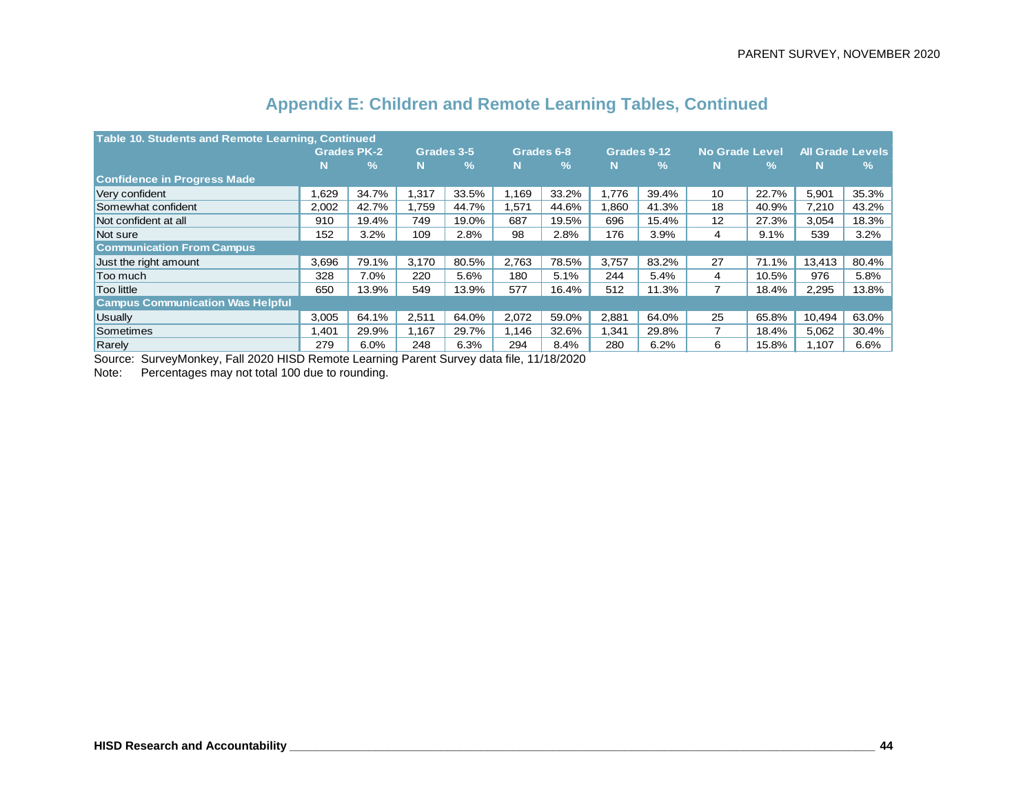| <b>Table 10. Students and Remote Learning, Continued</b> |                    |               |       |               |       |            |       |               |                       |               |                         |       |
|----------------------------------------------------------|--------------------|---------------|-------|---------------|-------|------------|-------|---------------|-----------------------|---------------|-------------------------|-------|
|                                                          | <b>Grades PK-2</b> |               |       | Grades 3-5    |       | Grades 6-8 |       | Grades 9-12   | <b>No Grade Level</b> |               | <b>All Grade Levels</b> |       |
|                                                          | N                  | $\frac{9}{6}$ | N     | $\frac{9}{6}$ | N     | %          | N     | $\mathcal{A}$ | N                     | $\frac{9}{6}$ | N                       | $\%$  |
| <b>Confidence in Progress Made</b>                       |                    |               |       |               |       |            |       |               |                       |               |                         |       |
| Very confident                                           | .629               | 34.7%         | 1,317 | 33.5%         | 1,169 | 33.2%      | 1.776 | 39.4%         | 10                    | 22.7%         | 5,901                   | 35.3% |
| Somewhat confident                                       | 2,002              | 42.7%         | 1.759 | 44.7%         | 1,571 | 44.6%      | 1,860 | 41.3%         | 18                    | 40.9%         | 7,210                   | 43.2% |
| Not confident at all                                     | 910                | 19.4%         | 749   | 19.0%         | 687   | 19.5%      | 696   | 15.4%         | 12                    | 27.3%         | 3,054                   | 18.3% |
| Not sure                                                 | 152                | 3.2%          | 109   | 2.8%          | 98    | 2.8%       | 176   | 3.9%          | 4                     | 9.1%          | 539                     | 3.2%  |
| <b>Communication From Campus</b>                         |                    |               |       |               |       |            |       |               |                       |               |                         |       |
| Just the right amount                                    | 3.696              | 79.1%         | 3.170 | 80.5%         | 2.763 | 78.5%      | 3.757 | 83.2%         | 27                    | 71.1%         | 13.413                  | 80.4% |
| Too much                                                 | 328                | 7.0%          | 220   | 5.6%          | 180   | 5.1%       | 244   | 5.4%          | 4                     | 10.5%         | 976                     | 5.8%  |
| <b>Too little</b>                                        | 650                | 13.9%         | 549   | 13.9%         | 577   | 16.4%      | 512   | 11.3%         | $\overline{7}$        | 18.4%         | 2,295                   | 13.8% |
| <b>Campus Communication Was Helpful</b>                  |                    |               |       |               |       |            |       |               |                       |               |                         |       |
| <b>Usually</b>                                           | 3,005              | 64.1%         | 2,511 | 64.0%         | 2,072 | 59.0%      | 2,881 | 64.0%         | 25                    | 65.8%         | 10,494                  | 63.0% |
| Sometimes                                                | ,401               | 29.9%         | 1,167 | 29.7%         | 1.146 | 32.6%      | 1,341 | 29.8%         | $\overline{7}$        | 18.4%         | 5,062                   | 30.4% |
| Rarely                                                   | 279                | 6.0%          | 248   | 6.3%          | 294   | 8.4%       | 280   | 6.2%          | 6                     | 15.8%         | 1.107                   | 6.6%  |

Source: SurveyMonkey, Fall 2020 HISD Remote Learning Parent Survey data file, 11/18/2020

Note: Percentages may not total 100 due to rounding.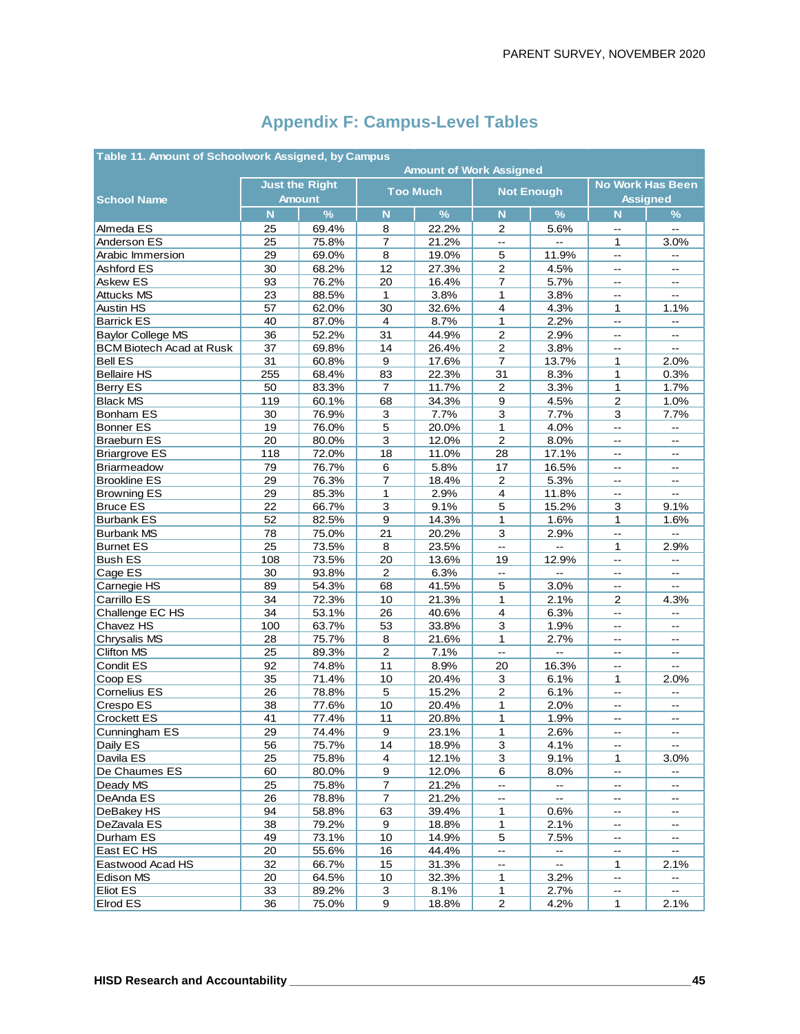| Table 11. Amount of Schoolwork Assigned, by Campus<br><b>Amount of Work Assigned</b> |          |                       |                         |                 |                                               |                            |                          |                                               |  |  |  |  |
|--------------------------------------------------------------------------------------|----------|-----------------------|-------------------------|-----------------|-----------------------------------------------|----------------------------|--------------------------|-----------------------------------------------|--|--|--|--|
|                                                                                      |          | <b>Just the Right</b> |                         |                 |                                               |                            |                          | <b>No Work Has Been</b>                       |  |  |  |  |
| <b>School Name</b>                                                                   |          | <b>Amount</b>         |                         | <b>Too Much</b> | <b>Not Enough</b>                             |                            |                          | <b>Assigned</b>                               |  |  |  |  |
|                                                                                      | N        | $\%$                  | $\overline{\mathsf{N}}$ | $\frac{9}{6}$   | $\mathbf N$                                   | $\frac{9}{6}$              | N                        | $\%$                                          |  |  |  |  |
| Almeda ES                                                                            | 25       | 69.4%                 | 8                       | 22.2%           | 2                                             | 5.6%                       | Ξ.                       |                                               |  |  |  |  |
| Anderson ES                                                                          | 25       | 75.8%                 | $\overline{7}$          | 21.2%           | $\sim$                                        | $\sim$                     | 1                        | 3.0%                                          |  |  |  |  |
| Arabic Immersion                                                                     | 29       | 69.0%                 | 8                       | 19.0%           | 5                                             | 11.9%                      | --                       | $\overline{\phantom{a}}$                      |  |  |  |  |
| Ashford ES                                                                           | 30       | 68.2%                 | 12                      | 27.3%           | $\overline{c}$                                | 4.5%                       | --                       | $-$                                           |  |  |  |  |
| Askew ES                                                                             | 93       | 76.2%                 | 20                      | 16.4%           | 7                                             | 5.7%                       | $\overline{\phantom{a}}$ | $\overline{\phantom{a}}$                      |  |  |  |  |
| <b>Attucks MS</b>                                                                    | 23       | 88.5%                 | $\mathbf{1}$            | 3.8%            | 1                                             | 3.8%                       | --                       | $\overline{a}$                                |  |  |  |  |
| <b>Austin HS</b>                                                                     | 57       | 62.0%                 | 30                      | 32.6%           | $\overline{4}$                                | 4.3%                       | 1                        | 1.1%                                          |  |  |  |  |
| <b>Barrick ES</b>                                                                    | 40       | 87.0%                 | $\overline{4}$          | 8.7%            | 1                                             | 2.2%                       | --                       | $\overline{\phantom{a}}$                      |  |  |  |  |
| <b>Baylor College MS</b>                                                             | 36       | 52.2%                 | 31                      | 44.9%           | $\mathbf 2$                                   | 2.9%                       | $-$                      | $\overline{\phantom{a}}$                      |  |  |  |  |
| <b>BCM Biotech Acad at Rusk</b>                                                      | 37       | 69.8%                 | 14                      | 26.4%           | $\overline{c}$                                | 3.8%                       |                          |                                               |  |  |  |  |
| <b>Bell ES</b>                                                                       | 31       | 60.8%                 | 9                       | 17.6%           | $\overline{7}$                                | 13.7%                      | 1                        | 2.0%                                          |  |  |  |  |
| <b>Bellaire HS</b>                                                                   | 255      | 68.4%                 | 83                      | 22.3%           | 31                                            | 8.3%                       | 1                        | 0.3%                                          |  |  |  |  |
| Berry ES                                                                             | 50       | 83.3%                 | $\overline{7}$          | 11.7%           | $\overline{2}$                                | 3.3%                       | $\mathbf{1}$             | 1.7%                                          |  |  |  |  |
| <b>Black MS</b>                                                                      | 119      | 60.1%                 | 68                      | 34.3%           | $\boldsymbol{9}$                              | 4.5%                       | $\overline{c}$           | 1.0%                                          |  |  |  |  |
| <b>Bonham ES</b>                                                                     | 30       | 76.9%                 | 3                       | 7.7%            | 3                                             | 7.7%                       | 3                        | 7.7%                                          |  |  |  |  |
| <b>Bonner ES</b>                                                                     | 19       | 76.0%                 | 5                       | 20.0%           | 1                                             | 4.0%                       | Ξ.                       | $\overline{a}$                                |  |  |  |  |
| <b>Braeburn ES</b>                                                                   | 20       | 80.0%                 | $\overline{3}$          | 12.0%           | $\overline{2}$                                | 8.0%                       | Щ,                       | $-$                                           |  |  |  |  |
| <b>Briargrove ES</b>                                                                 | 118      | 72.0%                 | 18                      | 11.0%           | 28                                            | 17.1%                      | --                       | $\mathord{\hspace{1pt}\text{--}\hspace{1pt}}$ |  |  |  |  |
| <b>Briarmeadow</b>                                                                   | 79       | 76.7%                 | 6                       | 5.8%            | 17                                            | 16.5%                      | $\overline{\phantom{a}}$ | $\mathbb{H}^{\mathbb{Z}}$                     |  |  |  |  |
| <b>Brookline ES</b>                                                                  | 29       | 76.3%                 | $\overline{7}$          | 18.4%           | $\overline{2}$                                | 5.3%                       | --                       | $\overline{\phantom{a}}$                      |  |  |  |  |
| <b>Browning ES</b>                                                                   | 29       | 85.3%                 | 1                       | 2.9%            | $\overline{4}$                                | 11.8%                      | Ξ.                       | $\overline{a}$                                |  |  |  |  |
| <b>Bruce ES</b>                                                                      | 22       | 66.7%                 | 3                       | 9.1%            | 5                                             | 15.2%                      | 3                        | 9.1%                                          |  |  |  |  |
| <b>Burbank ES</b>                                                                    | 52       | 82.5%                 | $\boldsymbol{9}$        | 14.3%           | $\mathbf{1}$                                  | 1.6%                       | 1                        | 1.6%                                          |  |  |  |  |
| <b>Burbank MS</b>                                                                    | 78       | 75.0%                 | 21                      | 20.2%           | $\mathbf 3$                                   | 2.9%                       | Ξ.                       | L.                                            |  |  |  |  |
| <b>Burnet ES</b>                                                                     | 25       | 73.5%                 | 8                       | 23.5%           | $\mathord{\hspace{1pt}\text{--}\hspace{1pt}}$ | $\mathbb{L}^{\frac{1}{2}}$ | 1                        | 2.9%                                          |  |  |  |  |
| <b>Bush ES</b>                                                                       | 108      | 73.5%                 | 20                      | 13.6%           | 19                                            | 12.9%                      | L.                       | $\mathbf{L}$                                  |  |  |  |  |
| Cage ES                                                                              | 30       | 93.8%                 | 2                       | 6.3%            | $\mathbf{L}$                                  | Ξ.                         | Ξ.                       | $\mathbb{L}^{\mathbb{L}}$                     |  |  |  |  |
| Carnegie HS                                                                          | 89       | 54.3%                 | 68                      | 41.5%           | 5                                             | 3.0%                       | $\overline{\phantom{a}}$ | $\mathbf{u}$                                  |  |  |  |  |
| Carrillo ES                                                                          | 34       | 72.3%                 | 10                      | 21.3%           | 1                                             | 2.1%                       | $\overline{2}$           | 4.3%                                          |  |  |  |  |
| Challenge EC HS                                                                      | 34       | 53.1%                 | 26                      | 40.6%           | $\overline{4}$                                | 6.3%                       | L.                       | $\overline{\phantom{a}}$                      |  |  |  |  |
| Chavez HS                                                                            | 100      | 63.7%                 | 53                      | 33.8%           | 3                                             | 1.9%                       | $\overline{\phantom{a}}$ | $\overline{\phantom{a}}$                      |  |  |  |  |
| Chrysalis MS                                                                         | 28       | 75.7%                 | 8                       | 21.6%           | 1                                             | 2.7%                       | --                       | $\mathcal{L}_{\mathcal{L}}$                   |  |  |  |  |
| <b>Clifton MS</b>                                                                    | 25       | 89.3%                 | $\overline{2}$          | 7.1%            | u.                                            | --                         | $-$                      | $-$                                           |  |  |  |  |
| Condit ES                                                                            | 92       | 74.8%                 | 11                      | 8.9%            | 20                                            | 16.3%                      | Ξ.                       | $\mathbf{u}$                                  |  |  |  |  |
| Coop ES                                                                              | 35       | 71.4%                 | 10                      | 20.4%           | 3                                             | 6.1%                       | 1                        | 2.0%                                          |  |  |  |  |
| Cornelius ES                                                                         | 26       | 78.8%                 | 5                       | 15.2%           | $\overline{2}$                                | 6.1%                       | --                       | --                                            |  |  |  |  |
| Crespo ES                                                                            |          |                       | 10                      | 20.4%           | 1                                             |                            | --                       | $\overline{a}$                                |  |  |  |  |
| <b>Crockett ES</b>                                                                   | 38       | 77.6%                 |                         |                 |                                               | 2.0%                       |                          |                                               |  |  |  |  |
|                                                                                      | 41<br>29 | 77.4%<br>74.4%        | 11<br>$\boldsymbol{9}$  | 20.8%           | 1<br>1                                        | 1.9%<br>2.6%               | --<br>$-$                | $\mathcal{L}_{\mathcal{F}}$<br>$\overline{a}$ |  |  |  |  |
| Cunningham ES                                                                        |          |                       |                         | 23.1%           |                                               |                            | $\overline{\phantom{a}}$ | $\mathbf{L}$                                  |  |  |  |  |
| Daily ES<br>Davila ES                                                                | 56       | 75.7%                 | 14                      | 18.9%           | $\overline{3}$                                | 4.1%                       |                          |                                               |  |  |  |  |
|                                                                                      | 25       | 75.8%                 | 4                       | 12.1%           | 3                                             | 9.1%                       | 1                        | 3.0%                                          |  |  |  |  |
| De Chaumes ES                                                                        | 60       | 80.0%                 | 9                       | 12.0%           | 6                                             | 8.0%                       | --                       | $\overline{\phantom{a}}$                      |  |  |  |  |
| Deady MS                                                                             | 25       | 75.8%                 | $\boldsymbol{7}$        | 21.2%           | $\overline{\phantom{a}}$                      | $\overline{\phantom{a}}$   | --                       | $\mathcal{L}_{\mathcal{F}}$                   |  |  |  |  |
| DeAnda ES                                                                            | 26       | 78.8%                 | $\overline{7}$          | 21.2%           | --                                            | $\overline{\phantom{a}}$   | --                       | $\overline{\phantom{a}}$                      |  |  |  |  |
| DeBakey HS                                                                           | 94       | 58.8%                 | 63                      | 39.4%           | 1                                             | 0.6%                       | --                       | $\overline{\phantom{a}}$                      |  |  |  |  |
| DeZavala ES                                                                          | 38       | 79.2%                 | 9                       | 18.8%           | $\mathbf{1}$                                  | 2.1%                       | --                       | $\overline{\phantom{a}}$                      |  |  |  |  |
| Durham ES                                                                            | 49       | 73.1%                 | 10                      | 14.9%           | 5                                             | 7.5%                       | $\overline{\phantom{a}}$ | $\overline{\phantom{a}}$                      |  |  |  |  |
| East EC HS                                                                           | 20       | 55.6%                 | 16                      | 44.4%           | $\overline{\phantom{a}}$                      | --                         | --                       | $- -$                                         |  |  |  |  |
| Eastwood Acad HS                                                                     | 32       | 66.7%                 | 15                      | 31.3%           | --                                            | $\overline{\phantom{a}}$   | 1                        | 2.1%                                          |  |  |  |  |
| Edison MS                                                                            | 20       | 64.5%                 | $10$                    | 32.3%           | 1                                             | 3.2%                       | Ξ.                       | --                                            |  |  |  |  |
| <b>Eliot ES</b>                                                                      | 33       | 89.2%                 | 3                       | 8.1%            | $\mathbf{1}$                                  | 2.7%                       | -−                       | -−                                            |  |  |  |  |
| Elrod ES                                                                             | 36       | 75.0%                 | 9                       | 18.8%           | $\overline{2}$                                | 4.2%                       | 1                        | 2.1%                                          |  |  |  |  |

# **Appendix F: Campus-Level Tables**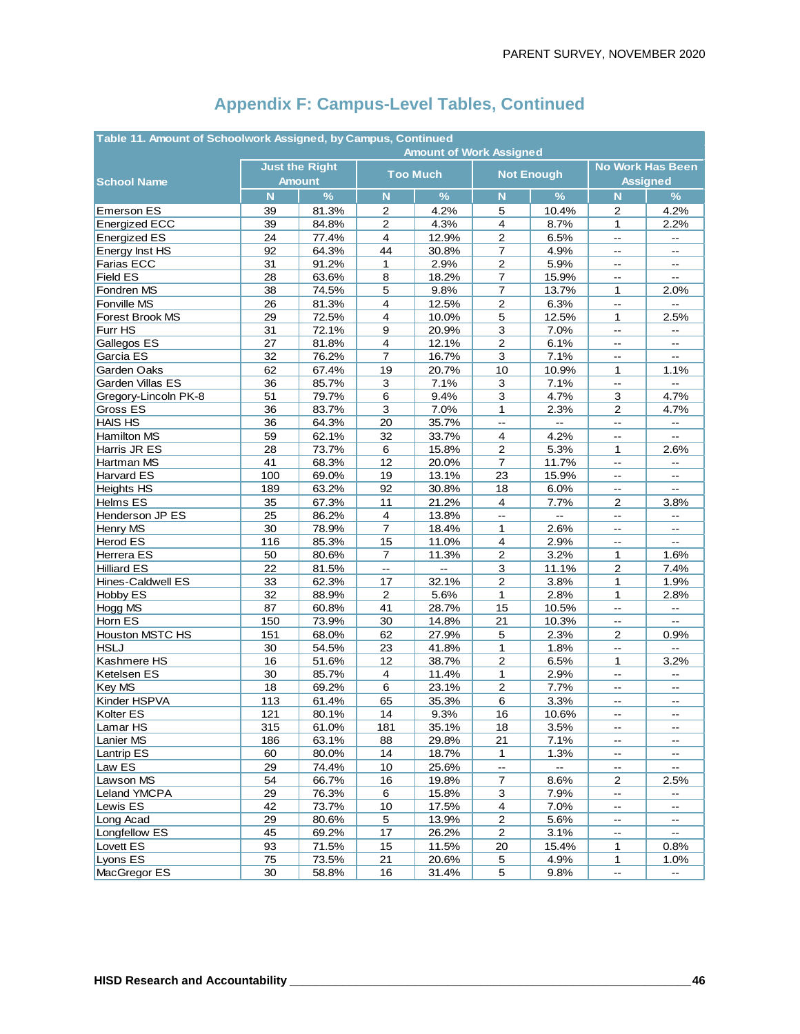| Table 11. Amount of Schoolwork Assigned, by Campus, Continued |                       |               |                         |                 |                                               |                   |                              |                                               |  |  |  |
|---------------------------------------------------------------|-----------------------|---------------|-------------------------|-----------------|-----------------------------------------------|-------------------|------------------------------|-----------------------------------------------|--|--|--|
|                                                               |                       |               |                         |                 | <b>Amount of Work Assigned</b>                |                   |                              |                                               |  |  |  |
|                                                               | <b>Just the Right</b> |               |                         | <b>Too Much</b> |                                               | <b>Not Enough</b> | <b>No Work Has Been</b>      |                                               |  |  |  |
| <b>School Name</b>                                            |                       | <b>Amount</b> |                         |                 |                                               |                   | <b>Assigned</b>              |                                               |  |  |  |
|                                                               | N                     | $\%$          | $\mathsf{N}$            | $\%$            | $\mathbf N$                                   | $\%$              | N                            | $\frac{9}{6}$                                 |  |  |  |
| <b>Emerson ES</b>                                             | 39                    | 81.3%         | 2                       | 4.2%            | 5                                             | 10.4%             | $\overline{c}$               | 4.2%                                          |  |  |  |
| <b>Energized ECC</b>                                          | 39                    | 84.8%         | $\overline{2}$          | 4.3%            | $\overline{4}$                                | 8.7%              | 1                            | 2.2%                                          |  |  |  |
| <b>Energized ES</b>                                           | 24                    | 77.4%         | $\overline{\mathbf{4}}$ | 12.9%           | $\overline{2}$                                | 6.5%              | $\mathbf{u}$                 | $\overline{\phantom{a}}$                      |  |  |  |
| Energy Inst HS                                                | 92                    | 64.3%         | 44                      | 30.8%           | $\overline{7}$                                | 4.9%              | $\overline{\phantom{a}}$     | $\overline{a}$                                |  |  |  |
| Farias ECC                                                    | 31                    | 91.2%         | $\mathbf{1}$            | 2.9%            | $\overline{c}$                                | 5.9%              |                              |                                               |  |  |  |
| <b>Field ES</b>                                               | 28                    | 63.6%         | 8                       | 18.2%           | $\overline{7}$                                | 15.9%             | $\overline{\phantom{a}}$     | $\mathbf{u}$                                  |  |  |  |
| Fondren MS                                                    | 38                    | 74.5%         | 5                       | 9.8%            | $\overline{7}$                                | 13.7%             | 1                            | 2.0%                                          |  |  |  |
| Fonville MS                                                   | 26                    | 81.3%         | $\overline{4}$          | 12.5%           | $\overline{c}$                                | 6.3%              | $\mathbb{L}^{\frac{1}{2}}$   | $\overline{\phantom{a}}$                      |  |  |  |
| Forest Brook MS                                               | 29                    | 72.5%         | $\overline{4}$          | 10.0%           | 5                                             | 12.5%             | $\mathbf{1}$                 | 2.5%                                          |  |  |  |
| Furr HS                                                       | 31                    | 72.1%         | 9                       | 20.9%           | 3                                             | 7.0%              | $\overline{\phantom{a}}$     | $\mathord{\hspace{1pt}\text{--}\hspace{1pt}}$ |  |  |  |
| Gallegos ES                                                   | 27                    | 81.8%         | 4                       | 12.1%           | $\overline{2}$                                | 6.1%              | $-$                          | $\mathord{\hspace{1pt}\text{--}\hspace{1pt}}$ |  |  |  |
| Garcia ES                                                     | 32                    | 76.2%         | $\overline{7}$          | 16.7%           | 3                                             | 7.1%              | Ξ.                           | цц.                                           |  |  |  |
| Garden Oaks                                                   | 62                    | 67.4%         | 19                      | 20.7%           | 10                                            | 10.9%             | 1                            | 1.1%                                          |  |  |  |
| Garden Villas ES                                              | 36                    | 85.7%         | 3                       | 7.1%            | 3                                             | 7.1%              | $\overline{\phantom{a}}$     | $\overline{a}$                                |  |  |  |
| Gregory-Lincoln PK-8                                          | 51                    | 79.7%         | $\,6$                   | 9.4%            | 3                                             | 4.7%              | 3                            | 4.7%                                          |  |  |  |
| Gross ES                                                      | 36                    | 83.7%         | 3                       | 7.0%            | $\mathbf{1}$                                  | 2.3%              | 2                            | 4.7%                                          |  |  |  |
| <b>HAIS HS</b>                                                | 36                    | 64.3%         | 20                      | 35.7%           | Ξ.                                            | $\overline{a}$    | Ξ.                           | $\overline{a}$                                |  |  |  |
| Hamilton MS                                                   | 59                    | 62.1%         | 32                      | 33.7%           | 4                                             | 4.2%              | -−                           | $\overline{\phantom{a}}$                      |  |  |  |
| Harris JR ES                                                  | 28                    | 73.7%         | 6                       | 15.8%           | $\overline{2}$                                | 5.3%              | $\mathbf{1}$                 | 2.6%                                          |  |  |  |
| Hartman MS                                                    | 41                    | 68.3%         | 12                      | 20.0%           | $\overline{7}$                                | 11.7%             | Ш,                           | $\overline{a}$                                |  |  |  |
| Harvard ES                                                    | 100                   | 69.0%         | 19                      | 13.1%           | 23                                            | 15.9%             | --                           | --                                            |  |  |  |
| <b>Heights HS</b>                                             | 189                   | 63.2%         | 92                      | 30.8%           | 18                                            | 6.0%              | $\overline{\phantom{a}}$     | $\overline{a}$                                |  |  |  |
| Helms ES                                                      | 35                    | 67.3%         | 11                      | 21.2%           | 4                                             | 7.7%              | 2                            | 3.8%                                          |  |  |  |
| Henderson JP ES                                               | 25                    | 86.2%         | $\overline{\mathbf{4}}$ | 13.8%           | $\overline{\phantom{a}}$                      | $\overline{a}$    | $\overline{\phantom{a}}$     | $\overline{\phantom{a}}$                      |  |  |  |
|                                                               | 30                    |               | $\overline{7}$          | 18.4%           | $\mathbf{1}$                                  | 2.6%              | L.                           | $-$                                           |  |  |  |
| Henry MS<br>Herod ES                                          |                       | 78.9%         | 15                      |                 | $\overline{4}$                                |                   |                              | $\overline{a}$                                |  |  |  |
|                                                               | 116                   | 85.3%         |                         | 11.0%           |                                               | 2.9%              | $-$                          |                                               |  |  |  |
| Herrera ES                                                    | 50                    | 80.6%         | 7<br>u.                 | 11.3%<br>--     | 2                                             | 3.2%              | 1                            | 1.6%                                          |  |  |  |
| <b>Hilliard ES</b>                                            | 22                    | 81.5%         |                         |                 | 3                                             | 11.1%             | $\overline{c}$               | 7.4%                                          |  |  |  |
| Hines-Caldwell ES                                             | 33                    | 62.3%         | 17                      | 32.1%           | 2                                             | 3.8%              | $\mathbf{1}$                 | 1.9%                                          |  |  |  |
| Hobby ES                                                      | 32                    | 88.9%         | $\overline{2}$          | 5.6%            | 1                                             | 2.8%              | 1                            | 2.8%                                          |  |  |  |
| Hogg MS                                                       | 87                    | 60.8%         | 41                      | 28.7%           | 15                                            | 10.5%             | Ц,                           | -−                                            |  |  |  |
| Horn ES                                                       | 150                   | 73.9%         | 30                      | 14.8%           | 21                                            | 10.3%             | $\overline{\phantom{a}}$     | Ξ.                                            |  |  |  |
| <b>Houston MSTC HS</b>                                        | 151                   | 68.0%         | 62                      | 27.9%           | 5                                             | 2.3%              | 2                            | $0.9\%$                                       |  |  |  |
| <b>HSLJ</b>                                                   | 30                    | 54.5%         | 23                      | 41.8%           | $\mathbf{1}$                                  | 1.8%              | Ξ.                           | Ш,                                            |  |  |  |
| Kashmere HS                                                   | 16                    | 51.6%         | 12                      | 38.7%           | $\overline{c}$                                | 6.5%              | $\mathbf{1}$                 | 3.2%                                          |  |  |  |
| Ketelsen ES                                                   | 30                    | 85.7%         | 4                       | 11.4%           | 1                                             | 2.9%              | $\mathbf{u}$                 | $\overline{\phantom{a}}$                      |  |  |  |
| Key MS                                                        | 18                    | 69.2%         | 6                       | 23.1%           | $\overline{c}$                                | 7.7%              | $\mathbf{u}$                 | $\mathcal{L}_{\mathcal{F}}$                   |  |  |  |
| Kinder HSPVA                                                  | 113                   | 61.4%         | 65                      | 35.3%           | 6                                             | 3.3%              | $\overline{\phantom{a}}$     | $\overline{a}$                                |  |  |  |
| Kolter ES                                                     | 121                   | 80.1%         | 14                      | 9.3%            | 16                                            | 10.6%             | --                           | --                                            |  |  |  |
| Lamar HS                                                      | 315                   | 61.0%         | 181                     | 35.1%           | 18                                            | 3.5%              | $\overline{\phantom{a}}$     | $\overline{\phantom{a}}$                      |  |  |  |
| Lanier MS                                                     | 186                   | 63.1%         | 88                      | 29.8%           | 21                                            | 7.1%              | $-$                          | --                                            |  |  |  |
| <b>Lantrip ES</b>                                             | 60                    | 80.0%         | 14                      | 18.7%           | $\mathbf{1}$                                  | 1.3%              | $\overline{\phantom{a}}$     | $\overline{\phantom{a}}$                      |  |  |  |
| Law ES                                                        | 29                    | 74.4%         | 10                      | 25.6%           | $\mathord{\hspace{1pt}\text{--}\hspace{1pt}}$ | $\sim$            | $\overline{\phantom{a}}$     | --                                            |  |  |  |
| Lawson MS                                                     | 54                    | 66.7%         | 16                      | 19.8%           | $\boldsymbol{7}$                              | 8.6%              | 2                            | 2.5%                                          |  |  |  |
| <b>Leland YMCPA</b>                                           | 29                    | 76.3%         | 6                       | 15.8%           | 3                                             | 7.9%              | $\qquad \qquad \blacksquare$ | $\overline{\phantom{a}}$                      |  |  |  |
| Lewis ES                                                      | 42                    | 73.7%         | 10                      | 17.5%           | $\overline{\mathbf{4}}$                       | 7.0%              | $\overline{\phantom{a}}$     | $\overline{\phantom{a}}$                      |  |  |  |
| Long Acad                                                     | 29                    | 80.6%         | $\sqrt{5}$              | 13.9%           | $\boldsymbol{2}$                              | 5.6%              | $\overline{\phantom{a}}$     |                                               |  |  |  |
| Longfellow ES                                                 | 45                    | 69.2%         | $17\,$                  | 26.2%           | $\overline{c}$                                | 3.1%              | $\qquad \qquad \blacksquare$ | $\overline{\phantom{a}}$                      |  |  |  |
| Lovett ES                                                     | 93                    | 71.5%         | 15                      | 11.5%           | 20                                            | 15.4%             | 1                            | $0.8\%$                                       |  |  |  |
| Lyons ES                                                      | 75                    | 73.5%         | 21                      | 20.6%           | 5                                             | 4.9%              | 1                            | 1.0%                                          |  |  |  |
| MacGregor ES                                                  | $30\,$                | 58.8%         | 16                      | 31.4%           | 5                                             | 9.8%              | $\frac{1}{2}$                | $\overline{a}$                                |  |  |  |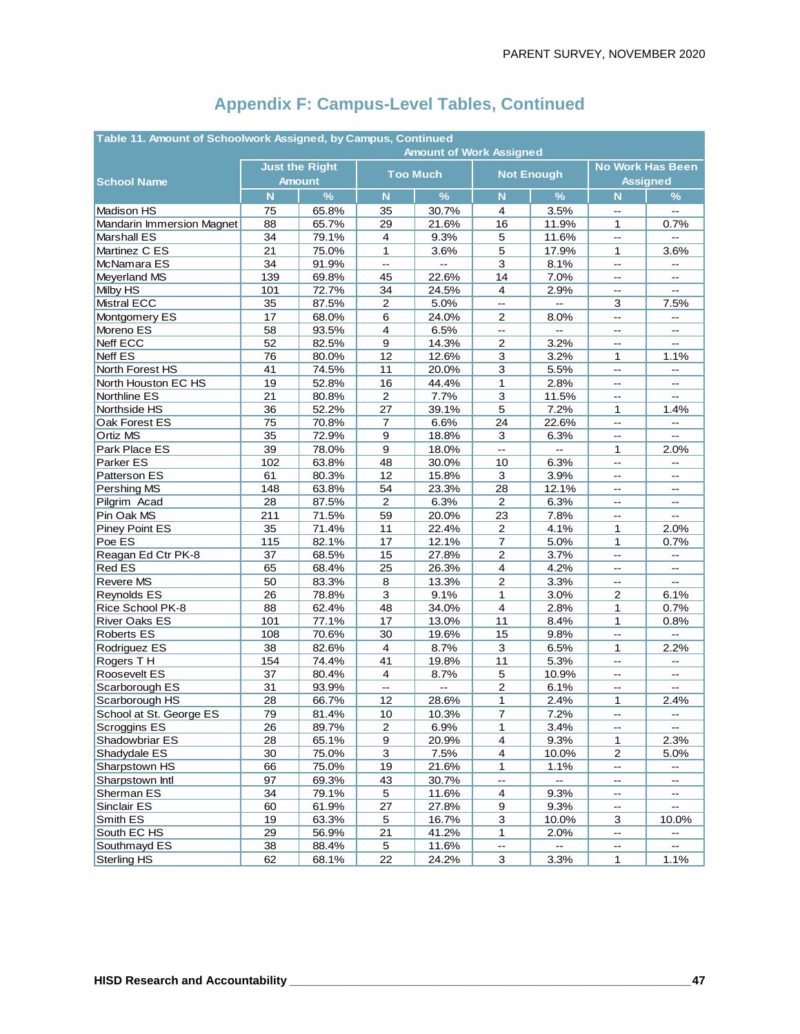| Table 11. Amount of Schoolwork Assigned, by Campus, Continued |                       |               |                          |                                |                           |                           |                          |                                               |  |  |  |
|---------------------------------------------------------------|-----------------------|---------------|--------------------------|--------------------------------|---------------------------|---------------------------|--------------------------|-----------------------------------------------|--|--|--|
|                                                               |                       |               |                          | <b>Amount of Work Assigned</b> |                           |                           |                          |                                               |  |  |  |
| <b>School Name</b>                                            | <b>Just the Right</b> | <b>Amount</b> |                          | <b>Too Much</b>                |                           | <b>Not Enough</b>         |                          | <b>No Work Has Been</b><br><b>Assigned</b>    |  |  |  |
|                                                               | N                     | $\%$          | N                        | $\frac{9}{6}$                  | $\mathbf N$               | $\%$                      | N                        | $\%$                                          |  |  |  |
| <b>Madison HS</b>                                             | 75                    | 65.8%         | 35                       | 30.7%                          | 4                         | 3.5%                      | $-$                      | $\sim$                                        |  |  |  |
| Mandarin Immersion Magnet                                     | 88                    | 65.7%         | 29                       | 21.6%                          | 16                        | 11.9%                     | 1                        | 0.7%                                          |  |  |  |
| Marshall ES                                                   | 34                    | 79.1%         | $\overline{4}$           | 9.3%                           | 5                         | 11.6%                     | Ξ.                       | Ξ.                                            |  |  |  |
| Martinez C ES                                                 | 21                    | 75.0%         | 1                        | 3.6%                           | 5                         | 17.9%                     | 1                        | 3.6%                                          |  |  |  |
| McNamara ES                                                   | 34                    | 91.9%         | L.                       | Ξ.                             | 3                         | 8.1%                      | Ξ.                       | $\overline{a}$                                |  |  |  |
| Meyerland MS                                                  | 139                   | 69.8%         | 45                       | 22.6%                          | 14                        | 7.0%                      | --                       | $\mathbf{u}$                                  |  |  |  |
| Milby HS                                                      | 101                   | 72.7%         | 34                       | 24.5%                          | $\overline{4}$            | 2.9%                      | $-1$                     | $-$                                           |  |  |  |
| <b>Mistral ECC</b>                                            | 35                    | 87.5%         | $\overline{c}$           | 5.0%                           | $\overline{\phantom{a}}$  | $\mathbf{L}$              | 3                        | 7.5%                                          |  |  |  |
| Montgomery ES                                                 | 17                    | 68.0%         | 6                        | 24.0%                          | $\overline{2}$            | 8.0%                      | --                       | $\overline{a}$                                |  |  |  |
| Moreno ES                                                     | 58                    | 93.5%         | $\overline{4}$           | 6.5%                           | $\mathbb{L}^{\mathbb{L}}$ | $\sim$                    | --                       | $\mathord{\hspace{1pt}\text{--}\hspace{1pt}}$ |  |  |  |
| Neff ECC                                                      | 52                    | 82.5%         | 9                        | 14.3%                          | 2                         | 3.2%                      | --                       | $\overline{\phantom{a}}$                      |  |  |  |
| <b>Neff ES</b>                                                | 76                    | 80.0%         | 12                       | 12.6%                          | $\mathbf{3}$              | 3.2%                      | 1                        | 1.1%                                          |  |  |  |
| North Forest HS                                               | 41                    | 74.5%         | 11                       | 20.0%                          | 3                         | 5.5%                      | --                       | $\sim$                                        |  |  |  |
| North Houston EC HS                                           | 19                    | 52.8%         | 16                       | 44.4%                          | 1                         | 2.8%                      | --                       | $\overline{\phantom{a}}$                      |  |  |  |
| Northline ES                                                  | 21                    | 80.8%         | $\overline{c}$           | 7.7%                           | 3                         | 11.5%                     | $-1$                     |                                               |  |  |  |
| Northside HS                                                  | 36                    | 52.2%         | 27                       | 39.1%                          | 5                         | 7.2%                      | 1                        | 1.4%                                          |  |  |  |
| Oak Forest ES                                                 | 75                    | 70.8%         | 7                        | 6.6%                           | 24                        | 22.6%                     | --                       | --                                            |  |  |  |
| Ortiz MS                                                      | 35                    | 72.9%         | $\overline{9}$           | 18.8%                          | 3                         | 6.3%                      | --                       | Ξ.                                            |  |  |  |
| Park Place ES                                                 | 39                    | 78.0%         | 9                        | 18.0%                          | $\mathbf{L}$              | $\mathbb{Z}^{\mathbb{Z}}$ | 1                        | 2.0%                                          |  |  |  |
| Parker ES                                                     | 102                   | 63.8%         | 48                       | 30.0%                          | 10                        | 6.3%                      | Ξ.                       | $-$                                           |  |  |  |
| Patterson ES                                                  | 61                    | 80.3%         | 12                       | 15.8%                          | 3                         | 3.9%                      |                          |                                               |  |  |  |
| Pershing MS                                                   | 148                   | 63.8%         | 54                       | 23.3%                          | 28                        | 12.1%                     | --                       | $\overline{\phantom{a}}$                      |  |  |  |
| Pilgrim Acad                                                  | 28                    | 87.5%         | $\boldsymbol{2}$         | 6.3%                           | 2                         | 6.3%                      | --                       | $\qquad \qquad \blacksquare$                  |  |  |  |
| Pin Oak MS                                                    | 211                   | 71.5%         | 59                       | 20.0%                          | 23                        | 7.8%                      | --                       | $\overline{\phantom{a}}$                      |  |  |  |
| Piney Point ES                                                | 35                    | 71.4%         | 11                       | 22.4%                          | $\overline{2}$            | 4.1%                      | 1                        | 2.0%                                          |  |  |  |
| Poe ES                                                        | 115                   | 82.1%         | 17                       | 12.1%                          | 7                         | 5.0%                      | 1                        | 0.7%                                          |  |  |  |
| Reagan Ed Ctr PK-8                                            | 37                    | 68.5%         | 15                       | 27.8%                          | $\overline{c}$            | 3.7%                      | $-$                      | $\overline{a}$                                |  |  |  |
| <b>Red ES</b>                                                 | 65                    | 68.4%         | 25                       | 26.3%                          | $\overline{\mathbf{4}}$   | 4.2%                      | --                       | $\overline{\phantom{a}}$                      |  |  |  |
| Revere MS                                                     | 50                    | 83.3%         | 8                        | 13.3%                          | 2                         | 3.3%                      | --                       | $-$                                           |  |  |  |
| Reynolds ES                                                   | 26                    | 78.8%         | 3                        | 9.1%                           | 1                         | 3.0%                      | $\overline{c}$           | 6.1%                                          |  |  |  |
| Rice School PK-8                                              | 88                    | 62.4%         | 48                       | 34.0%                          | 4                         | 2.8%                      | 1                        | 0.7%                                          |  |  |  |
| <b>River Oaks ES</b>                                          | 101                   | 77.1%         | 17                       | 13.0%                          | 11                        | 8.4%                      | $\mathbf{1}$             | 0.8%                                          |  |  |  |
| <b>Roberts ES</b>                                             | 108                   | 70.6%         | 30                       | 19.6%                          | 15                        | 9.8%                      | Щ,                       | $\overline{a}$                                |  |  |  |
| Rodriguez ES                                                  | 38                    | 82.6%         | $\overline{4}$           | 8.7%                           | 3                         | 6.5%                      | 1                        | 2.2%                                          |  |  |  |
| Rogers TH                                                     | 154                   | 74.4%         | 41                       | 19.8%                          | 11                        | 5.3%                      | --                       | $\overline{a}$                                |  |  |  |
| Roosevelt ES                                                  | 37                    | 80.4%         | $\overline{4}$           | 8.7%                           | $\mathbf 5$               | 10.9%                     | --                       | $\overline{\phantom{a}}$                      |  |  |  |
| Scarborough ES                                                | 31                    | 93.9%         | $\overline{\phantom{a}}$ | $\Box$                         | $\overline{c}$            | 6.1%                      | --                       | $\overline{\phantom{a}}$                      |  |  |  |
| Scarborough HS                                                | 28                    | 66.7%         | 12                       | 28.6%                          | 1                         | 2.4%                      | 1                        | 2.4%                                          |  |  |  |
| School at St. George ES                                       | 79                    | 81.4%         | 10                       | 10.3%                          | 7                         | 7.2%                      | --                       | $\qquad \qquad \blacksquare$                  |  |  |  |
| Scroggins ES                                                  | 26                    | 89.7%         | $\overline{c}$           | 6.9%                           | 1                         | 3.4%                      | $\overline{\phantom{a}}$ | $\overline{\phantom{a}}$                      |  |  |  |
| Shadowbriar ES                                                | 28                    | 65.1%         | $\boldsymbol{9}$         | 20.9%                          | $\overline{\mathbf{4}}$   | 9.3%                      | $\mathbf{1}$             | 2.3%                                          |  |  |  |
| Shadydale ES                                                  | 30                    | 75.0%         | $\mathsf 3$              | 7.5%                           | $\overline{\mathbf{4}}$   | 10.0%                     | $\overline{c}$           | 5.0%                                          |  |  |  |
| Sharpstown HS                                                 | 66                    | 75.0%         | 19                       | 21.6%                          | 1                         | 1.1%                      | --                       | $\overline{\phantom{a}}$                      |  |  |  |
| Sharpstown Intl                                               | 97                    | 69.3%         | 43                       | 30.7%                          | $\overline{\phantom{a}}$  |                           | --                       | --                                            |  |  |  |
| Sherman ES                                                    | 34                    | 79.1%         | 5                        | 11.6%                          | $\overline{4}$            | 9.3%                      | $\overline{\phantom{a}}$ | $\mathcal{L}_{\mathcal{F}}$                   |  |  |  |
| Sinclair ES                                                   | 60                    | 61.9%         | 27                       | 27.8%                          | 9                         | 9.3%                      | --                       | --                                            |  |  |  |
| Smith ES                                                      | 19                    | 63.3%         | $\mathbf 5$              | 16.7%                          | $\mathbf{3}$              | 10.0%                     | 3                        | 10.0%                                         |  |  |  |
| South EC HS                                                   | 29                    | 56.9%         | 21                       | 41.2%                          | 1                         | 2.0%                      | --                       | $-$                                           |  |  |  |
| Southmayd ES                                                  | 38                    | 88.4%         | $\sqrt{5}$               | 11.6%                          | --                        |                           | --                       |                                               |  |  |  |
| <b>Sterling HS</b>                                            | 62                    | 68.1%         | 22                       | 24.2%                          | $\mathsf 3$               | 3.3%                      | $\mathbf{1}$             | 1.1%                                          |  |  |  |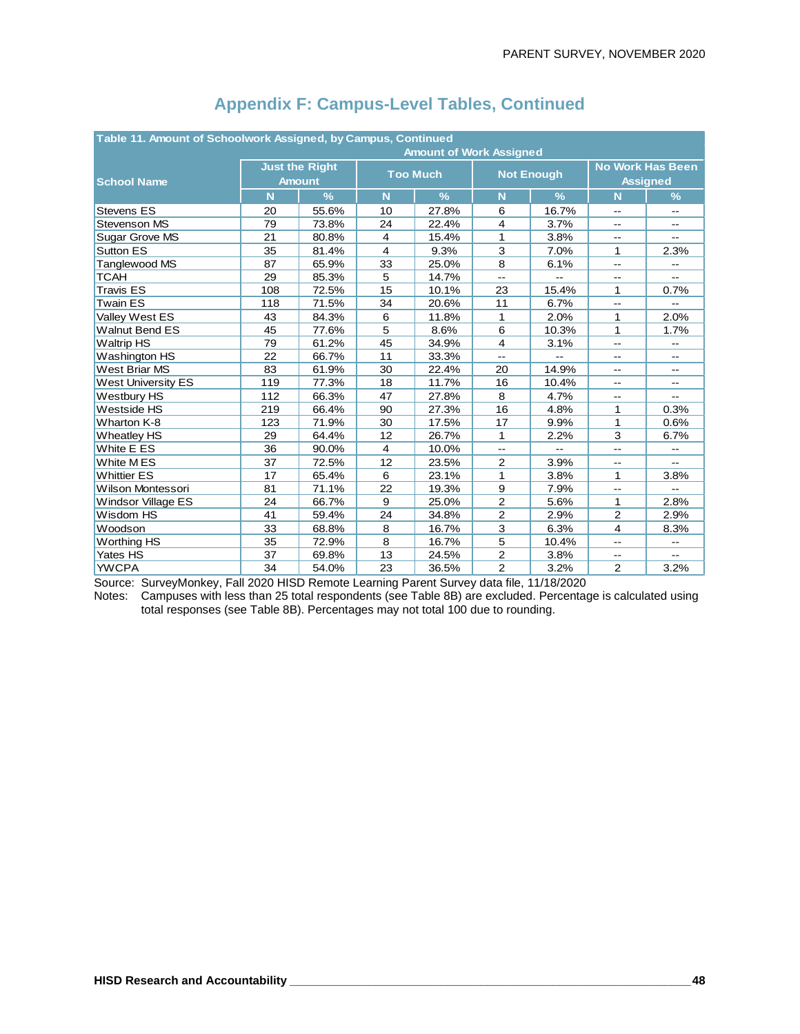| Table 11. Amount of Schoolwork Assigned, by Campus, Continued |     |                                        |                |                                |                          |                          |                          |                                               |  |  |  |
|---------------------------------------------------------------|-----|----------------------------------------|----------------|--------------------------------|--------------------------|--------------------------|--------------------------|-----------------------------------------------|--|--|--|
|                                                               |     |                                        |                | <b>Amount of Work Assigned</b> |                          |                          |                          |                                               |  |  |  |
| <b>School Name</b>                                            |     | <b>Just the Right</b><br><b>Amount</b> |                | <b>Too Much</b>                |                          | <b>Not Enough</b>        |                          | <b>No Work Has Been</b><br><b>Assigned</b>    |  |  |  |
|                                                               | N   | $\frac{9}{6}$                          | N              | $\frac{9}{6}$                  | N                        | $\frac{9}{6}$            | N                        | $\frac{9}{6}$                                 |  |  |  |
| <b>Stevens ES</b>                                             | 20  | 55.6%                                  | 10             | 27.8%                          | 6                        | 16.7%                    | $-$                      | $-$                                           |  |  |  |
| <b>Stevenson MS</b>                                           | 79  | 73.8%                                  | 24             | 22.4%                          | 4                        | 3.7%                     | $-1$                     | $\overline{a}$                                |  |  |  |
| Sugar Grove MS                                                | 21  | 80.8%                                  | $\overline{4}$ | 15.4%                          | 1                        | 3.8%                     | $-1$                     | $-$                                           |  |  |  |
| <b>Sutton ES</b>                                              | 35  | 81.4%                                  | $\overline{4}$ | 9.3%                           | 3                        | 7.0%                     | 1                        | 2.3%                                          |  |  |  |
| Tanglewood MS                                                 | 87  | 65.9%                                  | 33             | 25.0%                          | 8                        | 6.1%                     | --                       | $\overline{\phantom{a}}$                      |  |  |  |
| <b>TCAH</b>                                                   | 29  | 85.3%                                  | 5              | 14.7%                          | $-$                      | $\overline{\phantom{a}}$ | --                       | --                                            |  |  |  |
| <b>Travis ES</b>                                              | 108 | 72.5%                                  | 15             | 10.1%                          | 23                       | 15.4%                    | 1                        | 0.7%                                          |  |  |  |
| <b>Twain ES</b>                                               | 118 | 71.5%                                  | 34             | 20.6%                          | 11                       | 6.7%                     | $-1$                     |                                               |  |  |  |
| Valley West ES                                                | 43  | 84.3%                                  | 6              | 11.8%                          | 1                        | 2.0%                     | 1                        | 2.0%                                          |  |  |  |
| <b>Walnut Bend ES</b>                                         | 45  | 77.6%                                  | 5              | 8.6%                           | 6                        | 10.3%                    | 1                        | 1.7%                                          |  |  |  |
| <b>Waltrip HS</b>                                             | 79  | 61.2%                                  | 45             | 34.9%                          | $\overline{4}$           | 3.1%                     | $\overline{\phantom{a}}$ | $\mathord{\hspace{1pt}\text{--}\hspace{1pt}}$ |  |  |  |
| Washington HS                                                 | 22  | 66.7%                                  | 11             | 33.3%                          | $\overline{a}$           |                          |                          | $\overline{a}$                                |  |  |  |
| <b>West Briar MS</b>                                          | 83  | 61.9%                                  | 30             | 22.4%                          | 20                       | 14.9%                    | --                       | $\overline{a}$                                |  |  |  |
| <b>West University ES</b>                                     | 119 | 77.3%                                  | 18             | 11.7%                          | 16                       | 10.4%                    | --                       | $-$                                           |  |  |  |
| Westbury HS                                                   | 112 | 66.3%                                  | 47             | 27.8%                          | 8                        | 4.7%                     | $-1$                     | $\overline{a}$                                |  |  |  |
| Westside HS                                                   | 219 | 66.4%                                  | 90             | 27.3%                          | 16                       | 4.8%                     | 1                        | 0.3%                                          |  |  |  |
| Wharton K-8                                                   | 123 | 71.9%                                  | 30             | 17.5%                          | 17                       | 9.9%                     | 1                        | 0.6%                                          |  |  |  |
| <b>Wheatley HS</b>                                            | 29  | 64.4%                                  | 12             | 26.7%                          | 1                        | 2.2%                     | 3                        | 6.7%                                          |  |  |  |
| White E ES                                                    | 36  | 90.0%                                  | $\overline{4}$ | 10.0%                          | $\overline{\phantom{a}}$ |                          |                          |                                               |  |  |  |
| White MES                                                     | 37  | 72.5%                                  | 12             | 23.5%                          | 2                        | 3.9%                     | --                       | $- -$                                         |  |  |  |
| <b>Whittier ES</b>                                            | 17  | 65.4%                                  | 6              | 23.1%                          | 1                        | 3.8%                     | 1                        | 3.8%                                          |  |  |  |
| Wilson Montessori                                             | 81  | 71.1%                                  | 22             | 19.3%                          | 9                        | 7.9%                     | 44                       |                                               |  |  |  |
| Windsor Village ES                                            | 24  | 66.7%                                  | 9              | 25.0%                          | $\overline{2}$           | 5.6%                     | 1                        | 2.8%                                          |  |  |  |
| Wisdom HS                                                     | 41  | 59.4%                                  | 24             | 34.8%                          | $\overline{2}$           | 2.9%                     | 2                        | 2.9%                                          |  |  |  |
| Woodson                                                       | 33  | 68.8%                                  | 8              | 16.7%                          | 3                        | 6.3%                     | $\overline{4}$           | 8.3%                                          |  |  |  |
| <b>Worthing HS</b>                                            | 35  | 72.9%                                  | 8              | 16.7%                          | 5                        | 10.4%                    | $\overline{\phantom{a}}$ | $\overline{\phantom{a}}$                      |  |  |  |
| Yates HS                                                      | 37  | 69.8%                                  | 13             | 24.5%                          | $\overline{2}$           | 3.8%                     | --                       | $\overline{a}$                                |  |  |  |
| <b>YWCPA</b>                                                  | 34  | 54.0%                                  | 23             | 36.5%                          | $\overline{2}$           | 3.2%                     | 2                        | 3.2%                                          |  |  |  |
|                                                               |     |                                        |                |                                |                          |                          |                          |                                               |  |  |  |

Source: SurveyMonkey, Fall 2020 HISD Remote Learning Parent Survey data file, 11/18/2020

Notes: Campuses with less than 25 total respondents (see Table 8B) are excluded. Percentage is calculated using total responses (see Table 8B). Percentages may not total 100 due to rounding.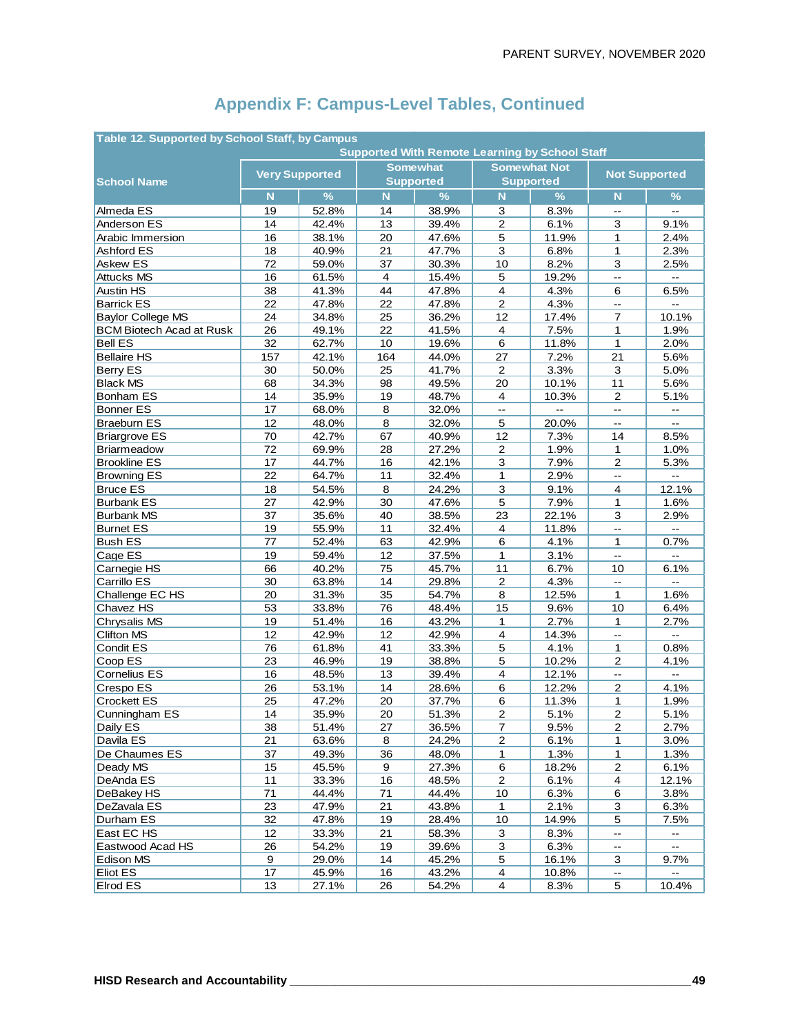| Table 12. Supported by School Staff, by Campus |                         |                |                |                                                       |                         |                     |                          |                                               |  |  |  |
|------------------------------------------------|-------------------------|----------------|----------------|-------------------------------------------------------|-------------------------|---------------------|--------------------------|-----------------------------------------------|--|--|--|
|                                                |                         |                |                | <b>Supported With Remote Learning by School Staff</b> |                         |                     |                          |                                               |  |  |  |
|                                                | <b>Very Supported</b>   |                |                | <b>Somewhat</b>                                       |                         | <b>Somewhat Not</b> | <b>Not Supported</b>     |                                               |  |  |  |
| <b>School Name</b>                             |                         |                |                | <b>Supported</b>                                      | <b>Supported</b>        |                     |                          |                                               |  |  |  |
|                                                | $\overline{\mathsf{N}}$ | $\%$           | N              | $\frac{9}{6}$                                         | N                       | $\frac{9}{6}$       | N                        | %                                             |  |  |  |
| Almeda ES                                      | 19                      | 52.8%          | 14             | 38.9%                                                 | 3                       | 8.3%                | $\overline{\phantom{a}}$ | $\overline{\phantom{a}}$                      |  |  |  |
| Anderson ES                                    | 14                      | 42.4%          | 13             | 39.4%                                                 | $\overline{2}$          | 6.1%                | 3                        | 9.1%                                          |  |  |  |
| Arabic Immersion                               | 16                      | 38.1%          | 20             | 47.6%                                                 | 5                       | 11.9%               | $\mathbf{1}$             | 2.4%                                          |  |  |  |
| Ashford ES                                     | 18                      | 40.9%          | 21             | 47.7%                                                 | 3                       | 6.8%                | 1                        | 2.3%                                          |  |  |  |
| Askew ES                                       | 72                      | 59.0%          | 37             | 30.3%                                                 | 10                      | 8.2%                | 3                        | 2.5%                                          |  |  |  |
| <b>Attucks MS</b>                              | 16                      | 61.5%          | $\overline{4}$ | 15.4%                                                 | $\sqrt{5}$              | 19.2%               | L.                       | Ц.                                            |  |  |  |
| <b>Austin HS</b>                               | 38                      | 41.3%          | 44             | 47.8%                                                 | $\overline{\mathbf{4}}$ | 4.3%                | 6                        | 6.5%                                          |  |  |  |
| <b>Barrick ES</b>                              | 22                      | 47.8%          | 22             | 47.8%                                                 | 2                       | 4.3%                | $\overline{\phantom{a}}$ | $\mathbf{u}$                                  |  |  |  |
| <b>Baylor College MS</b>                       | 24                      | 34.8%          | 25             | 36.2%                                                 | 12                      | 17.4%               | $\overline{7}$           | 10.1%                                         |  |  |  |
| <b>BCM Biotech Acad at Rusk</b>                | 26                      | 49.1%          | 22             | 41.5%                                                 | $\overline{4}$          | 7.5%                | 1                        | 1.9%                                          |  |  |  |
| <b>Bell ES</b>                                 | 32                      | 62.7%          | 10             | 19.6%                                                 | 6                       | 11.8%               | 1                        | 2.0%                                          |  |  |  |
| <b>Bellaire HS</b>                             | 157                     | 42.1%          | 164            | 44.0%                                                 | 27                      | 7.2%                | 21                       | 5.6%                                          |  |  |  |
| Berry ES                                       | 30                      | 50.0%          | 25             | 41.7%                                                 | $\overline{c}$          | 3.3%                | 3                        | 5.0%                                          |  |  |  |
| <b>Black MS</b>                                | 68                      | 34.3%          | 98             | 49.5%                                                 | 20                      | 10.1%               | 11                       | 5.6%                                          |  |  |  |
| <b>Bonham ES</b>                               | 14                      | 35.9%          | 19             | 48.7%                                                 | 4                       | 10.3%               | $\overline{c}$           | 5.1%                                          |  |  |  |
| <b>Bonner ES</b>                               | 17                      | 68.0%          | 8              | 32.0%                                                 | u.                      | $\overline{a}$      | L.                       | $\overline{a}$                                |  |  |  |
| <b>Braeburn ES</b>                             | 12                      | 48.0%          | 8              | 32.0%                                                 | $\mathbf 5$             | 20.0%               | --                       | $\overline{\phantom{a}}$                      |  |  |  |
| <b>Briargrove ES</b>                           | 70                      | 42.7%          | 67             | 40.9%                                                 | 12                      | 7.3%                | 14                       | 8.5%                                          |  |  |  |
| <b>Briarmeadow</b>                             | 72                      | 69.9%          | 28             | 27.2%                                                 | $\overline{2}$          | 1.9%                | 1                        | 1.0%                                          |  |  |  |
| <b>Brookline ES</b>                            | 17                      | 44.7%          | 16             | 42.1%                                                 | 3                       | 7.9%                | $\mathbf{2}$             | 5.3%                                          |  |  |  |
| <b>Browning ES</b>                             | 22                      | 64.7%          | 11             | 32.4%                                                 | 1                       | 2.9%                | $\overline{\phantom{a}}$ | $\overline{a}$                                |  |  |  |
| <b>Bruce ES</b>                                | 18                      | 54.5%          | 8              | 24.2%                                                 | $\overline{3}$          | 9.1%                | 4                        | 12.1%                                         |  |  |  |
| <b>Burbank ES</b>                              | 27                      | 42.9%          | 30             | 47.6%                                                 | 5                       | 7.9%                | 1                        | 1.6%                                          |  |  |  |
| <b>Burbank MS</b>                              | 37                      | 35.6%          | 40             | 38.5%                                                 | 23                      | 22.1%               | 3                        | 2.9%                                          |  |  |  |
| <b>Burnet ES</b>                               | 19                      | 55.9%          | 11             | 32.4%                                                 | $\overline{4}$          | 11.8%               | Ц,                       |                                               |  |  |  |
| <b>Bush ES</b>                                 | 77                      | 52.4%          | 63             | 42.9%                                                 | 6                       | 4.1%                | $\mathbf{1}$             | 0.7%                                          |  |  |  |
| Cage ES                                        | 19                      | 59.4%          | 12             | 37.5%                                                 | 1                       | 3.1%                | LL.                      | ш.                                            |  |  |  |
| Carnegie HS                                    | 66                      | 40.2%          | 75             | 45.7%                                                 | 11                      | 6.7%                | 10                       | 6.1%<br>$\overline{a}$                        |  |  |  |
| Carrillo ES                                    | 30                      | 63.8%          | 14             | 29.8%                                                 | $\overline{2}$          | 4.3%                | $\mathbf{u}$             |                                               |  |  |  |
| Challenge EC HS                                | 20                      | 31.3%          | 35             | 54.7%                                                 | 8                       | 12.5%               | 1                        | 1.6%                                          |  |  |  |
| Chavez HS                                      | 53<br>19                | 33.8%          | 76<br>16       | 48.4%                                                 | 15<br>$\mathbf{1}$      | 9.6%<br>2.7%        | 10<br>$\mathbf{1}$       | 6.4%<br>2.7%                                  |  |  |  |
| Chrysalis MS<br>Clifton MS                     | 12                      | 51.4%<br>42.9% | 12             | 43.2%<br>42.9%                                        | $\overline{4}$          | 14.3%               | --                       | Ξ.                                            |  |  |  |
| Condit ES                                      | 76                      | 61.8%          | 41             | 33.3%                                                 | 5                       | 4.1%                | 1                        | 0.8%                                          |  |  |  |
| Coop ES                                        | 23                      | 46.9%          | 19             | 38.8%                                                 | 5                       | 10.2%               | $\overline{c}$           | 4.1%                                          |  |  |  |
| Cornelius ES                                   | 16                      | 48.5%          | 13             | 39.4%                                                 | $\overline{4}$          | 12.1%               | --                       | $\sim$                                        |  |  |  |
| Crespo ES                                      | 26                      | 53.1%          | 14             | 28.6%                                                 | 6                       | 12.2%               | $\mathbf 2$              | 4.1%                                          |  |  |  |
| <b>Crockett ES</b>                             | 25                      | 47.2%          | 20             | 37.7%                                                 | 6                       | 11.3%               | $\mathbf{1}$             | 1.9%                                          |  |  |  |
| Cunningham ES                                  | 14                      | 35.9%          | 20             | 51.3%                                                 | $\overline{2}$          | 5.1%                | $\overline{2}$           | 5.1%                                          |  |  |  |
| Daily ES                                       | 38                      | 51.4%          | 27             | 36.5%                                                 | $\overline{7}$          | 9.5%                | $\boldsymbol{2}$         | 2.7%                                          |  |  |  |
| Davila ES                                      | 21                      | 63.6%          | 8              | 24.2%                                                 | $\overline{\mathbf{c}}$ | 6.1%                | 1                        | 3.0%                                          |  |  |  |
| De Chaumes ES                                  | 37                      | 49.3%          | 36             | 48.0%                                                 | 1                       | 1.3%                | 1                        | 1.3%                                          |  |  |  |
| Deady MS                                       | 15                      | 45.5%          | 9              | 27.3%                                                 | $6\phantom{1}$          | 18.2%               | $\overline{2}$           | 6.1%                                          |  |  |  |
| DeAnda ES                                      | 11                      | 33.3%          | 16             | 48.5%                                                 | $\overline{c}$          | 6.1%                | $\overline{\mathbf{4}}$  | 12.1%                                         |  |  |  |
| DeBakey HS                                     | 71                      | 44.4%          | 71             | 44.4%                                                 | 10                      | 6.3%                | 6                        | 3.8%                                          |  |  |  |
| DeZavala ES                                    | 23                      | 47.9%          | 21             | 43.8%                                                 | 1                       | 2.1%                | 3                        | 6.3%                                          |  |  |  |
| Durham ES                                      | 32                      | 47.8%          | 19             | 28.4%                                                 | 10                      | 14.9%               | 5                        | 7.5%                                          |  |  |  |
| East EC HS                                     | 12                      | 33.3%          | 21             | 58.3%                                                 | 3                       | 8.3%                | --                       | $\mathbb{L}^{\mathbb{L}}$                     |  |  |  |
| Eastwood Acad HS                               | 26                      | 54.2%          | 19             | 39.6%                                                 | 3                       | 6.3%                | ۰.                       | $\mathord{\hspace{1pt}\text{--}\hspace{1pt}}$ |  |  |  |
| Edison MS                                      | 9                       | 29.0%          | 14             | 45.2%                                                 | 5                       | 16.1%               | 3                        | 9.7%                                          |  |  |  |
| <b>Eliot ES</b>                                | 17                      | 45.9%          | 16             | 43.2%                                                 | $\overline{\mathbf{4}}$ | 10.8%               | --                       |                                               |  |  |  |
| <b>Elrod ES</b>                                | 13                      | 27.1%          | 26             | 54.2%                                                 | $\overline{4}$          | 8.3%                | 5                        | 10.4%                                         |  |  |  |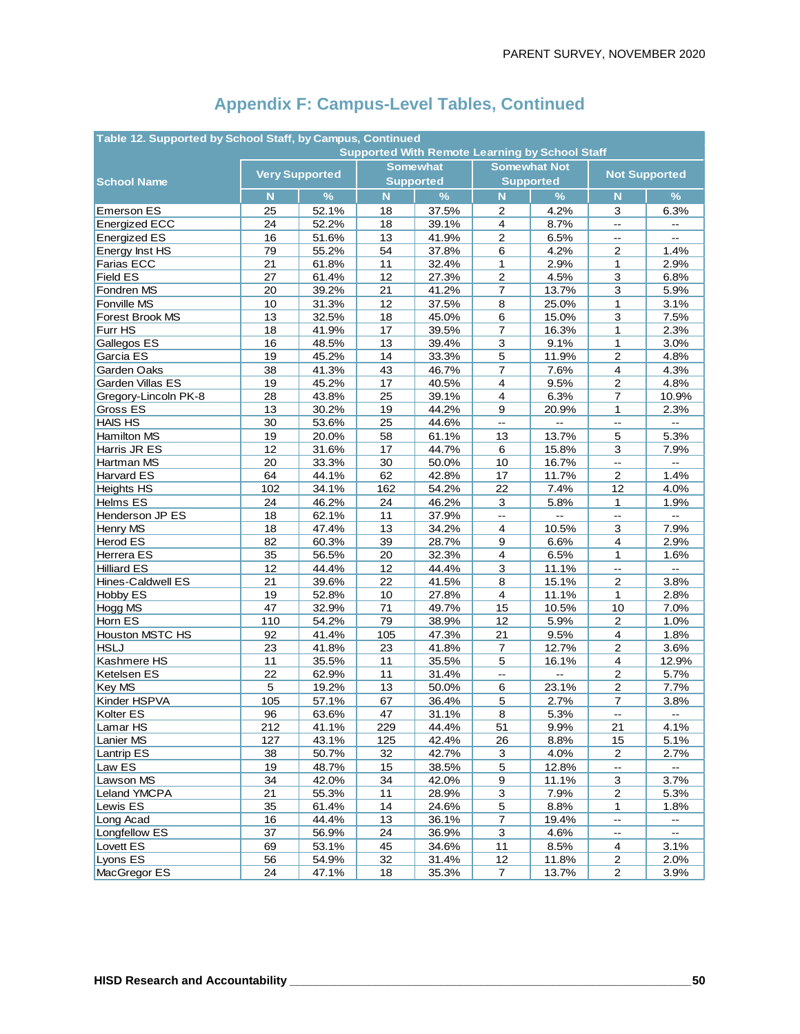| Table 12. Supported by School Staff, by Campus, Continued<br><b>Supported With Remote Learning by School Staff</b> |                       |       |                  |                 |                          |                          |                                               |                                     |  |  |  |
|--------------------------------------------------------------------------------------------------------------------|-----------------------|-------|------------------|-----------------|--------------------------|--------------------------|-----------------------------------------------|-------------------------------------|--|--|--|
|                                                                                                                    |                       |       |                  |                 |                          |                          |                                               |                                     |  |  |  |
|                                                                                                                    | <b>Very Supported</b> |       |                  | <b>Somewhat</b> | <b>Somewhat Not</b>      |                          | <b>Not Supported</b>                          |                                     |  |  |  |
| <b>School Name</b>                                                                                                 |                       |       | <b>Supported</b> |                 | <b>Supported</b>         |                          |                                               |                                     |  |  |  |
|                                                                                                                    | N                     | $\%$  | N                | $\frac{9}{6}$   | N                        | $\frac{9}{6}$            | N                                             | $\frac{9}{6}$                       |  |  |  |
| <b>Emerson ES</b>                                                                                                  | 25                    | 52.1% | 18               | 37.5%           | 2                        | 4.2%                     | 3                                             | 6.3%                                |  |  |  |
| <b>Energized ECC</b>                                                                                               | 24                    | 52.2% | 18               | 39.1%           | $\overline{4}$           | 8.7%                     | L.                                            |                                     |  |  |  |
| <b>Energized ES</b>                                                                                                | 16                    | 51.6% | 13               | 41.9%           | 2                        | 6.5%                     | $\mathbf{L}$                                  | цці.                                |  |  |  |
| Energy Inst HS                                                                                                     | 79                    | 55.2% | 54               | 37.8%           | 6                        | 4.2%                     | 2                                             | 1.4%                                |  |  |  |
| Farias ECC                                                                                                         | 21                    | 61.8% | 11               | 32.4%           | $\mathbf{1}$             | 2.9%                     | 1                                             | 2.9%                                |  |  |  |
| <b>Field ES</b>                                                                                                    | 27                    | 61.4% | 12               | 27.3%           | $\overline{2}$           | 4.5%                     | $\mathsf 3$                                   | 6.8%                                |  |  |  |
| Fondren MS                                                                                                         | 20                    | 39.2% | 21               | 41.2%           | $\overline{7}$           | 13.7%                    | 3                                             | 5.9%                                |  |  |  |
| Fonville MS                                                                                                        | 10                    | 31.3% | 12               | 37.5%           | 8                        | 25.0%                    | 1                                             | 3.1%                                |  |  |  |
| Forest Brook MS                                                                                                    | 13                    | 32.5% | 18               | 45.0%           | 6                        | 15.0%                    | 3                                             | 7.5%                                |  |  |  |
| Furr HS                                                                                                            | 18                    | 41.9% | 17               | 39.5%           | $\overline{7}$           | 16.3%                    | 1                                             | 2.3%                                |  |  |  |
| Gallegos ES                                                                                                        | 16                    | 48.5% | 13               | 39.4%           | 3                        | 9.1%                     | 1                                             | 3.0%                                |  |  |  |
| Garcia ES                                                                                                          | 19                    | 45.2% | 14               | 33.3%           | $\overline{5}$           | 11.9%                    | $\overline{2}$                                | 4.8%                                |  |  |  |
| Garden Oaks                                                                                                        | 38                    | 41.3% | 43               | 46.7%           | $\overline{7}$           | 7.6%                     | 4                                             | 4.3%                                |  |  |  |
| Garden Villas ES                                                                                                   | 19                    | 45.2% | 17               | 40.5%           | $\overline{4}$           | 9.5%                     | $\mathbf 2$                                   | 4.8%                                |  |  |  |
| Gregory-Lincoln PK-8                                                                                               | 28                    | 43.8% | 25               | 39.1%           | 4                        | 6.3%                     | $\overline{7}$                                | 10.9%                               |  |  |  |
| Gross ES                                                                                                           | 13                    | 30.2% | 19               | 44.2%           | 9                        | 20.9%                    | 1                                             | 2.3%                                |  |  |  |
| <b>HAIS HS</b>                                                                                                     | 30                    | 53.6% | 25               | 44.6%           | $\overline{\phantom{a}}$ | $\overline{a}$           | ц.,                                           | ω.                                  |  |  |  |
| Hamilton MS                                                                                                        | 19                    | 20.0% | 58               | 61.1%           | 13                       | 13.7%                    | 5                                             | 5.3%                                |  |  |  |
| Harris JR ES                                                                                                       | 12                    | 31.6% | 17               | 44.7%           | 6                        | 15.8%                    | 3                                             | 7.9%                                |  |  |  |
| Hartman MS                                                                                                         | 20                    | 33.3% | 30               | 50.0%           | 10                       | 16.7%                    | Ξ.                                            | Ξ.                                  |  |  |  |
| Harvard ES                                                                                                         | 64                    | 44.1% | 62               | 42.8%           | 17                       | 11.7%                    | $\overline{2}$                                | 1.4%                                |  |  |  |
| <b>Heights HS</b>                                                                                                  | 102                   | 34.1% | 162              | 54.2%           | 22                       | 7.4%                     | 12                                            | 4.0%                                |  |  |  |
| Helms ES                                                                                                           | 24                    | 46.2% | 24               | 46.2%           | 3                        | 5.8%                     | 1                                             | 1.9%                                |  |  |  |
| Henderson JP ES                                                                                                    | 18                    | 62.1% | 11               | 37.9%           | $\overline{\phantom{a}}$ | $\overline{\phantom{a}}$ | $-$                                           | $- -$                               |  |  |  |
| Henry MS                                                                                                           | 18                    | 47.4% | 13               | 34.2%           | $\overline{4}$           | 10.5%                    | 3                                             | 7.9%                                |  |  |  |
| Herod ES                                                                                                           | 82                    | 60.3% | 39               | 28.7%           | 9                        | 6.6%                     | $\overline{\mathbf{4}}$                       | 2.9%                                |  |  |  |
| Herrera ES                                                                                                         | 35                    | 56.5% | 20               | 32.3%           | $\overline{4}$           | 6.5%                     | 1                                             | 1.6%                                |  |  |  |
| <b>Hilliard ES</b>                                                                                                 | 12                    | 44.4% | 12               | 44.4%           | $\mathsf 3$              | 11.1%                    | Ц,                                            | Ш.                                  |  |  |  |
| Hines-Caldwell ES                                                                                                  | 21                    | 39.6% | 22               | 41.5%           | 8                        | 15.1%                    | $\overline{c}$                                | 3.8%                                |  |  |  |
| Hobby ES                                                                                                           | 19                    | 52.8% | 10               | 27.8%           | 4                        | 11.1%                    | 1                                             | 2.8%                                |  |  |  |
| Hogg MS                                                                                                            | 47                    | 32.9% | 71               | 49.7%           | 15                       | 10.5%                    | 10                                            | 7.0%                                |  |  |  |
| Horn ES                                                                                                            | 110                   | 54.2% | 79               | 38.9%           | 12                       | 5.9%                     | $\boldsymbol{2}$                              | 1.0%                                |  |  |  |
| <b>Houston MSTC HS</b>                                                                                             | 92                    | 41.4% | 105              | 47.3%           | 21                       | 9.5%                     | 4                                             | 1.8%                                |  |  |  |
| <b>HSLJ</b>                                                                                                        | 23                    | 41.8% | 23               | 41.8%           | $\overline{7}$           | 12.7%                    | $\overline{c}$                                | 3.6%                                |  |  |  |
| Kashmere HS                                                                                                        | 11                    | 35.5% | 11               | 35.5%           | 5                        | 16.1%                    | $\overline{4}$                                | 12.9%                               |  |  |  |
| Ketelsen ES                                                                                                        | 22                    | 62.9% | 11               | 31.4%           | $\overline{\phantom{a}}$ | $\mathbf{u}$             | $\boldsymbol{2}$                              | 5.7%                                |  |  |  |
| Key MS                                                                                                             | 5                     | 19.2% | 13               | 50.0%           | 6                        | 23.1%                    | 2                                             | 7.7%                                |  |  |  |
| Kinder HSPVA                                                                                                       | 105                   | 57.1% | 67               | 36.4%           | 5                        | 2.7%                     | $\overline{7}$                                | 3.8%                                |  |  |  |
| Kolter ES                                                                                                          | 96                    | 63.6% | 47               | 31.1%           | 8                        | 5.3%                     | $\overline{\phantom{a}}$                      | $\qquad \qquad \qquad \blacksquare$ |  |  |  |
| Lamar HS                                                                                                           | 212                   | 41.1% | 229              | 44.4%           | 51                       | 9.9%                     | 21                                            | 4.1%                                |  |  |  |
| Lanier MS                                                                                                          | 127                   | 43.1% | 125              | 42.4%           | 26                       | 8.8%                     | 15                                            | 5.1%                                |  |  |  |
| Lantrip ES                                                                                                         | 38                    | 50.7% | 32               | 42.7%           | 3                        | 4.0%                     | $\overline{a}$                                | 2.7%                                |  |  |  |
| Law ES                                                                                                             | 19                    | 48.7% | 15               | 38.5%           | $\sqrt{5}$               | 12.8%                    | $\overline{\phantom{a}}$                      | н.                                  |  |  |  |
| Lawson MS                                                                                                          | 34                    | 42.0% | 34               | 42.0%           | 9                        | 11.1%                    | 3                                             | 3.7%                                |  |  |  |
| Leland YMCPA                                                                                                       | 21                    | 55.3% | 11               | 28.9%           | 3                        | 7.9%                     | $\overline{c}$                                | 5.3%                                |  |  |  |
| Lewis ES                                                                                                           | 35                    | 61.4% | 14               | 24.6%           | $\overline{5}$           | 8.8%                     | $\mathbf{1}$                                  | 1.8%                                |  |  |  |
| Long Acad                                                                                                          | 16                    | 44.4% | 13               | 36.1%           | $\boldsymbol{7}$         | 19.4%                    |                                               |                                     |  |  |  |
| Longfellow ES                                                                                                      | 37                    | 56.9% | 24               | 36.9%           | $\overline{3}$           | 4.6%                     | $\mathord{\hspace{1pt}\text{--}\hspace{1pt}}$ | $\overline{\phantom{a}}$            |  |  |  |
| Lovett ES                                                                                                          | 69                    | 53.1% | 45               | 34.6%           | 11                       | 8.5%                     | 4                                             | 3.1%                                |  |  |  |
| Lyons ES                                                                                                           | 56                    | 54.9% | 32               | 31.4%           | 12                       | 11.8%                    | 2                                             | 2.0%                                |  |  |  |
| MacGregor ES                                                                                                       | 24                    | 47.1% | 18               | 35.3%           | $\overline{7}$           | 13.7%                    | $\overline{\mathbf{c}}$                       | 3.9%                                |  |  |  |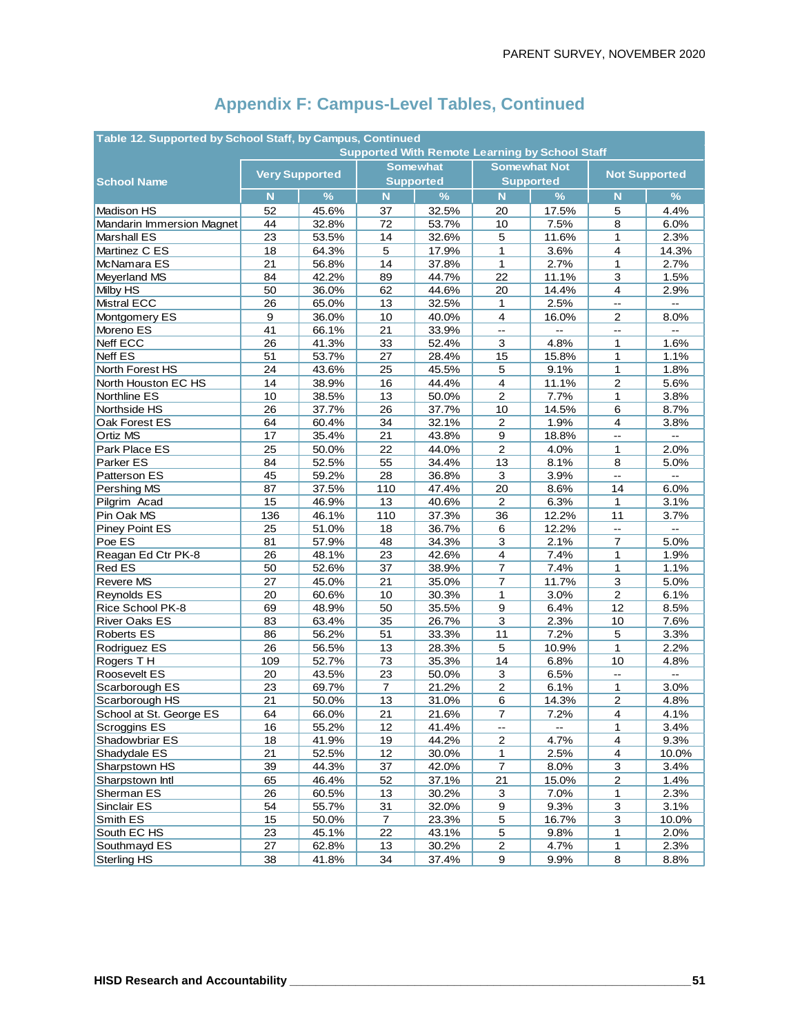| Table 12. Supported by School Staff, by Campus, Continued<br><b>Supported With Remote Learning by School Staff</b> |                       |       |                         |                  |                          |                             |                                               |                   |  |  |  |
|--------------------------------------------------------------------------------------------------------------------|-----------------------|-------|-------------------------|------------------|--------------------------|-----------------------------|-----------------------------------------------|-------------------|--|--|--|
|                                                                                                                    |                       |       |                         |                  |                          |                             |                                               |                   |  |  |  |
|                                                                                                                    | <b>Very Supported</b> |       |                         | <b>Somewhat</b>  | <b>Supported</b>         | <b>Somewhat Not</b>         | <b>Not Supported</b>                          |                   |  |  |  |
| <b>School Name</b>                                                                                                 |                       |       | $\overline{\mathsf{N}}$ | <b>Supported</b> | $\overline{\mathsf{N}}$  |                             |                                               |                   |  |  |  |
|                                                                                                                    | N                     | $\%$  |                         | $\%$             |                          | %                           | N                                             | $\frac{9}{6}$     |  |  |  |
| Madison HS                                                                                                         | 52                    | 45.6% | 37                      | 32.5%            | 20                       | 17.5%                       | 5                                             | 4.4%              |  |  |  |
| Mandarin Immersion Magnet                                                                                          | 44                    | 32.8% | 72                      | 53.7%            | 10                       | 7.5%                        | 8                                             | 6.0%              |  |  |  |
| Marshall ES                                                                                                        | 23                    | 53.5% | 14                      | 32.6%            | 5                        | 11.6%                       | 1                                             | 2.3%              |  |  |  |
| Martinez C ES                                                                                                      | 18                    | 64.3% | 5                       | 17.9%            | 1                        | 3.6%                        | $\overline{\mathbf{4}}$                       | 14.3%             |  |  |  |
| McNamara ES                                                                                                        | 21                    | 56.8% | 14                      | 37.8%            | $\mathbf{1}$             | 2.7%<br>11.1%               | 1                                             | 2.7%              |  |  |  |
| Meyerland MS                                                                                                       | 84                    | 42.2% | 89                      | 44.7%            | 22                       |                             | $\mathsf 3$                                   | 1.5%              |  |  |  |
| Milby HS                                                                                                           | 50                    | 36.0% | 62                      | 44.6%            | 20                       | 14.4%                       | 4                                             | 2.9%              |  |  |  |
| <b>Mistral ECC</b>                                                                                                 | 26                    | 65.0% | 13                      | 32.5%            | 1                        | 2.5%                        | $\mathord{\hspace{1pt}\text{--}\hspace{1pt}}$ | $\qquad \qquad -$ |  |  |  |
| Montgomery ES                                                                                                      | 9                     | 36.0% | 10                      | 40.0%            | 4                        | 16.0%                       | $\mathbf{2}$                                  | 8.0%              |  |  |  |
| Moreno ES                                                                                                          | 41                    | 66.1% | 21                      | 33.9%            | Щ,                       | $\overline{a}$              | $\overline{\phantom{a}}$                      | $\overline{a}$    |  |  |  |
| Neff ECC                                                                                                           | 26                    | 41.3% | 33                      | 52.4%            | 3                        | 4.8%                        | 1                                             | 1.6%              |  |  |  |
| <b>Neff ES</b>                                                                                                     | 51                    | 53.7% | 27                      | 28.4%            | 15                       | 15.8%                       | $\mathbf{1}$                                  | 1.1%              |  |  |  |
| North Forest HS                                                                                                    | 24                    | 43.6% | 25                      | 45.5%            | $\mathbf 5$              | 9.1%                        | 1                                             | 1.8%              |  |  |  |
| North Houston EC HS                                                                                                | 14                    | 38.9% | 16                      | 44.4%            | 4                        | 11.1%                       | $\mathbf{2}$                                  | 5.6%              |  |  |  |
| Northline ES                                                                                                       | 10                    | 38.5% | 13                      | 50.0%            | $\overline{2}$           | 7.7%                        | $\mathbf{1}$                                  | 3.8%              |  |  |  |
| Northside HS                                                                                                       | 26                    | 37.7% | 26                      | 37.7%            | 10                       | 14.5%                       | 6                                             | 8.7%              |  |  |  |
| Oak Forest ES                                                                                                      | 64                    | 60.4% | 34                      | 32.1%            | $\boldsymbol{2}$         | 1.9%                        | $\overline{\mathbf{4}}$                       | 3.8%              |  |  |  |
| Ortiz MS                                                                                                           | 17                    | 35.4% | 21                      | 43.8%            | 9                        | 18.8%                       | -−                                            |                   |  |  |  |
| Park Place ES                                                                                                      | 25                    | 50.0% | 22                      | 44.0%            | $\overline{c}$           | 4.0%                        | $\mathbf{1}$                                  | 2.0%              |  |  |  |
| Parker ES                                                                                                          | 84                    | 52.5% | 55                      | 34.4%            | 13                       | 8.1%                        | 8                                             | 5.0%              |  |  |  |
| Patterson ES                                                                                                       | 45                    | 59.2% | 28                      | 36.8%            | 3                        | 3.9%                        | $\mathbb{L}^{\frac{1}{2}}$                    | Ш,                |  |  |  |
| Pershing MS                                                                                                        | 87                    | 37.5% | 110                     | 47.4%            | 20                       | 8.6%                        | 14                                            | 6.0%              |  |  |  |
| Pilgrim Acad                                                                                                       | 15                    | 46.9% | 13                      | 40.6%            | 2                        | 6.3%                        | 1                                             | 3.1%              |  |  |  |
| Pin Oak MS                                                                                                         | 136                   | 46.1% | 110                     | 37.3%            | 36                       | 12.2%                       | 11                                            | 3.7%              |  |  |  |
| Piney Point ES                                                                                                     | 25                    | 51.0% | 18                      | 36.7%            | 6                        | 12.2%                       | цú.                                           | u.                |  |  |  |
| Poe ES                                                                                                             | 81                    | 57.9% | 48                      | 34.3%            | 3                        | 2.1%                        | 7                                             | 5.0%              |  |  |  |
| Reagan Ed Ctr PK-8                                                                                                 | 26                    | 48.1% | 23                      | 42.6%            | 4                        | 7.4%                        | 1                                             | 1.9%              |  |  |  |
| <b>Red ES</b>                                                                                                      | 50                    | 52.6% | 37                      | 38.9%            | $\overline{7}$           | 7.4%                        | $\mathbf{1}$                                  | 1.1%              |  |  |  |
| Revere MS                                                                                                          | 27                    | 45.0% | 21                      | 35.0%            | $\overline{7}$           | 11.7%                       | 3                                             | 5.0%              |  |  |  |
| Reynolds ES                                                                                                        | 20                    | 60.6% | 10                      | 30.3%            | 1                        | 3.0%                        | $\overline{\mathbf{c}}$                       | 6.1%              |  |  |  |
| Rice School PK-8                                                                                                   | 69                    | 48.9% | 50                      | 35.5%            | $\boldsymbol{9}$         | 6.4%                        | 12                                            | 8.5%              |  |  |  |
| <b>River Oaks ES</b>                                                                                               | 83                    | 63.4% | 35                      | 26.7%            | 3                        | 2.3%                        | 10                                            | 7.6%              |  |  |  |
| <b>Roberts ES</b>                                                                                                  | 86                    | 56.2% | 51                      | 33.3%            | 11                       | 7.2%                        | 5                                             | 3.3%              |  |  |  |
| Rodriguez ES                                                                                                       | 26                    | 56.5% | 13                      | 28.3%            | $\sqrt{5}$               | 10.9%                       | $\mathbf{1}$                                  | 2.2%              |  |  |  |
| Rogers TH                                                                                                          | 109                   | 52.7% | 73                      | 35.3%            | 14                       | 6.8%                        | 10                                            | 4.8%              |  |  |  |
| Roosevelt ES                                                                                                       | 20                    | 43.5% | 23                      | 50.0%            | 3                        | 6.5%                        | $\overline{\phantom{a}}$                      |                   |  |  |  |
| Scarborough ES                                                                                                     | 23                    | 69.7% | $\overline{7}$          | 21.2%            | 2                        | 6.1%                        | 1                                             | 3.0%              |  |  |  |
| Scarborough HS                                                                                                     | 21                    | 50.0% | 13                      | 31.0%            | 6                        | 14.3%                       | $\boldsymbol{2}$                              | 4.8%              |  |  |  |
| School at St. George ES                                                                                            | 64                    | 66.0% | 21                      | 21.6%            | $\overline{7}$           | 7.2%                        | $\overline{\mathbf{4}}$                       | 4.1%              |  |  |  |
| Scroggins ES                                                                                                       | 16                    | 55.2% | 12                      | 41.4%            | $\overline{\phantom{a}}$ | $\mathcal{L}_{\mathcal{F}}$ | 1                                             | 3.4%              |  |  |  |
| Shadowbriar ES                                                                                                     | 18                    | 41.9% | 19                      | 44.2%            | $\boldsymbol{2}$         | 4.7%                        | $\overline{\mathbf{4}}$                       | 9.3%              |  |  |  |
| Shadydale ES                                                                                                       | 21                    | 52.5% | 12                      | 30.0%            | 1                        | 2.5%                        | $\overline{\mathbf{4}}$                       | 10.0%             |  |  |  |
| Sharpstown HS                                                                                                      | 39                    | 44.3% | 37                      | 42.0%            | 7                        | 8.0%                        | $\overline{3}$                                | 3.4%              |  |  |  |
| Sharpstown Intl                                                                                                    | 65                    | 46.4% | 52                      | 37.1%            | 21                       | 15.0%                       | $\mathbf 2$                                   | 1.4%              |  |  |  |
| Sherman ES                                                                                                         | 26                    | 60.5% | 13                      | 30.2%            | $\mathbf{3}$             | 7.0%                        | 1                                             | 2.3%              |  |  |  |
| Sinclair ES                                                                                                        | 54                    | 55.7% | 31                      | 32.0%            | $\boldsymbol{9}$         | 9.3%                        | $\overline{\mathbf{3}}$                       | 3.1%              |  |  |  |
| Smith ES                                                                                                           | 15                    | 50.0% | $\boldsymbol{7}$        | 23.3%            | $\sqrt{5}$               | 16.7%                       | $\overline{3}$                                | 10.0%             |  |  |  |
| South EC HS                                                                                                        | 23                    | 45.1% | 22                      | 43.1%            | $\sqrt{5}$               | 9.8%                        | 1                                             | 2.0%              |  |  |  |
| Southmayd ES                                                                                                       | 27                    | 62.8% | 13                      | 30.2%            | $\overline{c}$           | 4.7%                        | 1                                             | 2.3%              |  |  |  |
| <b>Sterling HS</b>                                                                                                 | 38                    | 41.8% | 34                      | 37.4%            | 9                        | 9.9%                        | $\bf{8}$                                      | 8.8%              |  |  |  |
|                                                                                                                    |                       |       |                         |                  |                          |                             |                                               |                   |  |  |  |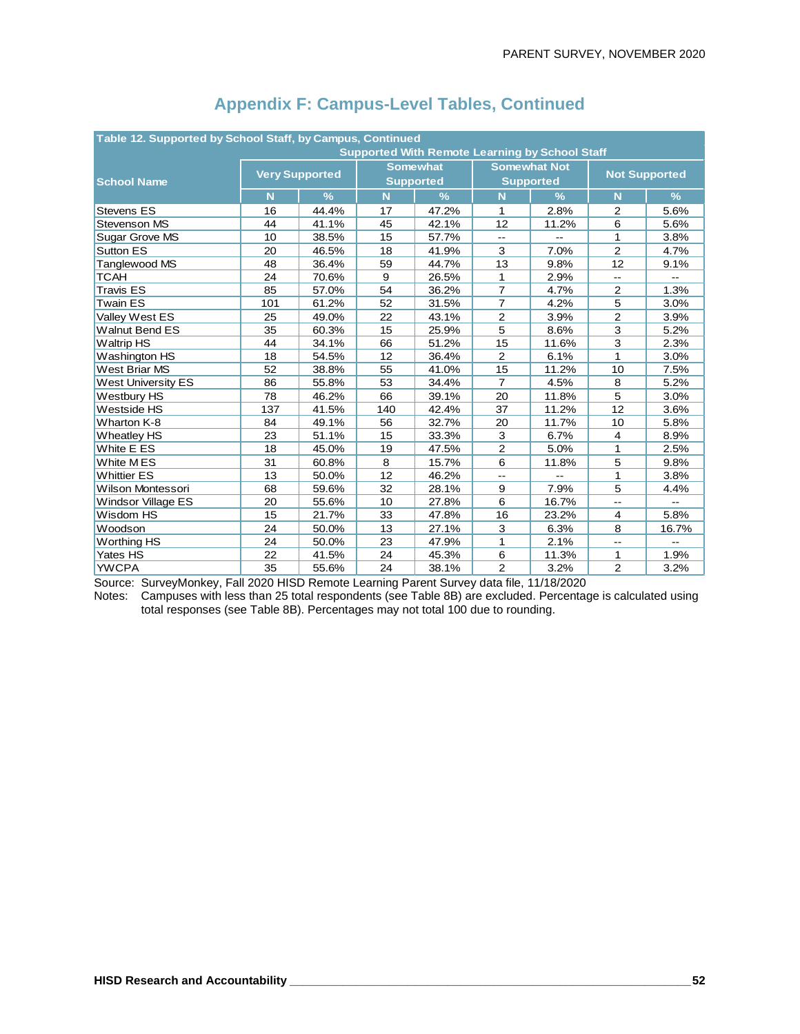| Table 12. Supported by School Staff, by Campus, Continued |                                                                                |                       |     |                  |                |                                                       |                          |                          |  |  |
|-----------------------------------------------------------|--------------------------------------------------------------------------------|-----------------------|-----|------------------|----------------|-------------------------------------------------------|--------------------------|--------------------------|--|--|
|                                                           |                                                                                |                       |     |                  |                | <b>Supported With Remote Learning by School Staff</b> |                          |                          |  |  |
|                                                           |                                                                                | <b>Very Supported</b> |     | <b>Somewhat</b>  |                | <b>Somewhat Not</b>                                   | <b>Not Supported</b>     |                          |  |  |
| <b>School Name</b>                                        |                                                                                |                       |     | <b>Supported</b> |                | <b>Supported</b>                                      |                          |                          |  |  |
|                                                           | N                                                                              | $\frac{9}{6}$         | N   | $\frac{9}{6}$    | N              | $\frac{9}{6}$                                         | N                        | $\frac{9}{6}$            |  |  |
| <b>Stevens ES</b>                                         | 16                                                                             | 44.4%                 | 17  | 47.2%            | 1              | 2.8%                                                  | 2                        | 5.6%                     |  |  |
| Stevenson MS                                              | 44                                                                             | 41.1%                 | 45  | 42.1%            | 12             | 11.2%                                                 | 6                        | 5.6%                     |  |  |
| Sugar Grove MS                                            | 10                                                                             | 38.5%                 | 15  | 57.7%            | $-$            |                                                       | 1                        | 3.8%                     |  |  |
| Sutton ES                                                 | 20                                                                             | 46.5%                 | 18  | 41.9%            | 3              | 7.0%                                                  | $\overline{2}$           | 4.7%                     |  |  |
| Tanglewood MS                                             | 48                                                                             | 36.4%                 | 59  | 44.7%            | 13             | 9.8%                                                  | 12                       | 9.1%                     |  |  |
| <b>TCAH</b>                                               | 24                                                                             | 70.6%                 | 9   | 26.5%            | $\mathbf{1}$   | 2.9%                                                  | $- -$                    | $\overline{\phantom{a}}$ |  |  |
| <b>Travis ES</b>                                          | 85                                                                             | 57.0%                 | 54  | 36.2%            | $\overline{7}$ | 4.7%                                                  | 2                        | 1.3%                     |  |  |
| <b>Twain ES</b>                                           | 101                                                                            | 61.2%                 | 52  | 31.5%            | $\overline{7}$ | 4.2%                                                  | 5                        | 3.0%                     |  |  |
| Valley West ES                                            | 25                                                                             | 49.0%                 | 22  | 43.1%            | $\overline{2}$ | 3.9%                                                  | $\mathbf{2}$             | 3.9%                     |  |  |
| <b>Walnut Bend ES</b>                                     | 35                                                                             | 60.3%                 | 15  | 25.9%            | 5              | 8.6%                                                  | 3                        | 5.2%                     |  |  |
| <b>Waltrip HS</b>                                         | 44                                                                             | 34.1%                 | 66  | 51.2%            | 15             | 11.6%                                                 | 3                        | 2.3%                     |  |  |
| Washington HS                                             | 18                                                                             | 54.5%                 | 12  | 36.4%            | $\overline{2}$ | 6.1%                                                  | 1                        | 3.0%                     |  |  |
| West Briar MS                                             | 52                                                                             | 38.8%                 | 55  | 41.0%            | 15             | 11.2%                                                 | 10                       | 7.5%                     |  |  |
| <b>West University ES</b>                                 | 86                                                                             | 55.8%                 | 53  | 34.4%            | $\overline{7}$ | 4.5%                                                  | 8                        | 5.2%                     |  |  |
| Westbury HS                                               | 78                                                                             | 46.2%                 | 66  | 39.1%            | 20             | 11.8%                                                 | 5                        | 3.0%                     |  |  |
| Westside HS                                               | 137                                                                            | 41.5%                 | 140 | 42.4%            | 37             | 11.2%                                                 | 12                       | 3.6%                     |  |  |
| Wharton K-8                                               | 84                                                                             | 49.1%                 | 56  | 32.7%            | 20             | 11.7%                                                 | 10                       | 5.8%                     |  |  |
| <b>Wheatley HS</b>                                        | 23                                                                             | 51.1%                 | 15  | 33.3%            | 3              | 6.7%                                                  | $\overline{4}$           | 8.9%                     |  |  |
| White E ES                                                | 18                                                                             | 45.0%                 | 19  | 47.5%            | $\overline{c}$ | 5.0%                                                  | 1                        | 2.5%                     |  |  |
| White MES                                                 | 31                                                                             | 60.8%                 | 8   | 15.7%            | 6              | 11.8%                                                 | 5                        | 9.8%                     |  |  |
| <b>Whittier ES</b>                                        | 13                                                                             | 50.0%                 | 12  | 46.2%            | $-$            | $\overline{a}$                                        | 1                        | 3.8%                     |  |  |
| <b>Wilson Montessori</b>                                  | 68                                                                             | 59.6%                 | 32  | 28.1%            | 9              | 7.9%                                                  | 5                        | 4.4%                     |  |  |
| <b>Windsor Village ES</b>                                 | 20                                                                             | 55.6%                 | 10  | 27.8%            | 6              | 16.7%                                                 | $-1$                     | $-1$                     |  |  |
| Wisdom HS                                                 | 15                                                                             | 21.7%                 | 33  | 47.8%            | 16             | 23.2%                                                 | 4                        | 5.8%                     |  |  |
| Woodson                                                   | 24                                                                             | 50.0%                 | 13  | 27.1%            | 3              | 6.3%                                                  | 8                        | 16.7%                    |  |  |
| Worthing HS                                               | 24                                                                             | 50.0%                 | 23  | 47.9%            | 1              | 2.1%                                                  | $\overline{\phantom{a}}$ | $-$                      |  |  |
| Yates HS                                                  | 22                                                                             | 41.5%                 | 24  | 45.3%            | 6              | 11.3%                                                 | 1                        | 1.9%                     |  |  |
| <b>YWCPA</b>                                              | 35<br>$\overline{2}$<br>$\overline{2}$<br>24<br>38.1%<br>3.2%<br>3.2%<br>55.6% |                       |     |                  |                |                                                       |                          |                          |  |  |

Source: SurveyMonkey, Fall 2020 HISD Remote Learning Parent Survey data file, 11/18/2020

Notes: Campuses with less than 25 total respondents (see Table 8B) are excluded. Percentage is calculated using total responses (see Table 8B). Percentages may not total 100 due to rounding.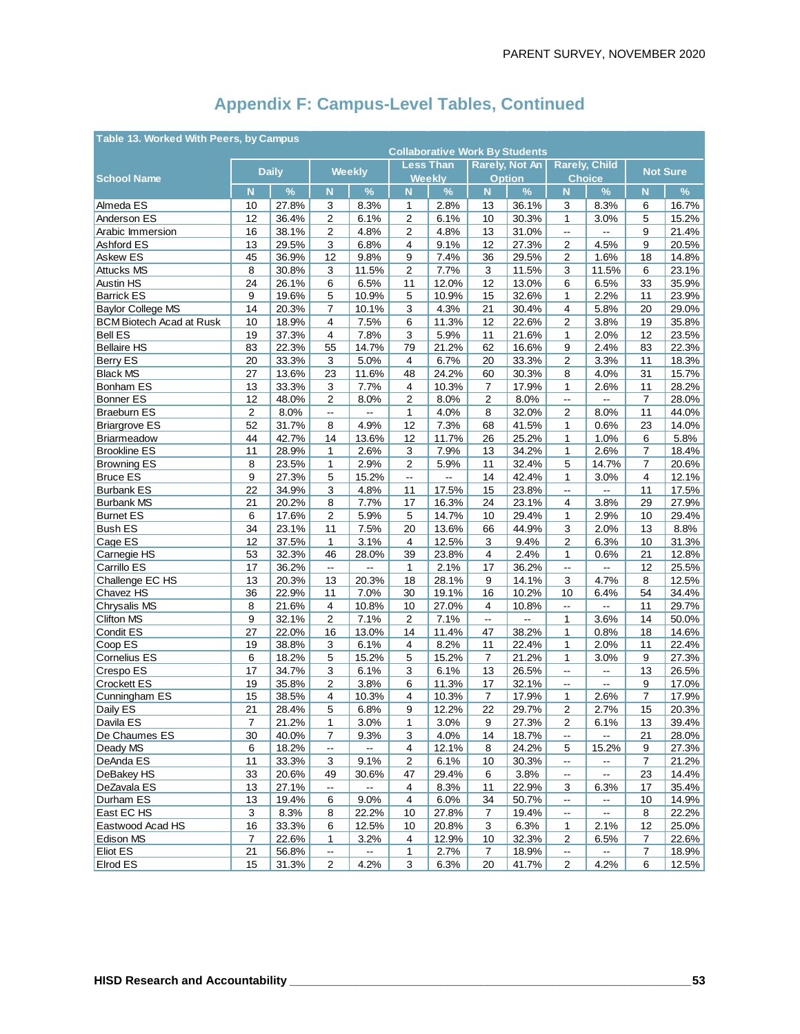| Table 13. Worked With Peers, by Campus<br><b>Collaborative Work By Students</b> |                         |                |                           |                    |                                               |                       |                       |                          |                               |                                  |                 |                |
|---------------------------------------------------------------------------------|-------------------------|----------------|---------------------------|--------------------|-----------------------------------------------|-----------------------|-----------------------|--------------------------|-------------------------------|----------------------------------|-----------------|----------------|
|                                                                                 |                         |                |                           |                    |                                               |                       |                       |                          |                               |                                  |                 |                |
|                                                                                 |                         | <b>Daily</b>   |                           | <b>Weekly</b>      |                                               | Less Than             | <b>Rarely, Not An</b> |                          | <b>Rarely, Child</b>          |                                  | <b>Not Sure</b> |                |
| <b>School Name</b>                                                              | N                       | $\%$           | N                         | $\%$               | N                                             | <b>Weekly</b><br>$\%$ | N                     | <b>Option</b><br>$\%$    | N                             | <b>Choice</b><br>$\%$            | N               | %              |
| Almeda ES                                                                       | 10                      | 27.8%          | 3                         | 8.3%               | $\mathbf{1}$                                  | 2.8%                  | 13                    | 36.1%                    | 3                             | 8.3%                             | 6               | 16.7%          |
| Anderson ES                                                                     | 12                      | 36.4%          | 2                         | 6.1%               | $\overline{2}$                                | 6.1%                  | 10                    | 30.3%                    | $\mathbf{1}$                  | 3.0%                             | 5               | 15.2%          |
| Arabic Immersion                                                                | 16                      | 38.1%          | $\overline{2}$            | 4.8%               | $\overline{2}$                                | 4.8%                  | 13                    | 31.0%                    | $\overline{\phantom{a}}$      | --                               | 9               | 21.4%          |
| Ashford ES                                                                      | 13                      | 29.5%          | 3                         | 6.8%               | 4                                             | 9.1%                  | 12                    | 27.3%                    | 2                             | 4.5%                             | 9               | 20.5%          |
| Askew ES                                                                        | 45                      | 36.9%          | 12                        | 9.8%               | 9                                             | 7.4%                  | 36                    | 29.5%                    | $\overline{c}$                | 1.6%                             | 18              | 14.8%          |
| <b>Attucks MS</b>                                                               | 8                       | 30.8%          | 3                         | 11.5%              | $\overline{2}$                                | 7.7%                  | 3                     | 11.5%                    | 3                             | 11.5%                            | 6               | 23.1%          |
| Austin HS                                                                       | 24                      | 26.1%          | 6                         | 6.5%               | 11                                            | 12.0%                 | 12                    | 13.0%                    | 6                             | 6.5%                             | 33              | 35.9%          |
| <b>Barrick ES</b>                                                               | 9                       | 19.6%          | 5                         | 10.9%              | 5                                             | 10.9%                 | 15                    | 32.6%                    | 1                             | 2.2%                             | 11              | 23.9%          |
| <b>Baylor College MS</b>                                                        | 14                      | 20.3%          | $\overline{7}$            | 10.1%              | 3                                             | 4.3%                  | 21                    | 30.4%                    | 4                             | 5.8%                             | 20              | 29.0%          |
| <b>BCM Biotech Acad at Rusk</b>                                                 | 10                      | 18.9%          | 4                         | 7.5%               | 6                                             | 11.3%                 | 12                    | 22.6%                    | $\overline{2}$                | 3.8%                             | 19              | 35.8%          |
| <b>Bell ES</b>                                                                  | 19                      | 37.3%          | $\overline{4}$            | 7.8%               | 3                                             | 5.9%                  | 11                    | 21.6%                    | $\mathbf{1}$                  | 2.0%                             | 12              | 23.5%          |
| <b>Bellaire HS</b>                                                              | 83                      | 22.3%          | 55                        | 14.7%              | 79                                            | 21.2%                 | 62                    | 16.6%                    | 9                             | 2.4%                             | 83              | 22.3%          |
| Berry ES                                                                        | 20                      | 33.3%          | 3                         | 5.0%               | 4                                             | 6.7%                  | 20                    | 33.3%                    | 2                             | 3.3%                             | 11              | 18.3%          |
| <b>Black MS</b>                                                                 | 27                      | 13.6%          | 23                        | 11.6%              | 48                                            | 24.2%                 | 60                    | 30.3%                    | 8                             | 4.0%                             | 31              | 15.7%          |
| Bonham ES                                                                       | 13                      | 33.3%          | 3                         | 7.7%               | 4                                             | 10.3%                 | $\overline{7}$        | 17.9%                    | 1                             | 2.6%                             | 11              | 28.2%          |
| <b>Bonner ES</b>                                                                | 12                      | 48.0%          | $\overline{2}$            | 8.0%               | 2                                             | 8.0%                  | $\overline{2}$        | 8.0%                     | $\overline{\phantom{a}}$      | --                               | $\overline{7}$  | 28.0%          |
| <b>Braeburn ES</b>                                                              | $\overline{\mathbf{c}}$ | 8.0%           | $\mathbb{L}^{\mathbb{L}}$ | --                 | 1                                             | 4.0%                  | 8                     | 32.0%                    | 2                             | 8.0%                             | 11              | 44.0%          |
| <b>Briargrove ES</b>                                                            | 52                      | 31.7%          | 8                         | 4.9%               | 12                                            | 7.3%                  | 68                    | 41.5%                    | 1                             | 0.6%                             | 23              | 14.0%          |
| <b>Briarmeadow</b>                                                              | 44                      | 42.7%          | 14                        | 13.6%              | 12                                            | 11.7%                 | 26                    | 25.2%                    | 1                             | 1.0%                             | 6               | 5.8%           |
| <b>Brookline ES</b>                                                             | 11                      | 28.9%          | 1                         | 2.6%               | 3                                             | 7.9%                  | 13                    | 34.2%                    | $\mathbf{1}$                  | 2.6%                             | $\overline{7}$  | 18.4%          |
| <b>Browning ES</b>                                                              | 8                       | 23.5%          | 1                         | 2.9%               | 2                                             | 5.9%                  | 11                    | 32.4%                    | 5                             | 14.7%                            | $\overline{7}$  | 20.6%          |
| <b>Bruce ES</b>                                                                 | 9                       | 27.3%          | 5                         | 15.2%              | $\mathord{\hspace{1pt}\text{--}\hspace{1pt}}$ | Щ,                    | 14                    | 42.4%                    | 1                             | 3.0%                             | 4               | 12.1%          |
| <b>Burbank ES</b>                                                               | 22                      | 34.9%          | 3                         | 4.8%               | 11                                            | 17.5%                 | 15                    | 23.8%                    | ω.                            | --                               | 11              | 17.5%          |
| <b>Burbank MS</b>                                                               | 21                      | 20.2%          | 8                         | 7.7%               | 17                                            | 16.3%                 | 24                    | 23.1%                    | 4                             | 3.8%                             | 29              | 27.9%          |
| <b>Burnet ES</b>                                                                | 6                       | 17.6%          | 2                         | 5.9%               | 5                                             | 14.7%                 | 10                    | 29.4%                    | 1                             | 2.9%                             | 10              | 29.4%          |
| <b>Bush ES</b>                                                                  | 34                      | 23.1%          | 11                        | 7.5%               | 20                                            | 13.6%                 | 66                    | 44.9%                    | 3                             | 2.0%                             | 13              | 8.8%           |
| Cage ES                                                                         | 12                      | 37.5%          | $\mathbf{1}$              | 3.1%               | 4                                             | 12.5%                 | 3                     | 9.4%                     | 2                             | 6.3%                             | 10              | 31.3%          |
| Carnegie HS                                                                     | 53                      | 32.3%          | 46                        | 28.0%              | 39                                            | 23.8%                 | 4                     | 2.4%                     | 1                             | 0.6%                             | 21              | 12.8%          |
| Carrillo ES                                                                     | 17                      | 36.2%          | $\mathbb{L}^{\mathbb{L}}$ | Ξ.                 | $\mathbf{1}$                                  | 2.1%                  | 17                    | 36.2%                    | цц.                           | Щ.                               | 12              | 25.5%          |
| Challenge EC HS                                                                 | 13                      | 20.3%          | 13                        | 20.3%              | 18                                            | 28.1%                 | 9                     | 14.1%                    | 3                             | 4.7%                             | 8               | 12.5%          |
| Chavez HS                                                                       | 36                      | 22.9%          | 11                        | 7.0%               | 30                                            | 19.1%                 | 16                    | 10.2%                    | 10                            | 6.4%                             | 54              | 34.4%          |
| Chrysalis MS                                                                    | 8                       | 21.6%          | $\overline{4}$            | 10.8%              | 10                                            | 27.0%                 | 4                     | 10.8%                    | $\overline{\phantom{a}}$      | Щ,                               | 11              | 29.7%          |
| <b>Clifton MS</b>                                                               | 9                       | 32.1%          | $\overline{2}$            | 7.1%               | 2                                             | 7.1%                  | Ξ.                    | $\overline{\phantom{a}}$ | 1                             | 3.6%                             | 14              | 50.0%          |
| Condit ES                                                                       | 27                      | 22.0%          | 16                        | 13.0%              | 14                                            | 11.4%                 | 47                    | 38.2%                    | $\mathbf{1}$                  | 0.8%                             | 18              | 14.6%          |
| Coop ES                                                                         | 19                      | 38.8%          | 3                         | 6.1%               | 4                                             | 8.2%                  | 11                    | 22.4%                    | 1                             | 2.0%                             | 11              | 22.4%          |
| <b>Cornelius ES</b>                                                             | 6                       | 18.2%          | 5                         | 15.2%              | 5                                             | 15.2%                 | 7                     | 21.2%                    | $\mathbf{1}$                  | 3.0%                             | 9               | 27.3%          |
| Crespo ES                                                                       | 17                      | 34.7%          | 3                         | 6.1%               | 3                                             | 6.1%                  | 13                    | 26.5%                    | Ξ.                            | $\overline{a}$                   | 13              | 26.5%          |
| <b>Crockett ES</b>                                                              | 19                      | 35.8%          | $\overline{2}$            | 3.8%               | 6                                             | 11.3%                 | 17                    | 32.1%                    | $\overline{\phantom{a}}$      | --                               | 9               | 17.0%          |
| Cunningham ES                                                                   | 15                      | 38.5%          | 4                         | 10.3%              | 4                                             | 10.3%                 | 7                     | 17.9%                    | 1                             | 2.6%                             | $\overline{7}$  | 17.9%          |
| Daily ES                                                                        | 21                      | 28.4%          | 5                         | 6.8%               | 9                                             | 12.2%                 | 22                    | 29.7%                    | 2                             | 2.7%                             | 15              | 20.3%          |
| Davila ES                                                                       | 7                       | 21.2%          | 1                         | 3.0%               | 1                                             | 3.0%                  | 9                     | 27.3%                    | $\overline{c}$                | 6.1%                             | 13              | 39.4%          |
| De Chaumes ES                                                                   | 30                      | 40.0%          | $\overline{7}$            | 9.3%               | 3                                             | 4.0%                  | 14                    | 18.7%                    | $\overline{\phantom{a}}$      | $\overline{\phantom{a}}$         | 21              | 28.0%          |
| Deady MS                                                                        | 6                       | 18.2%          | $\overline{\phantom{a}}$  |                    | 4                                             | 12.1%                 | 8                     | 24.2%                    | 5                             | 15.2%                            | 9               | 27.3%          |
| DeAnda ES                                                                       | 11                      | 33.3%          | 3                         | 9.1%               | 2                                             | 6.1%                  | 10                    | 30.3%                    | --                            | --                               | $\overline{7}$  | 21.2%          |
| DeBakey HS                                                                      | 33                      | 20.6%          | 49                        | 30.6%<br>$\ddotsc$ | 47                                            | 29.4%                 | 6                     | 3.8%                     | $\overline{\phantom{a}}$      | $\overline{\phantom{a}}$         | 23              | 14.4%          |
| DeZavala ES                                                                     | 13                      | 27.1%          | $\overline{\phantom{a}}$  |                    | 4                                             | 8.3%                  | 11                    | 22.9%                    | 3                             | 6.3%                             | 17              | 35.4%          |
| Durham ES                                                                       | 13                      | 19.4%          | 6<br>8                    | 9.0%               | 4                                             | 6.0%                  | 34                    | 50.7%                    | --                            | $\overline{\phantom{a}}$         | 10              | 14.9%          |
| East EC HS<br>Eastwood Acad HS                                                  | 3<br>16                 | 8.3%<br>33.3%  | 6                         | 22.2%<br>12.5%     | 10                                            | 27.8%<br>20.8%        | 7<br>3                | 19.4%<br>6.3%            | $\overline{\phantom{a}}$<br>1 | $\overline{\phantom{a}}$<br>2.1% | 8<br>12         | 22.2%<br>25.0% |
|                                                                                 |                         |                |                           |                    | 10                                            |                       |                       |                          |                               |                                  |                 |                |
| Edison MS<br>Eliot ES                                                           | $\overline{7}$<br>21    | 22.6%<br>56.8% | 1<br>--                   | 3.2%               | 4<br>1                                        | 12.9%<br>2.7%         | 10<br>$\overline{7}$  | 32.3%<br>18.9%           | 2<br>$\overline{\phantom{a}}$ | 6.5%                             | 7<br>7          | 22.6%<br>18.9% |
| Elrod ES                                                                        | 15                      | 31.3%          | $\overline{2}$            | 4.2%               | 3                                             | 6.3%                  | 20                    | 41.7%                    | $\overline{2}$                | 4.2%                             | 6               | 12.5%          |
|                                                                                 |                         |                |                           |                    |                                               |                       |                       |                          |                               |                                  |                 |                |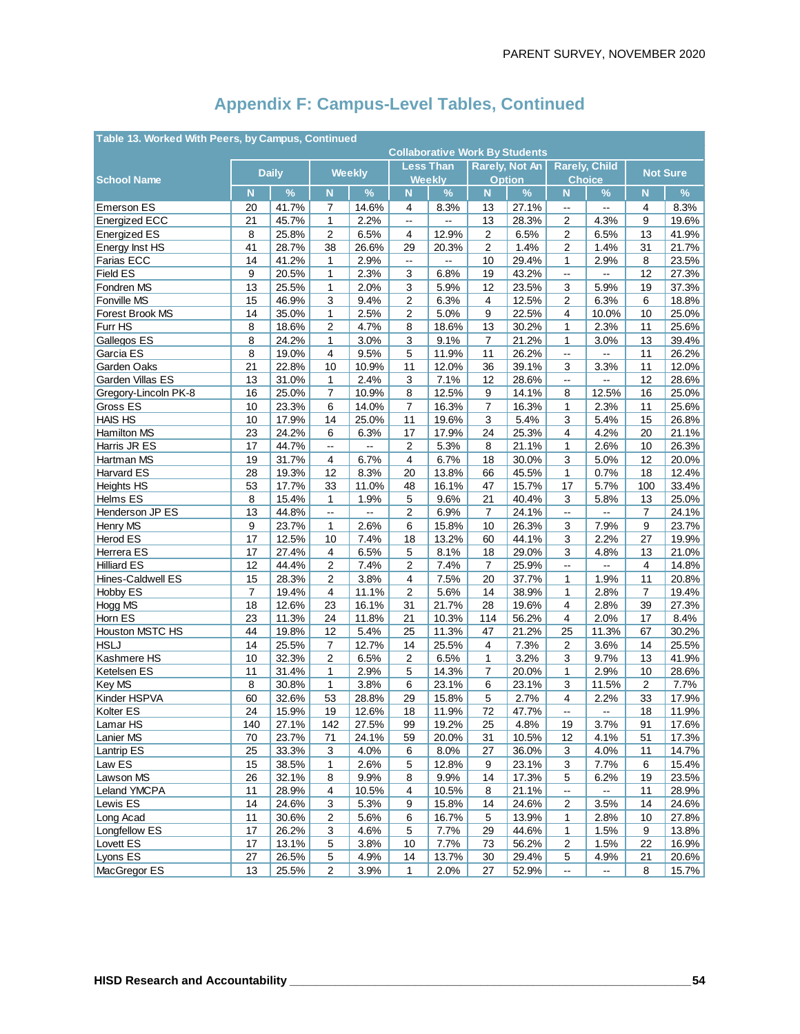|                      | Table 13. Worked With Peers, by Campus, Continued<br><b>Collaborative Work By Students</b> |              |                          |                          |                          |                  |                |                       |                          |                          |                |                 |
|----------------------|--------------------------------------------------------------------------------------------|--------------|--------------------------|--------------------------|--------------------------|------------------|----------------|-----------------------|--------------------------|--------------------------|----------------|-----------------|
|                      |                                                                                            |              |                          |                          |                          |                  |                |                       |                          |                          |                |                 |
|                      |                                                                                            | <b>Daily</b> |                          | <b>Weekly</b>            |                          | <b>Less Than</b> |                | <b>Rarely, Not An</b> |                          | <b>Rarely, Child</b>     |                | <b>Not Sure</b> |
| <b>School Name</b>   |                                                                                            |              |                          |                          |                          | <b>Weekly</b>    |                | <b>Option</b>         |                          | <b>Choice</b>            |                |                 |
|                      | N                                                                                          | $\%$         | N                        | $\%$                     | N                        | $\%$             | $\mathbf N$    | $\%$                  | N                        | $\%$                     | N              | $\%$            |
| <b>Emerson ES</b>    | 20                                                                                         | 41.7%        | 7                        | 14.6%                    | 4                        | 8.3%             | 13             | 27.1%                 | Ξ.                       | Ξ.                       | 4              | 8.3%            |
| <b>Energized ECC</b> | 21                                                                                         | 45.7%        | $\mathbf{1}$             | 2.2%                     | $\overline{\phantom{a}}$ | Щ.               | 13             | 28.3%                 | 2                        | 4.3%                     | 9              | 19.6%           |
| <b>Energized ES</b>  | 8                                                                                          | 25.8%        | $\overline{c}$           | 6.5%                     | 4                        | 12.9%            | $\overline{c}$ | 6.5%                  | $\overline{2}$           | 6.5%                     | 13             | 41.9%           |
| Energy Inst HS       | 41                                                                                         | 28.7%        | 38                       | 26.6%                    | 29                       | 20.3%            | $\sqrt{2}$     | 1.4%                  | 2                        | 1.4%                     | 31             | 21.7%           |
| Farias ECC           | 14                                                                                         | 41.2%        | 1                        | 2.9%                     | $\overline{\phantom{a}}$ | --               | 10             | 29.4%                 | 1                        | 2.9%                     | 8              | 23.5%           |
| Field ES             | 9                                                                                          | 20.5%        | $\mathbf{1}$             | 2.3%                     | 3                        | 6.8%             | 19             | 43.2%                 | $\overline{\phantom{a}}$ | $\overline{\phantom{a}}$ | 12             | 27.3%           |
| Fondren MS           | 13                                                                                         | 25.5%        | $\mathbf{1}$             | 2.0%                     | 3                        | 5.9%             | 12             | 23.5%                 | 3                        | 5.9%                     | 19             | 37.3%           |
| Fonville MS          | 15                                                                                         | 46.9%        | 3                        | 9.4%                     | 2                        | 6.3%             | 4              | 12.5%                 | 2                        | 6.3%                     | 6              | 18.8%           |
| Forest Brook MS      | 14                                                                                         | 35.0%        | $\mathbf{1}$             | 2.5%                     | 2                        | 5.0%             | 9              | 22.5%                 | 4                        | 10.0%                    | 10             | 25.0%           |
| Furr HS              | 8                                                                                          | 18.6%        | $\sqrt{2}$               | 4.7%                     | 8                        | 18.6%            | 13             | 30.2%                 | $\mathbf{1}$             | 2.3%                     | 11             | 25.6%           |
| Gallegos ES          | 8                                                                                          | 24.2%        | 1                        | 3.0%                     | 3                        | 9.1%             | $\overline{7}$ | 21.2%                 | 1                        | 3.0%                     | 13             | 39.4%           |
| Garcia ES            | 8                                                                                          | 19.0%        | $\overline{4}$           | 9.5%                     | 5                        | 11.9%            | 11             | 26.2%                 | ă.                       | ш.                       | 11             | 26.2%           |
| Garden Oaks          | 21                                                                                         | 22.8%        | 10                       | 10.9%                    | 11                       | 12.0%            | 36             | 39.1%                 | 3                        | 3.3%                     | 11             | 12.0%           |
| Garden Villas ES     | 13                                                                                         | 31.0%        | $\mathbf{1}$             | 2.4%                     | 3                        | 7.1%             | 12             | 28.6%                 | $\mathbb{L}^2$           | Щ.                       | 12             | 28.6%           |
| Gregory-Lincoln PK-8 | 16                                                                                         | 25.0%        | 7                        | 10.9%                    | 8                        | 12.5%            | 9              | 14.1%                 | 8                        | 12.5%                    | 16             | 25.0%           |
| Gross ES             | 10                                                                                         | 23.3%        | 6                        | 14.0%                    | $\overline{7}$           | 16.3%            | $\overline{7}$ | 16.3%                 | $\mathbf{1}$             | 2.3%                     | 11             | 25.6%           |
| <b>HAIS HS</b>       | 10                                                                                         | 17.9%        | 14                       | 25.0%                    | 11                       | 19.6%            | 3              | 5.4%                  | 3                        | 5.4%                     | 15             | 26.8%           |
| Hamilton MS          | 23                                                                                         | 24.2%        | 6                        | 6.3%                     | 17                       | 17.9%            | 24             | 25.3%                 | 4                        | 4.2%                     | 20             | 21.1%           |
| Harris JR ES         | 17                                                                                         | 44.7%        | $\omega_{\rm m}$         | $\overline{\phantom{a}}$ | $\overline{2}$           | 5.3%             | 8              | 21.1%                 | 1                        | 2.6%                     | 10             | 26.3%           |
| Hartman MS           | 19                                                                                         | 31.7%        | 4                        | 6.7%                     | $\overline{4}$           | 6.7%             | 18             | 30.0%                 | 3                        | 5.0%                     | 12             | 20.0%           |
| Harvard ES           | 28                                                                                         | 19.3%        | 12                       | 8.3%                     | 20                       | 13.8%            | 66             | 45.5%                 | 1                        | 0.7%                     | 18             | 12.4%           |
| <b>Heights HS</b>    | 53                                                                                         | 17.7%        | 33                       | 11.0%                    | 48                       | 16.1%            | 47             | 15.7%                 | 17                       | 5.7%                     | 100            | 33.4%           |
| Helms ES             | 8                                                                                          | 15.4%        | $\mathbf{1}$             | 1.9%                     | 5                        | 9.6%             | 21             | 40.4%                 | 3                        | 5.8%                     | 13             | 25.0%           |
| Henderson JP ES      | 13                                                                                         | 44.8%        | $\overline{\phantom{a}}$ | $\overline{\phantom{a}}$ | 2                        | 6.9%             | $\overline{7}$ | 24.1%                 | цü.                      | --                       | $\overline{7}$ | 24.1%           |
| Henry MS             | 9                                                                                          | 23.7%        | $\mathbf{1}$             | 2.6%                     | 6                        | 15.8%            | 10             | 26.3%                 | 3                        | 7.9%                     | 9              | 23.7%           |
|                      | 17                                                                                         |              | 10                       |                          | 18                       |                  |                |                       |                          |                          | 27             |                 |
| Herod ES             |                                                                                            | 12.5%        |                          | 7.4%                     |                          | 13.2%            | 60             | 44.1%                 | 3                        | 2.2%                     |                | 19.9%           |
| Herrera ES           | 17                                                                                         | 27.4%        | $\overline{4}$           | 6.5%                     | $\mathbf 5$              | 8.1%             | 18             | 29.0%                 | 3                        | 4.8%                     | 13             | 21.0%           |
| <b>Hilliard ES</b>   | 12                                                                                         | 44.4%        | 2                        | 7.4%                     | 2                        | 7.4%             | 7              | 25.9%                 | --                       | --                       | 4              | 14.8%           |
| Hines-Caldwell ES    | 15                                                                                         | 28.3%        | $\overline{c}$           | 3.8%                     | 4                        | 7.5%             | 20             | 37.7%                 | 1                        | 1.9%                     | 11             | 20.8%           |
| Hobby ES             | $\overline{7}$                                                                             | 19.4%        | 4                        | 11.1%                    | $\overline{2}$           | 5.6%             | 14             | 38.9%                 | 1                        | 2.8%                     | $\overline{7}$ | 19.4%           |
| Hogg MS              | 18                                                                                         | 12.6%        | 23                       | 16.1%                    | 31                       | 21.7%            | 28             | 19.6%                 | 4                        | 2.8%                     | 39             | 27.3%           |
| Horn ES              | 23                                                                                         | 11.3%        | 24                       | 11.8%                    | 21                       | 10.3%            | 114            | 56.2%                 | $\overline{4}$           | 2.0%                     | 17             | 8.4%            |
| Houston MSTC HS      | 44                                                                                         | 19.8%        | 12                       | 5.4%                     | 25                       | 11.3%            | 47             | 21.2%                 | 25                       | 11.3%                    | 67             | 30.2%           |
| <b>HSLJ</b>          | 14                                                                                         | 25.5%        | $\overline{7}$           | 12.7%                    | 14                       | 25.5%            | 4              | 7.3%                  | 2                        | 3.6%                     | 14             | 25.5%           |
| Kashmere HS          | 10                                                                                         | 32.3%        | $\overline{2}$           | 6.5%                     | 2                        | 6.5%             | 1              | 3.2%                  | 3                        | 9.7%                     | 13             | 41.9%           |
| Ketelsen ES          | 11                                                                                         | 31.4%        | $\mathbf{1}$             | 2.9%                     | 5                        | 14.3%            | $\overline{7}$ | 20.0%                 | 1                        | 2.9%                     | 10             | 28.6%           |
| Key MS               | 8                                                                                          | 30.8%        | $\mathbf{1}$             | 3.8%                     | 6                        | 23.1%            | 6              | 23.1%                 | 3                        | 11.5%                    | $\overline{2}$ | 7.7%            |
| Kinder HSPVA         | 60                                                                                         | 32.6%        | 53                       | 28.8%                    | 29                       | 15.8%            | $\mathbf 5$    | 2.7%                  | 4                        | 2.2%                     | 33             | 17.9%           |
| Kolter ES            | 24                                                                                         | 15.9%        | 19                       | 12.6%                    | 18                       | 11.9%            | 72             | 47.7%                 | --                       | --                       | 18             | 11.9%           |
| Lamar HS             | 140                                                                                        | 27.1%        | 142                      | 27.5%                    | 99                       | 19.2%            | 25             | 4.8%                  | 19                       | 3.7%                     | 91             | 17.6%           |
| Lanier MS            | 70                                                                                         | 23.7%        | 71                       | 24.1%                    | 59                       | 20.0%            | 31             | 10.5%                 | 12                       | 4.1%                     | 51             | 17.3%           |
| Lantrip ES           | 25                                                                                         | 33.3%        | 3                        | 4.0%                     | 6                        | 8.0%             | 27             | 36.0%                 | 3                        | 4.0%                     | 11             | 14.7%           |
| Law ES               | 15                                                                                         | 38.5%        | 1                        | 2.6%                     | 5                        | 12.8%            | 9              | 23.1%                 | 3                        | 7.7%                     | 6              | 15.4%           |
| Lawson MS            | 26                                                                                         | 32.1%        | 8                        | 9.9%                     | 8                        | 9.9%             | 14             | 17.3%                 | 5                        | 6.2%                     | 19             | 23.5%           |
| Leland YMCPA         | 11                                                                                         | 28.9%        | $\overline{4}$           | 10.5%                    | 4                        | 10.5%            | 8              | 21.1%                 | $\mathbb{L}^2$           | --                       | 11             | 28.9%           |
| Lewis ES             | 14                                                                                         | 24.6%        | 3                        | 5.3%                     | 9                        | 15.8%            | 14             | 24.6%                 | 2                        | 3.5%                     | 14             | 24.6%           |
| Long Acad            | 11                                                                                         | 30.6%        | $\overline{c}$           | 5.6%                     | 6                        | 16.7%            | 5              | 13.9%                 | 1                        | 2.8%                     | 10             | 27.8%           |
| Longfellow ES        | 17                                                                                         | 26.2%        | 3                        | 4.6%                     | 5                        | 7.7%             | 29             | 44.6%                 | 1                        | 1.5%                     | 9              | 13.8%           |
| Lovett ES            | 17                                                                                         | 13.1%        | $\,$ 5 $\,$              | 3.8%                     | 10                       | 7.7%             | 73             | 56.2%                 | 2                        | 1.5%                     | 22             | 16.9%           |
| Lyons ES             | 27                                                                                         | 26.5%        | $\mathbf 5$              | 4.9%                     | 14                       | 13.7%            | 30             | 29.4%                 | 5                        | 4.9%                     | 21             | 20.6%           |
| MacGregor ES         | 13                                                                                         | 25.5%        | 2                        | 3.9%                     | 1                        | 2.0%             | 27             | 52.9%                 | $\overline{\phantom{a}}$ | --                       | 8              | 15.7%           |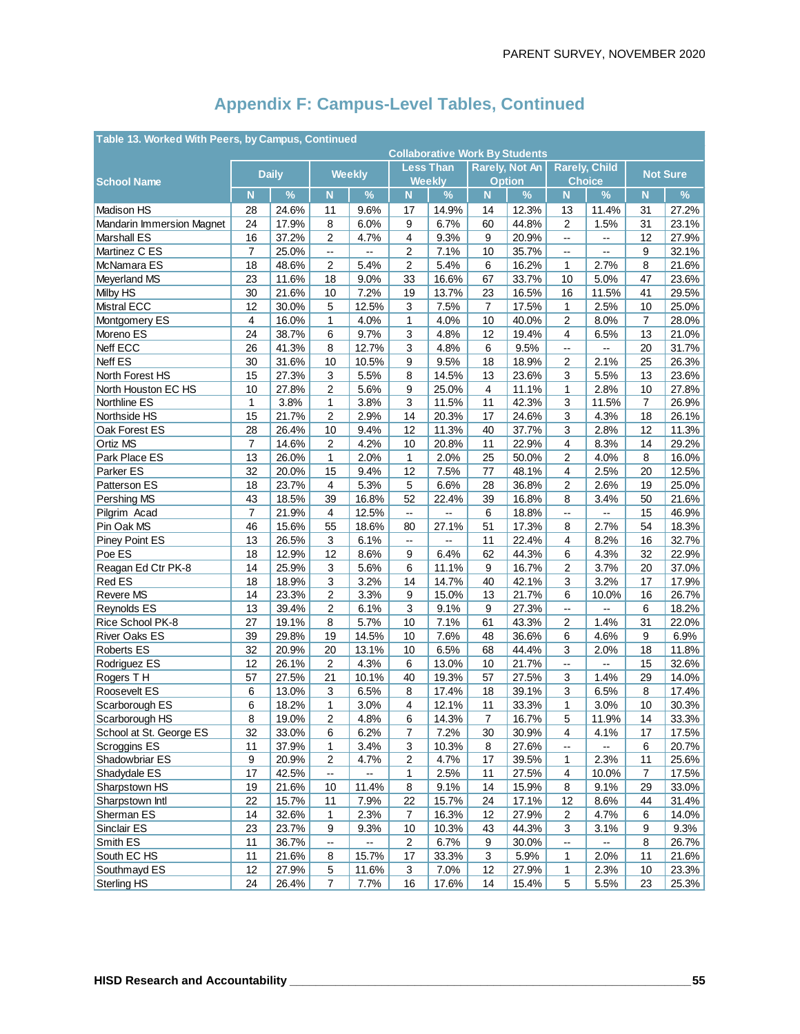|                                       | Table 13. Worked With Peers, by Campus, Continued<br><b>Collaborative Work By Students</b> |                |                          |                          |                          |                       |                                        |                |                                       |                          |                      |                |
|---------------------------------------|--------------------------------------------------------------------------------------------|----------------|--------------------------|--------------------------|--------------------------|-----------------------|----------------------------------------|----------------|---------------------------------------|--------------------------|----------------------|----------------|
|                                       |                                                                                            |                |                          |                          |                          |                       |                                        |                |                                       |                          |                      |                |
|                                       |                                                                                            | <b>Daily</b>   |                          | <b>Weekly</b>            |                          | Less Than             | <b>Rarely, Not An</b><br><b>Option</b> |                | <b>Rarely, Child</b><br><b>Choice</b> |                          | <b>Not Sure</b>      |                |
| <b>School Name</b>                    | N                                                                                          | $\%$           | N                        | $\frac{9}{6}$            | N                        | <b>Weekly</b><br>$\%$ | $\mathbf N$                            | $\%$           | N.                                    | $\%$                     | N <sub>1</sub>       | $\%$           |
|                                       |                                                                                            |                |                          |                          |                          |                       |                                        |                |                                       |                          |                      |                |
| Madison HS                            | 28                                                                                         | 24.6%          | 11                       | 9.6%                     | 17                       | 14.9%<br>6.7%         | 14                                     | 12.3%          | 13                                    | 11.4%                    | 31                   | 27.2%          |
| <b>Mandarin Immersion Magnet</b>      | 24                                                                                         | 17.9%          | 8                        | 6.0%                     | 9                        |                       | 60                                     | 44.8%          | 2                                     | 1.5%                     | 31                   | 23.1%          |
| <b>Marshall ES</b>                    | 16                                                                                         | 37.2%          | $\overline{2}$           | 4.7%                     | 4                        | 9.3%                  | 9                                      | 20.9%          | $\overline{\phantom{a}}$              | --                       | 12                   | 27.9%          |
| Martinez C ES                         | $\overline{7}$                                                                             | 25.0%          | $\overline{\phantom{a}}$ | $\overline{\phantom{a}}$ | 2                        | 7.1%<br>5.4%          | 10                                     | 35.7%          | $\overline{\phantom{a}}$              | --                       | 9                    | 32.1%          |
| McNamara ES                           | 18<br>23                                                                                   | 48.6%<br>11.6% | $\overline{2}$<br>18     | 5.4%<br>9.0%             | $\overline{c}$           | 16.6%                 | 6<br>67                                | 16.2%<br>33.7% | 1                                     | 2.7%<br>5.0%             | 8<br>47              | 21.6%<br>23.6% |
| Meyerland MS                          |                                                                                            | 21.6%          |                          | 7.2%                     | 33                       | 13.7%                 |                                        |                | 10                                    |                          | 41                   | 29.5%          |
| <b>Milby HS</b><br><b>Mistral ECC</b> | 30<br>12                                                                                   |                | 10<br>5                  |                          | 19<br>3                  | 7.5%                  | 23                                     | 16.5%          | 16                                    | 11.5%                    |                      |                |
|                                       | $\overline{4}$                                                                             | 30.0%          | $\mathbf{1}$             | 12.5%<br>4.0%            | 1                        | 4.0%                  | 7<br>10                                | 17.5%<br>40.0% | 1<br>2                                | 2.5%<br>8.0%             | 10<br>$\overline{7}$ | 25.0%<br>28.0% |
| Montgomery ES<br>Moreno ES            | 24                                                                                         | 16.0%          | 6                        | 9.7%                     | 3                        | 4.8%                  | 12                                     | 19.4%          | 4                                     |                          | 13                   |                |
| Neff ECC                              | 26                                                                                         | 38.7%<br>41.3% | 8                        |                          |                          | 4.8%                  |                                        | 9.5%           |                                       | 6.5%<br>--               | 20                   | 21.0%<br>31.7% |
|                                       | 30                                                                                         |                | 10                       | 12.7%                    | 3<br>9                   |                       | 6<br>18                                |                | --                                    |                          | 25                   |                |
| Neff ES                               |                                                                                            | 31.6%          |                          | 10.5%                    |                          | 9.5%                  |                                        | 18.9%          | 2                                     | 2.1%                     |                      | 26.3%          |
| North Forest HS                       | 15                                                                                         | 27.3%          | $\sqrt{3}$               | 5.5%                     | 8                        | 14.5%                 | 13                                     | 23.6%          | 3                                     | 5.5%                     | 13                   | 23.6%          |
| North Houston EC HS                   | 10                                                                                         | 27.8%          | $\overline{2}$           | 5.6%                     | $\boldsymbol{9}$         | 25.0%                 | $\overline{4}$                         | 11.1%          | 1                                     | 2.8%                     | 10                   | 27.8%          |
| Northline ES                          | 1                                                                                          | 3.8%           | 1                        | 3.8%                     | 3                        | 11.5%                 | 11                                     | 42.3%          | 3                                     | 11.5%                    | $\overline{7}$       | 26.9%          |
| Northside HS                          | 15                                                                                         | 21.7%          | $\overline{2}$           | 2.9%                     | 14                       | 20.3%                 | 17                                     | 24.6%          | 3                                     | 4.3%                     | 18                   | 26.1%          |
| Oak Forest ES                         | 28                                                                                         | 26.4%          | 10                       | 9.4%                     | 12                       | 11.3%                 | 40                                     | 37.7%          | 3                                     | 2.8%<br>8.3%             | 12                   | 11.3%          |
| Ortiz MS                              | $\overline{7}$                                                                             | 14.6%          | $\overline{2}$           | 4.2%                     | 10                       | 20.8%                 | 11                                     | 22.9%          | 4                                     |                          | 14                   | 29.2%          |
| Park Place ES                         | 13                                                                                         | 26.0%          | $\mathbf{1}$             | 2.0%                     | $\mathbf{1}$             | 2.0%                  | 25                                     | 50.0%          | $\overline{2}$                        | 4.0%                     | 8                    | 16.0%          |
| Parker ES                             | 32                                                                                         | 20.0%          | 15                       | 9.4%                     | 12                       | 7.5%                  | 77                                     | 48.1%          | 4                                     | 2.5%                     | 20                   | 12.5%          |
| Patterson ES                          | 18                                                                                         | 23.7%          | $\overline{4}$           | 5.3%                     | 5                        | 6.6%                  | 28                                     | 36.8%          | 2                                     | 2.6%                     | 19                   | 25.0%          |
| Pershing MS                           | 43                                                                                         | 18.5%          | 39                       | 16.8%                    | 52                       | 22.4%                 | 39                                     | 16.8%          | 8                                     | 3.4%                     | 50                   | 21.6%          |
| Pilgrim Acad                          | 7<br>46                                                                                    | 21.9%          | $\overline{4}$<br>55     | 12.5%                    | $\overline{\phantom{a}}$ | $\overline{a}$        | 6<br>51                                | 18.8%          | $\overline{a}$                        | --                       | 15<br>54             | 46.9%          |
| Pin Oak MS                            | 13                                                                                         | 15.6%<br>26.5% | $\sqrt{3}$               | 18.6%<br>6.1%            | 80<br>$\sim$             | 27.1%<br>--           | 11                                     | 17.3%<br>22.4% | 8<br>4                                | 2.7%<br>8.2%             | 16                   | 18.3%<br>32.7% |
| Piney Point ES<br>Poe ES              | 18                                                                                         | 12.9%          | 12                       | 8.6%                     |                          | 6.4%                  | 62                                     | 44.3%          | 6                                     | 4.3%                     |                      |                |
| Reagan Ed Ctr PK-8                    | 14                                                                                         | 25.9%          | 3                        | 5.6%                     | 9<br>6                   | 11.1%                 | 9                                      | 16.7%          | $\overline{c}$                        | 3.7%                     | 32<br>20             | 22.9%<br>37.0% |
| Red ES                                | 18                                                                                         | 18.9%          | 3                        | 3.2%                     | 14                       | 14.7%                 | 40                                     | 42.1%          | 3                                     | 3.2%                     | 17                   | 17.9%          |
| Revere MS                             | 14                                                                                         | 23.3%          | $\overline{2}$           | 3.3%                     | 9                        | 15.0%                 | 13                                     | 21.7%          | 6                                     | 10.0%                    | 16                   | 26.7%          |
| <b>Reynolds ES</b>                    | 13                                                                                         | 39.4%          | $\overline{2}$           | 6.1%                     | 3                        | 9.1%                  | 9                                      | 27.3%          | $\overline{\phantom{a}}$              | --                       | 6                    | 18.2%          |
| Rice School PK-8                      | 27                                                                                         | 19.1%          | 8                        | 5.7%                     | 10                       | 7.1%                  | 61                                     | 43.3%          | 2                                     | 1.4%                     | 31                   | 22.0%          |
| <b>River Oaks ES</b>                  | 39                                                                                         | 29.8%          | 19                       | 14.5%                    | 10                       | 7.6%                  | 48                                     | 36.6%          | 6                                     | 4.6%                     | 9                    | 6.9%           |
| Roberts ES                            | 32                                                                                         | 20.9%          | 20                       | 13.1%                    | 10                       | 6.5%                  | 68                                     | 44.4%          | 3                                     | 2.0%                     | 18                   | 11.8%          |
|                                       | 12                                                                                         | 26.1%          | $\overline{2}$           | 4.3%                     | 6                        | 13.0%                 | 10                                     | 21.7%          | Щ,                                    | Щ.                       | 15                   | 32.6%          |
| Rodriguez ES<br>Rogers TH             | 57                                                                                         | 27.5%          | 21                       | 10.1%                    | 40                       | 19.3%                 | 57                                     | 27.5%          | 3                                     | 1.4%                     | 29                   | 14.0%          |
| Roosevelt ES                          | 6                                                                                          | 13.0%          | 3                        | 6.5%                     | 8                        | 17.4%                 | 18                                     | 39.1%          | 3                                     | 6.5%                     | 8                    | 17.4%          |
| Scarborough ES                        | 6                                                                                          | 18.2%          | $\mathbf{1}$             | 3.0%                     | 4                        | 12.1%                 | 11                                     | 33.3%          | 1                                     | 3.0%                     | 10                   | 30.3%          |
| Scarborough HS                        | 8                                                                                          | 19.0%          | $\overline{c}$           | 4.8%                     | 6                        | 14.3%                 | $\boldsymbol{7}$                       | 16.7%          | 5                                     | 11.9%                    | 14                   | 33.3%          |
| School at St. George ES               | 32                                                                                         | 33.0%          | 6                        | 6.2%                     | 7                        | 7.2%                  | 30                                     | 30.9%          | 4                                     | 4.1%                     | 17                   | 17.5%          |
| <b>Scroggins ES</b>                   | 11                                                                                         | 37.9%          | 1                        | 3.4%                     | 3                        | 10.3%                 | 8                                      | 27.6%          | $\overline{\phantom{a}}$              | --                       | 6                    | 20.7%          |
| Shadowbriar ES                        | 9                                                                                          | 20.9%          | $\overline{2}$           | 4.7%                     | $\overline{\mathbf{c}}$  | 4.7%                  | 17                                     | 39.5%          | 1                                     | 2.3%                     | 11                   | 25.6%          |
| Shadydale ES                          | 17                                                                                         | 42.5%          | $\overline{\phantom{a}}$ | $\overline{\phantom{a}}$ | 1                        | 2.5%                  | 11                                     | 27.5%          | 4                                     | 10.0%                    | $\overline{7}$       | 17.5%          |
| Sharpstown HS                         | 19                                                                                         | 21.6%          | 10                       | 11.4%                    | 8                        | 9.1%                  | 14                                     | 15.9%          | 8                                     | 9.1%                     | 29                   | 33.0%          |
| Sharpstown Intl                       | 22                                                                                         | 15.7%          | 11                       | 7.9%                     | 22                       | 15.7%                 | 24                                     | 17.1%          | 12                                    | 8.6%                     | 44                   | 31.4%          |
| Sherman ES                            | 14                                                                                         | 32.6%          | 1                        | 2.3%                     | $\overline{7}$           | 16.3%                 | 12                                     | 27.9%          | 2                                     | 4.7%                     | 6                    | 14.0%          |
| Sinclair ES                           | 23                                                                                         | 23.7%          | 9                        | 9.3%                     | 10                       | 10.3%                 | 43                                     | 44.3%          | 3                                     | 3.1%                     | 9                    | 9.3%           |
| Smith ES                              | 11                                                                                         | 36.7%          | $\overline{\phantom{a}}$ | $\overline{a}$           | $\overline{2}$           | 6.7%                  | 9                                      | 30.0%          | $\overline{\phantom{a}}$              | $\overline{\phantom{a}}$ | 8                    | 26.7%          |
| South EC HS                           | 11                                                                                         | 21.6%          | 8                        | 15.7%                    | 17                       | 33.3%                 | 3                                      | 5.9%           | 1                                     | 2.0%                     | 11                   | 21.6%          |
| Southmayd ES                          | 12                                                                                         | 27.9%          | $\sqrt{5}$               | 11.6%                    | 3                        | 7.0%                  | 12                                     | 27.9%          | 1                                     | 2.3%                     | 10                   | 23.3%          |
| <b>Sterling HS</b>                    | 24                                                                                         | 26.4%          | $\overline{7}$           | 7.7%                     | 16                       | 17.6%                 | 14                                     | 15.4%          | 5                                     | 5.5%                     | 23                   | 25.3%          |
|                                       |                                                                                            |                |                          |                          |                          |                       |                                        |                |                                       |                          |                      |                |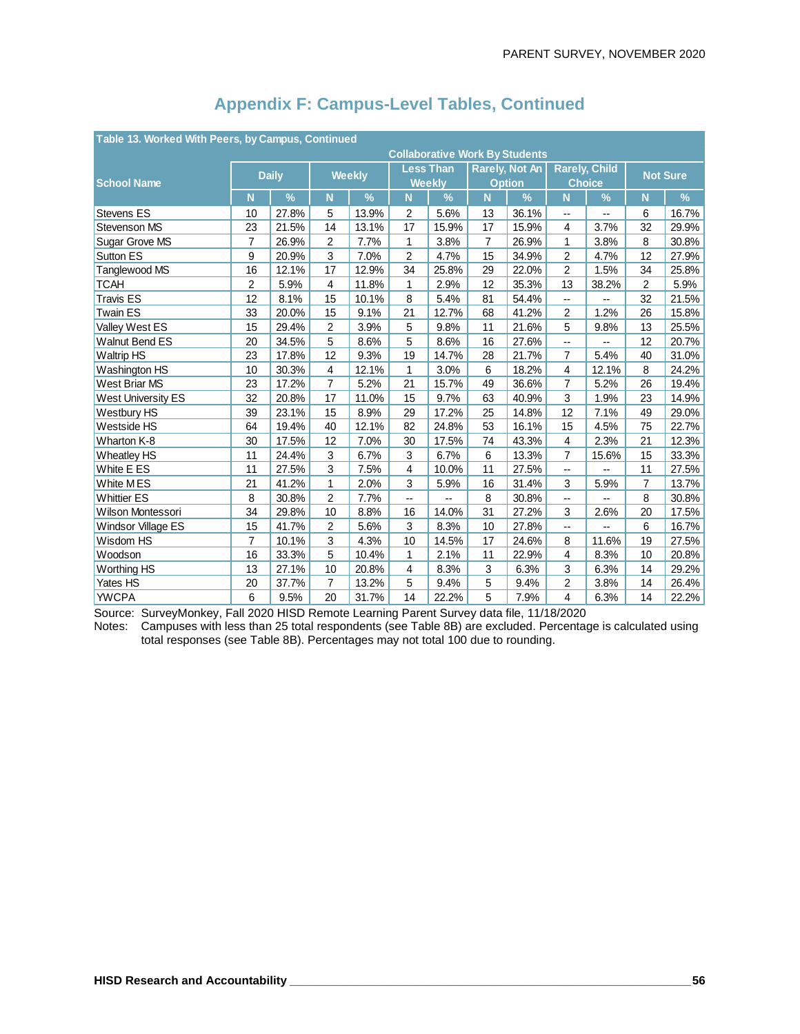|                           | Table 13. Worked With Peers, by Campus, Continued |              |                |               |              |                  |                       |                                       |                          |               |                |                 |
|---------------------------|---------------------------------------------------|--------------|----------------|---------------|--------------|------------------|-----------------------|---------------------------------------|--------------------------|---------------|----------------|-----------------|
|                           |                                                   |              |                |               |              |                  |                       | <b>Collaborative Work By Students</b> |                          |               |                |                 |
|                           |                                                   | <b>Daily</b> |                | <b>Weekly</b> |              | <b>Less Than</b> | <b>Rarely, Not An</b> |                                       | <b>Rarely, Child</b>     |               |                | <b>Not Sure</b> |
| <b>School Name</b>        |                                                   |              |                |               |              | <b>Weekly</b>    |                       | <b>Option</b>                         |                          | <b>Choice</b> |                |                 |
|                           | N                                                 | %            | N              | %             | N            | $\%$             | $\mathsf{N}$          | %                                     | N                        | %             | N              | %               |
| Stevens ES                | 10                                                | 27.8%        | 5              | 13.9%         | 2            | 5.6%             | 13                    | 36.1%                                 | $\overline{\phantom{a}}$ | --            | 6              | 16.7%           |
| <b>Stevenson MS</b>       | 23                                                | 21.5%        | 14             | 13.1%         | 17           | 15.9%            | 17                    | 15.9%                                 | 4                        | 3.7%          | 32             | 29.9%           |
| Sugar Grove MS            | $\overline{7}$                                    | 26.9%        | 2              | 7.7%          | 1            | 3.8%             | $\overline{7}$        | 26.9%                                 | 1                        | 3.8%          | 8              | 30.8%           |
| <b>Sutton ES</b>          | 9                                                 | 20.9%        | 3              | 7.0%          | 2            | 4.7%             | 15                    | 34.9%                                 | $\overline{2}$           | 4.7%          | 12             | 27.9%           |
| Tanglewood MS             | 16                                                | 12.1%        | 17             | 12.9%         | 34           | 25.8%            | 29                    | 22.0%                                 | $\overline{2}$           | 1.5%          | 34             | 25.8%           |
| <b>TCAH</b>               | $\overline{2}$                                    | 5.9%         | 4              | 11.8%         | 1            | 2.9%             | 12                    | 35.3%                                 | 13                       | 38.2%         | 2              | 5.9%            |
| <b>Travis ES</b>          | 12                                                | 8.1%         | 15             | 10.1%         | 8            | 5.4%             | 81                    | 54.4%                                 | --                       | --            | 32             | 21.5%           |
| <b>Twain ES</b>           | 33                                                | 20.0%        | 15             | 9.1%          | 21           | 12.7%            | 68                    | 41.2%                                 | $\overline{2}$           | 1.2%          | 26             | 15.8%           |
| Valley West ES            | 15                                                | 29.4%        | 2              | 3.9%          | 5            | 9.8%             | 11                    | 21.6%                                 | 5                        | 9.8%          | 13             | 25.5%           |
| <b>Walnut Bend ES</b>     | 20                                                | 34.5%        | 5              | 8.6%          | 5            | 8.6%             | 16                    | 27.6%                                 | --                       | --            | 12             | 20.7%           |
| <b>Waltrip HS</b>         | 23                                                | 17.8%        | 12             | 9.3%          | 19           | 14.7%            | 28                    | 21.7%                                 | 7                        | 5.4%          | 40             | 31.0%           |
| Washington HS             | 10                                                | 30.3%        | $\overline{4}$ | 12.1%         | 1            | 3.0%             | 6                     | 18.2%                                 | 4                        | 12.1%         | 8              | 24.2%           |
| West Briar MS             | 23                                                | 17.2%        | $\overline{7}$ | 5.2%          | 21           | 15.7%            | 49                    | 36.6%                                 | 7                        | 5.2%          | 26             | 19.4%           |
| <b>West University ES</b> | 32                                                | 20.8%        | 17             | 11.0%         | 15           | 9.7%             | 63                    | 40.9%                                 | 3                        | 1.9%          | 23             | 14.9%           |
| Westbury HS               | 39                                                | 23.1%        | 15             | 8.9%          | 29           | 17.2%            | 25                    | 14.8%                                 | 12                       | 7.1%          | 49             | 29.0%           |
| Westside HS               | 64                                                | 19.4%        | 40             | 12.1%         | 82           | 24.8%            | 53                    | 16.1%                                 | 15                       | 4.5%          | 75             | 22.7%           |
| Wharton K-8               | 30                                                | 17.5%        | 12             | 7.0%          | 30           | 17.5%            | 74                    | 43.3%                                 | 4                        | 2.3%          | 21             | 12.3%           |
| <b>Wheatley HS</b>        | 11                                                | 24.4%        | 3              | 6.7%          | 3            | 6.7%             | 6                     | 13.3%                                 | 7                        | 15.6%         | 15             | 33.3%           |
| White E ES                | 11                                                | 27.5%        | 3              | 7.5%          | 4            | 10.0%            | 11                    | 27.5%                                 | --                       | --            | 11             | 27.5%           |
| White MES                 | 21                                                | 41.2%        | 1              | 2.0%          | 3            | 5.9%             | 16                    | 31.4%                                 | 3                        | 5.9%          | $\overline{7}$ | 13.7%           |
| <b>Whittier ES</b>        | 8                                                 | 30.8%        | $\overline{2}$ | 7.7%          | --           |                  | 8                     | 30.8%                                 | --                       | --            | 8              | 30.8%           |
| <b>Wilson Montessori</b>  | 34                                                | 29.8%        | 10             | 8.8%          | 16           | 14.0%            | 31                    | 27.2%                                 | 3                        | 2.6%          | 20             | 17.5%           |
| <b>Windsor Village ES</b> | 15                                                | 41.7%        | $\overline{2}$ | 5.6%          | 3            | 8.3%             | 10                    | 27.8%                                 | --                       | --            | 6              | 16.7%           |
| Wisdom HS                 | $\overline{7}$                                    | 10.1%        | 3              | 4.3%          | 10           | 14.5%            | 17                    | 24.6%                                 | 8                        | 11.6%         | 19             | 27.5%           |
| Woodson                   | 16                                                | 33.3%        | 5              | 10.4%         | $\mathbf{1}$ | 2.1%             | 11                    | 22.9%                                 | 4                        | 8.3%          | 10             | 20.8%           |
| Worthing HS               | 13                                                | 27.1%        | 10             | 20.8%         | 4            | 8.3%             | 3                     | 6.3%                                  | 3                        | 6.3%          | 14             | 29.2%           |
| Yates HS                  | 20                                                | 37.7%        | $\overline{7}$ | 13.2%         | 5            | 9.4%             | 5                     | 9.4%                                  | 2                        | 3.8%          | 14             | 26.4%           |
| <b>YWCPA</b>              | 6                                                 | 9.5%         | 20             | 31.7%         | 14           | 22.2%            | 5                     | 7.9%                                  | 4                        | 6.3%          | 14             | 22.2%           |

Source: SurveyMonkey, Fall 2020 HISD Remote Learning Parent Survey data file, 11/18/2020

Notes: Campuses with less than 25 total respondents (see Table 8B) are excluded. Percentage is calculated using total responses (see Table 8B). Percentages may not total 100 due to rounding.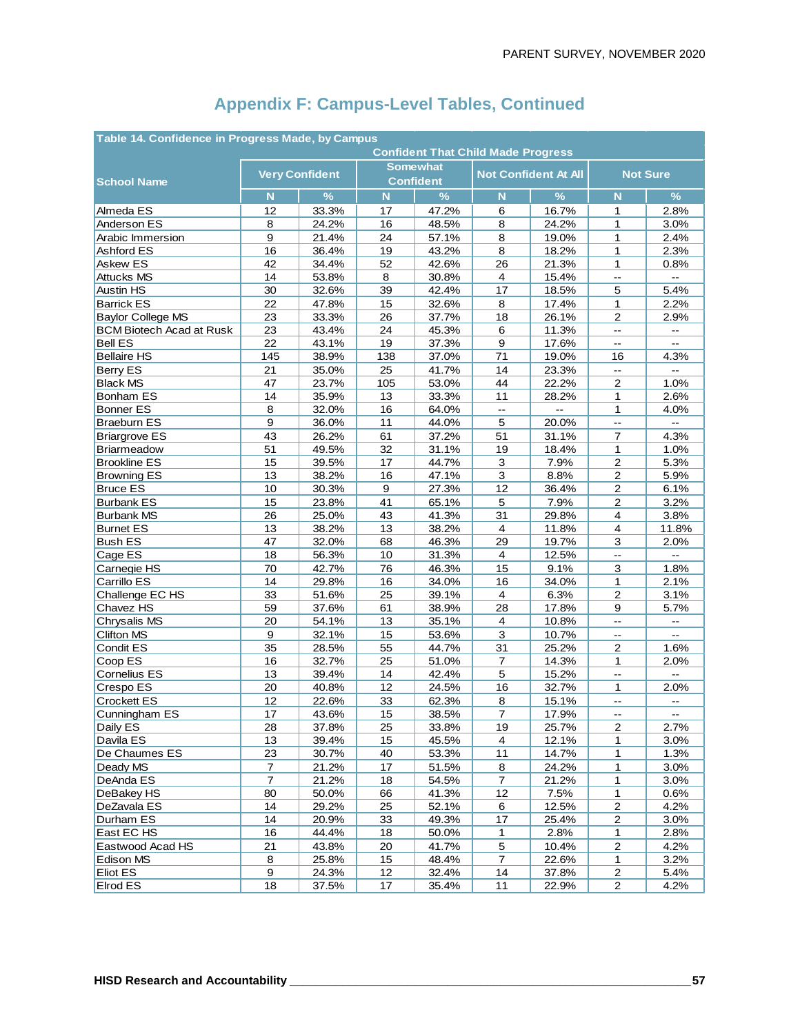| Table 14. Confidence in Progress Made, by Campus<br><b>Confident That Child Made Progress</b> |                |                       |          |                  |                          |                             |                          |                          |  |  |  |
|-----------------------------------------------------------------------------------------------|----------------|-----------------------|----------|------------------|--------------------------|-----------------------------|--------------------------|--------------------------|--|--|--|
|                                                                                               |                |                       |          |                  |                          |                             |                          |                          |  |  |  |
|                                                                                               |                | <b>Very Confident</b> |          | <b>Somewhat</b>  |                          | <b>Not Confident At All</b> | <b>Not Sure</b>          |                          |  |  |  |
| <b>School Name</b>                                                                            |                |                       |          | <b>Confident</b> |                          |                             |                          |                          |  |  |  |
|                                                                                               | N              | $\frac{9}{6}$         | N        | $\frac{9}{6}$    | N.                       | $\frac{9}{6}$               | $\mathbf N$              | $\frac{9}{6}$            |  |  |  |
| Almeda ES                                                                                     | 12             | 33.3%                 | 17       | 47.2%            | 6                        | 16.7%                       | 1                        | 2.8%                     |  |  |  |
| Anderson ES                                                                                   | 8              | 24.2%                 | 16       | 48.5%            | 8                        | 24.2%                       | 1                        | 3.0%                     |  |  |  |
| Arabic Immersion                                                                              | 9              | 21.4%                 | 24       | 57.1%            | 8                        | 19.0%                       | $\mathbf{1}$             | 2.4%                     |  |  |  |
| Ashford ES                                                                                    | 16             | 36.4%                 | 19       | 43.2%            | 8                        | 18.2%                       | 1                        | 2.3%                     |  |  |  |
| Askew ES                                                                                      | 42             | 34.4%                 | 52       | 42.6%            | 26                       | 21.3%<br>15.4%              | 1<br>L.                  | 0.8%<br>Щ.               |  |  |  |
| <b>Attucks MS</b><br><b>Austin HS</b>                                                         | 14             | 53.8%<br>32.6%        | 8        | 30.8%            | $\overline{4}$<br>17     |                             |                          |                          |  |  |  |
| <b>Barrick ES</b>                                                                             | 30<br>22       |                       | 39       | 42.4%            |                          | 18.5%                       | 5<br>1                   | 5.4%                     |  |  |  |
| <b>Baylor College MS</b>                                                                      | 23             | 47.8%<br>33.3%        | 15<br>26 | 32.6%<br>37.7%   | 8<br>18                  | 17.4%<br>26.1%              | 2                        | 2.2%<br>2.9%             |  |  |  |
| <b>BCM Biotech Acad at Rusk</b>                                                               | 23             | 43.4%                 | 24       | 45.3%            | 6                        | 11.3%                       | $\overline{\phantom{a}}$ | $\overline{\phantom{a}}$ |  |  |  |
| <b>Bell ES</b>                                                                                | 22             | 43.1%                 | 19       | 37.3%            | 9                        | 17.6%                       | $\overline{\phantom{a}}$ | $\overline{a}$           |  |  |  |
| <b>Bellaire HS</b>                                                                            | 145            | 38.9%                 | 138      | 37.0%            | 71                       | 19.0%                       | 16                       | 4.3%                     |  |  |  |
|                                                                                               | 21             | 35.0%                 | 25       | 41.7%            | 14                       | 23.3%                       | $\overline{\phantom{a}}$ | $\overline{a}$           |  |  |  |
| Berry ES<br><b>Black MS</b>                                                                   | 47             | 23.7%                 | 105      | 53.0%            | 44                       | 22.2%                       | $\overline{\mathbf{c}}$  | 1.0%                     |  |  |  |
| Bonham ES                                                                                     | 14             | 35.9%                 | 13       | 33.3%            | 11                       | 28.2%                       | 1                        | 2.6%                     |  |  |  |
| <b>Bonner ES</b>                                                                              | 8              | 32.0%                 | 16       | 64.0%            | $\overline{\phantom{a}}$ | L.                          | $\mathbf{1}$             | 4.0%                     |  |  |  |
| <b>Braeburn ES</b>                                                                            | 9              | 36.0%                 | 11       | 44.0%            | 5                        | 20.0%                       | Ξ.                       |                          |  |  |  |
| <b>Briargrove ES</b>                                                                          | 43             | 26.2%                 | 61       | 37.2%            | 51                       | 31.1%                       | $\overline{7}$           | 4.3%                     |  |  |  |
| Briarmeadow                                                                                   | 51             | 49.5%                 | 32       | 31.1%            | 19                       | 18.4%                       | 1                        | 1.0%                     |  |  |  |
| <b>Brookline ES</b>                                                                           | 15             | 39.5%                 | 17       | 44.7%            | 3                        | 7.9%                        | $\mathbf 2$              | 5.3%                     |  |  |  |
| <b>Browning ES</b>                                                                            | 13             | 38.2%                 | 16       | 47.1%            | 3                        | 8.8%                        | $\mathbf{2}$             | 5.9%                     |  |  |  |
| <b>Bruce ES</b>                                                                               | 10             | 30.3%                 | 9        | 27.3%            | 12                       | 36.4%                       | $\boldsymbol{2}$         | 6.1%                     |  |  |  |
| <b>Burbank ES</b>                                                                             | 15             | 23.8%                 | 41       | 65.1%            | 5                        | 7.9%                        | $\mathbf{2}$             | 3.2%                     |  |  |  |
| <b>Burbank MS</b>                                                                             | 26             | 25.0%                 | 43       | 41.3%            | 31                       | 29.8%                       | $\overline{\mathbf{4}}$  | 3.8%                     |  |  |  |
| <b>Burnet ES</b>                                                                              | 13             | 38.2%                 | 13       | 38.2%            | $\overline{4}$           | 11.8%                       | 4                        | 11.8%                    |  |  |  |
| <b>Bush ES</b>                                                                                | 47             | 32.0%                 | 68       | 46.3%            | 29                       | 19.7%                       | 3                        | 2.0%                     |  |  |  |
| Cage ES                                                                                       | 18             | 56.3%                 | 10       | 31.3%            | 4                        | 12.5%                       | $\overline{\phantom{a}}$ | --                       |  |  |  |
| Carnegie HS                                                                                   | 70             | 42.7%                 | 76       | 46.3%            | 15                       | 9.1%                        | 3                        | 1.8%                     |  |  |  |
| Carrillo ES                                                                                   | 14             | 29.8%                 | 16       | 34.0%            | 16                       | 34.0%                       | $\mathbf{1}$             | 2.1%                     |  |  |  |
| Challenge EC HS                                                                               | 33             | 51.6%                 | 25       | 39.1%            | 4                        | 6.3%                        | $\overline{2}$           | 3.1%                     |  |  |  |
| Chavez HS                                                                                     | 59             | 37.6%                 | 61       | 38.9%            | 28                       | 17.8%                       | 9                        | 5.7%                     |  |  |  |
| Chrysalis MS                                                                                  | 20             | 54.1%                 | 13       | 35.1%            | $\overline{4}$           | 10.8%                       | u.                       | $\overline{a}$           |  |  |  |
| <b>Clifton MS</b>                                                                             | 9              | 32.1%                 | 15       | 53.6%            | 3                        | 10.7%                       | --                       | $\overline{\phantom{a}}$ |  |  |  |
| Condit ES                                                                                     | 35             | 28.5%                 | 55       | 44.7%            | 31                       | 25.2%                       | $\overline{2}$           | 1.6%                     |  |  |  |
| Coop ES                                                                                       | 16             | 32.7%                 | 25       | 51.0%            | $\overline{7}$           | 14.3%                       | 1                        | 2.0%                     |  |  |  |
| Cornelius ES                                                                                  | 13             | 39.4%                 | 14       | 42.4%            | 5                        | 15.2%                       | Щ,                       | $\sim$                   |  |  |  |
| Crespo ES                                                                                     | 20             | 40.8%                 | 12       | 24.5%            | 16                       | 32.7%                       | 1                        | 2.0%                     |  |  |  |
| <b>Crockett ES</b>                                                                            | 12             | 22.6%                 | 33       | 62.3%            | 8                        | 15.1%                       | Ц,                       | --                       |  |  |  |
| Cunningham ES                                                                                 | 17             | 43.6%                 | 15       | 38.5%            | 7                        | 17.9%                       | --                       | $-$                      |  |  |  |
| Daily ES                                                                                      | 28             | 37.8%                 | 25       | 33.8%            | 19                       | 25.7%                       | $\mathbf 2$              | 2.7%                     |  |  |  |
| Davila ES                                                                                     | 13             | 39.4%                 | 15       | 45.5%            | 4                        | 12.1%                       | 1                        | 3.0%                     |  |  |  |
| De Chaumes ES                                                                                 | 23             | 30.7%                 | 40       | 53.3%            | 11                       | 14.7%                       | 1                        | 1.3%                     |  |  |  |
| Deady MS                                                                                      | 7              | 21.2%                 | 17       | 51.5%            | 8                        | 24.2%                       | 1                        | 3.0%                     |  |  |  |
| DeAnda ES                                                                                     | $\overline{7}$ | 21.2%                 | 18       | 54.5%            | $\overline{7}$           | 21.2%                       | 1                        | 3.0%                     |  |  |  |
| DeBakey HS                                                                                    | 80             | 50.0%                 | 66       | 41.3%            | 12                       | 7.5%                        | $\mathbf{1}$             | 0.6%                     |  |  |  |
| DeZavala ES                                                                                   | 14             | 29.2%                 | 25       | 52.1%            | 6                        | 12.5%                       | $\overline{c}$           | 4.2%                     |  |  |  |
| Durham ES                                                                                     | 14             | 20.9%                 | 33       | 49.3%            | 17                       | 25.4%                       | $\overline{c}$           | 3.0%                     |  |  |  |
| East EC HS                                                                                    | 16             | 44.4%                 | 18       | 50.0%            | 1                        | 2.8%                        | $\mathbf{1}$             | 2.8%                     |  |  |  |
| Eastwood Acad HS                                                                              | 21             | 43.8%                 | 20       | 41.7%            | 5                        | 10.4%                       | $\mathbf 2$              | 4.2%                     |  |  |  |
| Edison MS                                                                                     | 8              | 25.8%                 | 15       | 48.4%            | 7                        | 22.6%                       | 1                        | 3.2%                     |  |  |  |
| <b>Eliot ES</b>                                                                               | 9              | 24.3%                 | 12       | 32.4%            | 14                       | 37.8%                       | $\overline{\mathbf{c}}$  | 5.4%                     |  |  |  |
| Elrod ES                                                                                      | 18             | 37.5%                 | 17       | 35.4%            | 11                       | 22.9%                       | $\overline{c}$           | 4.2%                     |  |  |  |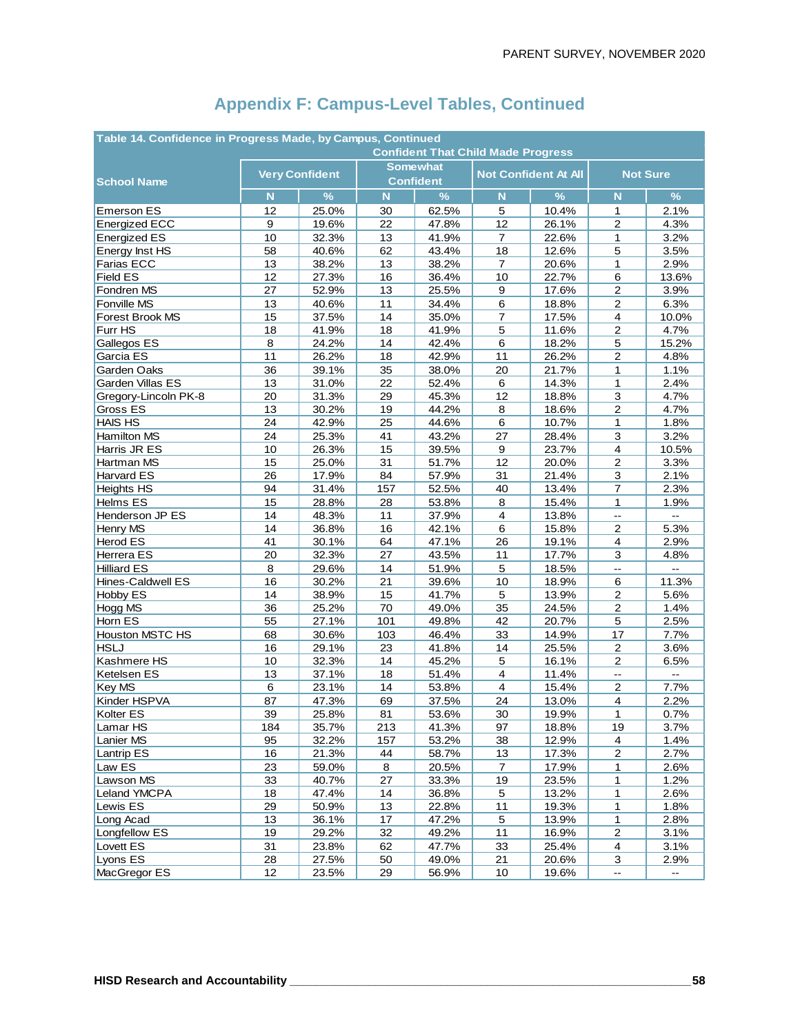| Table 14. Confidence in Progress Made, by Campus, Continued |                                           |                       |     |                  |                |                             |                          |                |  |  |  |
|-------------------------------------------------------------|-------------------------------------------|-----------------------|-----|------------------|----------------|-----------------------------|--------------------------|----------------|--|--|--|
|                                                             | <b>Confident That Child Made Progress</b> |                       |     |                  |                |                             |                          |                |  |  |  |
|                                                             |                                           | <b>Very Confident</b> |     | <b>Somewhat</b>  |                | <b>Not Confident At All</b> | <b>Not Sure</b>          |                |  |  |  |
| <b>School Name</b>                                          |                                           |                       |     | <b>Confident</b> |                |                             |                          |                |  |  |  |
|                                                             | N                                         | $\%$                  | N   | $\frac{9}{6}$    | N.             | $\frac{9}{6}$               | $\mathbf N$              | $\frac{9}{6}$  |  |  |  |
| <b>Emerson ES</b>                                           | 12                                        | 25.0%                 | 30  | 62.5%            | 5              | 10.4%                       | 1                        | 2.1%           |  |  |  |
| <b>Energized ECC</b>                                        | 9                                         | 19.6%                 | 22  | 47.8%            | 12             | 26.1%                       | $\overline{c}$           | 4.3%           |  |  |  |
| <b>Energized ES</b>                                         | 10                                        | 32.3%                 | 13  | 41.9%            | $\overline{7}$ | 22.6%                       | $\mathbf{1}$             | 3.2%           |  |  |  |
| Energy Inst HS                                              | 58                                        | 40.6%                 | 62  | 43.4%            | 18             | 12.6%                       | 5                        | 3.5%           |  |  |  |
| Farias ECC                                                  | 13                                        | 38.2%                 | 13  | 38.2%            | 7              | 20.6%                       | 1                        | 2.9%           |  |  |  |
| <b>Field ES</b>                                             | 12                                        | 27.3%                 | 16  | 36.4%            | 10             | 22.7%                       | 6                        | 13.6%          |  |  |  |
| Fondren MS                                                  | 27                                        | 52.9%                 | 13  | 25.5%            | 9              | 17.6%                       | $\overline{\mathbf{c}}$  | 3.9%           |  |  |  |
| Fonville MS                                                 | 13                                        | 40.6%                 | 11  | 34.4%            | 6              | 18.8%                       | $\overline{\mathbf{c}}$  | 6.3%           |  |  |  |
| <b>Forest Brook MS</b>                                      | 15                                        | 37.5%                 | 14  | 35.0%            | $\overline{7}$ | 17.5%                       | 4                        | 10.0%          |  |  |  |
| Furr HS                                                     | 18                                        | 41.9%                 | 18  | 41.9%            | 5              | 11.6%                       | $\mathbf{2}$             | 4.7%           |  |  |  |
| Gallegos ES                                                 | 8                                         | 24.2%                 | 14  | 42.4%            | 6              | 18.2%                       | $\mathbf 5$              | 15.2%          |  |  |  |
| Garcia ES                                                   | 11                                        | 26.2%                 | 18  | 42.9%            | 11             | 26.2%                       | $\overline{2}$           | 4.8%           |  |  |  |
| Garden Oaks                                                 | 36                                        | 39.1%                 | 35  | 38.0%            | 20             | 21.7%                       | 1                        | 1.1%           |  |  |  |
| Garden Villas ES                                            | 13                                        | 31.0%                 | 22  | 52.4%            | 6              | 14.3%                       | 1                        | 2.4%           |  |  |  |
| Gregory-Lincoln PK-8                                        | 20                                        | 31.3%                 | 29  | 45.3%            | 12             | 18.8%                       | 3                        | 4.7%           |  |  |  |
| Gross ES                                                    | 13                                        | 30.2%                 | 19  | 44.2%            | 8              | 18.6%                       | $\mathbf{2}$             | 4.7%           |  |  |  |
| <b>HAIS HS</b>                                              | 24                                        | 42.9%                 | 25  | 44.6%            | 6              | 10.7%                       | 1                        | 1.8%           |  |  |  |
| Hamilton MS                                                 | 24                                        | 25.3%                 | 41  | 43.2%            | 27             | 28.4%                       | 3                        | 3.2%           |  |  |  |
| Harris JR ES                                                | 10                                        | 26.3%                 | 15  | 39.5%            | 9              | 23.7%                       | $\overline{\mathbf{4}}$  | 10.5%          |  |  |  |
| Hartman MS                                                  | 15                                        | 25.0%                 | 31  | 51.7%            | 12             | 20.0%                       | $\mathbf 2$              | 3.3%           |  |  |  |
| Harvard ES                                                  | 26                                        | 17.9%                 | 84  | 57.9%            | 31             | 21.4%                       | 3                        | 2.1%           |  |  |  |
| <b>Heights HS</b>                                           | 94                                        | 31.4%                 | 157 | 52.5%            | 40             | 13.4%                       | $\overline{7}$           | 2.3%           |  |  |  |
| Helms ES                                                    | 15                                        | 28.8%                 | 28  | 53.8%            | 8              | 15.4%                       | 1                        | 1.9%           |  |  |  |
| Henderson JP ES                                             | 14                                        | 48.3%                 | 11  | 37.9%            | 4              | 13.8%                       | $\overline{\phantom{a}}$ |                |  |  |  |
| Henry MS                                                    | 14                                        | 36.8%                 | 16  | 42.1%            | 6              | 15.8%                       | $\overline{c}$           | 5.3%           |  |  |  |
| <b>Herod ES</b>                                             | 41                                        | 30.1%                 | 64  | 47.1%            | 26             | 19.1%                       | 4                        | 2.9%           |  |  |  |
| Herrera ES                                                  | 20                                        | 32.3%                 | 27  | 43.5%            | 11             | 17.7%                       | 3                        | 4.8%           |  |  |  |
| <b>Hilliard ES</b>                                          | 8                                         | 29.6%                 | 14  | 51.9%            | 5              | 18.5%                       | L.                       | $\overline{a}$ |  |  |  |
| Hines-Caldwell ES                                           | 16                                        | 30.2%                 | 21  | 39.6%            | 10             | 18.9%                       | 6                        | 11.3%          |  |  |  |
| Hobby ES                                                    | 14                                        | 38.9%                 | 15  | 41.7%            | 5              | 13.9%                       | $\mathbf 2$              | 5.6%           |  |  |  |
| Hogg MS                                                     | 36                                        | 25.2%                 | 70  | 49.0%            | 35             | 24.5%                       | $\overline{c}$           | 1.4%           |  |  |  |
| Horn ES                                                     | 55                                        | 27.1%                 | 101 | 49.8%            | 42             | 20.7%                       | 5                        | 2.5%           |  |  |  |
| Houston MSTC HS                                             | 68                                        | 30.6%                 | 103 | 46.4%            | 33             | 14.9%                       | 17                       | 7.7%           |  |  |  |
| <b>HSLJ</b>                                                 | 16                                        | 29.1%                 | 23  | 41.8%            | 14             | 25.5%                       | $\overline{2}$           | 3.6%           |  |  |  |
| Kashmere HS                                                 | 10                                        | 32.3%                 | 14  | 45.2%            | 5              | 16.1%                       | 2                        | 6.5%           |  |  |  |
| Ketelsen ES                                                 | 13                                        | 37.1%                 | 18  | 51.4%            | $\overline{4}$ | 11.4%                       | --                       | $\sim$         |  |  |  |
| Key MS                                                      | 6                                         | 23.1%                 | 14  | 53.8%            | 4              | 15.4%                       | $\overline{c}$           | 7.7%           |  |  |  |
| Kinder HSPVA                                                | 87                                        | 47.3%                 | 69  | 37.5%            | 24             | 13.0%                       | 4                        | 2.2%           |  |  |  |
| Kolter ES                                                   | 39                                        | 25.8%                 | 81  | 53.6%            | 30             | 19.9%                       | $\mathbf{1}$             | 0.7%           |  |  |  |
| Lamar HS                                                    | 184                                       | 35.7%                 | 213 | 41.3%            | 97             | 18.8%                       | 19                       | 3.7%           |  |  |  |
| Lanier MS                                                   | 95                                        | 32.2%                 | 157 | 53.2%            | 38             | 12.9%                       | $\overline{4}$           | 1.4%           |  |  |  |
| <b>Lantrip ES</b>                                           | 16                                        | 21.3%                 | 44  | 58.7%            | 13             | 17.3%                       | $\overline{c}$           | 2.7%           |  |  |  |
| Law ES                                                      | 23                                        | 59.0%                 | 8   | 20.5%            | 7              | 17.9%                       | 1                        | 2.6%           |  |  |  |
| Lawson MS                                                   | 33                                        | 40.7%                 | 27  | 33.3%            | 19             | 23.5%                       | 1                        | 1.2%           |  |  |  |
| Leland YMCPA                                                | 18                                        | 47.4%                 | 14  | 36.8%            | 5              | 13.2%                       | $\mathbf{1}$             | 2.6%           |  |  |  |
| Lewis ES                                                    | 29                                        | 50.9%                 | 13  | 22.8%            | $11$           | 19.3%                       | 1                        | 1.8%           |  |  |  |
| Long Acad                                                   | 13                                        | 36.1%                 | 17  | 47.2%            | 5              | 13.9%                       | 1                        | 2.8%           |  |  |  |
| Longfellow ES                                               | 19                                        | 29.2%                 | 32  | 49.2%            | 11             | 16.9%                       | $\boldsymbol{2}$         | 3.1%           |  |  |  |
| Lovett ES                                                   | 31                                        | 23.8%                 | 62  | 47.7%            | 33             | 25.4%                       | 4                        | 3.1%           |  |  |  |
| Lyons ES                                                    | 28                                        | 27.5%                 | 50  | 49.0%            | 21             | 20.6%                       | 3                        | 2.9%           |  |  |  |
| MacGregor ES                                                | 12                                        | 23.5%                 | 29  | 56.9%            | $10$           | 19.6%                       | <u></u>                  |                |  |  |  |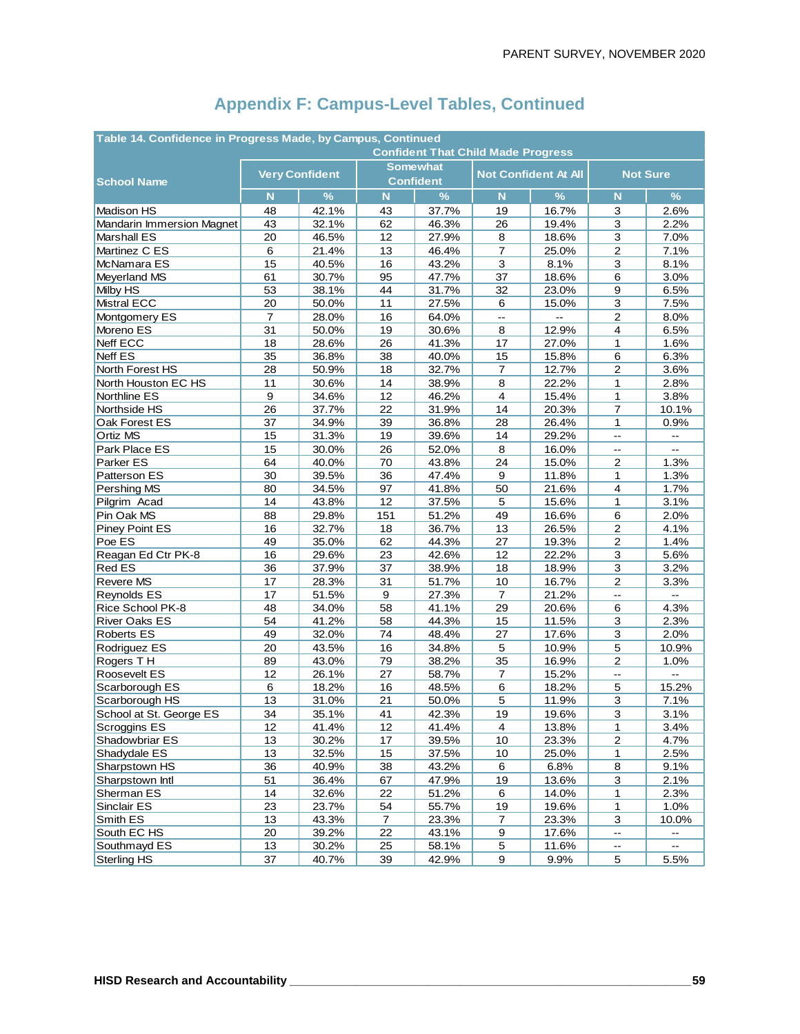| Table 14. Confidence in Progress Made, by Campus, Continued |                |                       |                |                  |                  |                             |                          |                   |  |  |  |  |
|-------------------------------------------------------------|----------------|-----------------------|----------------|------------------|------------------|-----------------------------|--------------------------|-------------------|--|--|--|--|
| <b>Confident That Child Made Progress</b>                   |                |                       |                |                  |                  |                             |                          |                   |  |  |  |  |
|                                                             |                | <b>Very Confident</b> |                | <b>Somewhat</b>  |                  | <b>Not Confident At All</b> | <b>Not Sure</b>          |                   |  |  |  |  |
| <b>School Name</b>                                          |                |                       |                | <b>Confident</b> |                  |                             |                          |                   |  |  |  |  |
|                                                             | N              | $\frac{9}{6}$         | N              | $\%$             | N                | $\frac{0}{6}$               | N                        | $\%$              |  |  |  |  |
| <b>Madison HS</b>                                           | 48             | 42.1%                 | 43             | 37.7%            | 19               | 16.7%                       | 3                        | 2.6%              |  |  |  |  |
| Mandarin Immersion Magnet                                   | 43             | 32.1%                 | 62             | 46.3%            | 26               | 19.4%                       | 3                        | 2.2%              |  |  |  |  |
| <b>Marshall ES</b>                                          | 20             | 46.5%                 | 12             | 27.9%            | 8                | 18.6%                       | 3                        | 7.0%              |  |  |  |  |
| Martinez C ES                                               | 6              | 21.4%                 | 13             | 46.4%            | $\overline{7}$   | 25.0%                       | $\mathbf{2}$             | 7.1%              |  |  |  |  |
| McNamara ES                                                 | 15             | 40.5%                 | 16             | 43.2%            | 3                | 8.1%                        | 3                        | 8.1%              |  |  |  |  |
| Meyerland MS                                                | 61             | 30.7%                 | 95             | 47.7%            | 37               | 18.6%                       | 6                        | 3.0%              |  |  |  |  |
| Milby HS                                                    | 53             | 38.1%                 | 44             | 31.7%            | 32               | 23.0%                       | 9                        | 6.5%              |  |  |  |  |
| <b>Mistral ECC</b>                                          | 20             | 50.0%                 | 11             | 27.5%            | 6                | 15.0%                       | 3                        | 7.5%              |  |  |  |  |
| Montgomery ES                                               | $\overline{7}$ | 28.0%                 | 16             | 64.0%            | цц.              | L.                          | $\mathbf{2}$             | 8.0%              |  |  |  |  |
| Moreno ES                                                   | 31             | 50.0%                 | 19             | 30.6%            | 8                | 12.9%                       | 4                        | 6.5%              |  |  |  |  |
| Neff ECC                                                    | 18             | 28.6%                 | 26             | 41.3%            | 17               | 27.0%                       | 1                        | 1.6%              |  |  |  |  |
| <b>Neff ES</b>                                              | 35             | 36.8%                 | 38             | 40.0%            | 15               | 15.8%                       | 6                        | 6.3%              |  |  |  |  |
| North Forest HS                                             | 28             | 50.9%                 | 18             | 32.7%            | $\overline{7}$   | 12.7%                       | $\overline{\mathbf{c}}$  | 3.6%              |  |  |  |  |
| North Houston EC HS                                         | 11             | 30.6%                 | 14             | 38.9%            | 8                | 22.2%                       | 1                        | 2.8%              |  |  |  |  |
| Northline ES                                                | 9              | 34.6%                 | 12             | 46.2%            | 4                | 15.4%                       | $\mathbf{1}$             | 3.8%              |  |  |  |  |
| Northside HS                                                | 26             | 37.7%                 | 22             | 31.9%            | 14               | 20.3%                       | $\overline{7}$           | 10.1%             |  |  |  |  |
| Oak Forest ES                                               | 37             | 34.9%                 | 39             | 36.8%            | 28               | 26.4%                       | 1                        | 0.9%              |  |  |  |  |
| Ortiz MS                                                    | 15             | 31.3%                 | 19             | 39.6%            | 14               | 29.2%                       | Ξ.                       |                   |  |  |  |  |
| Park Place ES                                               | 15             | 30.0%                 | 26             | 52.0%            | 8                | 16.0%                       | $\mathbf{L}$             | Ш,                |  |  |  |  |
| Parker ES                                                   | 64             | 40.0%                 | 70             | 43.8%            | 24               | 15.0%                       | 2                        | 1.3%              |  |  |  |  |
| Patterson ES                                                | 30             | 39.5%                 | 36             | 47.4%            | 9                | 11.8%                       | 1                        | 1.3%              |  |  |  |  |
| Pershing MS                                                 | 80             | 34.5%                 | 97             | 41.8%            | 50               | 21.6%                       | 4                        | 1.7%              |  |  |  |  |
| Pilgrim Acad                                                | 14             | 43.8%                 | 12             | 37.5%            | 5                | 15.6%                       | 1                        | 3.1%              |  |  |  |  |
| Pin Oak MS                                                  | 88             | 29.8%                 | 151            | 51.2%            | 49               | 16.6%                       | 6                        | 2.0%              |  |  |  |  |
| Piney Point ES                                              | 16             | 32.7%                 | 18             | 36.7%            | 13               | 26.5%                       | $\boldsymbol{2}$         | 4.1%              |  |  |  |  |
| Poe ES                                                      | 49             | 35.0%                 | 62             | 44.3%            | 27               | 19.3%                       | $\overline{\mathbf{c}}$  | 1.4%              |  |  |  |  |
| Reagan Ed Ctr PK-8                                          | 16             | 29.6%                 | 23             | 42.6%            | 12               | 22.2%                       | 3                        | 5.6%              |  |  |  |  |
| Red ES                                                      | 36             | 37.9%                 | 37             | 38.9%            | 18               | 18.9%                       | 3                        | 3.2%              |  |  |  |  |
| Revere MS                                                   | 17             | 28.3%                 | 31             | 51.7%            | 10               | 16.7%                       | $\overline{2}$           | 3.3%              |  |  |  |  |
| Reynolds ES                                                 | 17             | 51.5%                 | 9              | 27.3%            | $\overline{7}$   | 21.2%                       | $\overline{\phantom{a}}$ | $\overline{a}$    |  |  |  |  |
| Rice School PK-8                                            | 48             | 34.0%                 | 58             | 41.1%            | 29               | 20.6%                       | 6                        | 4.3%              |  |  |  |  |
| <b>River Oaks ES</b>                                        | 54             | 41.2%                 | 58             | 44.3%            | 15               | 11.5%                       | 3                        | 2.3%              |  |  |  |  |
| <b>Roberts ES</b>                                           | 49             | 32.0%                 | 74             | 48.4%            | 27               | 17.6%                       | 3                        | 2.0%              |  |  |  |  |
| Rodriguez ES                                                | 20             | 43.5%                 | 16             | 34.8%            | 5                | 10.9%                       | 5                        | 10.9%             |  |  |  |  |
| Rogers TH                                                   | 89             | 43.0%                 | 79             | 38.2%            | 35               | 16.9%                       | $\mathbf{2}$             | 1.0%              |  |  |  |  |
| Roosevelt ES                                                | 12             | 26.1%                 | 27             | 58.7%            | 7                | 15.2%                       | $\overline{\phantom{a}}$ |                   |  |  |  |  |
| Scarborough ES                                              | 6              | 18.2%                 | 16             | 48.5%            | 6                | 18.2%                       | 5                        | 15.2%             |  |  |  |  |
| Scarborough HS                                              | 13             | 31.0%                 | 21             | 50.0%            | 5                | 11.9%                       | 3                        | 7.1%              |  |  |  |  |
| School at St. George ES                                     | 34             | 35.1%                 | 41             | 42.3%            | 19               | 19.6%                       | 3                        | 3.1%              |  |  |  |  |
| Scroggins ES                                                | 12             | 41.4%                 | 12             | 41.4%            | $\overline{4}$   | 13.8%                       | 1                        | 3.4%              |  |  |  |  |
| Shadowbriar ES                                              | 13             | 30.2%                 | 17             | 39.5%            | 10               | 23.3%                       | $\overline{2}$           | 4.7%              |  |  |  |  |
| Shadydale ES                                                | 13             | 32.5%                 | 15             | 37.5%            | $10$             | 25.0%                       | 1                        | 2.5%              |  |  |  |  |
| Sharpstown HS                                               | 36             | 40.9%                 | 38             | 43.2%            | 6                | 6.8%                        | $\bf{8}$                 | 9.1%              |  |  |  |  |
| Sharpstown Intl                                             | 51             | 36.4%                 | 67             | 47.9%            | 19               | 13.6%                       | 3                        | 2.1%              |  |  |  |  |
| Sherman ES                                                  | 14             | 32.6%                 | 22             | 51.2%            | 6                | 14.0%                       | 1                        | 2.3%              |  |  |  |  |
| Sinclair ES                                                 | 23             | 23.7%                 | 54             | 55.7%            | <u>19</u>        | 19.6%                       | 1                        | 1.0%              |  |  |  |  |
| Smith ES                                                    | 13             | 43.3%                 | $\overline{7}$ | 23.3%            | $\overline{7}$   | 23.3%                       | 3                        | 10.0%             |  |  |  |  |
| South EC HS                                                 | 20             | 39.2%                 | 22             | 43.1%            | $\boldsymbol{9}$ | 17.6%                       | $\overline{\phantom{a}}$ | $\qquad \qquad -$ |  |  |  |  |
| Southmayd ES                                                | 13             | 30.2%                 | 25             | 58.1%            | $\overline{5}$   | 11.6%                       | $\overline{\phantom{a}}$ | --                |  |  |  |  |
| Sterling HS                                                 | 37             | 40.7%                 | 39             | 42.9%            | 9                | 9.9%                        | $\overline{5}$           | 5.5%              |  |  |  |  |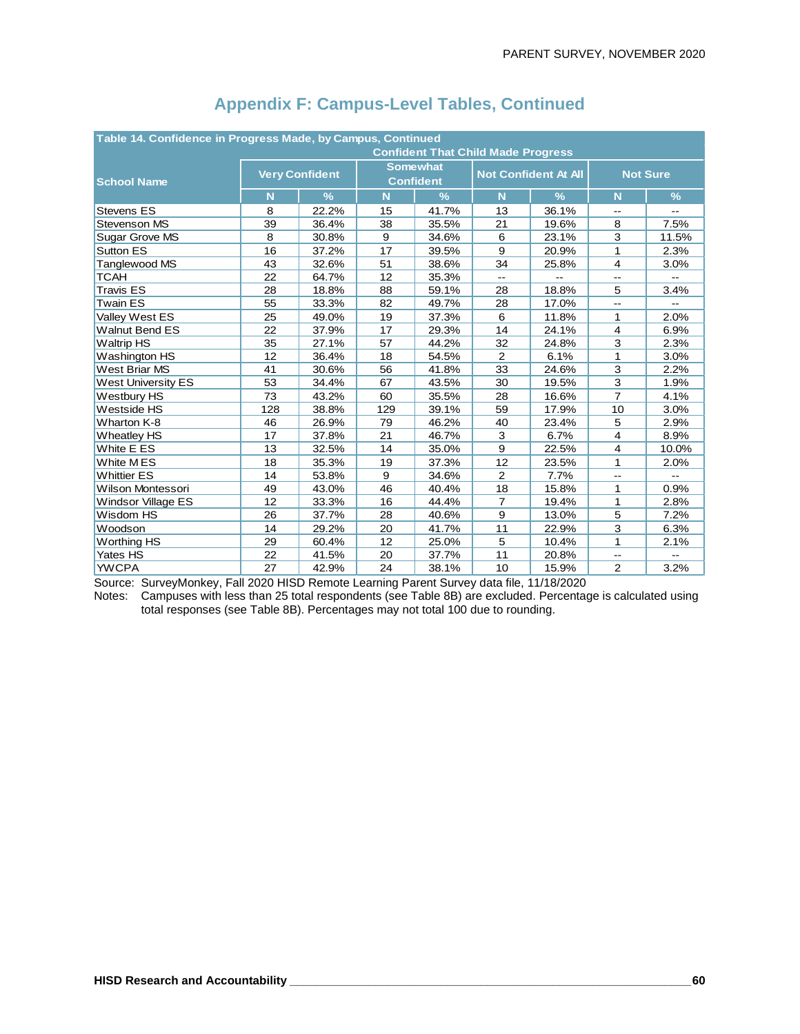| Table 14. Confidence in Progress Made, by Campus, Continued<br><b>Confident That Child Made Progress</b> |     |                       |     |                                     |                |                             |                 |                |  |  |
|----------------------------------------------------------------------------------------------------------|-----|-----------------------|-----|-------------------------------------|----------------|-----------------------------|-----------------|----------------|--|--|
| <b>School Name</b>                                                                                       |     | <b>Very Confident</b> |     | <b>Somewhat</b><br><b>Confident</b> |                | <b>Not Confident At All</b> | <b>Not Sure</b> |                |  |  |
|                                                                                                          | N   | $\frac{9}{6}$         | N   | $\frac{9}{6}$                       | N              | $\frac{9}{6}$               | N               | $\frac{9}{6}$  |  |  |
| <b>Stevens ES</b>                                                                                        | 8   | 22.2%                 | 15  | 41.7%                               | 13             | 36.1%                       | --              | $\overline{a}$ |  |  |
| Stevenson MS                                                                                             | 39  | 36.4%                 | 38  | 35.5%                               | 21             | 19.6%                       | 8               | 7.5%           |  |  |
| Sugar Grove MS                                                                                           | 8   | 30.8%                 | 9   | 34.6%                               | 6              | 23.1%                       | 3               | 11.5%          |  |  |
| Sutton ES                                                                                                | 16  | 37.2%                 | 17  | 39.5%                               | 9              | 20.9%                       | 1               | 2.3%           |  |  |
| Tanglewood MS                                                                                            | 43  | 32.6%                 | 51  | 38.6%                               | 34             | 25.8%                       | $\overline{4}$  | 3.0%           |  |  |
| <b>TCAH</b>                                                                                              | 22  | 64.7%                 | 12  | 35.3%                               | $-$            | --                          | Щ,              | $\overline{a}$ |  |  |
| <b>Travis ES</b>                                                                                         | 28  | 18.8%                 | 88  | 59.1%                               | 28             | 18.8%                       | 5               | 3.4%           |  |  |
| <b>Twain ES</b>                                                                                          | 55  | 33.3%                 | 82  | 49.7%                               | 28             | 17.0%                       | $-1$            |                |  |  |
| Valley West ES                                                                                           | 25  | 49.0%                 | 19  | 37.3%                               | 6              | 11.8%                       | 1               | 2.0%           |  |  |
| <b>Walnut Bend ES</b>                                                                                    | 22  | 37.9%                 | 17  | 29.3%                               | 14             | 24.1%                       | $\overline{4}$  | 6.9%           |  |  |
| <b>Waltrip HS</b>                                                                                        | 35  | 27.1%                 | 57  | 44.2%                               | 32             | 24.8%                       | 3               | 2.3%           |  |  |
| Washington HS                                                                                            | 12  | 36.4%                 | 18  | 54.5%                               | 2              | 6.1%                        | 1               | 3.0%           |  |  |
| <b>West Briar MS</b>                                                                                     | 41  | 30.6%                 | 56  | 41.8%                               | 33             | 24.6%                       | 3               | 2.2%           |  |  |
| <b>West University ES</b>                                                                                | 53  | 34.4%                 | 67  | 43.5%                               | 30             | 19.5%                       | 3               | 1.9%           |  |  |
| Westbury HS                                                                                              | 73  | 43.2%                 | 60  | 35.5%                               | 28             | 16.6%                       | $\overline{7}$  | 4.1%           |  |  |
| Westside HS                                                                                              | 128 | 38.8%                 | 129 | 39.1%                               | 59             | 17.9%                       | 10              | 3.0%           |  |  |
| Wharton K-8                                                                                              | 46  | 26.9%                 | 79  | 46.2%                               | 40             | 23.4%                       | 5               | 2.9%           |  |  |
| <b>Wheatley HS</b>                                                                                       | 17  | 37.8%                 | 21  | 46.7%                               | 3              | 6.7%                        | $\overline{4}$  | 8.9%           |  |  |
| White E ES                                                                                               | 13  | 32.5%                 | 14  | 35.0%                               | 9              | 22.5%                       | 4               | 10.0%          |  |  |
| White MES                                                                                                | 18  | 35.3%                 | 19  | 37.3%                               | 12             | 23.5%                       | 1               | 2.0%           |  |  |
| <b>Whittier ES</b>                                                                                       | 14  | 53.8%                 | 9   | 34.6%                               | $\overline{2}$ | 7.7%                        | $\overline{a}$  | $\overline{a}$ |  |  |
| <b>Wilson Montessori</b>                                                                                 | 49  | 43.0%                 | 46  | 40.4%                               | 18             | 15.8%                       | 1               | 0.9%           |  |  |
| <b>Windsor Village ES</b>                                                                                | 12  | 33.3%                 | 16  | 44.4%                               | $\overline{7}$ | 19.4%                       | 1               | 2.8%           |  |  |
| Wisdom HS                                                                                                | 26  | 37.7%                 | 28  | 40.6%                               | 9              | 13.0%                       | 5               | 7.2%           |  |  |
| Woodson                                                                                                  | 14  | 29.2%                 | 20  | 41.7%                               | 11             | 22.9%                       | 3               | 6.3%           |  |  |
| <b>Worthing HS</b>                                                                                       | 29  | 60.4%                 | 12  | 25.0%                               | 5              | 10.4%                       | 1               | 2.1%           |  |  |
| Yates HS                                                                                                 | 22  | 41.5%                 | 20  | 37.7%                               | 11             | 20.8%                       | 44              |                |  |  |
| <b>YWCPA</b>                                                                                             | 27  | 42.9%                 | 24  | 38.1%                               | 10             | 15.9%                       | 2               | 3.2%           |  |  |

Source: SurveyMonkey, Fall 2020 HISD Remote Learning Parent Survey data file, 11/18/2020

Notes: Campuses with less than 25 total respondents (see Table 8B) are excluded. Percentage is calculated using total responses (see Table 8B). Percentages may not total 100 due to rounding.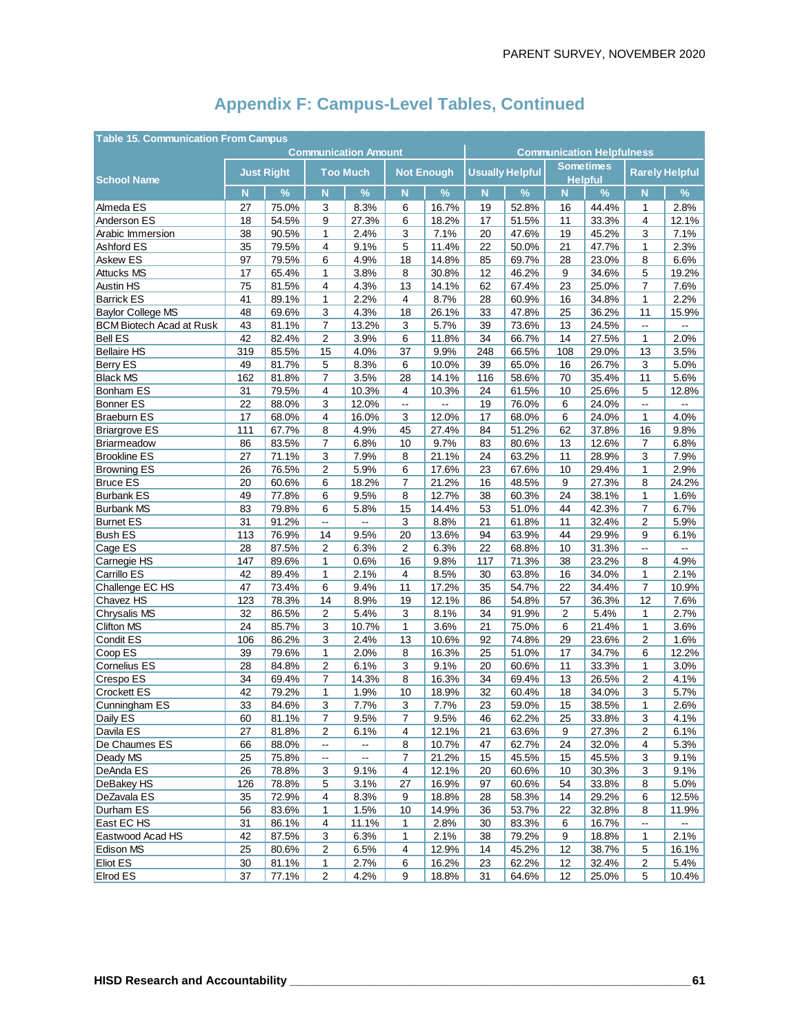| <b>Table 15. Communication From Campus</b> |                             |       |                          |                          |                         |                   |                                  |                        |                                    |       |                          |       |
|--------------------------------------------|-----------------------------|-------|--------------------------|--------------------------|-------------------------|-------------------|----------------------------------|------------------------|------------------------------------|-------|--------------------------|-------|
|                                            | <b>Communication Amount</b> |       |                          |                          |                         |                   | <b>Communication Helpfulness</b> |                        |                                    |       |                          |       |
| <b>School Name</b>                         | <b>Just Right</b>           |       | <b>Too Much</b>          |                          |                         | <b>Not Enough</b> |                                  | <b>Usually Helpful</b> | <b>Sometimes</b><br><b>Helpful</b> |       | <b>Rarely Helpful</b>    |       |
|                                            | $\overline{\mathsf{N}}$     | $\%$  | N                        | $\%$                     | $\overline{\mathsf{N}}$ | %                 | $\overline{\mathsf{N}}$          | $\%$                   | N                                  | $\%$  | N                        | %     |
| Almeda ES                                  | 27                          | 75.0% | 3                        | 8.3%                     | 6                       | 16.7%             | 19                               | 52.8%                  | 16                                 | 44.4% | 1                        | 2.8%  |
| Anderson ES                                | 18                          | 54.5% | 9                        | 27.3%                    | 6                       | 18.2%             | 17                               | 51.5%                  | 11                                 | 33.3% | 4                        | 12.1% |
| Arabic Immersion                           | 38                          | 90.5% | 1                        | 2.4%                     | 3                       | 7.1%              | 20                               | 47.6%                  | 19                                 | 45.2% | 3                        | 7.1%  |
| Ashford ES                                 | 35                          | 79.5% | 4                        | 9.1%                     | 5                       | 11.4%             | 22                               | 50.0%                  | 21                                 | 47.7% | $\mathbf{1}$             | 2.3%  |
| Askew ES                                   | 97                          | 79.5% | 6                        | 4.9%                     | 18                      | 14.8%             | 85                               | 69.7%                  | 28                                 | 23.0% | 8                        | 6.6%  |
| <b>Attucks MS</b>                          | 17                          | 65.4% | 1                        | 3.8%                     | 8                       | 30.8%             | 12                               | 46.2%                  | 9                                  | 34.6% | 5                        | 19.2% |
| <b>Austin HS</b>                           | 75                          | 81.5% | 4                        | 4.3%                     | 13                      | 14.1%             | 62                               | 67.4%                  | 23                                 | 25.0% | $\overline{7}$           | 7.6%  |
| <b>Barrick ES</b>                          | 41                          | 89.1% | $\mathbf{1}$             | 2.2%                     | 4                       | 8.7%              | 28                               | 60.9%                  | 16                                 | 34.8% | 1                        | 2.2%  |
| <b>Baylor College MS</b>                   | 48                          | 69.6% | 3                        | 4.3%                     | 18                      | 26.1%             | 33                               | 47.8%                  | 25                                 | 36.2% | 11                       | 15.9% |
| <b>BCM Biotech Acad at Rusk</b>            | 43                          | 81.1% | $\overline{7}$           | 13.2%                    | 3                       | 5.7%              | 39                               | 73.6%                  | 13                                 | 24.5% | --                       | --    |
| <b>Bell ES</b>                             | 42                          | 82.4% | $\overline{\mathbf{c}}$  | 3.9%                     | 6                       | 11.8%             | 34                               | 66.7%                  | 14                                 | 27.5% | 1                        | 2.0%  |
| <b>Bellaire HS</b>                         | 319                         | 85.5% | 15                       | 4.0%                     | 37                      | 9.9%              | 248                              | 66.5%                  | 108                                | 29.0% | 13                       | 3.5%  |
| <b>Berry ES</b>                            | 49                          | 81.7% | 5                        | 8.3%                     | 6                       | 10.0%             | 39                               | 65.0%                  | 16                                 | 26.7% | 3                        | 5.0%  |
| <b>Black MS</b>                            | 162                         | 81.8% | 7                        | 3.5%                     | 28                      | 14.1%             | 116                              | 58.6%                  | 70                                 | 35.4% | 11                       | 5.6%  |
| <b>Bonham ES</b>                           | 31                          | 79.5% | 4                        | 10.3%                    | 4                       | 10.3%             | 24                               | 61.5%                  | 10                                 | 25.6% | 5                        | 12.8% |
| <b>Bonner ES</b>                           | 22                          | 88.0% | 3                        | 12.0%                    | --                      | Ξ.                | 19                               | 76.0%                  | 6                                  | 24.0% | Ξ.                       |       |
| <b>Braeburn ES</b>                         | 17                          | 68.0% | $\overline{4}$           | 16.0%                    | 3                       | 12.0%             | 17                               | 68.0%                  | 6                                  | 24.0% | 1                        | 4.0%  |
| <b>Briargrove ES</b>                       | 111                         | 67.7% | 8                        | 4.9%                     | 45                      | 27.4%             | 84                               | 51.2%                  | 62                                 | 37.8% | 16                       | 9.8%  |
| Briarmeadow                                | 86                          | 83.5% | 7                        | 6.8%                     | 10                      | 9.7%              | 83                               | 80.6%                  | 13                                 | 12.6% | 7                        | 6.8%  |
| <b>Brookline ES</b>                        | 27                          | 71.1% | 3                        | 7.9%                     | 8                       | 21.1%             | 24                               | 63.2%                  | 11                                 | 28.9% | 3                        | 7.9%  |
| <b>Browning ES</b>                         | 26                          | 76.5% | 2                        | 5.9%                     | 6                       | 17.6%             | 23                               | 67.6%                  | 10                                 | 29.4% | 1                        | 2.9%  |
| <b>Bruce ES</b>                            | 20                          | 60.6% | 6                        | 18.2%                    | $\overline{7}$          | 21.2%             | 16                               | 48.5%                  | 9                                  | 27.3% | 8                        | 24.2% |
| <b>Burbank ES</b>                          | 49                          | 77.8% | 6                        | 9.5%                     | 8                       | 12.7%             | 38                               | 60.3%                  | 24                                 | 38.1% | 1                        | 1.6%  |
| <b>Burbank MS</b>                          | 83                          | 79.8% | 6                        | 5.8%                     | 15                      | 14.4%             | 53                               | 51.0%                  | 44                                 | 42.3% | 7                        | 6.7%  |
| <b>Burnet ES</b>                           | 31                          | 91.2% | --                       | Ξ.                       | 3                       | 8.8%              | 21                               | 61.8%                  | 11                                 | 32.4% | $\overline{2}$           | 5.9%  |
| <b>Bush ES</b>                             | 113                         | 76.9% | 14                       | 9.5%                     | 20                      | 13.6%             | 94                               | 63.9%                  | 44                                 | 29.9% | 9                        | 6.1%  |
| Cage ES                                    | 28                          | 87.5% | 2                        | 6.3%                     | 2                       | 6.3%              | 22                               | 68.8%                  | 10                                 | 31.3% | Ξ.                       | цú.   |
| Carnegie HS                                | 147                         | 89.6% | 1                        | 0.6%                     | 16                      | 9.8%              | 117                              | 71.3%                  | 38                                 | 23.2% | 8                        | 4.9%  |
| Carrillo ES                                | 42                          | 89.4% | 1                        | 2.1%                     | 4                       | 8.5%              | 30                               | 63.8%                  | 16                                 | 34.0% | 1                        | 2.1%  |
| Challenge EC HS                            | 47                          | 73.4% | 6                        | 9.4%                     | 11                      | 17.2%             | 35                               | 54.7%                  | 22                                 | 34.4% | 7                        | 10.9% |
| Chavez HS                                  | 123                         | 78.3% | 14                       | 8.9%                     | 19                      | 12.1%             | 86                               | 54.8%                  | 57                                 | 36.3% | 12                       | 7.6%  |
| Chrysalis MS                               | 32                          | 86.5% | $\overline{2}$           | 5.4%                     | 3                       | 8.1%              | 34                               | 91.9%                  | 2                                  | 5.4%  | 1                        | 2.7%  |
| <b>Clifton MS</b>                          | 24                          | 85.7% | 3                        | 10.7%                    | 1                       | 3.6%              | 21                               | 75.0%                  | 6                                  | 21.4% | 1                        | 3.6%  |
| Condit ES                                  | 106                         | 86.2% | 3                        | 2.4%                     | 13                      | 10.6%             | 92                               | 74.8%                  | 29                                 | 23.6% | $\overline{2}$           | 1.6%  |
| Coop ES                                    | 39                          | 79.6% | $\mathbf{1}$             | 2.0%                     | 8                       | 16.3%             | 25                               | 51.0%                  | 17                                 | 34.7% | 6                        | 12.2% |
| Cornelius ES                               | 28                          | 84.8% | 2                        | 6.1%                     | 3                       | 9.1%              | 20                               | 60.6%                  | 11                                 | 33.3% | 1                        | 3.0%  |
| Crespo ES                                  | 34                          | 69.4% | 7                        | 14.3%                    | 8                       | 16.3%             | 34                               | 69.4%                  | 13                                 | 26.5% | 2                        | 4.1%  |
| <b>Crockett ES</b>                         | 42                          | 79.2% | 1                        | 1.9%                     | 10                      | 18.9%             | 32                               | 60.4%                  | 18                                 | 34.0% | 3                        | 5.7%  |
| Cunningham ES                              | 33                          | 84.6% | 3                        | 7.7%                     | 3                       | 7.7%              | 23                               | 59.0%                  | 15                                 | 38.5% | 1                        | 2.6%  |
| Daily ES                                   | 60                          | 81.1% | $\boldsymbol{7}$         | 9.5%                     | $\boldsymbol{7}$        | 9.5%              | 46                               | 62.2%                  | 25                                 | 33.8% | 3                        | 4.1%  |
| Davila ES                                  | 27                          | 81.8% | $\overline{c}$           | 6.1%                     | 4                       | 12.1%             | 21                               | 63.6%                  | 9                                  | 27.3% | $\overline{c}$           | 6.1%  |
| De Chaumes ES                              | 66                          | 88.0% | ۰.                       | --                       | 8                       | 10.7%             | 47                               | 62.7%                  | 24                                 | 32.0% | 4                        | 5.3%  |
| Deady MS                                   | 25                          | 75.8% | $\overline{\phantom{a}}$ | $\overline{\phantom{a}}$ | $\overline{7}$          | 21.2%             | 15                               | 45.5%                  | 15                                 | 45.5% | 3                        | 9.1%  |
| DeAnda ES                                  | 26                          | 78.8% | 3                        | 9.1%                     | 4                       | 12.1%             | 20                               | 60.6%                  | 10                                 | 30.3% | 3                        | 9.1%  |
| DeBakey HS                                 | 126                         | 78.8% | 5                        | 3.1%                     | 27                      | 16.9%             | 97                               | 60.6%                  | 54                                 | 33.8% | 8                        | 5.0%  |
| DeZavala ES                                | 35                          | 72.9% | 4                        | 8.3%                     | 9                       | 18.8%             | 28                               | 58.3%                  | 14                                 | 29.2% | 6                        | 12.5% |
| Durham ES                                  | 56                          | 83.6% | 1                        | 1.5%                     | 10                      | 14.9%             | 36                               | 53.7%                  | 22                                 | 32.8% | 8                        | 11.9% |
| East EC HS                                 | 31                          | 86.1% | 4                        | 11.1%                    | 1                       | 2.8%              | 30                               | 83.3%                  | 6                                  | 16.7% | $\overline{\phantom{a}}$ | Ξ.    |
| Eastwood Acad HS                           | 42                          | 87.5% | 3                        | 6.3%                     | 1                       | 2.1%              | 38                               | 79.2%                  | 9                                  | 18.8% | 1                        | 2.1%  |
| Edison MS                                  | 25                          | 80.6% | 2                        | 6.5%                     | 4                       | 12.9%             | 14                               | 45.2%                  | 12                                 | 38.7% | 5                        | 16.1% |
| Eliot ES                                   | 30                          | 81.1% | 1                        | 2.7%                     | 6                       | 16.2%             | 23                               | 62.2%                  | 12                                 | 32.4% | 2                        | 5.4%  |
| Elrod ES                                   | 37                          | 77.1% | 2                        | 4.2%                     | 9                       | 18.8%             | 31                               | 64.6%                  | 12                                 | 25.0% | 5                        | 10.4% |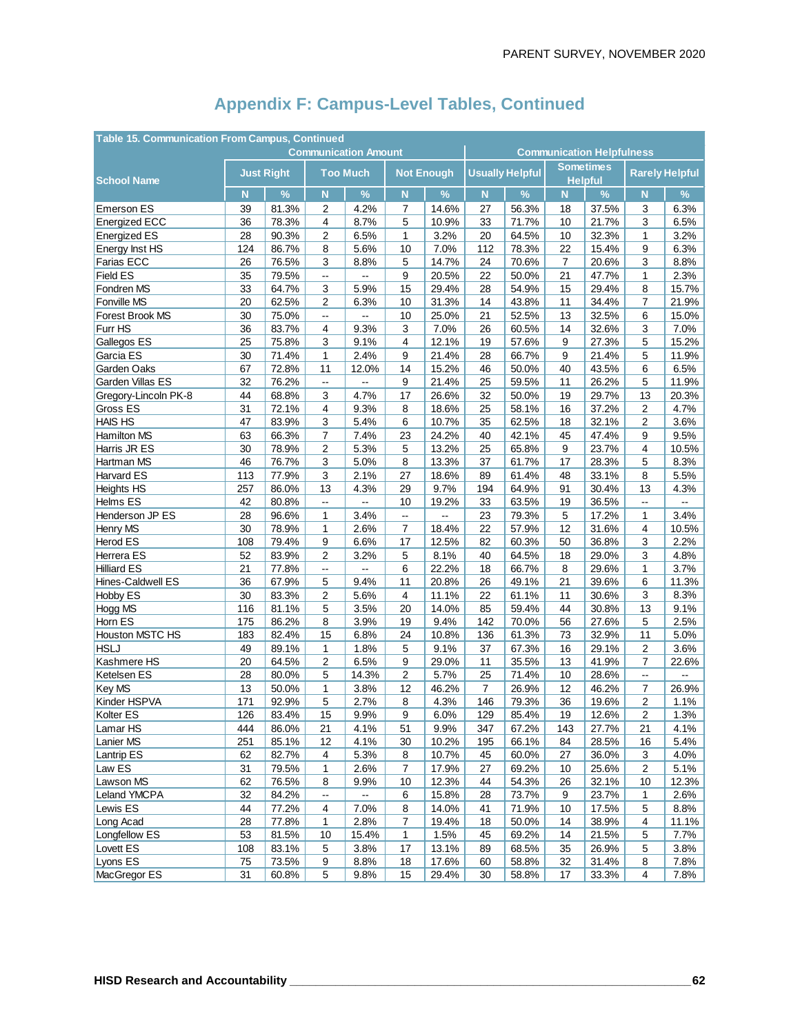| <b>Table 15. Communication From Campus, Continued</b> |                             |                   |                          |                 |                         |                   |                      |                                  |                |                                    |                          |        |  |
|-------------------------------------------------------|-----------------------------|-------------------|--------------------------|-----------------|-------------------------|-------------------|----------------------|----------------------------------|----------------|------------------------------------|--------------------------|--------|--|
|                                                       | <b>Communication Amount</b> |                   |                          |                 |                         |                   |                      | <b>Communication Helpfulness</b> |                |                                    |                          |        |  |
| <b>School Name</b>                                    |                             | <b>Just Right</b> |                          | <b>Too Much</b> |                         | <b>Not Enough</b> |                      | <b>Usually Helpful</b>           |                | <b>Sometimes</b><br><b>Helpful</b> | <b>Rarely Helpful</b>    |        |  |
|                                                       | N                           | %                 | $\mathsf{N}$             | %               | N                       | $\%$              | $\mathbf N$          | $\%$                             | N              | $\%$                               | N                        | $\%$   |  |
| <b>Emerson ES</b>                                     | 39                          | 81.3%             | 2                        | 4.2%            | 7                       | 14.6%             | 27                   | 56.3%                            | 18             | 37.5%                              | 3                        | 6.3%   |  |
| <b>Energized ECC</b>                                  | 36                          | 78.3%             | 4                        | 8.7%            | 5                       | 10.9%             | 33                   | 71.7%                            | 10             | 21.7%                              | 3                        | 6.5%   |  |
| <b>Energized ES</b>                                   | 28                          | 90.3%             | 2                        | 6.5%            | 1                       | 3.2%              | 20                   | 64.5%                            | 10             | 32.3%                              | 1                        | 3.2%   |  |
| Energy Inst HS                                        | 124                         | 86.7%             | 8                        | 5.6%            | 10                      | 7.0%              | 112                  | 78.3%                            | 22             | 15.4%                              | 9                        | 6.3%   |  |
| Farias ECC                                            | 26                          | 76.5%             | 3                        | 8.8%            | 5                       | 14.7%             | 24                   | 70.6%                            | $\overline{7}$ | 20.6%                              | 3                        | 8.8%   |  |
| Field ES                                              | 35                          | 79.5%             | Щ,                       | Щ,              | 9                       | 20.5%             | 22                   | 50.0%                            | 21             | 47.7%                              | 1                        | 2.3%   |  |
| Fondren MS                                            | 33                          | 64.7%             | 3                        | 5.9%            | 15                      | 29.4%             | 28                   | 54.9%                            | 15             | 29.4%                              | 8                        | 15.7%  |  |
| Fonville MS                                           | 20                          | 62.5%             | 2                        | 6.3%            | 10                      | 31.3%             | 14                   | 43.8%                            | 11             | 34.4%                              | $\overline{7}$           | 21.9%  |  |
| Forest Brook MS                                       | 30                          | 75.0%             | Щ,                       | цú.             | 10                      | 25.0%             | 21                   | 52.5%                            | 13             | 32.5%                              | 6                        | 15.0%  |  |
| Furr HS                                               | 36                          | 83.7%             | 4                        | 9.3%            | 3                       | 7.0%              | 26                   | 60.5%                            | 14             | 32.6%                              | 3                        | 7.0%   |  |
| Gallegos ES                                           | 25                          | 75.8%             | 3                        | 9.1%            | 4                       | 12.1%             | 19                   | 57.6%                            | 9              | 27.3%                              | 5                        | 15.2%  |  |
| Garcia ES                                             | 30                          | 71.4%             | 1                        | 2.4%            | 9                       | 21.4%             | 28                   | 66.7%                            | 9              | 21.4%                              | 5                        | 11.9%  |  |
| Garden Oaks                                           | 67                          | 72.8%             | 11                       | 12.0%           | 14                      | 15.2%             | 46                   | 50.0%                            | 40             | 43.5%                              | 6                        | 6.5%   |  |
| Garden Villas ES                                      | 32                          | 76.2%             | Ξ.                       | μ.              | 9                       | 21.4%             | 25                   | 59.5%                            | 11             | 26.2%                              | 5                        | 11.9%  |  |
| Gregory-Lincoln PK-8                                  | 44                          | 68.8%             | 3                        | 4.7%            | 17                      | 26.6%             | 32                   | 50.0%                            | 19             | 29.7%                              | 13                       | 20.3%  |  |
| Gross ES                                              | 31                          | 72.1%             | 4                        | 9.3%            | 8                       | 18.6%             | 25                   | 58.1%                            | 16             | 37.2%                              | 2                        | 4.7%   |  |
| <b>HAIS HS</b>                                        | 47                          | 83.9%             | 3                        | 5.4%            | 6                       | 10.7%             | 35                   | 62.5%                            | 18             | 32.1%                              | $\overline{2}$           | 3.6%   |  |
| <b>Hamilton MS</b>                                    | 63                          | 66.3%             | $\overline{7}$           | 7.4%            | 23                      | 24.2%             | 40                   | 42.1%                            | 45             | 47.4%                              | 9                        | 9.5%   |  |
| Harris JR ES                                          | 30                          | 78.9%             | 2                        | 5.3%            | 5                       | 13.2%             | 25                   | 65.8%                            | 9              | 23.7%                              | 4                        | 10.5%  |  |
| Hartman MS                                            | 46                          | 76.7%             | 3                        | 5.0%            | 8                       | 13.3%             | 37                   | 61.7%                            | 17             | 28.3%                              | 5                        | 8.3%   |  |
| <b>Harvard ES</b>                                     | 113                         | 77.9%             | $\mathsf 3$              | 2.1%            | 27                      | 18.6%             | 89                   | 61.4%                            | 48             | 33.1%                              | 8                        | 5.5%   |  |
| Heights HS                                            | 257                         | 86.0%             | 13                       | 4.3%            | 29                      | 9.7%              | 194                  | 64.9%                            | 91             | 30.4%                              | 13                       | 4.3%   |  |
| Helms ES                                              | 42                          | 80.8%             | Ξ.                       | $\sim$          | 10                      | 19.2%             | 33                   | 63.5%                            | 19             | 36.5%                              | $\overline{\phantom{a}}$ | $\sim$ |  |
| Henderson JP ES                                       | 28                          | 96.6%             | 1                        | 3.4%            | Ξ.                      | ц.                | 23                   | 79.3%                            | 5              | 17.2%                              | 1                        | 3.4%   |  |
| Henry MS                                              | 30                          | 78.9%             | 1                        | 2.6%            | 7                       | 18.4%             | 22                   | 57.9%                            | 12             | 31.6%                              | $\overline{4}$           | 10.5%  |  |
| <b>Herod ES</b>                                       | 108                         | 79.4%             | 9                        | 6.6%            | 17                      | 12.5%             | 82                   | 60.3%                            | 50             | 36.8%                              | 3                        | 2.2%   |  |
| Herrera ES                                            | 52                          | 83.9%             | 2                        | 3.2%            | 5                       | 8.1%              | 40                   | 64.5%                            | 18             | 29.0%                              | 3                        | 4.8%   |  |
| <b>Hilliard ES</b>                                    | 21                          | 77.8%             | 44                       | Щ.              | 6                       | 22.2%             | 18                   | 66.7%                            | 8              | 29.6%                              | $\mathbf{1}$             | 3.7%   |  |
| Hines-Caldwell ES                                     | 36                          | 67.9%             | 5                        | 9.4%            | 11                      | 20.8%             | 26                   | 49.1%                            | 21             | 39.6%                              | 6                        | 11.3%  |  |
| <b>Hobby ES</b>                                       | 30                          | 83.3%             | $\overline{2}$           | 5.6%            | $\overline{\mathbf{4}}$ | 11.1%             | 22                   | 61.1%                            | 11             | 30.6%                              | 3                        | 8.3%   |  |
| Hogg MS                                               | 116                         | 81.1%             | 5                        | 3.5%            | 20                      | 14.0%             | 85                   | 59.4%                            | 44             | 30.8%                              | 13                       | 9.1%   |  |
| Horn ES                                               | 175                         | 86.2%             | 8                        | 3.9%            | 19                      | 9.4%              | 142                  | 70.0%                            | 56             | 27.6%                              | 5                        | 2.5%   |  |
| Houston MSTC HS                                       | 183                         | 82.4%             | 15                       | 6.8%            | 24                      | 10.8%             | 136                  | 61.3%                            | 73             | 32.9%                              | 11                       | 5.0%   |  |
| <b>HSLJ</b>                                           | 49                          | 89.1%             | $\mathbf{1}$             | 1.8%            | 5                       | 9.1%              | 37                   | 67.3%                            | 16             | 29.1%                              | $\overline{2}$           | 3.6%   |  |
| Kashmere HS                                           | 20                          | 64.5%             | $\overline{2}$           | 6.5%            | 9                       | 29.0%             | 11                   | 35.5%                            | 13             | 41.9%                              | $\overline{7}$           | 22.6%  |  |
| Ketelsen ES                                           | 28<br>13                    | 80.0%             | 5                        | 14.3%           | 2<br>12                 | 5.7%              | 25<br>$\overline{7}$ | 71.4%                            | 10<br>12       | 28.6%                              | Ц.                       | 26.9%  |  |
| Key MS<br>Kinder HSPVA                                | 171                         | 50.0%<br>92.9%    | 1<br>5                   | 3.8%<br>2.7%    | 8                       | 46.2%<br>4.3%     | 146                  | 26.9%<br>79.3%                   | 36             | 46.2%<br>19.6%                     | 7<br>$\overline{2}$      | 1.1%   |  |
| Kolter ES                                             | 126                         | 83.4%             | 15                       | 9.9%            | 9                       | 6.0%              | 129                  | 85.4%                            | 19             | 12.6%                              | $\overline{2}$           | 1.3%   |  |
| Lamar <sub>HS</sub>                                   | 444                         | 86.0%             | 21                       | 4.1%            | 51                      | 9.9%              | 347                  | 67.2%                            | 143            | 27.7%                              | 21                       | 4.1%   |  |
| Lanier MS                                             | 251                         | 85.1%             | 12                       | 4.1%            | 30                      | 10.2%             | 195                  | 66.1%                            | 84             | 28.5%                              | 16                       | 5.4%   |  |
| Lantrip ES                                            | 62                          | 82.7%             | $\overline{\mathbf{4}}$  | 5.3%            | 8                       | 10.7%             | 45                   | 60.0%                            | 27             | 36.0%                              | 3                        | 4.0%   |  |
| Law ES                                                | 31                          | 79.5%             | 1                        | 2.6%            | 7                       | 17.9%             | 27                   | 69.2%                            | 10             | 25.6%                              | 2                        | 5.1%   |  |
| Lawson MS                                             | 62                          | 76.5%             | 8                        | 9.9%            | 10                      | 12.3%             | 44                   | 54.3%                            | 26             | 32.1%                              | 10                       | 12.3%  |  |
| Leland YMCPA                                          | 32                          | 84.2%             | $\overline{\phantom{a}}$ | Ш,              | 6                       | 15.8%             | 28                   | 73.7%                            | 9              | 23.7%                              | 1                        | 2.6%   |  |
| Lewis ES                                              | 44                          | 77.2%             | 4                        | 7.0%            | 8                       | 14.0%             | 41                   | 71.9%                            | 10             | 17.5%                              | 5                        | 8.8%   |  |
| Long Acad                                             | 28                          | 77.8%             | 1                        | 2.8%            | 7                       | 19.4%             | 18                   | 50.0%                            | 14             | 38.9%                              | 4                        | 11.1%  |  |
| Longfellow ES                                         | 53                          | 81.5%             | 10                       | 15.4%           | 1                       | 1.5%              | 45                   | 69.2%                            | 14             | 21.5%                              | 5                        | 7.7%   |  |
| Lovett ES                                             | 108                         | 83.1%             | 5                        | 3.8%            | 17                      | 13.1%             | 89                   | 68.5%                            | 35             | 26.9%                              | 5                        | 3.8%   |  |
| Lyons ES                                              | 75                          | 73.5%             | 9                        | 8.8%            | 18                      | 17.6%             | 60                   | 58.8%                            | 32             | 31.4%                              | 8                        | 7.8%   |  |
| MacGregor ES                                          | 31                          | 60.8%             | 5                        | 9.8%            | 15                      | 29.4%             | 30                   | 58.8%                            | 17             | 33.3%                              | 4                        | 7.8%   |  |
|                                                       |                             |                   |                          |                 |                         |                   |                      |                                  |                |                                    |                          |        |  |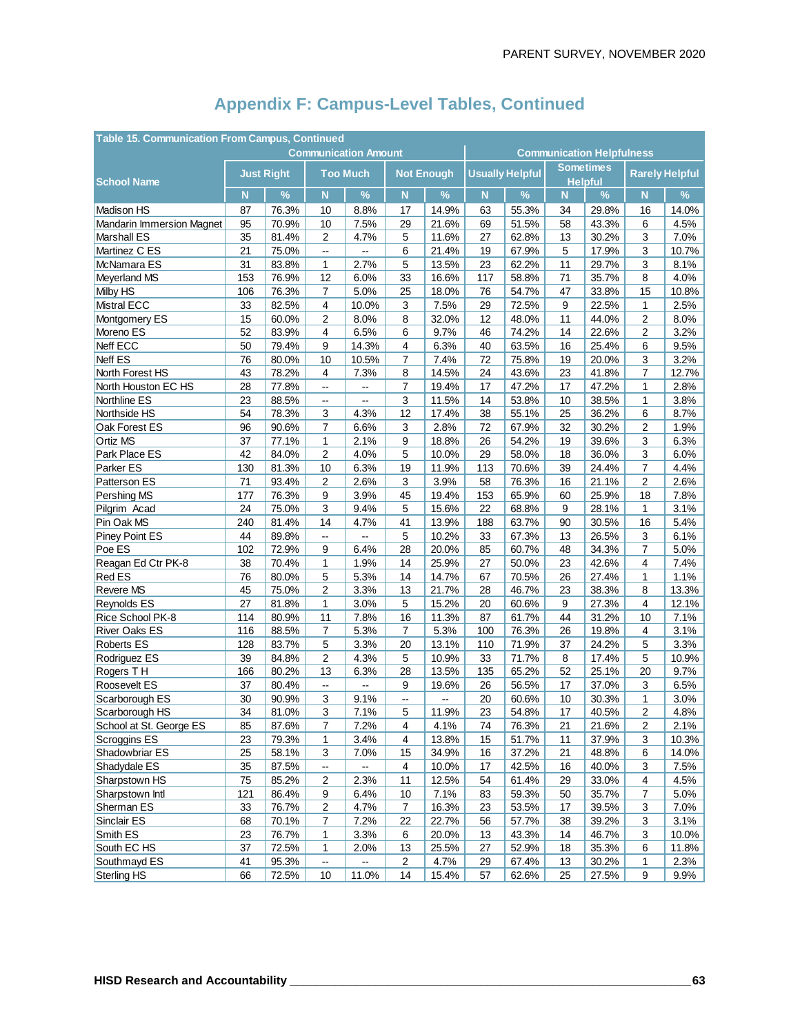| <b>Table 15. Communication From Campus, Continued</b> |                             |                   |                          |                          |                         |                   |     |                                  |                                    |       |                       |       |  |
|-------------------------------------------------------|-----------------------------|-------------------|--------------------------|--------------------------|-------------------------|-------------------|-----|----------------------------------|------------------------------------|-------|-----------------------|-------|--|
|                                                       | <b>Communication Amount</b> |                   |                          |                          |                         |                   |     | <b>Communication Helpfulness</b> |                                    |       |                       |       |  |
| <b>School Name</b>                                    |                             | <b>Just Right</b> |                          | <b>Too Much</b>          |                         | <b>Not Enough</b> |     | <b>Usually Helpful</b>           | <b>Sometimes</b><br><b>Helpful</b> |       | <b>Rarely Helpful</b> |       |  |
|                                                       | N                           | $\frac{9}{6}$     | N                        | $\frac{9}{6}$            | N                       | $\%$              | N   | $\%$                             | N                                  | $\%$  | N                     | %     |  |
| Madison HS                                            | 87                          | 76.3%             | 10                       | 8.8%                     | 17                      | 14.9%             | 63  | 55.3%                            | 34                                 | 29.8% | 16                    | 14.0% |  |
| <b>Mandarin Immersion Magnet</b>                      | 95                          | 70.9%             | 10                       | 7.5%                     | 29                      | 21.6%             | 69  | 51.5%                            | 58                                 | 43.3% | 6                     | 4.5%  |  |
| <b>Marshall ES</b>                                    | 35                          | 81.4%             | $\boldsymbol{2}$         | 4.7%                     | 5                       | 11.6%             | 27  | 62.8%                            | 13                                 | 30.2% | 3                     | 7.0%  |  |
| Martinez C ES                                         | 21                          | 75.0%             | Ξ.                       | $\overline{a}$           | 6                       | 21.4%             | 19  | 67.9%                            | 5                                  | 17.9% | 3                     | 10.7% |  |
| McNamara ES                                           | 31                          | 83.8%             | 1                        | 2.7%                     | 5                       | 13.5%             | 23  | 62.2%                            | 11                                 | 29.7% | 3                     | 8.1%  |  |
| Meyerland MS                                          | 153                         | 76.9%             | 12                       | 6.0%                     | 33                      | 16.6%             | 117 | 58.8%                            | 71                                 | 35.7% | 8                     | 4.0%  |  |
| Milby HS                                              | 106                         | 76.3%             | 7                        | 5.0%                     | 25                      | 18.0%             | 76  | 54.7%                            | 47                                 | 33.8% | 15                    | 10.8% |  |
| Mistral ECC                                           | 33                          | 82.5%             | 4                        | 10.0%                    | 3                       | 7.5%              | 29  | 72.5%                            | 9                                  | 22.5% | $\mathbf{1}$          | 2.5%  |  |
| Montgomery ES                                         | 15                          | 60.0%             | 2                        | 8.0%                     | 8                       | 32.0%             | 12  | 48.0%                            | 11                                 | 44.0% | 2                     | 8.0%  |  |
| Moreno ES                                             | 52                          | 83.9%             | $\overline{4}$           | 6.5%                     | 6                       | 9.7%              | 46  | 74.2%                            | 14                                 | 22.6% | 2                     | 3.2%  |  |
| Neff ECC                                              | 50                          | 79.4%             | 9                        | 14.3%                    | $\overline{4}$          | 6.3%              | 40  | 63.5%                            | 16                                 | 25.4% | 6                     | 9.5%  |  |
| Neff ES                                               | 76                          | 80.0%             | 10                       | 10.5%                    | 7                       | 7.4%              | 72  | 75.8%                            | 19                                 | 20.0% | 3                     | 3.2%  |  |
| North Forest HS                                       | 43                          | 78.2%             | $\overline{4}$           | 7.3%                     | 8                       | 14.5%             | 24  | 43.6%                            | 23                                 | 41.8% | $\overline{7}$        | 12.7% |  |
| North Houston EC HS                                   | 28                          | 77.8%             | Ξ.                       | --                       | 7                       | 19.4%             | 17  | 47.2%                            | 17                                 | 47.2% | 1                     | 2.8%  |  |
| Northline ES                                          | 23                          | 88.5%             | $\overline{\phantom{a}}$ | $\overline{\phantom{a}}$ | 3                       | 11.5%             | 14  | 53.8%                            | 10                                 | 38.5% | 1                     | 3.8%  |  |
| Northside HS                                          | 54                          | 78.3%             | 3                        | 4.3%                     | 12                      | 17.4%             | 38  | 55.1%                            | 25                                 | 36.2% | 6                     | 8.7%  |  |
| Oak Forest ES                                         | 96                          | 90.6%             | $\overline{7}$           | 6.6%                     | 3                       | 2.8%              | 72  | 67.9%                            | 32                                 | 30.2% | 2                     | 1.9%  |  |
| <b>Ortiz MS</b>                                       | 37                          | 77.1%             | 1                        | 2.1%                     | 9                       | 18.8%             | 26  | 54.2%                            | 19                                 | 39.6% | 3                     | 6.3%  |  |
| Park Place ES                                         | 42                          | 84.0%             | 2                        | 4.0%                     | 5                       | 10.0%             | 29  | 58.0%                            | 18                                 | 36.0% | 3                     | 6.0%  |  |
| Parker ES                                             | 130                         | 81.3%             | 10                       | 6.3%                     | 19                      | 11.9%             | 113 | 70.6%                            | 39                                 | 24.4% | 7                     | 4.4%  |  |
| Patterson ES                                          | 71                          | 93.4%             | 2                        | 2.6%                     | 3                       | 3.9%              | 58  | 76.3%                            | 16                                 | 21.1% | 2                     | 2.6%  |  |
| Pershing MS                                           | 177                         | 76.3%             | 9                        | 3.9%                     | 45                      | 19.4%             | 153 | 65.9%                            | 60                                 | 25.9% | 18                    | 7.8%  |  |
| Pilgrim Acad                                          | 24                          | 75.0%             | 3                        | 9.4%                     | 5                       | 15.6%             | 22  | 68.8%                            | 9                                  | 28.1% | 1                     | 3.1%  |  |
| Pin Oak MS                                            | 240                         | 81.4%             | 14                       | 4.7%                     | 41                      | 13.9%             | 188 | 63.7%                            | 90                                 | 30.5% | 16                    | 5.4%  |  |
| <b>Piney Point ES</b>                                 | 44                          | 89.8%             | ш.                       | $\frac{1}{2}$            | 5                       | 10.2%             | 33  | 67.3%                            | 13                                 | 26.5% | 3                     | 6.1%  |  |
| Poe ES                                                | 102                         | 72.9%             | 9                        | 6.4%                     | 28                      | 20.0%             | 85  | 60.7%                            | 48                                 | 34.3% | 7                     | 5.0%  |  |
| Reagan Ed Ctr PK-8                                    | 38                          | 70.4%             | $\mathbf{1}$             | 1.9%                     | 14                      | 25.9%             | 27  | 50.0%                            | 23                                 | 42.6% | 4                     | 7.4%  |  |
| <b>Red ES</b>                                         | 76                          | 80.0%             | 5                        | 5.3%                     | 14                      | 14.7%             | 67  | 70.5%                            | 26                                 | 27.4% | 1                     | 1.1%  |  |
| <b>Revere MS</b>                                      | 45                          | 75.0%             | 2                        | 3.3%                     | 13                      | 21.7%             | 28  | 46.7%                            | 23                                 | 38.3% | 8                     | 13.3% |  |
| Reynolds ES                                           | 27                          | 81.8%             | 1                        | 3.0%                     | 5                       | 15.2%             | 20  | 60.6%                            | 9                                  | 27.3% | $\overline{4}$        | 12.1% |  |
| Rice School PK-8                                      | 114                         | 80.9%             | 11                       | 7.8%                     | 16                      | 11.3%             | 87  | 61.7%                            | 44                                 | 31.2% | 10                    | 7.1%  |  |
| <b>River Oaks ES</b>                                  | 116                         | 88.5%             | $\overline{7}$           | 5.3%                     | $\overline{7}$          | 5.3%              | 100 | 76.3%                            | 26                                 | 19.8% | 4                     | 3.1%  |  |
| <b>Roberts ES</b>                                     | 128                         | 83.7%             | 5                        | 3.3%                     | 20                      | 13.1%             | 110 | 71.9%                            | 37                                 | 24.2% | 5                     | 3.3%  |  |
| Rodriguez ES                                          | 39                          | 84.8%             | 2                        | 4.3%                     | 5                       | 10.9%             | 33  | 71.7%                            | 8                                  | 17.4% | 5                     | 10.9% |  |
| Rogers TH                                             | 166                         | 80.2%             | 13                       | 6.3%                     | 28                      | 13.5%             | 135 | 65.2%                            | 52                                 | 25.1% | 20                    | 9.7%  |  |
| Roosevelt ES                                          | 37                          | 80.4%             | Ξ.                       | Ξ.                       | 9                       | 19.6%             | 26  | 56.5%                            | 17                                 | 37.0% | 3                     | 6.5%  |  |
| Scarborough ES                                        | 30                          | 90.9%             | 3                        | 9.1%                     | Ξ.                      |                   | 20  | 60.6%                            | 10                                 | 30.3% | 1                     | 3.0%  |  |
| Scarborough HS                                        | 34                          | 81.0%             | 3                        | 7.1%                     | 5                       | 11.9%             | 23  | 54.8%                            | 17                                 | 40.5% | $\overline{2}$        | 4.8%  |  |
| School at St. George ES                               | 85                          | 87.6%             | $\overline{7}$           | 7.2%                     | $\overline{\mathbf{4}}$ | 4.1%              | 74  | 76.3%                            | 21                                 | 21.6% | 2                     | 2.1%  |  |
| Scroggins ES                                          | 23                          | 79.3%             | $\mathbf{1}$             | 3.4%                     | 4                       | 13.8%             | 15  | 51.7%                            | 11                                 | 37.9% | 3                     | 10.3% |  |
| Shadowbriar ES                                        | 25                          | 58.1%             | 3                        | 7.0%                     | 15                      | 34.9%             | 16  | 37.2%                            | 21                                 | 48.8% | 6                     | 14.0% |  |
| Shadydale ES                                          | 35                          | 87.5%             | ۰.                       | --                       | 4                       | 10.0%             | 17  | 42.5%                            | 16                                 | 40.0% | 3                     | 7.5%  |  |
| Sharpstown HS                                         | 75                          | 85.2%             | $\overline{\mathbf{c}}$  | 2.3%                     | 11                      | 12.5%             | 54  | 61.4%                            | 29                                 | 33.0% | 4                     | 4.5%  |  |
| Sharpstown Intl                                       | 121                         | 86.4%             | 9                        | 6.4%                     | 10                      | 7.1%              | 83  | 59.3%                            | 50                                 | 35.7% | 7                     | 5.0%  |  |
| Sherman <sub>ES</sub>                                 | 33                          | 76.7%             | $\overline{c}$           | 4.7%                     | $\overline{7}$          | 16.3%             | 23  | 53.5%                            | 17                                 | 39.5% | 3                     | 7.0%  |  |
| Sinclair ES                                           | 68                          | 70.1%             | $\overline{7}$           | 7.2%                     | 22                      | 22.7%             | 56  | 57.7%                            | 38                                 | 39.2% | 3                     | 3.1%  |  |
| Smith ES                                              | 23                          | 76.7%             | $\mathbf{1}$             | 3.3%                     | 6                       | 20.0%             | 13  | 43.3%                            | 14                                 | 46.7% | 3                     | 10.0% |  |
| South EC HS                                           | 37                          | 72.5%             | $\mathbf{1}$             | 2.0%                     | 13                      | 25.5%             | 27  | 52.9%                            | 18                                 | 35.3% | 6                     | 11.8% |  |
| Southmayd ES                                          | 41                          | 95.3%             | $\overline{\phantom{a}}$ | $-$                      | $\overline{c}$          | 4.7%              | 29  | 67.4%                            | 13                                 | 30.2% | 1                     | 2.3%  |  |
| Sterling HS                                           | 66                          | 72.5%             | 10                       | 11.0%                    | 14                      | 15.4%             | 57  | 62.6%                            | 25                                 | 27.5% | 9                     | 9.9%  |  |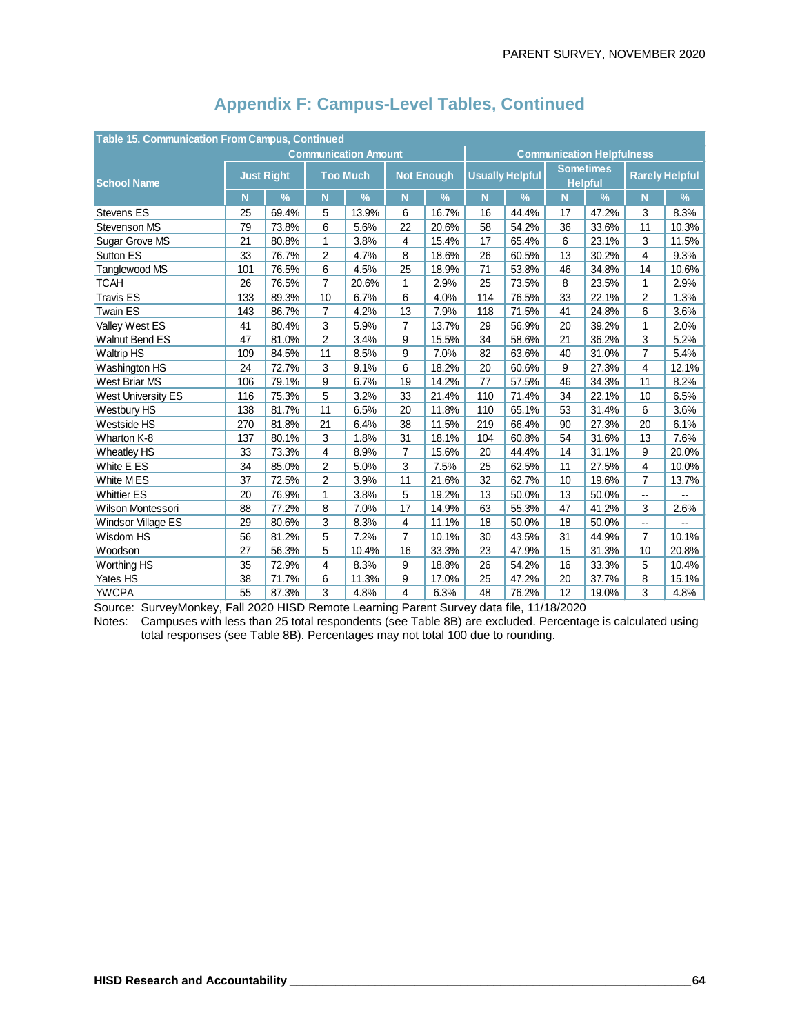| Table 15. Communication From Campus, Continued |                             |               |                 |       |                   |       |                        |                                  |                                    |               |                       |       |  |
|------------------------------------------------|-----------------------------|---------------|-----------------|-------|-------------------|-------|------------------------|----------------------------------|------------------------------------|---------------|-----------------------|-------|--|
|                                                | <b>Communication Amount</b> |               |                 |       |                   |       |                        | <b>Communication Helpfulness</b> |                                    |               |                       |       |  |
| <b>School Name</b>                             | <b>Just Right</b>           |               | <b>Too Much</b> |       | <b>Not Enough</b> |       | <b>Usually Helpful</b> |                                  | <b>Sometimes</b><br><b>Helpful</b> |               | <b>Rarely Helpful</b> |       |  |
|                                                | N                           | $\frac{9}{6}$ | N               | $\%$  | N                 | %     | N                      | $\%$                             | N                                  | $\frac{9}{6}$ | N                     | $\%$  |  |
| <b>Stevens ES</b>                              | 25                          | 69.4%         | 5               | 13.9% | 6                 | 16.7% | 16                     | 44.4%                            | 17                                 | 47.2%         | 3                     | 8.3%  |  |
| Stevenson MS                                   | 79                          | 73.8%         | 6               | 5.6%  | 22                | 20.6% | 58                     | 54.2%                            | 36                                 | 33.6%         | 11                    | 10.3% |  |
| <b>Sugar Grove MS</b>                          | 21                          | 80.8%         | $\mathbf{1}$    | 3.8%  | 4                 | 15.4% | 17                     | 65.4%                            | 6                                  | 23.1%         | 3                     | 11.5% |  |
| Sutton ES                                      | 33                          | 76.7%         | $\overline{c}$  | 4.7%  | 8                 | 18.6% | 26                     | 60.5%                            | 13                                 | 30.2%         | 4                     | 9.3%  |  |
| Tanglewood MS                                  | 101                         | 76.5%         | 6               | 4.5%  | 25                | 18.9% | 71                     | 53.8%                            | 46                                 | 34.8%         | 14                    | 10.6% |  |
| <b>TCAH</b>                                    | 26                          | 76.5%         | $\overline{7}$  | 20.6% | 1                 | 2.9%  | 25                     | 73.5%                            | 8                                  | 23.5%         | $\mathbf{1}$          | 2.9%  |  |
| <b>Travis ES</b>                               | 133                         | 89.3%         | 10              | 6.7%  | 6                 | 4.0%  | 114                    | 76.5%                            | 33                                 | 22.1%         | $\overline{2}$        | 1.3%  |  |
| <b>Twain ES</b>                                | 143                         | 86.7%         | $\overline{7}$  | 4.2%  | 13                | 7.9%  | 118                    | 71.5%                            | 41                                 | 24.8%         | 6                     | 3.6%  |  |
| Valley West ES                                 | 41                          | 80.4%         | 3               | 5.9%  | 7                 | 13.7% | 29                     | 56.9%                            | 20                                 | 39.2%         | $\mathbf{1}$          | 2.0%  |  |
| <b>Walnut Bend ES</b>                          | 47                          | 81.0%         | $\overline{c}$  | 3.4%  | 9                 | 15.5% | 34                     | 58.6%                            | 21                                 | 36.2%         | 3                     | 5.2%  |  |
| <b>Waltrip HS</b>                              | 109                         | 84.5%         | 11              | 8.5%  | 9                 | 7.0%  | 82                     | 63.6%                            | 40                                 | 31.0%         | $\overline{7}$        | 5.4%  |  |
| Washington HS                                  | 24                          | 72.7%         | 3               | 9.1%  | 6                 | 18.2% | 20                     | 60.6%                            | 9                                  | 27.3%         | 4                     | 12.1% |  |
| West Briar MS                                  | 106                         | 79.1%         | 9               | 6.7%  | 19                | 14.2% | 77                     | 57.5%                            | 46                                 | 34.3%         | 11                    | 8.2%  |  |
| <b>West University ES</b>                      | 116                         | 75.3%         | 5               | 3.2%  | 33                | 21.4% | 110                    | 71.4%                            | 34                                 | 22.1%         | 10                    | 6.5%  |  |
| Westbury HS                                    | 138                         | 81.7%         | 11              | 6.5%  | 20                | 11.8% | 110                    | 65.1%                            | 53                                 | 31.4%         | 6                     | 3.6%  |  |
| Westside HS                                    | 270                         | 81.8%         | 21              | 6.4%  | 38                | 11.5% | 219                    | 66.4%                            | 90                                 | 27.3%         | 20                    | 6.1%  |  |
| Wharton K-8                                    | 137                         | 80.1%         | 3               | 1.8%  | 31                | 18.1% | 104                    | 60.8%                            | 54                                 | 31.6%         | 13                    | 7.6%  |  |
| <b>Wheatley HS</b>                             | 33                          | 73.3%         | 4               | 8.9%  | 7                 | 15.6% | 20                     | 44.4%                            | 14                                 | 31.1%         | 9                     | 20.0% |  |
| White E ES                                     | 34                          | 85.0%         | $\overline{c}$  | 5.0%  | 3                 | 7.5%  | 25                     | 62.5%                            | 11                                 | 27.5%         | 4                     | 10.0% |  |
| White MES                                      | 37                          | 72.5%         | $\overline{c}$  | 3.9%  | 11                | 21.6% | 32                     | 62.7%                            | 10                                 | 19.6%         | $\overline{7}$        | 13.7% |  |
| <b>Whittier ES</b>                             | 20                          | 76.9%         | $\mathbf{1}$    | 3.8%  | 5                 | 19.2% | 13                     | 50.0%                            | 13                                 | 50.0%         | --                    |       |  |
| Wilson Montessori                              | 88                          | 77.2%         | 8               | 7.0%  | 17                | 14.9% | 63                     | 55.3%                            | 47                                 | 41.2%         | 3                     | 2.6%  |  |
| Windsor Village ES                             | 29                          | 80.6%         | 3               | 8.3%  | 4                 | 11.1% | 18                     | 50.0%                            | 18                                 | 50.0%         | --                    | --    |  |
| Wisdom HS                                      | 56                          | 81.2%         | 5               | 7.2%  | 7                 | 10.1% | 30                     | 43.5%                            | 31                                 | 44.9%         | $\overline{7}$        | 10.1% |  |
| Woodson                                        | 27                          | 56.3%         | 5               | 10.4% | 16                | 33.3% | 23                     | 47.9%                            | 15                                 | 31.3%         | 10                    | 20.8% |  |
| Worthing HS                                    | 35                          | 72.9%         | 4               | 8.3%  | 9                 | 18.8% | 26                     | 54.2%                            | 16                                 | 33.3%         | 5                     | 10.4% |  |
| Yates HS                                       | 38                          | 71.7%         | 6               | 11.3% | 9                 | 17.0% | 25                     | 47.2%                            | 20                                 | 37.7%         | 8                     | 15.1% |  |
| <b>YWCPA</b>                                   | 55                          | 87.3%         | 3               | 4.8%  | 4                 | 6.3%  | 48                     | 76.2%                            | 12                                 | 19.0%         | 3                     | 4.8%  |  |

Source: SurveyMonkey, Fall 2020 HISD Remote Learning Parent Survey data file, 11/18/2020

Notes: Campuses with less than 25 total respondents (see Table 8B) are excluded. Percentage is calculated using total responses (see Table 8B). Percentages may not total 100 due to rounding.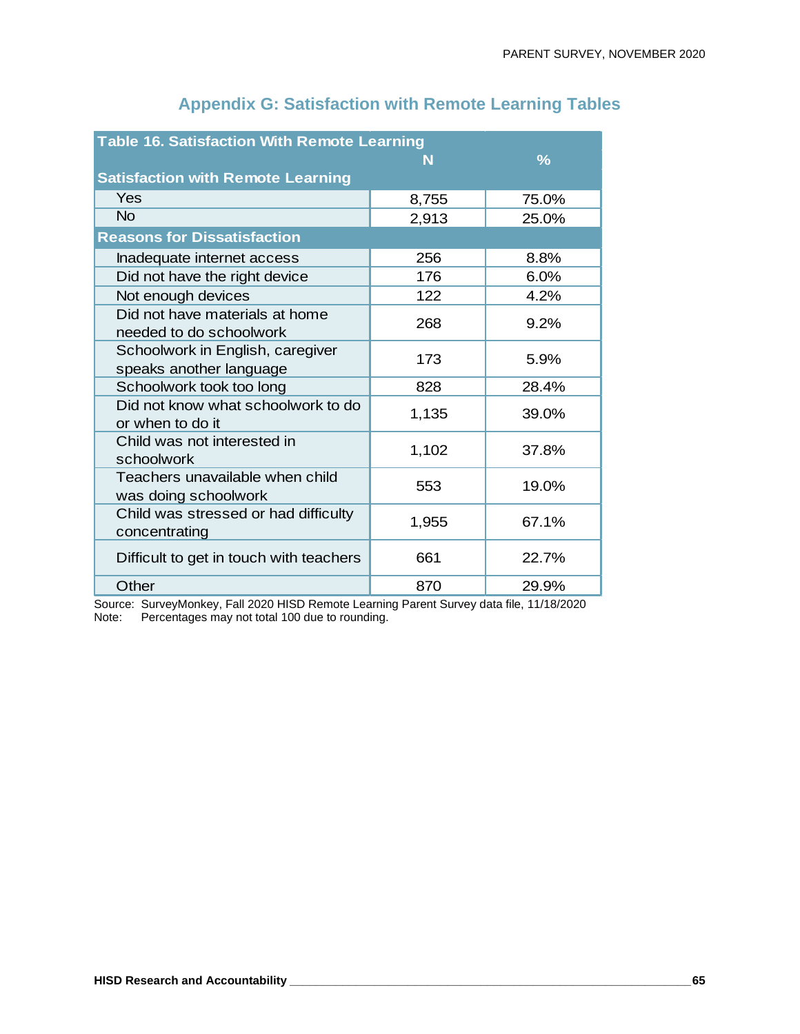| <b>Table 16. Satisfaction With Remote Learning</b>          |       |       |  |  |  |  |  |  |  |  |
|-------------------------------------------------------------|-------|-------|--|--|--|--|--|--|--|--|
|                                                             | N     | ℅     |  |  |  |  |  |  |  |  |
| <b>Satisfaction with Remote Learning</b>                    |       |       |  |  |  |  |  |  |  |  |
| Yes                                                         | 8,755 | 75.0% |  |  |  |  |  |  |  |  |
| <b>No</b>                                                   | 2,913 | 25.0% |  |  |  |  |  |  |  |  |
| <b>Reasons for Dissatisfaction</b>                          |       |       |  |  |  |  |  |  |  |  |
| Inadequate internet access                                  | 256   | 8.8%  |  |  |  |  |  |  |  |  |
| Did not have the right device                               | 176   | 6.0%  |  |  |  |  |  |  |  |  |
| Not enough devices                                          | 122   | 4.2%  |  |  |  |  |  |  |  |  |
| Did not have materials at home<br>needed to do schoolwork   | 268   | 9.2%  |  |  |  |  |  |  |  |  |
| Schoolwork in English, caregiver<br>speaks another language | 173   | 5.9%  |  |  |  |  |  |  |  |  |
| Schoolwork took too long                                    | 828   | 28.4% |  |  |  |  |  |  |  |  |
| Did not know what schoolwork to do<br>or when to do it      | 1,135 | 39.0% |  |  |  |  |  |  |  |  |
| Child was not interested in<br>schoolwork                   | 1,102 | 37.8% |  |  |  |  |  |  |  |  |
| Teachers unavailable when child<br>was doing schoolwork     | 553   | 19.0% |  |  |  |  |  |  |  |  |
| Child was stressed or had difficulty<br>concentrating       | 1,955 | 67.1% |  |  |  |  |  |  |  |  |
| Difficult to get in touch with teachers                     | 661   | 22.7% |  |  |  |  |  |  |  |  |
| Other                                                       | 870   | 29.9% |  |  |  |  |  |  |  |  |

# **Appendix G: Satisfaction with Remote Learning Tables**

Source: SurveyMonkey, Fall 2020 HISD Remote Learning Parent Survey data file, 11/18/2020 Note: Percentages may not total 100 due to rounding.